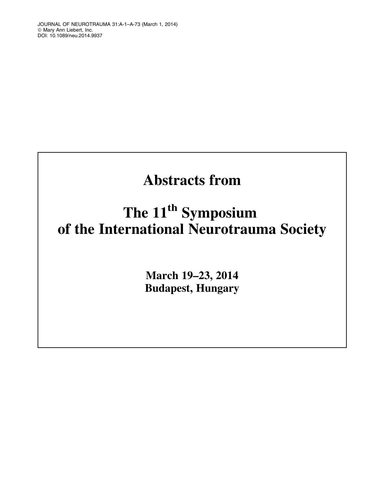# Abstracts from

# The 11<sup>th</sup> Symposium of the International Neurotrauma Society

March 19–23, 2014 Budapest, Hungary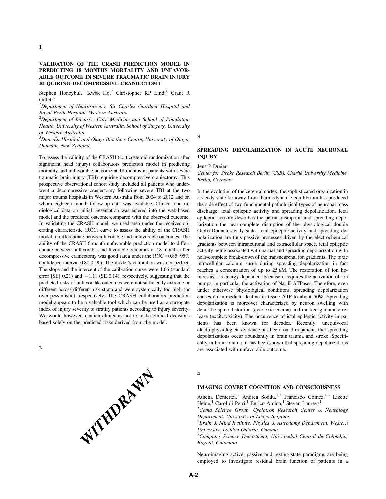# VALIDATION OF THE CRASH PREDICTION MODEL IN PREDICTING 18 MONTHS MORTALITY AND UNFAVOR-ABLE OUTCOME IN SEVERE TRAUMATIC BRAIN INJURY REQUIRING DECOMPRESSIVE CRANIECTOMY

Stephen Honeybul,<sup>1</sup> Kwok Ho,<sup>2</sup> Christopher RP Lind,<sup>1</sup> Grant R Gillett $3$ 

<sup>1</sup>Department of Neurosurgery, Sir Charles Gairdner Hospital and Royal Perth Hospital, Western Australia

 $2$ Department of Intensive Care Medicine and School of Population Health, University of Western Australia, School of Surgery, University of Western Australia

 $3$ Dunedin Hospital and Otago Bioethics Centre, University of Otago, Dunedin, New Zealand

To assess the validity of the CRASH (corticosteroid randomization after significant head injury) collaborators prediction model in predicting mortality and unfavorable outcome at 18 months in patients with severe traumatic brain injury (TBI) requiring decompressive craniectomy. This prospective observational cohort study included all patients who underwent a decompressive craniectomy following severe TBI at the two major trauma hospitals in Western Australia from 2004 to 2012 and on whom eighteen month follow-up data was available. Clinical and radiological data on initial presentation was entered into the web-based model and the predicted outcome compared with the observed outcome. In validating the CRASH model, we used area under the receiver operating characteristic (ROC) curve to assess the ability of the CRASH model to differentiate between favorable and unfavorable outcomes. The ability of the CRASH 6-month unfavorable prediction model to differentiate between unfavorable and favorable outcomes at 18 months after decompressive craniectomy was good (area under the  $ROC = 0.85, 95%$ confidence interval 0.80–0.90). The model's calibration was not perfect. The slope and the intercept of the calibration curve were 1.66 (standard error [SE]  $0.21$ ) and  $-1.11$  (SE 0.14), respectively, suggesting that the predicted risks of unfavorable outcomes were not sufficiently extreme or different across different risk strata and were systemically too high (or over-pessimistic), respectively. The CRASH collaborators prediction model appears to be a valuable tool which can be used as a surrogate index of injury severity to stratify patients according to injury severity. We would however, caution clinicians not to make clinical decisions based solely on the predicted risks derived from the model.



3

## SPREADING DEPOLARIZATION IN ACUTE NEURONAL INJURY

#### Jens P Dreier

Center for Stroke Research Berlin (CSB), Charité University Medicine, Berlin, Germany

In the evolution of the cerebral cortex, the sophisticated organization in a steady state far away from thermodynamic equilibrium has produced the side effect of two fundamental pathological types of neuronal mass discharge: ictal epileptic activity and spreading depolarization. Ictal epileptic activity describes the partial disruption and spreading depolarization the near-complete disruption of the physiological double Gibbs-Donnan steady state. Ictal epileptic activity and spreading depolarization are thus passive processes driven by the electrochemical gradients between intraneuronal and extracellular space, ictal epileptic activity being associated with partial and spreading depolarization with near-complete break-down of the transneuronal ion gradients. The toxic intracellular calcium surge during spreading depolarization in fact reaches a concentration of up to  $25 \mu M$ . The restoration of ion homeostasis is energy dependent because it requires the activation of ion pumps, in particular the activation of Na, K-ATPases. Therefore, even under otherwise physiological conditions, spreading depolarization causes an immediate decline in tissue ATP to about 50%. Spreading depolarization is moreover characterized by neuron swelling with dendritic spine distortion (cytotoxic edema) and marked glutamate release (excitotoxicity). The occurrence of ictal epileptic activity in patients has been known for decades. Recently, unequivocal electrophysiological evidence has been found in patients that spreading depolarizations occur abundantly in brain trauma and stroke. Specifically in brain trauma, it has been shown that spreading depolarizations are associated with unfavorable outcome.

4

# IMAGING COVERT COGNITION AND CONSCIOUSNESS

Athena Demertzi,<sup>1</sup> Andrea Soddu,<sup>1,2</sup> Francisco Gomez,<sup>1,3</sup> Lizette Heine,<sup>1</sup> Carol di Perri,<sup>1</sup> Enrico Amico,<sup>1</sup> Steven Laureys<sup>1</sup>

<sup>1</sup> Coma Science Group, Cyclotron Research Center & Neurology Department, University of Liège, Belgium

 $3B$ rain & Mind Institute, Physics & Astronomy Department, Western University, London Ontario, Canada

<sup>3</sup>Computer Science Department, Universidad Central de Colombia, Bogota´, Colombia

Neuroimaging active, passive and resting state paradigms are being employed to investigate residual brain function of patients in a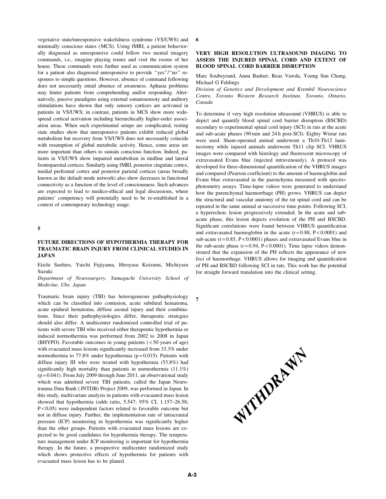vegetative state/unresponsive wakefulness syndrome (VS/UWS) and minimally conscious states (MCS). Using fMRI, a patient behaviorally diagnosed as unresponsive could follow two mental imagery commands, i.e., imagine playing tennis and visit the rooms of her house. These commands were further used as communication system for a patient also diagnosed unresponsive to provide ''yes''/''no'' responses to simple questions. However, absence of command following does not necessarily entail absence of awareness. Aphasia problems may hinter patients from comprehending and/or responding. Alternatively, passive paradigms using external somatosensoty and auditory stimulations have shown that only sensory cortices are activated in patients in VS/UWS; in contrast, patients in MCS show more widespread cortical activation including hierarchically higher-order association areas. When such experimental setups are complicated, resting state studies show that unresponsive patients exhibit reduced global metabolism but recovery from VS/UWS does not necessarily coincide with resumption of global metabolic activity. Hence, some areas are more important than others to sustain conscious function. Indeed, patients in VS/UWS show impaired metabolism in midline and lateral frontopareital cortices. Similarly using fMRI, posterior cingulate cortex, medial prefrontal cortex and posterior parietal cortices (areas broadly known as the default mode network) also show decreases in functional connectivity as a function of the level of consciousness. Such advances are expected to lead to medico-ethical and legal discussions, where patients' competency will potentially need to be re-established in a context of contemporary technology usage.

# 5

## FUTURE DIRECTIONS OF HYPOTHERMIA THERAPY FOR TRAUMATIC BRAIN INJURY FROM CLINICAL STUDIES IN **JAPAN**

Eiichi Suehiro, Yuichi Fujiyama, Hiroyasu Koizumi, Michiyasu Suzuki

Department of Neurosurgery, Yamaguchi University School of Medicine, Ube, Japan

Traumatic brain injury (TBI) has heterogeneous pathophysiology which can be classified into contusion, acute subdural hematoma, acute epidural hematoma, diffuse axonal injury and their combinations. Since their pathophysiologies differ, therapeutic strategies should also differ. A multicenter randomized controlled trial of patients with severe TBI who received either therapeutic hypothermia or induced normothermia was performed from 2002 to 2008 in Japan (BHYPO). Favorable outcomes in young patients ( < 50 years of age) with evacuated mass lesions significantly increased from 33.3% under normothermia to 77.8% under hypothermia ( $p = 0.015$ ). Patients with diffuse injury III who were treated with hypothermia (53.8%) had significantly high mortality than patients in normothermia (11.1%)  $(p=0.041)$ . From July 2009 through June 2011, an observational study which was admitted severe TBI patients, called the Japan Neurotrauma Data Bank ( JNTDB) Project 2009, was performed in Japan. In this study, multivariate analysis in patients with evacuated mass lesion showed that hypothermia (odds ratio, 5.547; 95% CI, 1.157–26.58; P < 0.05) were independent factors related to favorable outcome but not in diffuse injury. Further, the implementation rate of intracranial pressure (ICP) monitoring in hypothermia was significantly higher than the other groups. Patients with evacuated mass lesions are expected to be good candidates for hypothermia therapy. The temperature management under ICP monitoring is important for hypothermia therapy. In the future, a prospective multicenter randomized study which shows protective effects of hypothermia for patients with evacuated mass lesion has to be planed.

6

## VERY HIGH RESOLUTION ULTRASOUND IMAGING TO ASSESS THE INJURED SPINAL CORD AND EXTENT OF BLOOD SPINAL CORD BARRIER DISRUPTION

Marc Soubeyrand, Anna Badner, Reaz Vawda, Young Sun Chung, Michael G Fehlings

Division of Genetics and Development and Krembil Neuroscience Centre, Toronto Western Research Institute, Toronto, Ontario, Canada

To determine if very high resolution ultrasound (VHRUS) is able to depict and quantify blood spinal cord barrier disruption (BSCBD) secondary to experimental spinal cord injury (SCI) in rats at the acute and sub-acute phases (90 min and 24 h post-SCI). Eighty Wistar rats were used. Sham-operated animal underwent a Th10-Th12 laminectomy while injured animals underwent Th11 clip SCI. VHRUS images were compared with histology and fluorescent microscopy of extravasated Evans blue (injected intravenously). A protocol was developed for three-dimensional quantification of the VHRUS images and compared (Pearson coefficient) to the amount of haemoglobin and Evans blue extravasated in the parenchyma measured with spectrophotometry assays. Time-lapse videos were generated to understand how the parenchymal haemorrhage (PH) grows. VHRUS can depict the structural and vascular anatomy of the rat spinal cord and can be repeated in the same animal at successive time points. Following SCI, a hyperechoic lesion progressively extended. In the acute and subacute phase, this lesion depicts evolution of the PH and BSCBD. Significant correlations were found between VHRUS quantification and extravasated haemoglobin in the acute  $(r=0.88, P<0.0001)$  and sub-acute ( $r = 0.85$ ,  $P < 0.0001$ ) phases and extravasated Evans blue in the sub-acute phase  $(r = 0.94, P < 0.0001)$ . Time lapse videos demonstrated that the expansion of the PH reflects the appearance of new foci of haemorrhage. VHRUS allows for imaging and quantification of PH and BSCBD following SCI in rats. This work has the potential for straight forward translation into the clinical setting.



7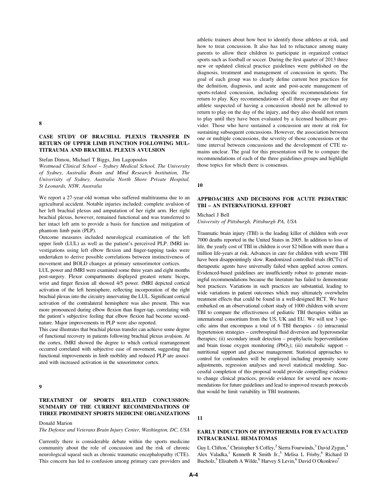#### 8

# CASE STUDY OF BRACHIAL PLEXUS TRANSFER IN RETURN OF UPPER LIMB FUNCTION FOLLOWING MUL-TITRAUMA AND BRACHIAL PLEXUS AVULSION

Stefan Dimou, Michael T Biggs, Jim Lagopoulos

Westmead Clinical School – Sydney Medical School, The University of Sydney, Australia Brain and Mind Research Institution, The Univerisity of Sydney, Australia North Shore Private Hospital, St Leonards, NSW, Australia

We report a 27-year-old woman who suffered multitrauma due to an agricultural accident. Notable injuries included: complete avulsion of her left brachial plexus and amputation of her right arm. Her right brachial plexus, however, remained functional and was transferred to her intact left arm to provide a basis for function and mitigation of phantom limb pain (PLP).

Outcome measures included neurological examination of the left upper limb (LUL) as well as the patient's perceived PLP. fMRI investigations using left elbow flexion and finger-tapping tasks were undertaken to derive possible correlations between instinctiveness of movement and BOLD changes at primary sensorimotor cortices.

LUL power and fMRI were examined some three years and eight months post-surgery. Flexor compartments displayed greatest return: biceps, wrist and finger flexion all showed 4/5 power. fMRI depicted cortical activation of the left hemisphere, reflecting incorporation of the right brachial plexus into the circuitry innervating the LUL. Significant cortical activation of the contralateral hemisphere was also present. This was more pronounced during elbow flexion than finger-tap, correlating with the patient's subjective feeling that elbow flexion had become secondnature. Major improvements in PLP were also reported.

This case illustrates that brachial plexus transfer can achieve some degree of functional recovery in patients following brachial plexus avulsion. At the cortex, fMRI showed the degree to which cortical rearrangement occurred correlated with subjective ease of movement, suggesting that functional improvements in limb mobility and reduced PLP are associated with increased activation in the sensorimotor cortex.

## 9

## TREATMENT OF SPORTS RELATED CONCUSSION: SUMMARY OF THE CURRENT RECOMMENDATIONS OF THREE PROMINENT SPORTS MEDICINE ORGANIZATIONS

Donald Marion

The Defense and Veterans Brain Injury Center, Washington, DC, USA

Currently there is considerable debate within the sports medicine community about the role of concussion and the risk of chronic neurological squeal such as chronic traumatic encephalopathy (CTE). This concern has led to confusion among primary care providers and athletic trainers about how best to identify those athletes at risk, and how to treat concussion. It also has led to reluctance among many parents to allow their children to participate in organized contact sports such as football or soccer. During the first quarter of 2013 three new or updated clinical practice guidelines were published on the diagnosis, treatment and management of concussion in sports. The goal of each group was to clearly define current best practices for the definition, diagnosis, and acute and post-acute management of sports-related concussion, including specific recommendations for return to play. Key recommendations of all three groups are that any athlete suspected of having a concussion should not be allowed to return to play on the day of the injury, and they also should not return to play until they have been evaluated by a licensed healthcare provider. Those who have sustained a concussion are more at risk for sustaining subsequent concussions. However, the association between one or multiple concussions, the severity of those concussions or the time interval between concussions and the development of CTE remains unclear. The goal for this presentation will be to compare the recommendations of each of the three guidelines groups and highlight those topics for which there is consensus.

10

## APPROACHES AND DECISIONS FOR ACUTE PEDIATRIC TBI – AN INTERNATIONAL EFFORT

## Michael J Bell

University of Pittsburgh, Pittsburgh PA, USA

Traumatic brain injury (TBI) is the leading killer of children with over 7000 deaths reported in the United States in 2005. In addition to loss of life, the yearly cost of TBI in children is over \$2 billion with more than a million life-years at risk. Advances in care for children with severe TBI have been disappointingly slow. Randomized controlled trials (RCTs) of therapeutic agents have universally failed when applied across centers. Evidenced-based guidelines are insufficiently robust to generate meaningful recommendations because the literature has failed to demonstrate best practices. Variations in such practices are substantial, leading to wide variations in patient outcomes which may ultimately overwhelm treatment effects that could be found in a well-designed RCT. We have embarked on an observational cohort study of 1000 children with severe TBI to compare the effectiveness of pediatric TBI therapies within an international consortium from the US, UK and EU. We will test 3 specific aims that encompass a total of 6 TBI therapies - (i) intracranial hypertension strategies – cerebrospinal fluid diversion and hyperosmolar therapies; (ii) secondary insult detection – prophylactic hyperventilation and brain tissue oxygen monitoring (PbO<sub>2</sub>); (iii) metabolic support  $$ nutritional support and glucose management. Statistical approaches to control for confounders will be employed including propensity score adjustments, regression analyses and novel statistical modeling. Successful completion of this proposal would provide compelling evidence to change clinical practices, provide evidence for several new recommendations for future guidelines and lead to improved research protocols that would be limit variability in TBI treatments.

11

## EARLY INDUCTION OF HYPOTHERMIA FOR EVACUATED INTRACRANIAL HEMATOMAS

Guy L Clifton,<sup>1</sup> Christopher S Coffey,<sup>2</sup> Sierra Fourwinds,<sup>3</sup> David Zygun,<sup>4</sup> Alex Valadka,<sup>1</sup> Kenneth R Smith Jr.,<sup>5</sup> Melisa L Frisby,<sup>6</sup> Richard D Bucholz,<sup>5</sup> Elisabeth A Wilde,<sup>6</sup> Harvey S Levin,<sup>6</sup> David O Okonkwo<sup>7</sup>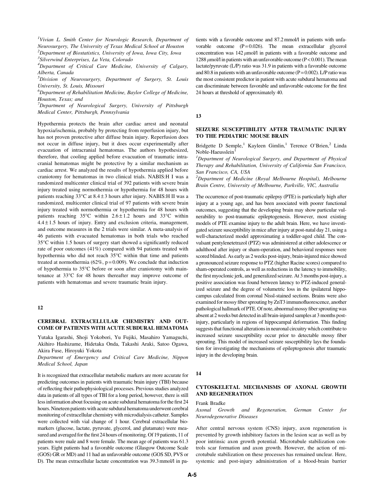<sup>1</sup>Vivian L. Smith Center for Neurologic Research, Department of Neurosurgery, The University of Texas Medical School at Houston  $^{2}$ Department of Biostatistics, University of Iowa, Iowa City, Iowa

<sup>4</sup>Department of Critical Care Medicine, University of Calgary, Alberta, Canada

5 Division of Neurosurgery, Department of Surgery, St. Louis University, St. Louis, Missouri

 ${}^6$ Department of Rehabilitation Medicine, Baylor College of Medicine, Houston, Texas; and

 $7$ Department of Neurological Surgery, University of Pittsburgh Medical Center, Pittsburgh, Pennsylvania

Hypothermia protects the brain after cardiac arrest and neonatal hypoxia/ischemia, probably by protecting from reperfusion injury, but has not proven protective after diffuse brain injury. Reperfusion does not occur in diffuse injury, but it does occur experimentally after evacuation of intracranial hematomas. The authors hypothesized, therefore, that cooling applied before evacuation of traumatic intracranial hematomas might be protective by a similar mechanism as cardiac arrest. We analyzed the results of hypothermia applied before craniotomy for hematomas in two clinical trials. NABIS:H I was a randomized multicenter clinical trial of 392 patients with severe brain injury treated using normothermia or hypothermia for 48 hours with patients reaching 33°C at 8.4±3 hours after injury. NABIS:H II was a randomized, multicenter clinical trial of 97 patients with severe brain injury treated with normothermia or hypothermia for 48 hours with patients reaching  $35^{\circ}$ C within  $2.6 \pm 1.2$  hours and  $33^{\circ}$ C within  $4.4 \pm 1.5$  hours of injury. Entry and exclusion criteria, management, and outcome measures in the 2 trials were similar. A meta-analysis of 46 patients with evacuated hematomas in both trials who reached 35°C within 1.5 hours of surgery start showed a significantly reduced rate of poor outcomes (41%) compared with 94 patients treated with hypothermia who did not reach 35°C within that time and patients treated at normothermia (62%,  $p = 0.009$ ). We conclude that induction of hypothermia to 35°C before or soon after craniotomy with maintenance at 33°C for 48 hours thereafter may improve outcome of patients with hematomas and severe traumatic brain injury.

## 12

## CEREBRAL EXTRACELLULAR CHEMISTRY AND OUT-COME OF PATIENTS WITH ACUTE SUBDURAL HEMATOMA

Yutaka Igarashi, Shoji Yokobori, Yu Fujiki, Masahiro Yamaguchi, Akihiro Hashizume, Hidetaka Onda, Takashi Araki, Satoo Ogawa, Akira Fuse, Hiroyuki Yokota

Department of Emergency and Critical Care Medicine, Nippon Medical School, Japan

It is recognized that extracellular metabolic markers are more accurate for predicting outcomes in patients with traumatic brain injury (TBI) because of reflecting their pathophysiological processes. Previous studies analyzed data in patients of all types of TBI for a long period, however, there is still less information about focusing on acute subdural hematoma for the first 24 hours. Nineteen patients with acute subdural hematoma underwent cerebral monitoring of extracellular chemistry with microdialysis catheter. Samples were collected with vial change of 1 hour. Cerebral extracellular biomarkers (glucose, lactate, pyruvate, glycerol, and glutamate) were measured and averaged for the first 24 hours of monitoring. Of 19 patients, 11 of patients were male and 8 were female. The mean age of patients was 61.3 years. Eight patients had a favorable outcome (Glasgow Outcome Scale (GOS) GR or MD) and 11 had an unfavorable outcome (GOS SD, PVS or D). The mean extracellular lactate concentration was 39.3 mmol/l in patients with a favorable outcome and 87.2 mmol/l in patients with unfavorable outcome  $(P=0.026)$ . The mean extracellular glycerol concentration was  $142 \mu m o l/l$  in patients with a favorable outcome and 1288  $\mu$ mol/l in patients with an unfavorable outcome (P < 0.001). The mean lactate/pyruvate (L/P) ratio was 31.9 in patients with a favorable outcome and 80.8 in patients with an unfavorable outcome ( $P = 0.002$ ). L/P ratio was the most consistent predictor in patient with acute subdural hematoma and can discriminate between favorable and unfavorable outcome for the first 24 hours at threshold of approximately 40.

13

## SEIZURE SUSCEPTIBILITY AFTER TRAUMATIC INJURY TO THE PEDIATRIC MOUSE BRAIN

Bridgette D Semple,<sup>1</sup> Kayleen Gimlin,<sup>1</sup> Terence O'Brien,<sup>2</sup> Linda Noble-Haeusslein<sup>1</sup>

<sup>1</sup>Department of Neurological Surgery, and Department of Physical Therapy and Rehabilitation, University of California San Francisco, San Francisco, CA, USA

<sup>2</sup>Department of Medicine (Royal Melbourne Hospital), Melbourne Brain Centre, University of Melbourne, Parkville, VIC, Australia

The occurrence of post-traumatic epilepsy (PTE) is particularly high after injury at a young age, and has been associated with poorer functional outcomes, suggesting that the developing brain may show particular vulnerability to post-traumatic epileptogenesis. However, most existing models of PTE examine injury to the adult brain. Here, we have investigated seizure susceptibility in mice after injury at post-natal day 21, using a well-characterized model approximating a toddler-aged child. The convulsant pentylenetetrazol (PTZ) was administered at either adolescence or adulthood after injury or sham-operation, and behavioral responses were scored blinded. As early as 2 weeks post-injury, brain-injured mice showed a pronounced seizure response to PTZ (higher Racine scores) compared to sham-operated controls, as well as reductions in the latency to immobility, the first myoclonic jerk, and generalized seizure. At 3 months post-injury, a positive association was found between latency to PTZ-induced generalized seizure and the degree of volumetric loss in the ipsilateral hippocampus calculated from coronal Nissl-stained sections. Brains were also examined for mossy fiber sprouting by ZnT3 immunofluorescence, another pathological hallmark of PTE. Of note, abnormal mossy fiber sprouting was absent at 2 weeks but detected in all brain-injured samples at 3 months postinjury, particularly in regions of hippocampal deformation. This finding suggests that functional alterations in neuronal circuitry which contribute to increased seizure susceptibility occur prior to detectable mossy fiber sprouting. This model of increased seizure susceptibility lays the foundation for investigating the mechanisms of epileptogenesis after traumatic injury in the developing brain.

#### 14

## CYTOSKELETAL MECHANISMS OF AXONAL GROWTH AND REGENERATION

Frank Bradke

Axonal Growth and Regeneration, German Center for Neurodegenerative Diseases

After central nervous system (CNS) injury, axon regeneration is prevented by growth inhibitory factors in the lesion scar as well as by poor intrinsic axon growth potential. Microtubule stabilization controls scar formation and axon growth. However, the action of microtubule stabilization on these processes has remained unclear. Here, systemic and post-injury administration of a blood-brain barrier

<sup>&</sup>lt;sup>3</sup>Silverwind Enterprises, La Veta, Colorado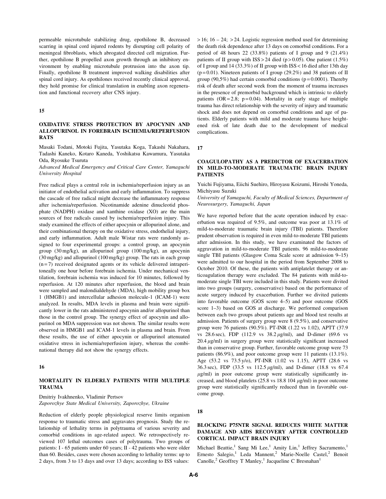permeable microtubule stabilizing drug, epothilone B, decreased scarring in spinal cord injured rodents by disrupting cell polarity of meningeal fibroblasts, which abrogated directed cell migration. Further, epothilone B propelled axon growth through an inhibitory environment by enabling microtubule protrusion into the axon tip. Finally, epothilone B treatment improved walking disabilities after spinal cord injury. As epothilones received recently clinical approval, they hold promise for clinical translation in enabling axon regeneration and functional recovery after CNS injury.

#### 15

# OXIDATIVE STRESS PROTECTION BY APOCYNIN AND ALLOPURINOL IN FOREBRAIN ISCHEMIA/REPERFUSION RATS

Masaki Todani, Motoki Fujita, Yasutaka Koga, Takashi Nakahara, Tadashi Kaneko, Kotaro Kaneda, Yoshikatsu Kawamura, Yasutaka Oda, Ryosuke Tsuruta

Advanced Medical Emergency and Critical Care Center, Yamaguchi University Hospital

Free radical plays a central role in ischemia/reperfusion injury as an initiator of endothelial activation and early inflammation. To suppress the cascade of free radical might decrease the inflammatory response after ischemia/reperfusion. Nicotinamide adenine dinucleotid phosphate (NADPH) oxidase and xanthine oxidase (XO) are the main sources of free radicals caused by ischemia/reperfusion injury. This study examined the effects of either apocynin or allopurinol alone, and their combinational therapy on the oxidative stress, endothelial injury, and early inflammation. Adult male Wistar rats were randomly assigned to four experimental groups: a control group, an apocynin group (30 mg/kg), an allopurinol group (100 mg/kg), an apocynin (30 mg/kg) and allopurinol (100 mg/kg) group. The rats in each group  $(n=7)$  received designated agents or its vehicle delivered intraperitoneally one hour before forebrain ischemia. Under mechanical ventilation, forebrain ischemia was induced for 10 minutes, followed by reperfusion. At 120 minutes after reperfusion, the blood and brain were sampled and malondialdehyde (MDA), high mobility group box 1 (HMGB1) and intercellular adhesion molecule-1 (ICAM-1) were analyzed. In results, MDA levels in plasma and brain were significantly lower in the rats administered apocynin and/or allopurinol than those in the control group. The synergy effect of apocynin and allopurinol on MDA suppression was not shown. The similar results were observed in HMGB1 and ICAM-1 levels in plasma and brain. From these results, the use of either apocynin or allopurinol attenuated oxidative stress in ischemia/reperfusion injury, whereas the combinational therapy did not show the synergy effects.

## 16

## MORTALITY IN ELDERLY PATIENTS WITH MULTIPLE TRAUMA

Dmitriy Ivakhnenko, Vladimir Pertsov Zaporozhye State Medical University, Zaporozhye, Ukraine

Reduction of elderly people physiological reserve limits organism response to traumatic stress and aggravates prognosis. Study the relationship of lethality terms in polytrauma of various severity and comorbid conditions in age-related aspect. We retrospectively reviewed 107 lethal outcomes cases of polytrauma. Two groups of patients: I - 65 patients under 60 years; II - 42 patients who were older than 60. Besides, cases were chosen according to lethality terms: up to 2 days, from 3 to 13 days and over 13 days; according to ISS values:

 $> 16$ ; 16 – 24;  $> 24$ . Logistic regression method used for determining the death risk dependence after 13 days on comorbid conditions. For a period of 48 hours 22 (33.8%) patients of I group and 9 (21.4%) patients of II group with  $ISS > 24$  died (p > 0.05). One patient (1.5%) of I group and 14 (33.3%) of II group with ISS < 16 died after 13th day ( $p = 0.01$ ). Nineteen patients of I group (29.2%) and 38 patients of II group (90,5%) had certain comorbid conditions ( $p = 0.0001$ ). Thereby risk of death after second week from the moment of trauma increases in the presence of premorbid background which is intrinsic to elderly patients  $(OR = 2.8; p = 0.04)$ . Mortality in early stage of multiple trauma has direct relationship with the severity of injury and traumatic shock and does not depend on comorbid conditions and age of patients. Elderly patients with mild and moderate trauma have heightened risk of late death due to the development of medical complications.

17

## COAGULOPATHY AS A PREDICTOR OF EXACERBATION IN MILD-TO-MODERATE TRAUMATIC BRAIN INJURY PATIENTS

Yuichi Fujiyama, Eiichi Suehiro, Hiroyasu Koizumi, Hiroshi Yoneda, Michiyasu Suzuki

University of Yamaguchi, Faculty of Medical Sciences, Department of Neurosurgery, Yamaguchi, Japan

We have reported before that the acute operation induced by exacerbation was required of 9.5%, and outcome was poor at 13.1% of mild-to-moderate traumatic brain injury (TBI) patients. Therefore prudent observation is required in even mild-to-moderate TBI patients after admission. In this study, we have examinated the factors of aggravation in mild-to-moderate TBI patients. 96 mild-to-moderate single TBI patients (Glasgow Coma Scale score at admission 9–15) were admitted to our hospital in the period from September 2008 to October 2010. Of these, the patients with antiplatelet therapy or anticoagulation therapy were excluded. The 84 patients with mild-tomoderate single TBI were included in this study. Patients were divited into two groups (surgery, conservative) based on the performance of acute surgery induced by exacerbation. Further we divited patients into favorable outcome (GOS score 4–5) and poor outcome (GOS score 1–3) based on GOS at discharge. We performed comparison between each two groups about patients age and blood test results at admission. Patients of surgery group were 8 (9.5%), and conservative group were 76 patients (90.5%). PT-INR (1.22 vs 1.02), APTT (37.9 vs 28.6 sec), FDP (112.9 vs  $38.2 \mu g/ml$ ), and D-dimer (69.6 vs  $20.4 \mu g/ml$ ) in surgery group were statistically significant increased than in conservative group. Further, favorable outcome group were 73 patients (86.9%), and poor outcome group were 11 patients (13.1%). Age (53.2 vs 73.5 y/o), PT-INR (1.02 vs 1.15), APTT (28.6 vs 36.3 sec), FDP (33.5 vs 112.5  $\mu$ g/ml), and D-dimer (18.8 vs 67.4  $\mu$ g/ml) in poor outcome group were statistically significantly increased, and blood platelets (25.8 vs 18.8 104  $\mu$ g/ml) in poor outcome group were statistically significantly reduced than in favorable outcome group.

#### 18

## BLOCKING P75NTR SIGNAL REDUCES WHITE MATTER DAMAGE AND AIDS RECOVERY AFTER CONTROLLED CORTICAL IMPACT BRAIN INJURY

Michael Beattie,<sup>1</sup> Sang Mi Lee,<sup>1</sup> Amity Lin,<sup>1</sup> Jeffrey Sacramento,<sup>1</sup> Ernesto Salegio,<sup>1</sup> Leda Mannent,<sup>2</sup> Marie-Noelle Castel,<sup>2</sup> Benoit Canolle,<sup>2</sup> Geoffrey T Manley,<sup>1</sup> Jacqueline C Bresnahan<sup>1</sup>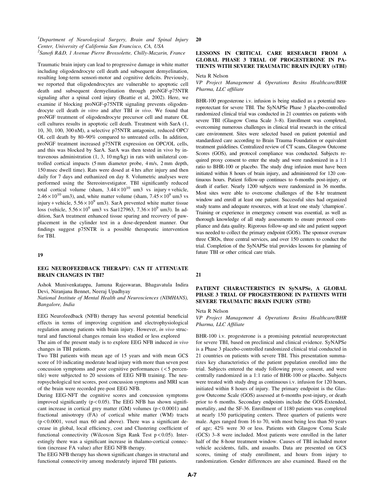# <sup>1</sup>Department of Neurological Surgery, Brain and Spinal Injury Center, University of California San Francisco, CA, USA <sup>2</sup>Sanofi R&D, 1 Avenue Pierre Brossolette, Chilly-Mazarin, France

Traumatic brain injury can lead to progressive damage in white matter including oligodendrocyte cell death and subsequent demyelination, resulting long-term sensori-motor and cognitive deficits. Previously, we reported that oligodendrocytes are vulnerable to apoptotic cell death and subsequent demyelination through proNGF-p75NTR signaling after a spinal cord injury (Beattie et al, 2002). Here, we examine if blocking proNGF-p75NTR signaling prevents oligodendrocyte cell death in vitro and after TBI in vivo. We found that proNGF treatment of oligodendrocyte precursor cell and mature OL cell cultures results in apoptotic cell death. Treatment with SarA (1, 10, 30, 100, 300 nM), a selective p75NTR antagonist, reduced OPC/ OL cell death by 80–90% compared to untreated cells. In addition, proNGF treatment increased p75NTR expression on OPC/OL cells, and this was blocked by SarA. SarA was then tested in vivo by intravenous administration (1, 3, 10 mg/kg) in rats with unilateral controlled cortical impacts (5 mm diameter probe, 4 m/s, 2 mm depth, 150 msec dwell time). Rats were dosed at 4 hrs after injury and then daily for 7 days and euthanized on day 8. Volumetric analyses were performed using the Stereoinvestigator. TBI significantly reduced total cortical volume (sham,  $3.44 \times 10^{10}$  um3 vs injury + vehicle,  $2.46 \times 10^{10}$  um3), and, white matter volume (sham,  $7.45 \times 10^{9}$  um3 vs injury + vehicle,  $5.56 \times 10^9$  um3). SarA prevented white matter tissue loss (vehicle,  $5.56 \times 10^9$  um3 vs Sar127963,  $7.36 \times 10^9$  um3). In addition, SarA treatment enhanced tissue sparing and recovery of pawplacement in the cylinder test in a dose-dependent manner. Our findings suggest p75NTR is a possible therapeutic intervention for TBI.

#### 19

## EEG NEUROFEEDBACK THERAPY: CAN IT ATTENUATE BRAIN CHANGES IN TBI?

Ashok Munivenkatappa, Jamuna Rajeswaran, Bhagavatula Indira Devi, Niranjana Bennet, Neeraj Upadhyay

National Institute of Mental Health and Neurosciences (NIMHANS), Bangalore, India

EEG Neurofeedback (NFB) therapy has several potential beneficial effects in terms of improving cognition and electrophysiological regulation among patients with brain injury. However, in vivo structural and functional changes remain less studied or less explored

The aim of the present study is to explore EEG NFB induced in vivo changes in TBI patients.

Two TBI patients with mean age of 15 years and with mean GCS score of 10 indicating moderate head injury with more than seven post concussion symptoms and poor cognitive performances ( < 5 percentile) were subjected to 20 sessions of EEG NFB training. The neuropsychological test scores, post concussion symptoms and MRI scan of the brain were recorded pre-post EEG NFB.

During EEG-NFT the cognitive scores and concussion symptoms improved significantly  $(p < 0.05)$ . The EEG NFB has shown significant increase in cortical grey matter (GM) volumes  $(p < 0.0001)$  and fractional anisotropy (FA) of cortical white matter (WM) tracts (p < 0.0001, voxel max 60 and above). There was a significant decrease in global, local efficiency, cost and Clustering coefficient of functional connectivity (Wilcoxon Sign Rank Test  $p < 0.05$ ). Interestingly there was a significant increase in thalamo-cortical connection (increase FA value) after EEG NFB therapy.

The EEG NFB therapy has shown significant changes in structural and functional connectivity among moderately injured TBI patients.

#### 20

# LESSONS IN CRITICAL CARE RESEARCH FROM A GLOBAL PHASE 3 TRIAL OF PROGESTERONE IN PA-TIENTS WITH SEVERE TRAUMATIC BRAIN INJURY (sTBI)

Neta R Nelson

VP Project Management & Operations Besins Healthcare/BHR Pharma, LLC affiliate

BHR-100 progesterone i.v. infusion is being studied as a potential neuroprotectant for severe TBI. The SyNAPSe Phase 3 placebo-controlled randomized clinical trial was conducted in 21 countries on patients with severe TBI (Glasgow Coma Scale 3–8). Enrollment was completed, overcoming numerous challenges in clinical trial research in the critical care environment. Sites were selected based on patient potential and standardized care according to Brain Trauma Foundation or equivalent treatment guidelines. Centralized review of CT scans, Glasgow Outcome Scores (GOS), and protocol compliance was conducted. Subjects required proxy consent to enter the study and were randomized in a 1:1 ratio to BHR-100 or placebo. The study drug infusion must have been initiated within 8 hours of brain injury, and administered for 120 continuous hours. Patient follow-up continues to 6-months post-injury, or death if earlier. Nearly 1200 subjects were randomized in 36 months. Most sites were able to overcome challenges of the 8-hr treatment window and enroll at least one patient. Successful sites had organized study teams and adequate resources, with at least one study 'champion'. Training or experience in emergency consent was essential, as well as thorough knowledge of all study assessments to ensure protocol compliance and data quality. Rigorous follow-up and site and patient support was needed to collect the primary endpoint (GOS). The sponsor oversaw three CROs, three central services, and over 150 centers to conduct the trial. Completion of the SyNAPSe trial provides lessons for planning of future TBI or other critical care trials.

## 21

# PATIENT CHARACTERISTICS IN SyNAPSe, A GLOBAL PHASE 3 TRIAL OF PROGESTERONE IN PATIENTS WITH SEVERE TRAUMATIC BRAIN INJURY (STBI)

## Neta R Nelson

VP Project Management & Operations Besins Healthcare/BHR Pharma, LLC Affiliate

BHR-100 i.v. progesterone is a promising potential neuroprotectant for severe TBI, based on preclinical and clinical evidence. SyNAPSe is a Phase 3 placebo-controlled randomized clinical trial conducted in 21 countries on patients with severe TBI. This presentation summarizes key characteristics of the patient population enrolled into the trial. Subjects entered the study following proxy consent, and were centrally randomized in a 1:1 ratio of BHR-100 or placebo. Subjects were treated with study drug as continuous i.v. infusion for 120 hours, initiated within 8 hours of injury. The primary endpoint is the Glasgow Outcome Scale (GOS) assessed at 6-months post-injury, or death prior to 6 months. Secondary endpoints include the GOS-Extended, mortality, and the SF-36. Enrollment of 1180 patients was completed at nearly 150 participating centers. Three quarters of patients were male. Ages ranged from 16 to 70, with most being less than 50 years of age; 42% were 30 or less. Patients with Glasgow Coma Scale (GCS) 3–8 were included. Most patients were enrolled in the latter half of the 8-hour treatment window. Causes of TBI included motor vehicle accidents, falls, and assaults. Data are presented on GCS scores, timing of study enrollment, and hours from injury to randomization. Gender differences are also examined. Based on the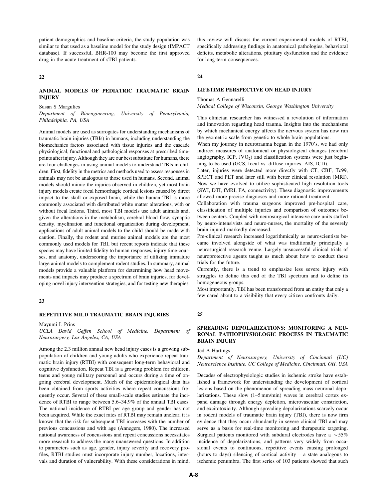patient demographics and baseline criteria, the study population was similar to that used as a baseline model for the study design (IMPACT database). If successful, BHR-100 may become the first approved drug in the acute treatment of sTBI patients.

#### 22

# ANIMAL MODELS OF PEDIATRIC TRAUMATIC BRAIN INJURY

Susan S Margulies

Department of Bioengineering, University of Pennsylvania, Philadelphia, PA, USA

Animal models are used as surrogates for understanding mechanisms of traumatic brain injuries (TBIs) in humans, including understanding the biomechanics factors associated with tissue injuries and the cascade physiological, functional and pathological responses at prescribed timepoints after injury. Although they are our best substitute for humans, there are four challenges in using animal models to understand TBIs in children. First, fidelity in the metrics and methods used to assess responses in animals may not be analogous to those used in humans. Second, animal models should mimic the injuries observed in children, yet most brain injury models create focal hemorrhagic cortical lesions caused by direct impact to the skull or exposed brain, while the human TBI is more commonly associated with distributed white matter alterations, with or without focal lesions. Third, most TBI models use adult animals and, given the alterations in the metabolism, cerebral blood flow, synaptic density, myelination and functional organization during development, applications of adult animal models to the child should be made with caution. Finally, the rodent and murine animal models are the most commonly used models for TBI, but recent reports indicate that these species may have limited fidelity to human responses, injury time-courses, and anatomy, underscoring the importance of utilizing immature large animal models to complement rodent studies. In summary, animal models provide a valuable platform for determining how head movements and impacts may produce a spectrum of brain injuries, for developing novel injury intervention strategies, and for testing new therapies.

## 23

## REPETITIVE MILD TRAUMATIC BRAIN INJURIES

#### Mayumi L Prins

UCLA David Geffen School of Medicine, Department of Neurosurgery, Los Angeles, CA, USA

Among the 2.3 million annual new head injury cases is a growing subpopulation of children and young adults who experience repeat traumatic brain injury (RTBI) with consequent long-term behavioral and cognitive dysfunction. Repeat TBI is a growing problem for children, teens and young military personnel and occurs during a time of ongoing cerebral development. Much of the epidemiological data has been obtained from sports activities where repeat concussions frequently occur. Several of these small-scale studies estimate the incidence of RTBI to range between 5.6–34.9% of the annual TBI cases. The national incidence of RTBI per age group and gender has not been acquired. While the exact rates of RTBI may remain unclear, it is known that the risk for subsequent TBI increases with the number of previous concussions and with age (Annegers, 1980). The increased national awareness of concussions and repeat concussions necessitates more research to address the many unanswered questions. In addition to parameters such as age, gender, injury severity and recovery profiles, RTBI studies must incorporate injury number, locations, intervals and duration of vulnerability. With these considerations in mind,

this review will discuss the current experimental models of RTBI, specifically addressing findings in anatomical pathologies, behavioral deficits, metabolic alterations, pituitary dysfunction and the evidence for long-term consequences.

#### 24

## LIFETIME PERSPECTIVE ON HEAD INJURY

#### Thomas A Gennarelli

Medical College of Wisconsin, George Washington University

This clinician researcher has witnessed a revolution of information and innovation regarding head trauma. Insights into the mechanisms by which mechanical energy affects the nervous system has now run the geometric scale from genetic to whole brain populations.

When my journey in neurotrauma began in the 1970's, we had only indirect measures of anatomical or physiological changes (cerebral angiography,  $ICP$ ,  $JVO<sub>2</sub>$ ) and classification systems were just beginning to be used (GCS, focal vs. diffuse injuries, AIS, ICD).

Later, injuries were detected more directly with CT, CBF, Tc99, SPECT and PET and later still with better clinical resolution (MRI). Now we have evolved to utilize sophisticated high resolution tools (SWI, DTI, fMRI, FA, connectivity). These diagnostic improvements allowed more precise diagnoses and more rational treatment.

Collaboration with trauma surgeons improved pre-hospital care, classification of multiple injuries and comparison of outcomes between centers. Coupled with neurosurgical intensive care units staffed by neuro-intensivists and neuro-nurses, the mortality of the severely brain injured markedly decreased.

Pre-clinical research increased logarithmically as neuroscientists became involved alongside of what was traditionally principally a neurosurgical research venue. Largely unsuccessful clinical trials of neuroprotective agents taught us much about how to conduct these trials for the future.

Currently, there is a trend to emphasize less severe injury with struggles to define this end of the TBI spectrum and to define its homogeneous groups.

Most importantly, TBI has been transformed from an entity that only a few cared about to a visibility that every citizen confronts daily.

# 25

## SPREADING DEPOLARIZATIONS: MONITORING A NEU-RONAL PATHOPHYSIOLOGIC PROCESS IN TRAUMATIC BRAIN INJURY

Jed A Hartings

Department of Neurosurgery, University of Cincinnati (UC) Neuroscience Institute, UC College of Medicine, Cincinnati, OH, USA

Decades of electrophysiologic studies in ischemic stroke have established a framework for understanding the development of cortical lesions based on the phenomenon of spreading mass neuronal depolarizations. These slow (1–5 mm/min) waves in cerebral cortex expand damage through energy depletion, microvascular constriction, and excitotoxicity. Although spreading depolarizations scarcely occur in rodent models of traumatic brain injury (TBI), there is now firm evidence that they occur abundantly in severe clinical TBI and may serve as a basis for real-time monitoring and therapeutic targeting. Surgical patients monitored with subdural electrodes have a  $\sim$  55% incidence of depolarizations, and patterns very widely from occasional events to continuous, repetitive events causing prolonged (hours to days) silencing of cortical activity – a state analogous to ischemic penumbra. The first series of 103 patients showed that such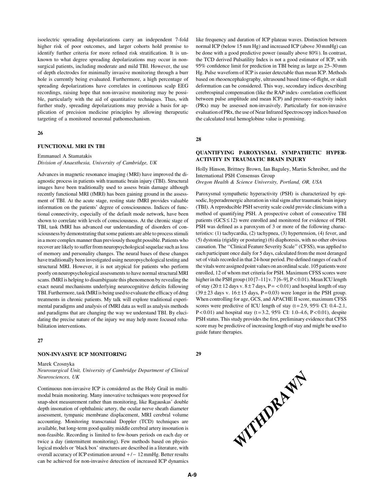isoelectric spreading depolarizations carry an independent 7-fold higher risk of poor outcomes, and larger cohorts hold promise to identify further criteria for more refined risk stratification. It is unknown to what degree spreading depolarizations may occur in nonsurgical patients, including moderate and mild TBI. However, the use of depth electrodes for minimally invasive monitoring through a burr hole is currently being evaluated. Furthermore, a high percentage of spreading depolarizations have correlates in continuous scalp EEG recordings, raising hope that non-invasive monitoring may be possible, particularly with the aid of quantitative techniques. Thus, with further study, spreading depolarizations may provide a basis for application of precision medicine principles by allowing therapeutic targeting of a monitored neuronal pathomechanism.

#### 26

## FUNCTIONAL MRI IN TBI

#### Emmanuel A Stamatakis

Division of Anaesthesia, University of Cambridge, UK

Advances in magnetic resonance imaging (MRI) have improved the diagnostic process in patients with traumatic brain injury (TBI). Structural images have been traditionally used to assess brain damage although recently functional MRI (fMRI) has been gaining ground in the assessment of TBI. At the acute stage, resting state fMRI provides valuable information on the patients' degree of consciousness. Indices of functional connectivity, especially of the default mode network, have been shown to correlate with levels of consciousness. At the chronic stage of TBI, task fMRI has advanced our understanding of disorders of consciousness by demonstrating that some patients are able to process stimuli in a more complex manner than previously thought possible. Patients who recover are likely to suffer from neuropsychological sequelae such as loss of memory and personality changes. The neural bases of these changes have traditionally been investigated using neuropsychological testing and structural MRI. However, it is not atypical for patients who perform poorly on neuropsychological assessments to have normal structural MRI scans. fMRI is helping to disambiguate this phenomenon by revealing the exact neural mechanisms underlying neurocognitive deficits following TBI. Furthermore, task fMRI is being used to evaluate the efficacy of drug treatments in chronic patients. My talk will explore traditional experimental paradigms and analysis of fMRI data as well as analysis methods and paradigms that are changing the way we understand TBI. By elucidating the precise nature of the injury we may help more focused rehabilitation interventions.

#### 27

#### NON-INVASIVE ICP MONITORING

#### Marek Czosnyka

## Neurosurgical Unit, University of Cambridge Department of Clinical Neurosciences, UK

Continuous non-invasive ICP is considered as the Holy Grail in multimodal brain monitoring. Many innovative techniques were proposed for snap-shot measurement rather than monitoring, like Ragauskas' double depth insonation of ophthalmic artery, the ocular nerve sheath diameter assessment, tympanic membrane displacement, MRI cerebral volume accounting. Monitoring transcranial Doppler (TCD) techniques are available, but long-term good quality middle cerebral artery insonation is non-feasible. Recording is limited to few-hours periods on each day or twice a day (intermittent monitoring). Few methods based on physiological models or 'black box' structures are described in a literature, with overall accuracy of ICP estimation around  $+/-12$  mmHg. Better results can be achieved for non-invasive detection of increased ICP dynamics

like frequency and duration of ICP plateau waves. Distinction between normal ICP (below 15 mm Hg) and increased ICP (above 30 mmHg) can be done with a good predictive power (usually above 80%). In contrast, the TCD derived Pulsatility Index is not a good estimator of ICP, with 95% confidence limit for prediction in TBI being as large as 25–30 mm Hg. Pulse waveform of ICP is easier detectable than mean ICP. Methods based on rheoencephalography, ultrasound based time-of-flight, or skull deformation can be considered. This way, secondary indices describing cerebrospinal compensation (like the RAP index- correlation coefficient between pulse amplitude and mean ICP) and pressure–reactivity index (PRx) may be assessed non-invasively. Particularly for non-invasive evaluation of PRx, the use of Near Infrared Spectroscopy indices based on the calculated total hemoglobine value is promising.

28

## QUANTIFYING PAROXYSMAL SYMPATHETIC HYPER-ACTIVITY IN TRAUMATIC BRAIN INJURY

Holly Hinson, Brittney Brown, Ian Baguley, Martin Schreiber, and the International PSH Consensus Group Oregon Health & Science University, Portland, OR, USA

Paroxysmal sympathetic hyperactivity (PSH) is characterized by episodic, hyperadrenergic alteration in vital signs after traumatic brain injury (TBI). A reproducible PSH severity scale could provide clinicians with a method of quantifying PSH. A prospective cohort of consecutive TBI patients  $(GCS \le 12)$  were enrolled and monitored for evidence of PSH. PSH was defined as a paroxysm of 3 or more of the following characteristics: (1) tachycardia, (2) tachypnea, (3) hypertension, (4) fever, and (5) dystonia (rigidity or posturing) (6) diaphoresis, with no other obvious causation. The ''Clinical Feature Severity Scale'' (CFSS), was applied to each participant once daily for 5 days, calculated from the most deranged set of vitals recorded in that 24-hour period. Pre-defined ranges of each of the vitals were assigned point values on an ordinal scale. 105 patients were enrolled, 12 of whom met criteria for PSH. Maximum CFSS scores were higher in the PSH group (10 [7–11] v. 7 [6–9], P < 0.01). Mean ICU length of stay (20  $\pm$  12 days v.  $8 \pm 7$  days, P = < 0.01) and hospital length of stay  $(39 \pm 23$  days v.  $16 \pm 15$  days, P=0.03) were longer in the PSH group. When controlling for age, GCS, and APACHE II score, maximum CFSS scores were predictive of ICU length of stay  $(t=2.9, 95\% \text{ CI: } 0.4-2.1,$ P < 0.01) and hospital stay (t = 3.2, 95% CI: 1.0–4.6, P < 0.01), despite PSH status. This study provides the first, preliminary evidence that CFSS score may be predictive of increasing length of stay and might be used to guide future therapies.



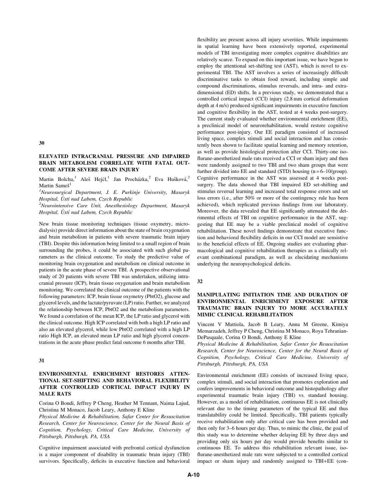# ELEVATED INTRACRANIAL PRESSURE AND IMPAIRED BRAIN METABOLISM CORRELATE WITH FATAL OUT-COME AFTER SEVERE BRAIN INJURY

Martin Bolcha,<sup>1</sup> Aleš Hejčl,<sup>1</sup> Jan Procházka,<sup>2</sup> Eva Hušková,<sup>2</sup> Martin Sameš<sup>1</sup>

<sup>1</sup>Neurosurgical Department, J. E. Purkinje University, Masaryk Hospital, Ustí nad Labem, Czech Republic

 $2$ Neurointensive Care Unit, Anesthesiology Department, Masaryk Hospital, Ustí nad Labem, Czech Republic

New brain tissue monitoring techniques (tissue oxymetry, microdialysis) provide direct information about the state of brain oxygenation and brain metabolism in patients with severe traumatic brain injury (TBI). Despite this information being limited to a small region of brain surrounding the probes, it could be associated with such global parameters as the clinical outcome. To study the predictive value of monitoring brain oxygenation and metabolism on clinical outcome in patients in the acute phase of severe TBI. A prospective observational study of 20 patients with severe TBI was undertaken, utilizing intracranial pressure (ICP), brain tissue oxygenation and brain metabolism monitoring. We correlated the clinical outcome of the patients with the following parameters: ICP, brain tissue oxymetry (PbtO2), glucose and glycerol levels, and the lactate/pyruvate (LP) ratio. Further, we analyzed the relationship between ICP, PbtO2 and the metabolism parameters. We found a correlation of the mean ICP, the LP ratio and glycerol with the clinical outcome. High ICP correlated with both a high LP ratio and also an elevated glycerol, while low PbtO2 correlated with a high LP ratio High ICP, an elevated mean LP ratio and high glycerol concentrations in the acute phase predict fatal outcome 6 months after TBI.

#### 31

## ENVIRONMENTAL ENRICHMENT RESTORES ATTEN-TIONAL SET-SHIFTING AND BEHAVIORAL FLEXIBILITY AFTER CONTROLLED CORTICAL IMPACT INJURY IN MALE RATS

Corina O Bondi, Jeffrey P Cheng, Heather M Tennant, Naima Lajud, Christina M Monaco, Jacob Leary, Anthony E Kline

Physical Medicine & Rehabilitation, Safar Center for Resuscitation Research, Center for Neuroscience, Center for the Neural Basis of Cognition, Psychology, Critical Care Medicine, University of Pittsburgh, Pittsburgh, PA, USA

Cognitive impairment associated with prefrontal cortical dysfunction is a major component of disability in traumatic brain injury (TBI) survivors. Specifically, deficits in executive function and behavioral flexibility are present across all injury severities. While impairments in spatial learning have been extensively reported, experimental models of TBI investigating more complex cognitive disabilities are relatively scarce. To expand on this important issue, we have begun to employ the attentional set-shifting test (AST), which is novel to experimental TBI. The AST involves a series of increasingly difficult discriminative tasks to obtain food reward, including simple and compound discriminations, stimulus reversals, and intra- and extradimensional (ED) shifts. In a previous study, we demonstrated that a controlled cortical impact (CCI) injury (2.8 mm cortical deformation depth at 4 m/s) produced significant impairments in executive function and cognitive flexibility in the AST, tested at 4 weeks post-surgery. The current study evaluated whether environmental enrichment (EE), a preclinical model of neurorehabilitation, would restore cognitive performance post-injury. Our EE paradigm consisted of increased living space, complex stimuli and social interaction and has consistently been shown to facilitate spatial learning and memory retention, as well as provide histological protection after CCI. Thirty-one isoflurane-anesthetized male rats received a CCI or sham injury and then were randomly assigned to two TBI and two sham groups that were further divided into EE and standard (STD) housing  $(n=6-10/\text{group})$ . Cognitive performance in the AST was assessed at 4 weeks postsurgery. The data showed that TBI impaired ED set-shifting and stimulus reversal learning and increased total response errors and set loss errors (i.e., after 50% or more of the contingency rule has been achieved), which replicated previous findings from our laboratory. Moreover, the data revealed that EE significantly attenuated the detrimental effects of TBI on cognitive performance in the AST, suggesting that EE may be a viable preclinical model of cognitive rehabilitation. These novel findings demonstrate that executive function and behavioral flexibility deficits in our CCI model are sensistive to the beneficial effects of EE. Ongoing studies are evaluating pharmacological and cognitive rehabilitation therapies as a clinically relevant combinational paradigm, as well as elucidating mechanisms underlying the neuropsychological deficits.

### 32

## MANIPULATING INITIATION TIME AND DURATION OF ENVIRONMENTAL ENRICHMENT EXPOSURE AFTER TRAUMATIC BRAIN INJURY TO MORE ACCURATELY MIMIC CLINICAL REHABILITATION

Vincent V Mattiola, Jacob B Leary, Anna M Greene, Kimiya Memarzadeh, Jeffrey P Cheng, Christina M Monaco, Roya Tehranian-DePasquale, Corina O Bondi, Anthony E Kline

Physical Medicine & Rehabilitation, Safar Center for Resuscitation Research, Center for Neuroscience, Center for the Neural Basis of Cognition, Psychology, Critical Care Medicine, University of Pittsburgh, Pittsburgh, PA, USA

Environmental enrichment (EE) consists of increased living space, complex stimuli, and social interaction that promotes exploration and confers improvements in behavioral outcome and histopathology after experimental traumatic brain injury (TBI) vs. standard housing. However, as a model of rehabilitation, continuous EE is not clinically relevant due to the timing parameters of the typical EE and thus translatability could be limited. Specifically, TBI patients typically receive rehabilitation only after critical care has been provided and then only for 3–6 hours per day. Thus, to mimic the clinic, the goal of this study was to determine whether delaying EE by three days and providing only six hours per day would provide benefits similar to continuous EE. To address this rehabilitation relevant issue, isoflurane-anesthetized male rats were subjected to a controlled cortical impact or sham injury and randomly assigned to TBI+EE (con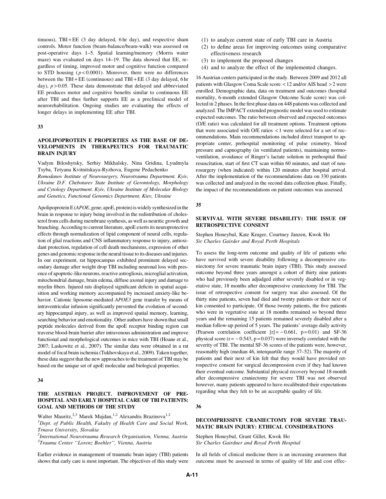tinuous),  $TBI + EE$  (3 day delayed, 6 hr day), and respective sham controls. Motor function (beam-balance/beam-walk) was assessed on post-operative days 1–5. Spatial learning/memory (Morris water maze) was evaluated on days 14–19. The data showed that EE, regardless of timing, improved motor and cognitive function compared to STD housing  $(p < 0.0001)$ . Moreover, there were no differences between the TBI + EE (continuous) and TBI + EE (3 day delayed, 6 hr day),  $p > 0.05$ . These data demonstrate that delayed and abbreviated EE produces motor and cognitive benefits similar to continuous EE after TBI and thus further supports EE as a preclinical model of neurorehabilitation. Ongoing studies are evaluating the effects of longer delays in implementing EE after TBI.

33

# APOLIPOPROTEIN E PROPERTIES AS THE BASE OF DE-VELOPMENTS IN THERAPEUTICS FOR TRAUMATIC BRAIN INJURY

Vadym Biloshytsky, Serhiy Mikhalsky, Nina Gridina, Lyudmyla Tsyba, Tetyana Kvitnitskaya-Ryzhova, Eugene Pedachenko

Romodanov Institute of Neurosurgery, Neurotrauma Department. Kyiv, Ukraine D.F. Chebotarev State Institute of Gerontology, Morphology and Cytology Department. Kyiv, Ukraine Institute of Molecular Biology and Genetics, Functional Genomics Department, Kiev, Ukraine

Apolipoprotein E (APOE, gene; apoE, protein) is widely synthesized in the brain in response to injury being involved in the redistribution of cholesterol from cells during membrane synthesis, as well as neuritic growth and branching. According to current literature, apoE exerts its neuroprotective effects through normalization of lipid component of neural cells, regulation of glial reactions and CNS inflammatory response to injury, antioxidant protection, regulation of cell death mechanisms, expression of other genes and genomic response in the neural tissue to its diseases and injuries. In our experiment, rat hippocampus exhibited prominent delayed secondary damage after weight drop TBI including neuronal loss with presence of apoptotic-like neurons, reactive astrogliosis, microglial activation, mitochondrial damage, brain edema, diffuse axonal injury and damage to myelin fibers. Injured rats displayed significant deficits in spatial acquisition and working memory accompanied by increased anxiety-like behavior. Cationic liposome-mediated APOE3 gene transfer by means of intraventricular infusion significantly prevented the evolution of secondary hippocampal injury, as well as improved spatial memory, learning, searching behavior and emotionality. Other authors have shown that small peptide molecules derived from the apoE receptor binding region can traverse blood-brain barrier after intravenous administration and improve functional and morphological outcomes in mice with TBI (Hoane et al., 2007; Laskowitz et al., 2007). The similar data were obtained in a rat model of focal brain ischemia (Tukhovskaya et al., 2009). Taken together, these data suggest that the new approaches to the treatment of TBI may be based on the unique set of apoE molecular and biological properties.

# 34

# THE AUSTRIAN PROJECT. IMPROVEMENT OF PRE-HOSPITAL AND EARLY HOSPITAL CARE OF TBI PATIENTS: GOAL AND METHODS OF THE STUDY

Walter Mauritz,<sup>2,3</sup> Marek Majdan,<sup>1,2</sup> Alexandra Brazinova<sup>1,2</sup>

<sup>1</sup>Dept. of Public Health, Fakulty of Health Care and Social Work, Trnava University, Slovakia

 $^{2}$ International Neurotrauma Research Organisation, Vienna, Austria <sup>3</sup>Trauma Center "Lorenz Boehler", Vienna, Austria

Earlier evidence in management of traumatic brain injury (TBI) patients shows that early care is most important. The objectives of this study were

- (1) to analyze current state of early TBI care in Austria
- (2) to define areas for improving outcomes using comparative effectiveness research
- (3) to implement the proposed changes
- (4) and to analyze the effect of the implemented changes.

16 Austrian centers participated in the study. Between 2009 and 2012 all patients with Glasgow Coma Scale score < 12 and/or AIS head > 2 were enrolled. Demographic data, data on treatment and outcomes (hospital mortality, 6-month extended Glasgow Outcome Scale score) was collected in 2 phases. In the first phase data on 448 patients was collected and analyzed. The IMPACT extended prognostic model was used to estimate expected outcomes. The ratio between observed and expected outcomes (O/E ratio) was calculated for all treatment options. Treatment options that were associated with O/E ratios < 1 were selected for a set of recommendations. Main recommendations included direct transport to appropriate center, prehospital monitoring of pulse oximetry, blood pressure and capnography (in ventilated patients), maintaining normoventilation, avoidance of Ringer's lactate solution in prehospital fluid resuscitation, start of first CT scan within 60 minutes, and start of neurosurgery (when indicated) within 120 minutes after hospital arrival. After the implementation of the recommendations data on 330 patients was collected and analyzed in the second data collection phase. Finally, the impact of the recommendations on patient outcomes was assessed.

#### 35

# SURVIVAL WITH SEVERE DISABILITY: THE ISSUE OF RETROSPECTIVE CONSENT

## Stephen Honeybul, Kate Kruger, Courtney Janzen, Kwok Ho Sir Charles Gairder and Royal Perth Hospitals

To assess the long-term outcome and quality of life of patients who have survived with severe disability following a decompressive craniectomy for severe traumatic brain injury (TBI). This study assessed outcome beyond three years amongst a cohort of thirty nine patients who had previously been adjudged either severely disabled or in vegetative state, 18 months after decompressive craniectomy for TBI. The issue of retrospective consent for surgery was also assessed. Of the thirty nine patients, seven had died and twenty patients or their next of kin consented to participate. Of those twenty patients, the five patients who were in vegetative state at 18 months remained so beyond three years and the remaining 15 patients remained severely disabled after a median follow-up period of 5 years. The patients' average daily activity (Pearson correlation coefficient  $[r] = -0.661$ ,  $p = 0.01$ ) and SF-36 physical score ( $r = -0.543$ ,  $p = 0.037$ ) were inversely correlated with the severity of TBI. The mental SF-36 scores of the patients were, however, reasonably high (median 46, interquartile range 37–52). The majority of patients and their next of kin felt that they would have provided retrospective consent for surgical decompression even if they had known their eventual outcome. Substantial physical recovery beyond 18-month after decompressive craniectomy for severe TBI was not observed however, many patients appeared to have recalibrated their expectations regarding what they felt to be an acceptable quality of life.

36

# DECOMPRESSIVE CRANIECTOMY FOR SEVERE TRAU-MATIC BRAIN INJURY: ETHICAL CONSIDERATIONS

Stephen Honeybul, Grant Gillet, Kwok Ho Sir Charles Gairdner and Royal Perth Hospital

In all fields of clinical medicine there is an increasing awareness that outcome must be assessed in terms of quality of life and cost effec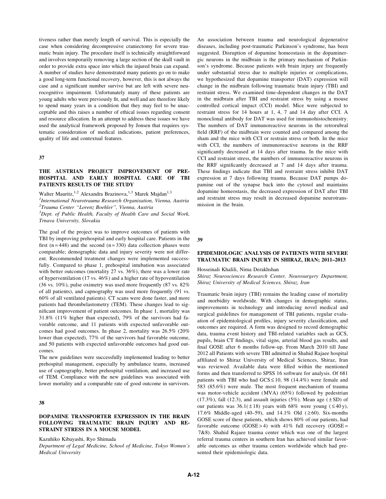tiveness rather than merely length of survival. This is especially the case when considering decompressive craniectomy for severe traumatic brain injury. The procedure itself is technically straightforward and involves temporarily removing a large section of the skull vault in order to provide extra space into which the injured brain can expand. A number of studies have demonstrated many patients go on to make a good long-term functional recovery, however, this is not always the case and a significant number survive but are left with severe neurocognitive impairment. Unfortunately many of these patients are young adults who were previously fit, and well and are therefore likely to spend many years in a condition that they may feel to be unacceptable and this raises a number of ethical issues regarding consent and resource allocation. In an attempt to address these issues we have used the analytical framework proposed by Jonsen that requires systematic consideration of medical indications, patient preferences, quality of life and contextual features.

#### 37

## THE AUSTRIAN PROJECT IMPROVEMENT OF PRE-HOSPITAL AND EARLY HOSPITAL CARE OF TBI PATIENTS RESULTS OF THE STUDY

Walter Mauritz,<sup>1,2</sup> Alexandra Brazinova,<sup>1,3</sup> Marek Majdan<sup>1,3</sup>

<sup>1</sup>International Neurotrauma Research Organisation, Vienna, Austria 2 Trauma Center ''Lorenz Boehler'', Vienna, Austria

<sup>3</sup>Dept. of Public Health, Faculty of Health Care and Social Work, Trnava University, Slovakia

The goal of the project was to improve outcomes of patients with TBI by improving prehospital and early hospital care. Patients in the first (n = 448) and the second (n = 330) data collection phases were comparable; demographic data and injury severity were not different. Recommended treatment changes were implemented successfully. Compared to phase 1, prehospital intubation was associated with better outcomes (mortality 27 vs. 36%), there was a lower rate of hyperventilation (17 vs. 46%) and a higher rate of hypoventilation (36 vs. 10%), pulse oximetry was used more frequently (87 vs. 82% of all patients), and capnography was used more frequently (91 vs. 60% of all ventilated patients). CT scans were done faster, and more patients had thrombelastometry (TEM). These changes lead to significant improvement of patient outcomes. In phase 1, mortality was 31.8% (11% higher than expected), 79% of the survivors had favorable outcome, and 11 patients with expected unfavorable outcomes had good outcomes. In phase 2, mortality was 26.5% (20% lower than expected), 77% of the survivors had favorable outcome, and 50 patients with expected unfavorable outcomes had good outcomes.

The new guidelines were successfully implemented leading to better prehospital management, especially by ambulance teams, increased use of capnography, better prehospital ventilation, and increased use of TEM. Compliance with the new guidelines was associated with lower mortality and a comparable rate of good outcome in survivors.

## 38

# DOPAMINE TRANSPORTER EXPRESSION IN THE BRAIN FOLLOWING TRAUMATIC BRAIN INJURY AND RE-STRAINT STRESS IN A MOUSE MODEL

Kazuhiko Kibayashi, Ryo Shimada

Department of Legal Medicine, School of Medicine, Tokyo Women's Medical University

An association between trauma and neurological degenerative diseases, including post-traumatic Parkinson's syndrome, has been suggested. Disruption of dopamine homeostasis in the dopaminergic neurons in the midbrain is the primary mechanism of Parkinson's syndrome. Because patients with brain injury are frequently under substantial stress due to multiple injuries or complications, we hypothesized that dopamine transporter (DAT) expression will change in the midbrain following traumatic brain injury (TBI) and restraint stress. We examined time-dependent changes in the DAT in the midbrain after TBI and restraint stress by using a mouse controlled cortical impact (CCI) model. Mice were subjected to restraint stress for 14 hours at 1, 4, 7 and 14 day after CCI. A monoclonal antibody for DAT was used for immunohistochemistry. The numbers of DAT immunoreactive neurons in the retrorubral field (RRF) of the midbrain were counted and compared among the sham and the mice with CCI or restrain stress or both. In the mice with CCI, the numbers of immunoreactive neurons in the RRF significantly decreased at 14 days after trauma. In the mice with CCI and restraint stress, the numbers of immunoreactive neurons in the RRF significantly decreased at 7 and 14 days after trauma. These findings indicate that TBI and restraint stress inhibit DAT expression at 7 days following trauma. Because DAT pumps dopamine out of the synapse back into the cytosol and maintains dopamine homeostasis, the decreased expression of DAT after TBI and restraint stress may result in decreased dopamine neurotransmission in the brain.

39

# EPIDEMIOLOGIC ANALYSIS OF PATIENTS WITH SEVERE TRAUMATIC BRAIN INJURY IN SHIRAZ, IRAN; 2011–2013

Hosseinali Khalili, Nima Derakhshan

Shiraz Neurosciences Research Center, Neurosurgery Department, Shiraz University of Medical Sciences, Shiraz, Iran

Traumatic brain injury (TBI) remains the leading cause of mortality and morbidity worldwide. With changes in demographic status, improvements in technology and introducing novel medical and surgical guidelines for management of TBI patients, regular evaluation of epidemiological profiles, injury severity classification, and outcomes are required. A form was designed to record demographic data, trauma event history and TBI-related variables such as GCS, pupils, brain CT findings, vital signs, arterial blood gas results, and final GOSE after 6 months follow-up. From March 2010 till June 2012 all Patients with severe TBI admitted in Shahid Rajaee hospital affiliated to Shiraz University of Medical Sciences, Shiraz, Iran was reviewed. Available data were filled within the mentioned forms and then transferred to SPSS 16 software for analysis. Of 681 patients with TBI who had  $GCS \le 10$ , 98 (14.4%) were female and 583 (85.6%) were male. The most frequent mechanism of trauma was motor-vehicle accident (MVA) (65%) followed by pedestrian  $(17.3\%)$ , fall  $(12.3)$ , and assault injuries  $(5\%)$ . Mean age  $(\pm SD)$  of our patients was  $36.1(\pm 18)$  years with 68% were young ( $\leq 40$ y), 17.6% Middle-aged (40–59), and 14.1% Old ( $\geq 60$ ). Six-months GOSE score of these patients, which shows 80% of our patients, had favorable outcome  $(GOSE > 4)$  with  $41\%$  full recovery  $(GOSE =$ 7&8). Shahid Rajaee trauma center which was one of the largest referral trauma centers in southern Iran has achieved similar favorable outcomes as other trauma centers worldwide which had presented their epidemiologic data.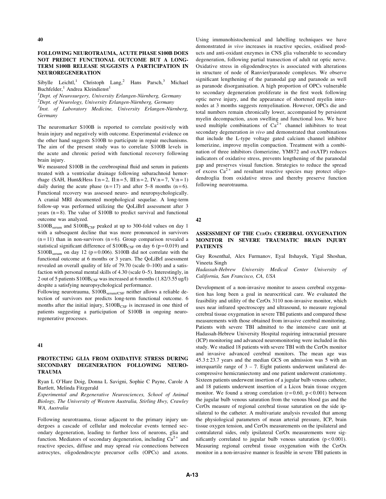## FOLLOWING NEUROTRAUMA, ACUTE PHASE S100B DOES NOT PREDICT FUNCTIONAL OUTCOME BUT A LONG-TERM S100B RELEASE SUGGESTS A PARTICIPATION IN NEUROREGENERATION

Sibylle Leichtl,<sup>1</sup> Christoph Lang,<sup>2</sup> Hans Parsch,<sup>3</sup> Michael Buchfelder, $<sup>1</sup>$  Andrea Kleindienst<sup>1</sup></sup>

<sup>1</sup>Dept. of Neurosurgery, University Erlangen-Nürnberg, Germany<br><sup>2</sup>Dept. of Neurolagy, University Erlangen Nürnberg, Germany  ${}^{2}$ Dept. of Neurology, University Erlangen-Nürnberg, Germany  ${}^{3}$ Inst. of Laboratory Medicine, University Erlangen-Nürnberg, Germany

The neuromarker S100B is reported to correlate positively with brain injury and negatively with outcome. Experimental evidence on the other hand suggests S100B to participate in repair mechanisms. The aim of the present study was to correlate S100B levels in the acute and chronic period with functional recovery following brain injury.

We measured S100B in the cerebrospinal fluid and serum in patients treated with a ventricular drainage following subarachnoid hemorrhage (SAH, Hunt&Hess I:n = 2, II:n = 5, III:n = 2, IV:n = 7, V:n = 1) daily during the acute phase  $(n=17)$  and after 5–8 months  $(n=6)$ . Functional recovery was assessed neuro- and neuropsychologically. A cranial MRI documented morphological sequelae. A long-term follow-up was performed utilizing the QoLiBrI assessment after 3 years  $(n=8)$ . The value of S100B to predict survival and functional outcome was analyzed.

 $S100B<sub>serum</sub>$  and  $S100B<sub>CSF</sub>$  peaked at up to 300-fold values on day 1 with a subsequent decline that was more pronounced in survivors  $(n=11)$  than in non-survivors  $(n=6)$ . Group comparison revealed a statistical significant difference of  $S100B_{CSF}$  on day 6 (p=0.019) and  $S100B<sub>serum</sub>$  on day 12 (p=0.006). S100B did not correlate with the functional outcome at 6 months or 3 years. The QoLiBrI assessment revealed an overall quality of life of 79.70 (scale 0–100) and a satisfaction with personal mental skills of 4.30 (scale 0–5). Interestingly, in 2 out of 5 patients  $S100B_{CSF}$  was increased at 6 months (1.82/3.55 ug/l) despite a satisfying neuropsychological performance.

Following neurotrauma,  $S100B_{\text{serum/CSF}}$  neither allows a reliable detection of survivors nor predicts long-term functional outcome. 6 months after the initial injury,  $S100B_{CSF}$  is increased in one third of patients suggesting a participation of S100B in ongoing neuroregenerative processes.

#### 41

## PROTECTING GLIA FROM OXIDATIVE STRESS DURING SECONDARY DEGENERATION FOLLOWING NEURO-TRAUMA

Ryan L O'Hare Doig, Donna L Savigni, Sophie C Payne, Carole A Bartlett, Melinda Fitzgerald

Experimental and Regenerative Neurosciences, School of Animal Biology, The University of Western Australia, Stirling Hwy, Crawley WA, Australia

Following neurotrauma, tissue adjacent to the primary injury undergoes a cascade of cellular and molecular events termed secondary degeneration, leading to further loss of neurons, glia and function. Mediators of secondary degeneration, including  $Ca^{2+}$  and reactive species, diffuse and may spread via connections between astrocytes, oligodendrocyte precursor cells (OPCs) and axons.

Using immunohistochemical and labelling techniques we have demonstrated in vivo increases in reactive species, oxidised products and anti-oxidant enzymes in CNS glia vulnerable to secondary degeneration, following partial transection of adult rat optic nerve. Oxidative stress in oligodendrocytes is associated with alterations in structure of node of Ranvier/paranode complexes. We observe significant lengthening of the paranodal gap and paranode as well as paranode disorganisation. A high proportion of OPCs vulnerable to secondary degeneration proliferate in the first week following optic nerve injury, and the appearance of shortened myelin internodes at 3 months suggests remyelination. However, OPCs die and total numbers remain chronically lower, accompanied by persistent myelin decompaction, axon swelling and functional loss. We have used multiple combinations of  $Ca<sup>2+</sup>$  channel inhibitors to treat secondary degeneration in vivo and demonstrated that combinations that include the L-type voltage gated calcium channel inhibitor lomerizine, improve myelin compaction. Treatment with a combination of three inhibitors (lomerizine, YM872 and oxATP) reduces indicators of oxidative stress, prevents lengthening of the paranodal gap and preserves visual function. Strategies to reduce the spread of excess  $Ca^{2+}$  and resultant reactive species may protect oligodendroglia from oxidative stress and thereby preserve function following neurotrauma.

42

## ASSESSMENT OF THE CerOx CEREBRAL OXYGENATION MONITOR IN SEVERE TRAUMATIC BRAIN INJURY PATIENTS

Guy Rosenthal, Alex Furmanov, Eyal Itshayek, Yigal Shoshan, Vineeta Singh

Hadassah-Hebrew University Medical Center University of California, San Francisco, CA, USA

Development of a non-invasive monitor to assess cerebral oxygenation has long been a goal in neurocritical care. We evaluated the feasibility and utility of the CerOx 3110 non-invasive monitor, which uses near infrared spectroscopy and ultrasound, to measure regional cerebral tissue oxygenation in severe TBI patients and compared these measurements with those obtained from invasive cerebral monitoring. Patients with severe TBI admitted to the intensive care unit at Hadassah-Hebrew University Hospital requiring intracranial pressure (ICP) monitoring and advanced neuromonitoring were included in this study. We studied 18 patients with severe TBI with the CerOx monitor and invasive advanced cerebral monitors. The mean age was  $45.3 \pm 23.7$  years and the median GCS on admission was 5 with an interquartile range of  $3 - 7$ . Eight patients underwent unilateral decompressive hemicraniectomy and one patient underwent craniotomy. Sixteen patients underwent insertion of a jugular bulb venous catheter, and 18 patients underwent insertion of a Licox brain tissue oxygen monitor. We found a strong correlation  $(r=0.60, p<0.001)$  between the jugular bulb venous saturation from the venous blood gas and the CerOx measure of regional cerebral tissue saturation on the side ipsilateral to the catheter. A multivariate analysis revealed that among the physiological parameters of mean arterial pressure, ICP, brain tissue oxygen tension, and CerOx measurements on the ipsilateral and contralateral sides, only ipsilateral CerOx measurements were significantly correlated to jugular bulb venous saturation  $(p < 0.001)$ . Measuring regional cerebral tissue oxygenation with the CerOx monitor in a non-invasive manner is feasible in severe TBI patients in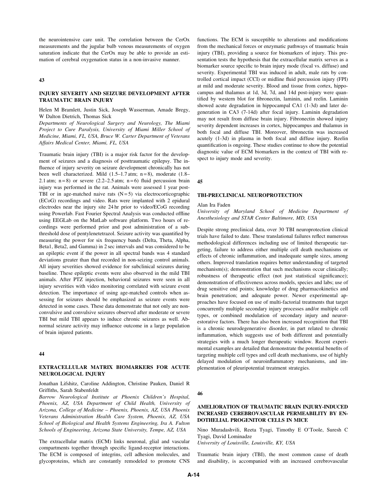the neurointensive care unit. The correlation between the CerOx measurements and the jugular bulb venous measurements of oxygen saturation indicate that the CerOx may be able to provide an estimation of cerebral oxygenation status in a non-invasive manner.

#### 43

# INJURY SEVERITY AND SEIZURE DEVELOPMENT AFTER TRAUMATIC BRAIN INJURY

Helen M Bramlett, Justin Sick, Joseph Wasserman, Amade Bregy, W Dalton Dietrich, Thomas Sick

Departments of Neurological Surgery and Neurology, The Miami Project to Cure Paralysis, University of Miami Miller School of Medicine, Miami, FL, USA, Bruce W. Carter Department of Veterans Affairs Medical Center, Miami, FL, USA

Traumatic brain injury (TBI) is a major risk factor for the development of seizures and a diagnosis of posttraumatic epilepsy. The influence of injury severity on seizure development chronically has not been well characterized. Mild  $(1.5-1.7 \text{ atm}; n=8)$ , moderate  $(1.8-$ 2.1 atm;  $n = 8$ ) or severe (2.2–2.5 atm;  $n = 6$ ) fluid percussion brain injury was performed in the rat. Animals were assessed 1 year post-TBI or in age-matched naive rats  $(N=5)$  via electrocorticographic (ECoG) recordings and video. Rats were implanted with 2 epidural electrodes near the injury site 24 hr prior to video/ECoG recording using Powerlab. Fast Fourier Spectral Analysis was conducted offline using EEGLab on the MatLab software platform. Two hours of recordings were performed prior and post administration of a subthreshold dose of pentylenetetrazol. Seizure activity was quantified by measuring the power for six frequency bands (Delta, Theta, Alpha, Beta1, Beta2, and Gamma) in 2 sec intervals and was considered to be an epileptic event if the power in all spectral bands was 4 standard deviations greater than that recorded in non-seizing control animals. All injury severities showed evidence for subclinical seizures during baseline. These epileptic events were also observed in the mild TBI animals. After PTZ injection, behavioral seizures were seen in all injury severities with video monitoring correlated with seizure event detection. The importance of using age-matched controls when assessing for seizures should be emphasized as seizure events were detected in some cases. These data demonstrate that not only are nonconvulsive and convulsive seizures observed after moderate or severe TBI but mild TBI appears to induce chronic seizures as well. Abnormal seizure activity may influence outcome in a large population of brain injured patients.

## 44

# EXTRACELLULAR MATRIX BIOMARKERS FOR ACUTE NEUROLOGICAL INJURY

Jonathan Lifshitz, Caroline Addington, Christine Pauken, Daniel R Griffiths, Sarah Stabenfeldt

Barrow Neurological Institute at Phoenix Children's Hospital, Phoenix, AZ, USA Department of Child Health, University of Arizona, College of Medicine – Phoenix, Phoenix, AZ, USA Phoenix Veterans Administration Health Care System, Phoenix, AZ, USA School of Biological and Health Systems Engineering, Ira A. Fulton Schools of Engineering, Arizona State University, Tempe, AZ, USA

The extracellular matrix (ECM) links neuronal, glial and vascular compartments together through specific ligand-receptor interactions. The ECM is composed of integrins, cell adhesion molecules, and glycoproteins, which are constantly remodeled to promote CNS functions. The ECM is susceptible to alterations and modifications from the mechanical forces or enzymatic pathways of traumatic brain injury (TBI), providing a source for biomarkers of injury. This presentation tests the hypothesis that the extracellular matrix serves as a biomarker source specific to brain injury mode (focal vs. diffuse) and severity. Experimental TBI was induced in adult, male rats by controlled cortical impact (CCI) or midline fluid percussion injury (FPI) at mild and moderate severity. Blood and tissue from cortex, hippocampus and thalamus at 1d, 3d, 7d, and 14d post-injury were quantified by western blot for fibronectin, laminin, and reelin. Laminin showed acute degradation in hippocampal CA1 (1-3d) and later degeneration in CA3 (7-14d) after focal injury. Laminin degradation may not result from diffuse brain injury. Fibronectin showed injury severity dependent increases in cortex, hippocampus and thalamus in both focal and diffuse TBI. Moreover, fibronectin was increased acutely (1-3d) in plasma in both focal and diffuse injury. Reelin quantification is ongoing. These studies continue to show the potential diagnostic value of ECM biomarkers in the context of TBI with respect to injury mode and severity.

#### 45

#### TBI-PRECLINICAL NEUROPROTECTION

## Alan Ira Faden

University of Maryland School of Medicine Department of Anesthesiology and STAR Center Baltimore, MD, USA

Despite strong preclinical data, over 30 TBI neuroprotection clinical trials have failed to date. These translational failures reflect numerous methodological differences including use of limited therapeutic targeting, failure to address either multiple cell death mechanisms or effects of chronic inflammation, and inadequate sample sizes, among others. Improved translation requires better understanding of targeted mechanism(s); demonstration that such mechanisms occur clinically; robustness of therapeutic effect (not just statistical significance); demonstration of effectiveness across models, species and labs; use of drug sensitive end points; knowledge of drug pharmacokinetics and brain penetration; and adequate power. Newer experimental approaches have focused on use of multi-factorial treatments that target concurrently multiple secondary injury processes and/or multiple cell types, or combined modulation of secondary injury and neurorestorative factors. There has also been increased recognition that TBI is a chronic neurodegenerative disorder, in part related to chronic inflammation, which suggests use of both different and potentially strategies with a much longer therapeutic window. Recent experimental examples are detailed that demonstrate the potential benefits of targeting multiple cell types and cell death mechanisms, use of highly delayed modulation of neuroinflammatory mechanisms, and implementation of pleuripotential treatment strategies.

#### 46

## AMELIORATION OF TRAUMATIC BRAIN INJURY-INDUCED INCREASED CEREBROVASCULAR PERMEABILITY BY EN-DOTHELIAL PROGENITOR CELLS IN MICE

Nino Muradashvili, Reeta Tyagi, Timothy E O'Toole, Suresh C Tyagi, David Lominadze

University of Louisville, Louisville, KY, USA

Traumatic brain injury (TBI), the most common cause of death and disability, is accompanied with an increased cerebrovascular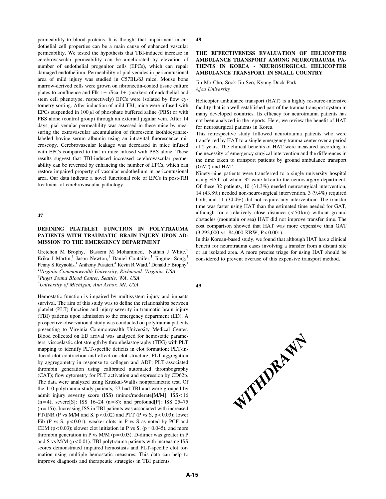permeability to blood proteins. It is thought that impairment in endothelial cell properties can be a main cause of enhanced vascular permeability. We tested the hypothesis that TBI-induced increase in cerebrovascular permeability can be ameliorated by elevation of number of endothelial progenitor cells (EPCs), which can repair damaged endothelium. Permeability of pial venules in pericontusional area of mild injury was studied in C57BL/6J mice. Mouse bone marrow-derived cells were grown on fibronectin-coated tissue culture plates to confluence and Flk-1+ /Sca-1+ (markers of endothelial and stem cell phenotype, respectively) EPCs were isolated by flow cytometry sorting. After induction of mild TBI, mice were infused with EPCs suspended in  $100 \mu l$  of phosphate buffered saline (PBS) or with PBS alone (control group) through an external jugular vein. After 14 days, pial venular permeability was assessed in these mice by measuring the extravascular accumulation of fluorescein isothiocyanatelabeled bovine serum albumin using an intravital fluorescence microscopy. Cerebrovascular leakage was decreased in mice infused with EPCs compared to that in mice infused with PBS alone. These results suggest that TBI-induced increased cerebrovascular permeability can be reversed by enhancing the number of EPCs, which can restore impaired property of vascular endothelium in pericontusional area. Our data indicate a novel functional role of EPCs in post-TBI treatment of cerebrovascular pathology.

47

# DEFINING PLATELET FUNCTION IN POLYTRAUMA PATIENTS WITH TRAUMATIC BRAIN INJURY UPON AD-MISSION TO THE EMERGENCY DEPARTMENT

Gretchen M Brophy,<sup>1</sup> Bassem M Mohammed,<sup>1</sup> Nathan J White,<sup>2</sup> Erika J Martin,<sup>1</sup> Jason Newton,<sup>1</sup> Daniel Contaifer,<sup>1</sup> Jingmei Song, Penny S Reynolds,<sup>1</sup> Anthony Pusateri,<sup>4</sup> Kevin R Ward,<sup>3</sup> Donald F Brophy<sup>1</sup> <sup>1</sup>Virginia Commonwealth University, Richmond, Virginia, USA <sup>2</sup>Puget Sound Blood Center, Seattle, WA, USA

<sup>3</sup>University of Michigan, Ann Arbor, MI, USA

Hemostatic function is impaired by multisystem injury and impacts survival. The aim of this study was to define the relationships between platelet (PLT) function and injury severity in traumatic brain injury (TBI) patients upon admission to the emergency department (ED). A prospective observational study was conducted on polytrauma patients presenting to Virginia Commonwealth University Medical Center. Blood collected on ED arrival was analyzed for hemostatic parameters, viscoelastic clot strength by thrombelastography (TEG) with PLT mapping to identify PLT-specific deficits in clot formation; PLT-induced clot contraction and effect on clot structure; PLT aggregation by aggregometry in response to collagen and ADP; PLT-associated thrombin generation using calibrated automated thrombography (CAT); flow cytometry for PLT activation and expression by CD62p. The data were analyzed using Kruskal-Wallis nonparametric test. Of the 110 polytrauma study patients, 27 had TBI and were grouped by admit injury severity score (ISS) (minor/moderate[M/M]: ISS < 16  $(n=4)$ ; severe[S]: ISS 16–24  $(n=8)$ ; and profound[P]: ISS 25–75  $(n = 15)$ ). Increasing ISS in TBI patients was associated with increased PT/INR (P vs M/M and S,  $p < 0.02$ ) and PTT (P vs S,  $p < 0.03$ ); lower Fib (P vs S,  $p < 0.01$ ); weaker clots in P vs S as noted by PCF and CEM ( $p < 0.03$ ); slower clot initiation in P vs S, ( $p = 0.045$ ), and more thrombin generation in P vs M/M ( $p = 0.03$ ). D-dimer was greater in P and S vs  $M/M$  ( $p < 0.01$ ). TBI polytrauma patients with increasing ISS scores demonstrated impaired hemostasis and PLT-specific clot formation using multiple hemostatic measures. This data can help to improve diagnosis and therapeutic strategies in TBI patients.

48

## THE EFFECTIVENESS EVALUATION OF HELICOPTER AMBULANCE TRANSPORT AMONG NEUROTRAUMA PA-TIENTS IN KOREA - NEUROSURGICAL HELICOPTER AMBULANCE TRANSPORT IN SMALL COUNTRY

Jin Mo Cho, Sook Jin Seo, Kyung Duck Park Ajou University

Helicopter ambulance transport (HAT) is a highly resource-intensive facility that is a well-established part of the trauma transport system in many developed countries. Its efficacy for neurotrauma patients has not been analyzed in the reports. Here, we review the benefit of HAT for neurosurgical patients in Korea.

This retrospective study followed neurotrauma patients who were transferred by HAT to a single emergency trauma center over a period of 2 years. The clinical benefits of HAT were measured according to the necessity of emergency surgical intervention and the differences in the time taken to transport patients by ground ambulance transport (GAT) and HAT.

Ninety-nine patients were transferred to a single university hospital using HAT, of whom 32 were taken to the neurosurgery department. Of these 32 patients, 10 (31.3%) needed neurosurgical intervention, 14 (43.8%) needed non-neurosurgical intervention, 3 (9.4%) required both, and 11 (34.4%) did not require any intervention. The transfer time was faster using HAT than the estimated time needed for GAT, although for a relatively close distance  $(<50 \text{ km})$  without ground obstacles (mountain or sea) HAT did not improve transfer time. The cost comparison showed that HAT was more expensive than GAT (3,292,000 vs. 84,000 KRW, P<0.001).

In this Korean-based study, we found that although HAT has a clinical benefit for neurotrauma cases involving a transfer from a distant site or an isolated area. A more precise triage for using HAT should be considered to prevent overuse of this expensive transport method.

49

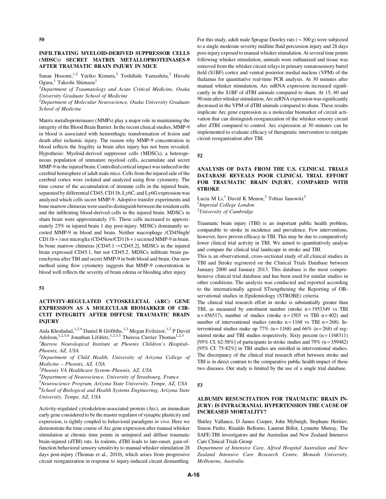## INFILTRATING MYELOID-DERIVED SUPPRESSOR CELLS (MDSCs) SECRET MATRIX METALLOPROTEINASES-9 AFTER TRAUMATIC BRAIN INJURY IN MICE

Sanae Hosomi,<sup>1,2</sup> Yuriko Kimura,<sup>2</sup> Toshihide Yamashita,<sup>2</sup> Hiroshi Ogura,<sup>1</sup> Takeshi Shimazu<sup>1</sup>

<sup>1</sup>Department of Traumatology and Acute Critical Medicine, Osaka University Graduate School of Medicine

 $2$ Department of Molecular Neuroscience, Osaka University Graduate School of Medicine

Matrix metalloproteinases (MMPs) play a major role in maintaining the integrity of the Blood Brain Barrier. In the recent clinical studies, MMP-9 in blood is associated with hemorrhagic transformation of lesion and death after ischemic injury. The reason why MMP-9 concentration in blood reflects the fragility in brain after injury has not been revealed. Hypothesis: Myeloid-derived suppressor cells (MDSCs), a heterogeneous population of immature myeloid cells, accumulate and secret MMP-9 in the injured brain. Controlled cortical impact was induced in the cerebral hemisphere of adult male mice. Cells from the injured side of the cerebral cortex were isolated and analyzed using flow cytometry. The time course of the accumulation of immune cells in the injured brain, separated by differential CD45, CD11b, Ly6C, and Ly6G expression was analyzed which cells secret MMP-9. Adoptive transfer experiments and bone marrow chimeras were used to distinguish between the resident cells and the infiltrating blood-derived cells in the injured brain. MDSCs in sham brain were approximately 1%. These cells increased to approximately 25% in injured brain 1 day post-injury. MDSCs dominantly secreted MMP-9 in blood and brain. Neither macrophage (CD45high/ CD11b + ) nor microglia (CD45low/CD11b + ) secreted MMP-9 in brain. In bone marrow chimeras [CD45.1  $\rightarrow$  CD45.2], MDSCs in the injured brain expressed CD45.1, but not CD45.2. MDSCs infiltrate brain parenchyma after TBI and secret MMP-9 in both blood and brain. Our new method using flow cytometry suggests that MMP-9 concentration in blood well reflects the severity of brain edema or bleeding after injury.

#### 51

# ACTIVITY-REGULATED CYTOSKELETAL (ARC) GENE EXPRESSION AS A MOLECULAR BIOMARKER OF CIR-CUIT INTEGRITY AFTER DIFFUSE TRAUMATIC BRAIN INJURY

Aida Khodadad,<sup>1,2,4</sup> Daniel R Griffiths,<sup>1,2</sup> Megan Evilsizor,<sup>1,2</sup> P David Adelson,<sup>1,2,5,6</sup> Jonathan Lifshitz,<sup>1,2,3,5</sup> Theresa Currier Thomas<sup>1,2,3</sup>

<sup>1</sup>Barrow Neurological Institute at Phoenix Children's Hospital-Phoenix, AZ, USA

 ${}^{2}$ Department of Child Health, University of Arizona College of Medicine – Phoenix, AZ, USA

3 Phoenix VA Healthcare System–Phoenix, AZ, USA

<sup>4</sup>Department of Neuroscience, University of Strasbourg, France

<sup>5</sup>Neuroscience Program, Arizona State University, Tempe, AZ, USA <sup>6</sup>School of Biological and Health Systems Engineering, Arizona State University, Tempe, AZ, USA

Activity-regulated cytoskeleton-associated protein (Arc), an immediate early gene considered to be the master regulator of synaptic plasticity and expression, is tightly coupled to behavioral paradigms in vivo. Here we demonstrate the time course of Arc gene expression after manual whisker stimulation at chronic time points in uninjured and diffuse traumatic brain-injured (dTBI) rats. In rodents, dTBI leads to late-onset, gain-offunction behavioral sensory sensitivity to manual whisker stimulation 28 days post-injury (Thomas et al., 2010), which arises from progressive circuit reorganization in response to injury-induced circuit dismantling.

For this study, adult male Sprague Dawley rats ( $\sim$ 300 g) were subjected to a single moderate severity midline fluid percussion injury and 28 days post-injury exposed to manual whisker stimulation. At several time points following whisker stimulation, animals were euthanized and tissue was removed from the whisker circuit relays in primary somatosensory barrel field (S1BF) cortex and ventral posterior medial nucleus (VPM) of the thalamus for quantitative real-time PCR analysis. At 30 minutes after manual whisker stimulation, Arc mRNA expression increased significantly in the S1BF of dTBI animals compared to sham. At 15, 60 and 90 min after whisker stimulation, Arc mRNA expression was significantly decreased in the VPM of dTBI animals compared to sham. These results implicate Arc gene expression as a molecular biomarker of circuit activation that can distinguish reorganization of the whisker sensory circuit after dTBI compared to control. Arc expression at 30 minutes can be implemented to evaluate efficacy of therapeutic intervention to mitigate circuit reorganization after TBI.

52

# ANALYSIS OF DATA FROM THE U.S. CLINICAL TRIALS DATABASE REVEALS POOR CLINICAL TRIAL EFFORT FOR TRAUMATIC BRAIN INJURY, COMPARED WITH STROKE

Lucia M Li,<sup>1</sup> David K Menon,<sup>2</sup> Tobias Janowitz<sup>2</sup> <sup>1</sup>Imperial College London <sup>2</sup>University of Cambridge

Traumatic brain injury (TBI) is an important public health problem, comparable to stroke in incidence and prevalence. Few interventions, however, have proven efficacy in TBI. This may be due to comparatively lower clinical trial activity in TBI. We aimed to quantitatively analyse and compare the clinical trial landscape in stroke and TBI.

This is an observational, cross-sectional study of all clinical studies in TBI and Stroke registered on the Clinical Trials Database between January 2000 and January 2013. This database is the most comprehensive clinical trial database and has been used for similar studies in other conditions. The analysis was conducted and reported according to the internationally agreed STrengthening the Reporting of OBservational studies in Epidemiology (STROBE) criteria.

The clinical trial research effort in stroke is substantially greater than TBI, as measured by enrolment number (stroke  $n = 1953349$  vs TBI  $n = 456517$ , number of studies (stroke  $n = 1503$  vs TBI  $n = 402$ ) and number of interventional studies (stroke  $n = 1168$  vs TBI  $n = 268$ ). Interventional studies make up 77% (n=1168) and 66% (n=268) of registered stroke and TBI studies respectively. Sixty percent  $(n = 1168311)$ [95% CI: 62-58%] of participants in stroke studies and 79% (n = 359482) [95% CI: 75-82%] in TBI studies are enrolled in interventional studies. The discrepancy of the clinical trial research effort between stroke and TBI is in direct contrast to the comparative public health impact of these two diseases. Our study is limited by the use of a single trial database.

## 53

## ALBUMIN RESUSCITATION FOR TRAUMATIC BRAIN IN-JURY: IS INTRACRANIAL HYPERTENSION THE CAUSE OF INCREASED MORTALITY?

Shirley Vallance, D James Cooper, John Myburgh, Stephane Heritier, Simon Finfer, Rinaldo Bellomo, Laurent Billot, Lynnette Murray, The SAFE-TBI investigators and the Australian and New Zealand Intensive Care Clinical Trials Group

Department of Intensive Care, Alfred Hospital Australian and New Zealand Intensive Care Research Centre, Monash University, Melbourne, Australia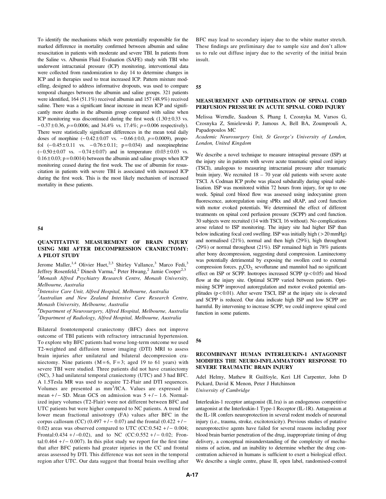To identify the mechanisms which were potentially responsible for the marked difference in mortality confirmed between albumin and saline resuscitation in patients with moderate and severe TBI. In patients from the Saline vs. Albumin Fluid Evaluation (SAFE) study with TBI who underwent intracranial pressure (ICP) monitoring, interventional data were collected from randomization to day 14 to determine changes in ICP and in therapies used to treat increased ICP. Pattern mixture modelling, designed to address informative dropouts, was used to compare temporal changes between the albumin and saline groups. 321 patients were identified, 164 (51.1%) received albumin and 157 (48.9%) received saline. There was a significant linear increase in mean ICP and significantly more deaths in the albumin group compared with saline when ICP monitoring was discontinued during the first week  $(1.30 \pm 0.33 \text{ vs.})$  $-0.37 \pm 0.36$ ,  $p = 0.0006$ ; and 34.4% vs. 17.4%;  $p = 0.006$  respectively). There were statistically significant differences in the mean total daily doses of morphine  $(-0.42 \pm 0.07 \text{ vs. } -0.66 \pm 0.0, \ p = 0.0009)$ , propofol  $(-0.45 \pm 0.11 \text{ vs. } -0.76 \pm 0.11; \text{ p} = 0.034)$  and norepinephrine  $(-0.50 \pm 0.07 \text{ vs. } -0.74 \pm 0.07)$  and in temperature  $(0.03 \pm 0.03 \text{ vs. } -0.74 \pm 0.07)$  $0.16 \pm 0.03$ ; p = 0.0014) between the albumin and saline groups when ICP monitoring ceased during the first week. The use of albumin for resuscitation in patients with severe TBI is associated with increased ICP during the first week. This is the most likely mechanism of increased mortality in these patients.

## 54

# QUANTITATIVE MEASUREMENT OF BRAIN INJURY USING MRI AFTER DECOMPRESSION CRANIECTOMY: A PILOT STUDY

Jerome Maller,<sup>1,4</sup> Olivier Huet,<sup>2,3</sup> Shirley Vallance,<sup>3</sup> Marco Fedi,<sup>3</sup> Jeffrey Rosenfeld,<sup>2</sup> Dinesh Varma,<sup>2</sup> Peter Hwang,<sup>2</sup> Jamie Cooper<sup>2,3</sup> <sup>1</sup>Monash Alfred Psychiatry Research Centre, Monash University, Melbourne, Australia

<sup>2</sup>Intensive Care Unit, Alfred Hospital, Melbourne, Australia

<sup>3</sup>Australian and New Zealand Intensive Care Research Centre, Monash University, Melbourne, Australia

4 Department of Neurosurgery, Alfred Hospital, Melbourne, Australia <sup>5</sup>Department of Radiology, Alfred Hospital, Melbourne, Australia

Bilateral frontotemporal craniectomy (BFC) does not improve outcome of TBI patients with refractory intracranial hypertension. To explore why BFC patients had worse long-term outcome we used T2-weighted and diffusion tensor imaging (DTI) MRI to assess brain injuries after unilateral and bilateral decompression craniectomy. Nine patients  $(M=6, F=3;$  aged 19 to 61 years) with severe TBI were studied. Three patients did not have craniectomy (NC), 3 had unilateral temporal craniectomy (UTC) and 3 had BFC. A 1.5Tesla MR was used to acquire T2-Flair and DTI sequences. Volumes are presented as mm<sup>3</sup>/ICA. Values are expressed in mean  $+/-$  SD. Mean GCS on admission was  $5 +/- 1.6$ . Normalized injury volumes (T2-Flair) were not different between BFC and UTC patients but were higher compared to NC patients. A trend for lower mean fractional anisotropy (FA) values after BFC in the corpus callosum (CC) (0.497 +/ - 0.07) and the frontal (0.422 +/ -0.02) areas was observed compared to UTC (CC:0.542 +/- 0.004; Frontal:0.434 + / -0.02), and to NC (CC:0.552 + / -0.02; Frontal: $0.464 + / - 0.007$ ). In this pilot study we report for the first time that after BFC patients had greater injuries in the CC and frontal areas assessed by DTI. This difference was not seen in the temporal region after UTC. Our data suggest that frontal brain swelling after BFC may lead to secondary injury due to the white matter stretch. These findings are preliminary due to sample size and don't allow us to rule out diffuse injury due to the severity of the initial brain insult.

55

## MEASUREMENT AND OPTIMISATION OF SPINAL CORD PERFUSION PRESSURE IN ACUTE SPINAL CORD INJURY

Melissa Werndle, Saadoun S, Phang I, Czosnyka M, Varsos G, Czosnyka Z, Smielewski P, Jamous A, Bell BA, Zoumprouli A, Papadopoulos MC

Academic Neurosurgery Unit, St George's University of London, London, United Kingdom

We describe a novel technique to measure intraspinal pressure (ISP) at the injury site in patients with severe acute traumatic spinal cord injury (TSCI), analogous to measuring intracranial pressure after traumatic brain injury. We recruited 18 – 70 year old patients with severe acute TSCI. A Codman ICP probe was placed subdurally during spinal stabilisation. ISP was monitored within 72 hours from injury, for up to one week. Spinal cord blood flow was assessed using indocyanine green fluorescence, autoregulation using sPRx and sRAP, and cord function with motor evoked potentials. We determined the effect of different treatments on spinal cord perfusion pressure (SCPP) and cord function. 30 subjects were recruited (14 with TSCI, 16 without). No complications arose related to ISP monitoring. The injury site had higher ISP than below indicating focal cord swelling. ISP was initially high ( > 20 mmHg) and normalised (21%), normal and then high (29%), high throughout (29%) or normal throughout (21%). ISP remained high in 78% patients after bony decompression, suggesting dural compression. Laminectomy was potentially detrimental by exposing the swollen cord to external compression forces.  $p_aCO_2$ , sevoflurane and mannitol had no significant effect on ISP or SCPP. Inotropes increased SCPP  $(p < 0.05)$  and blood flow at the injury site. Optimal SCPP varied between patients. Optimising SCPP improved autoregulation and motor evoked potential amplitudes  $(p < 0.01)$ . After severe TSCI, ISP at the injury site is elevated and SCPP is reduced. Our data indicate high ISP and low SCPP are harmful. By intervening to increase SCPP, we could improve spinal cord function in some patients.

56

## RECOMBINANT HUMAN INTERLEUKIN-1 ANTAGONIST MODIFIES THE NEURO-INFLAMMATORY RESPONSE TO SEVERE TRAUMATIC BRAIN INJURY

Adel Helmy, Mathew R Guilfoyle, Keri LH Carpenter, John D Pickard, David K Menon, Peter J Hutchinson

University of Cambridge

Interleukin-1 receptor antagonist (IL1ra) is an endogenous competitive antagonist at the Interleukin-1 Type-1 Receptor (IL-1R). Antagonism at the IL-1R confers neuroprotection in several rodent models of neuronal injury (i.e., trauma, stroke, excitotoxicity). Previous studies of putative neuroprotective agents have failed for several reasons including poor blood brain barrier penetration of the drug, inappropriate timing of drug delivery, a conceptual misunderstanding of the complexity of mechanisms of action, and an inability to determine whether the drug concentration achieved in humans is sufficient to exert a biological effect. We describe a single centre, phase II, open label, randomised-control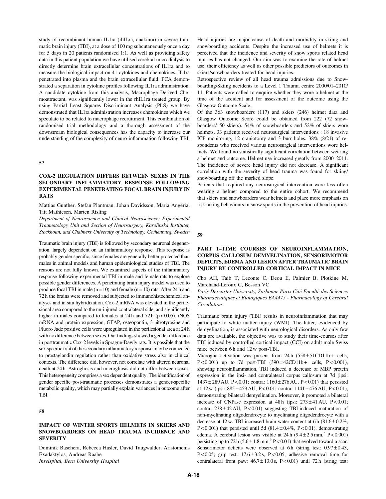study of recombinant human IL1ra (rhILra, anakinra) in severe traumatic brain injury (TBI), at a dose of 100 mg subcutaneously once a day for 5 days in 20 patients randomised 1:1. As well as providing safety data in this patient population we have utilised cerebral microdialysis to directly determine brain extracellular concentrations of IL1ra and to measure the biological impact on 41 cytokines and chemokines. IL1ra penetrated into plasma and the brain extracellular fluid. PCA demonstrated a separation in cytokine profiles following IL1ra administration. A candidate cytokine from this analysis, Macrophage Derived Chemoattractant, was significantly lower in the rhIL1ra treated group. By using Partial Least Squares Discriminant Analysis (PLS) we have demonstrated that IL1ra administration increases chemokines which we speculate to be related to macrophage recruitment. This combination of randomised trial methodology and a thorough assessment of the downstream biological consequences has the capacity to increase our understanding of the complexity of neuro-inflammation following TBI.

## 57

# COX-2 REGULATION DIFFERS BETWEEN SEXES IN THE SECONDARY INFLAMMATORY RESPONSE FOLLOWING EXPERIMENTAL PENETRATING FOCAL BRAIN INJURY IN RATS

Mattias Gunther, Stefan Plantman, Johan Davidsson, Maria Angéria, Tiit Mathiesen, Marten Risling

Department of Neuroscience and Clinical Neuroscience; Experimental Traumatology Unit and Section of Neurosurgery, Karolinska Institutet, Stockholm, and Chalmers University of Technology, Gothenburg, Sweden

Traumatic brain injury (TBI) is followed by secondary neuronal degeneration, largely dependent on an inflammatory response. This response is probably gender specific, since females are generally better protected than males in animal models and human epidemiological studies of TBI. The reasons are not fully known. We examined aspects of the inflammatory response following experimental TBI in male and female rats to explore possible gender differences. A penetrating brain injury model was used to produce focal TBI in male  $(n = 10)$  and female  $(n = 10)$  rats. After 24 h and 72 h the brains were removed and subjected to immunohistochemical analyses and in situ hybridization. Cox-2 mRNA was elevated in the perilesional area compared to the un-injured contralateral side, and significantly higher in males compared to females at  $24 h$  and  $72 h$  ( $p < 0.05$ ). iNOS mRNA and protein expression, GFAP, osteopontin, 3-nitrotyrosine and Fluoro Jade positive cells were upregulated in the perilesional area at 24 h with no difference between sexes. Our findings showed a gender difference in posttraumatic Cox-2 levels in Sprague-Dawly rats. It is possible that the sex specific trait of the secondary inflammatory response may be connected to prostaglandin regulation rather than oxidative stress also in clinical contexts. The difference did, however, not correlate with altered neuronal death at 24 h. Astrogliosis and microgliosis did not differ between sexes. This heterogeneity comprises a sex dependent quality. The identification of gender specific post-traumatic processes demonstrates a gender-specific metabolic quality, which may partially explain variances in outcome after TBI.

# 58

## IMPACT OF WINTER SPORTS HELMETS IN SKIERS AND SNOWBOARDERS ON HEAD TRAUMA INCIDENCE AND **SEVERITY**

Dominik Baschera, Rebecca Hasler, David Taugwalder, Aristomenis Exadaktylos, Andreas Raabe Inselspital, Bern University Hospital

Head injuries are major cause of death and morbidity in skiing and snowboarding accidents. Despite the increased use of helmets it is perceived that the incidence and severity of snow sports related head injuries has not changed. Our aim was to examine the rate of helmet use, their efficiency as well as other possible predictors of outcomes in skiers/snowboarders treated for head injuries.

Retrospective review of all head trauma admissions due to Snowboarding/Skiing accidents to a Level 1 Trauma centre 2000/01–2010/ 11. Patients were called to enquire whether they wore a helmet at the time of the accident and for assessment of the outcome using the Glasgow Outcome Scale.

Of the 363 snowboarders (117) and skiers (246) helmet data and Glasgow Outcome Score could be obtained from 222 (72 snowboarders/150 skiers). 54% of snowboarders and 52% of skiers wore helmets. 33 patients received neurosurgical interventions : 18 invasive ICP monitoring, 12 craniotomy and 3 burr holes. 38% (8/21) of respondents who received various neurosurgical interventions wore helmets. We found no statistically significant correlation between wearing a helmet and outcome. Helmet use increased greatly from 2000–2011. The incidence of severe head injury did not decrease. A significant correlation with the severity of head trauma was found for skiing/ snowboarding off the marked slope.

Patients that required any neurosurgical intervention were less often wearing a helmet compared to the entire cohort. We recommend that skiers and snowboarders wear helmets and place more emphasis on risk taking behaviours in snow sports in the prevention of head injuries.

#### 59

# PART 1–TIME COURSES OF NEUROINFLAMMATION, CORPUS CALLOSUM DEMYELINATION, SENSORIMOTOR DEFICITS, EDEMA AND LESION AFTER TRAUMATIC BRAIN INJURY BY CONTROLLED CORTICAL IMPACT IN MICE

Cho AH, Taib T, Leconte C, Deou E, Palmier B, Plotkine M, Marchand-Leroux C, Besson VC

Paris Descartes University, Sorbonne Paris Cité Faculté des Sciences Pharmaceutiques et Biologiques EA4475 - Pharmacology of Cerebral Circulation

Traumatic brain injury (TBI) results in neuroinflammation that may participate to white matter injury (WMI). The latter, evidenced by demyelination, is associated with neurological disorders. As only few data are available, the objective was to study their time-courses after TBI induced by controlled cortical impact (CCI) on adult male Swiss mice between 6 h and 12 w post-TBI.

Microglia activation was present from  $24 h (558 \pm 51 \text{CD}11b + \text{ cells},$ P < 0.001) up to 7d post-TBI  $(390 \pm 42 \text{CD}11b + \text{cells}, P < 0.001)$ , showing neuroinflammation. TBI induced a decrease of MBP protein expression in the ipsi- and contralateral corpus callosum at 7d (ipsi: 1437 – 289 AU, P < 0.01; contra: 1160 – 276 AU, P < 0.01) that persisted at  $12 \text{ w}$  (ipsi:  $885 \pm 459 \text{ AU}$ , P<0.01; contra:  $1141 \pm 476 \text{ AU}$ , P<0.01), demonstrating bilateral demyelination. Moreover, it promoted a bilateral increase of CNPase expression at  $48 h$  (ipsi:  $273 \pm 41 A U$ , P < 0.01; contra:  $238 \pm 42$  AU, P < 0.01) suggesting TBI-induced maturation of non-myelinating oligodendrocyte to myelinating oligodendrocyte with a decrease at 12 w. TBI increased brain water content at 6 h  $(81.6 \pm 0.2\%)$ , P<0.001) that persisted until 5d (81.4 $\pm$ 0.4%, P<0.01), demonstrating edema. A cerebral lesion was visible at  $24 h (9.4 \pm 2.5 \text{ mm}^3) P < 0.001$ ) persisting up to 72 h ( $5.6 \pm 1.8$  mm,<sup>3</sup> P < 0.01) that evolved toward a scar. Sensorimotor deficits were observed at 6h (string test:  $0.97 \pm 0.43$ , P < 0.05; grip test:  $17.6 \pm 3.2$  s, P < 0.05; adhesive removal time for contralateral front paw:  $46.7 \pm 13.0$  s, P < 0.01) until 72 h (string test: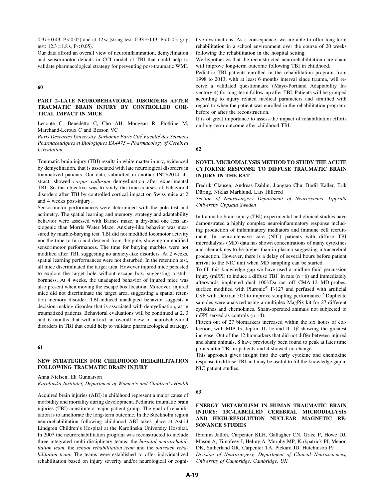$0.97 \pm 0.43$ , P < 0.05) and at 12 w (string test:  $0.33 \pm 0.13$ , P < 0.05; grip test:  $12.3 \pm 1.8$  s, P < 0.05).

Our data afford an overall view of neuroinflammation, demyelination and sensorimotor deficits in CCI model of TBI that could help to validate pharmacological strategy for preventing post-traumatic WMI.

## 60

## PART 2–LATE NEUROBEHAVIORAL DISORDERS AFTER TRAUMATIC BRAIN INJURY BY CONTROLLED COR-TICAL IMPACT IN MICE

Leconte C, Benedetto C, Cho AH, Mongeau R, Plotkine M, Marchand-Leroux C and Besson VC

Paris Descartes University, Sorbonne Paris Cité Faculté des Sciences Pharmaceutiques et Biologiques EA4475 – Pharmacology of Cerebral Circulation

Traumatic brain injury (TBI) results in white matter injury, evidenced by demyelination, that is associated with late neurological disorders in traumatized patients. Our data, submitted in another INTS2014 abstract, showed corpus callosum demyelination after experimental TBI. So the objective was to study the time-courses of behavioral disorders after TBI by controlled cortical impact on Swiss mice at 2 and 4 weeks post-injury.

Sensorimotor performances were determined with the pole test and actimetry. The spatial learning and memory, strategy and adaptability behavior were assessed with Barnes maze, a dry-land one less anxiogenic than Morris Water Maze. Anxiety-like behavior was measured by marble-burying test. TBI did not modified locomotor activity nor the time to turn and descend from the pole, showing unmodified sensorimotor performances. The time for burying marbles were not modified after TBI, suggesting no anxiety-like disorders. At 2 weeks, spatial learning performances were not disturbed. In the retention test, all mice discriminated the target area. However injured mice persisted to explore the target hole without escape box, suggesting a stubbornness. At 4 weeks, the unadapted behavior of injured mice was also present when moving the escape box location. Moreover, injured mice did not discriminate the target area, suggesting a spatial retention memory disorder. TBI-induced unadapted behavior suggests a decision-making disorder that is associated with demyelination, as in traumatized patients. Behavioral evaluations will be continued at 2, 3 and 6 months that will afford an overall view of neurobehavioral disorders in TBI that could help to validate pharmacological strategy.

#### 61

## NEW STRATEGIES FOR CHILDHOOD REHABILITATION FOLLOWING TRAUMATIC BRAIN INJURY

Anna Nielsen, Eli Gunnarson Karolinska Institutet, Department of Women's and Children's Health

Acquired brain injuries (ABI) in childhood represent a major cause of morbidity and mortality during development. Pediatric traumatic brain injuries (TBI) constitute a major patient group. The goal of rehabilitation is to ameliorate the long-term outcome. In the Stockholm region neurorehabilitation following childhood ABI takes place at Astrid Lindgren Children's Hospital at the Karolinska University Hospital. In 2007 the neurorehabilitation program was reconstructed to include three integrated multi-disciplinary teams: the hospital neurorehabilitation team, the school rehabilitation team and the outreach rehabilitation team. The teams were established to offer individualized rehabilitation based on injury severity and/or neurological or cognitive dysfunctions. As a consequence, we are able to offer long-term rehabilitation in a school environment over the course of 20 weeks following the rehabilitation in the hospital setting.

We hypothesize that the reconstructed neurorehabilitation care chain will improve long-term outcome following TBI in childhood.

Pediatric TBI patients enrolled in the rehabilitation program from 1998 to 2013, with at least 6 months interval since trauma, will receive a validated questionnaire (Mayo-Portland Adaptability Inventory-4) for long-term follow-up after TBI. Patients will be grouped according to injury related medical parameters and stratified with regard to when the patient was enrolled in the rehabilitation program: before or after the reconstruction.

It is of great importance to assess the impact of rehabilitation efforts on long-term outcome after childhood TBI.

### 62

## NOVEL MICRODIALYSIS METHOD TO STUDY THE ACUTE CYTOKINE RESPONSE TO DIFFUSE TRAUMATIC BRAIN INJURY IN THE RAT

Fredrik Clausen, Andreas Dahlin, Jiangtao Chu, Bodil Käller, Erik Düring, Niklas Marklund, Lars Hillered

Section of Neurosurgery Department of Neuroscience Uppsala University Uppsala Sweden

In traumatic brain injury (TBI) experimental and clinical studies have demonstrated a highly complex neuroinflammatory response including production of inflammatory mediators and immune cell recruitment. In neurointensive care (NIC) patients with diffuse TBI microdialysis (MD) data has shown concentrations of many cytokines and chemokines to be higher than in plasma suggesting intracerebral production. However, there is a delay of several hours before patient arrival to the NIC unit when MD sampling can be started.

To fill this knowledge gap we have used a midline fluid percussion injury (mFPI) to induce a diffuse TBI<sup>1</sup> in rats (n = 6) and immediately afterwards implanted dual 100 kDa cut off CMA-12 MD-probes, surface modified with Pluronic<sup>®</sup> F-127 and perfused with artificial CSF with Dextran 500 to improve sampling performance.<sup>2</sup> Duplicate samples were analyzed using a multiplex MagPix kit for 27 different cytokines and chemokines. Sham-operated animals not subjected to mFPI served as controls  $(n=4)$ .

Fifteen out of 27 biomarkers increased within the six hours of collection, with MIP-1 $\alpha$ , leptin, IL-1 $\alpha$  and IL-1 $\beta$  showing the greatest increase. Out of the 12 biomarkers that did not differ between injured and sham animals, 8 have previously been found to peak at later time points after TBI in patients and 4 showed no change.

This approach gives insight into the early cytokine and chemokine response to diffuse TBI and may be useful to fill the knowledge gap in NIC patient studies.

## 63

## ENERGY METABOLISM IN HUMAN TRAUMATIC BRAIN INJURY: 13C-LABELLED CEREBRAL MICRODIALYSIS AND HIGH-RESOLUTION NUCLEAR MAGNETIC RE-SONANCE STUDIES

Ibrahim Jalloh, Carpenter KLH, Gallagher CN, Grice P, Howe DJ, Mason A, Timofeev I, Helmy A, Murphy MP, Kirkpatrick PJ, Menon DK, Sutherland GR, Carpenter TA, Pickard JD, Hutchinson PJ Division of Neurosurgery, Department of Clinical Neurosciences, University of Cambridge, Cambridge, UK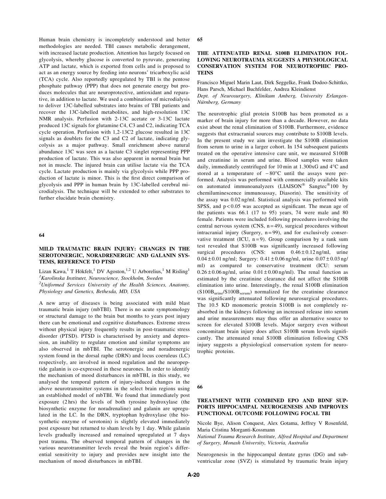Human brain chemistry is incompletely understood and better methodologies are needed. TBI causes metabolic derangement, with increased lactate production. Attention has largely focused on glycolysis, whereby glucose is converted to pyruvate, generating ATP and lactate, which is exported from cells and is proposed to act as an energy source by feeding into neurons' tricarboxylic acid (TCA) cycle. Also reportedly upregulated by TBI is the pentose phosphate pathway (PPP) that does not generate energy but produces molecules that are neuroprotective, antioxidant and reparative, in addition to lactate. We used a combination of microdialysis to deliver 13C-labelled substrates into brains of TBI patients and recover the 13C-labelled metabolites, and high-resolution 13C NMR analysis. Perfusion with 2-13C acetate or 3-13C lactate produced 13C signals for glutamine C4, C3 and C2, indicating TCA cycle operation. Perfusion with 1,2-13C2 glucose resulted in 13C signals as doublets for the C3 and C2 of lactate, indicating glycolysis as a major pathway. Small enrichment above natural abundance 13C was seen as a lactate C3 singlet representing PPP production of lactate. This was also apparent in normal brain but not in muscle. The injured brain can utilise lactate via the TCA cycle. Lactate production is mainly via glycolysis while PPP production of lactate is minor. This is the first direct comparison of glycolysis and PPP in human brain by 13C-labelled cerebral microdialysis. The technique will be extended to other substrates to further elucidate brain chemistry.

#### 64

# MILD TRAUMATIC BRAIN INJURY: CHANGES IN THE SEROTONERGIC, NORADRENERGIC AND GALANIN SYS-TEMS, REFERENCE TO PTSD

Lizan Kawa,<sup>1</sup> T Hökfelt,<sup>1</sup> DV Agoston,<sup>1,2</sup> U Arborelius,<sup>1</sup> M Risling<sup>1</sup> <sup>1</sup> Karolinska Institutet, Neuroscience, Stockholm, Sweden

 $2$ Uniformed Services University of the Health Sciences, Anatomy, Physiology and Genetics, Bethesda, MD, USA

A new array of diseases is being associated with mild blast traumatic brain injury (mbTBI). There is no acute symptomology or structural damage to the brain but months to years post injury there can be emotional and cognitive disturbances. Extreme stress without physical injury frequently results in post-traumatic stress disorder (PTSD). PTSD is characterised by anxiety and depression, an inability to regulate emotion and similar symptoms are also observed in mbTBI. The serotonergic and noradrenergic system found in the dorsal raphe (DRN) and locus coeruleus (LC) respectively, are involved in mood regulation and the neuropeptide galanin is co-expressed in these neurones. In order to identify the mechanism of mood disturbances in mbTBI, in this study, we analysed the temporal pattern of injury-induced changes in the above neurotransmitter systems in the select brain regions using an established model of mbTBI. We found that immediately post exposure (2 hrs) the levels of both tyrosine hydroxylase (the biosynthetic enzyme for noradrenaline) and galanin are upregulated in the LC. In the DRN, tryptophan hydroxylase (the biosynthetic enzyme of serotonin) is slightly elevated immediately post exposure but returned to sham levels by 1 day. While galanin levels gradually increased and remained upregulated at 7 days post trauma. The observed temporal pattern of changes in the various neurotransmitter levels reveal the brain region's differential sensitivity to injury and provides new insight into the mechanism of mood disturbances in mbTBI.

#### 65

## THE ATTENUATED RENAL S100B ELIMINATION FOL-LOWING NEUROTRAUMA SUGGESTS A PHYSIOLOGICAL CONSERVATION SYSTEM FOR NEUROTROPHIC PRO-**TEINS**

Francisco Miguel Marin Laut, Dirk Seggelke, Frank Dodoo-Schittko, Hans Parsch, Michael Buchfelder, Andrea Kleindienst

Dept. of Neurosurgery, Klinikum Amberg, University Erlangen-Nürnberg, Germany

The neurotrophic glial protein S100B has been promoted as a marker of brain injury for more than a decade. However, no data exist about the renal elimination of S100B. Furthermore, evidence suggests that extracranial sources may contribute to S100B levels. In the present study we aim investigate the S100B elimination from serum to urine in a larger cohort. In 154 subsequent patients treated on the operative intensive care unit, we measured S100B and creatinine in serum and urine. Blood samples were taken daily, immediately centrifuged for 10 min at  $1.300 \times G$  and  $4^{\circ}$ C and stored at a temperature of  $-80^{\circ}$ C until the assays were performed. Analysis was performed with commercially available kits on automated immunoanalyzers (LIAISON<sup>®</sup> Sangtec<sup>®</sup>100 by chemiluminescence immunoassay, Diasorin). The sensitivity of the assay was 0.02 ng/ml. Statistical analysis was performed with SPSS, and  $p < 0.05$  was accepted as significant. The mean age of the patients was 66.1 (17 to 95) years, 74 were male and 80 female. Patients were included following procedures involving the central nervous system (CNS,  $n = 49$ ), surgical procedures without intracranial injury (Surgery,  $n = 99$ ), and for exclusively conservative treatment (ICU,  $n = 9$ ). Group comparison by a rank sum test revealed that S100B was significantly increased following surgical procedures (CNS: serum  $0.46 \pm 0.12$  ng/ml, urine  $0.04 \pm 0.01$  ng/ml; Surgery:  $0.41 \pm 0.06$  ng/ml, urine  $0.07 \pm 0.03$  ng/ ml) as compared to conservative treatment (ICU: serum  $0.26 \pm 0.06$  ng/ml, urine  $0.01 \pm 0.00$  ng/ml). The renal function as estimated by the creatinine clearance did not affect the S100B elimination into urine. Interestingly, the renal S100B elimination  $(S100B<sub>urine</sub>/S100B<sub>serum</sub>)$  normalized for the creatinine clearance was significantly attenuated following neurosurgical procedures. The 10.5 KD monomeric protein S100B is not completely reabsorbed in the kidneys following an increased release into serum and urine measurements may thus offer an alternative source to screen for elevated S100B levels. Major surgery even without concomitant brain injury does affect S100B serum levels significantly. The attenuated renal S100B elimination following CNS injury suggests a physiological conservation system for neurotrophic proteins.

66

## TREATMENT WITH COMBINED EPO AND BDNF SUP-PORTS HIPPOCAMPAL NEUROGENESIS AND IMPROVES FUNCTIONAL OUTCOME FOLLOWING FOCAL TBI

Nicole Bye, Alison Conquest, Alex Gotama, Jeffrey V Rosenfeld, Maria Cristina Morganti-Kossmann

National Trauma Research Institute, Alfred Hospital and Department of Surgery, Monash University, Victoria, Australia

Neurogenesis in the hippocampal dentate gyrus (DG) and subventricular zone (SVZ) is stimulated by traumatic brain injury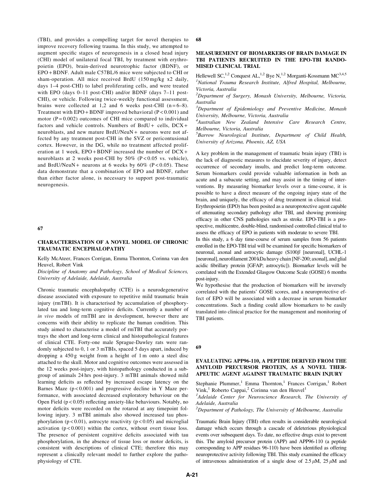(TBI), and provides a compelling target for novel therapies to improve recovery following trauma. In this study, we attempted to augment specific stages of neurogenesis in a closed head injury (CHI) model of unilateral focal TBI, by treatment with erythropoietin (EPO), brain-derived neurotrophic factor (BDNF), or EPO + BDNF. Adult male C57BL/6 mice were subjected to CHI or sham-operation. All mice received BrdU (150 mg/kg x2 daily, days 1–4 post-CHI) to label proliferating cells, and were treated with EPO (days 0–11 post-CHI) and/or BDNF (days 7–11 post-CHI), or vehicle. Following twice-weekly functional assessment, brains were collected at 1,2 and 6 weeks post-CHI  $(n=6-8)$ . Treatment with EPO + BDNF improved behavioral (P < 0.001) and motor  $(P = 0.002)$  outcomes of CHI mice compared to individual factors and vehicle controls. Numbers of BrdU + cells, DCX + neuroblasts, and new mature BrdU/NeuN + neurons were not affected by any treatment post-CHI in the SVZ or pericontusional cortex. However, in the DG, while no treatment affected proliferation at 1 week, EPO + BDNF increased the number of DCX + neuroblasts at 2 weeks post-CHI by 50% (P < 0.05 vs. vehicle), and BrdU/NeuN + neurons at 6 weeks by  $60\%$  (P < 0.05). These data demonstrate that a combination of EPO and BDNF, rather than either factor alone, is necessary to support post-traumatic neurogenesis.

#### 67

## CHARACTERISATION OF A NOVEL MODEL OF CHRONIC TRAUMATIC ENCEPHALOPATHY

Kelly McAteer, Frances Corrigan, Emma Thornton, Corinna van den Heuvel, Robert Vink

Discipline of Anatomy and Pathology, School of Medical Sciences, University of Adelaide, Adelaide, Australia

Chronic traumatic encephalopathy (CTE) is a neurodegenerative disease associated with exposure to repetitive mild traumatic brain injury (rmTBI). It is characterised by accumulation of phosphorylated tau and long-term cognitive deficits. Currently a number of in vivo models of rmTBI are in development, however there are concerns with their ability to replicate the human condition. This study aimed to characterise a model of rmTBI that accurately portrays the short and long-term clinical and histopathological features of clinical CTE. Forty-one male Sprague-Dawley rats were randomly subjected to 0, 1 or 3 mTBIs, spaced 5 days apart, induced by dropping a 450 g weight from a height of 1 m onto a steel disc attached to the skull. Motor and cognitive outcomes were assessed in the 12 weeks post-injury, with histopathology conducted in a subgroup of animals 24 hrs post-injury. 3 mTBI animals showed mild learning deficits as reflected by increased escape latency on the Barnes Maze  $(p < 0.001)$  and progressive decline in Y Maze performance, with associated decreased exploratory behaviour on the Open Field  $(p < 0.05)$  reflecting anxiety-like behaviours. Notably, no motor deficits were recorded on the rotarod at any timepoint following injury. 3 mTBI animals also showed increased tau phosphorylation ( $p < 0.01$ ), astrocyte reactivity ( $p < 0.05$ ) and microglial activation  $(p < 0.001)$  within the cortex, without overt tissue loss. The presence of persistent cognitive deficits associated with tau phosphorylation, in the absence of tissue loss or motor deficits, is consistent with descriptions of clinical CTE; therefore this may represent a clinically relevant model to further explore the pathophysiology of CTE.

#### 68

## MEASUREMENT OF BIOMARKERS OF BRAIN DAMAGE IN TBI PATIENTS RECRUITED IN THE EPO-TBI RANDO-MISED CLINICAL TRIAL

Hellewell SC,<sup>1,2</sup> Conquest AL,<sup>1,2</sup> Bye N,<sup>1,2</sup> Morganti-Kossmann MC<sup>3,4,5</sup> <sup>1</sup>National Trauma Research Institute, Alfred Hospital, Melbourne, Victoria, Australia

 $2$ Department of Surgery, Monash University, Melbourne, Victoria, Australia

<sup>3</sup>Department of Epidemiology and Preventive Medicine, Monash University, Melbourne, Victoria, Australia

4 Australian New Zealand Intensive Care Research Centre, Melbourne, Victoria, Australia

<sup>5</sup>Barrow Neurological Institute, Department of Child Health, University of Arizona, Phoenix, AZ, USA

A key problem in the management of traumatic brain injury (TBI) is the lack of diagnostic measures to elucidate severity of injury, detect occurrence of secondary insults, and predict long-term outcome. Serum biomarkers could provide valuable information in both an acute and a subacute setting, and may assist in the timing of interventions. By measuring biomarker levels over a time-course, it is possible to have a direct measure of the ongoing injury state of the brain, and uniquely, the efficacy of drug treatment in clinical trial.

Erythropoietin (EPO) has been posited as a neuroprotective agent capable of attenuating secondary pathology after TBI, and showing promising efficacy in other CNS pathologies such as stroke. EPO-TBI is a prospective, multicentre, double-blind, randomised controlled clinical trial to assess the efficacy of EPO in patients with moderate to severe TBI.

In this study, a 6 day time-course of serum samples from 56 patients enrolled in the EPO-TBI trial will be examined for specific biomarkers of neuronal, axonal and astrocytic damage  $(S100\beta$  [neuronal], UCHL-1 [neuronal], neurofilament 200 kDa heavy chain [NF-200; axonal], and glial acidic fibrillary protein [GFAP; astrocytic]). Biomarker levels will be correlated with the Extended Glasgow Outcome Scale (GOSE) 6 months post-injury.

We hypothesise that the production of biomarkers will be inversely correlated with the patients' GOSE scores, and a neuroprotective effect of EPO will be associated with a decrease in serum biomarker concentrations. Such a finding could allow biomarkers to be easily translated into clinical practice for the management and monitoring of TBI patients.

#### 69

## EVALUATING APP96-110, A PEPTIDE DERIVED FROM THE AMYLOID PRECURSOR PROTEIN, AS A NOVEL THER-APEUTIC AGENT AGAINST TRAUMATIC BRAIN INJURY

Stephanie Plummer,<sup>1</sup> Emma Thornton,<sup>1</sup> Frances Corrigan,<sup>1</sup> Robert Vink,<sup>1</sup> Roberto Cappai,<sup>2</sup> Corinna van den Heuvel<sup>1</sup>

<sup>1</sup>Adelaide Center for Neuroscience Research, The University of Adelaide, Australia

 $2$ Department of Pathology, The University of Melbourne, Australia

Traumatic Brain Injury (TBI) often results in considerable neurological damage which occurs through a cascade of deleterious physiological events over subsequent days. To date, no effective drugs exist to prevent this. The amyloid precursor protein (APP) and APP96-110 (a peptide corresponding to APP residues 96-110) have been identified as offering neuroprotective activity following TBI. This study examined the efficacy of intravenous administration of a single dose of  $2.5 \mu M$ ,  $25 \mu M$  and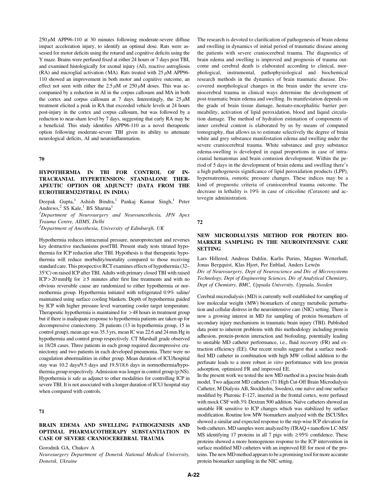$250 \mu M$  APP96-110 at 30 minutes following moderate-severe diffuse impact acceleration injury, to identify an optimal dose. Rats were assessed for motor deficits using the rotarod and cognitive deficits using the Y maze. Brains were perfused fixed at either 24 hours or 7 days post TBI, and examined histologically for axonal injury (AI), reactive astrogliosis (RA) and microglial activation (MA). Rats treated with  $25 \mu M$  APP96-110 showed an improvement in both motor and cognitive outcome, an effect not seen with either the  $2.5 \mu M$  or  $250 \mu M$  doses. This was accompanied by a reduction in AI in the corpus callosum and MA in both the cortex and corpus callosum at 7 days. Interestingly, the  $25 \mu M$ treatment elicited a peak in RA that exceeded vehicle levels at 24 hours post-injury in the cortex and corpus callosum, but was followed by a reduction to near-sham level by 7 days, suggesting that early RA may be a beneficial. This study identifies APP96-110 as a novel therapeutic option following moderate-severe TBI given its ability to attenuate neurological deficits, AI and neuroinflammation.

#### 70

# HYPOTHERMIA IN TBI FOR CONTROL OF IN-TRACRANIAL HYPERTENSION: STANDALONE THER-APEUTIC OPTION OR ADJUNCT? (DATA FROM THE EUROTHERM3235TRIAL IN INDIA)

Deepak Gupta,<sup>1</sup> Ashish Bindra,<sup>1</sup> Pankaj Kumar Singh,<sup>1</sup> Peter Andrews, $2$  SS Kale, $1$  BS Sharma<sup>1</sup>

<sup>1</sup>Department of Neurosurgery and Neuroanesthesia, JPN Apex Trauma Centre, AIIMS, Delhi

 $^{2}$ Department of Anesthesia, University of Edinburgh, UK

Hypothermia reduces intracranial pressure, neuroprotectant and reverses key destructive mechanisms postTBI. Present study tests titrated hypothermia for ICP reduction after TBI. Hypothesis is that therapeutic hypothermia will reduce morbidity/mortality compared to those receiving standard care. This prospective RCT examines effects of hypothermia (32– 35-C) on raised ICP after TBI. Adults with primary closed TBI with raised ICP > 20 mmHg for  $\geq$  5 minutes after first line treatments and with no obvious reversible cause are randomized to either hypothermia or normothermia group. Hypothermia initiated with refrigerated 0.9% saline/ maintained using surface cooling blankets. Depth of hypothermia guided by ICP with higher pressure level warranting cooler target temperature. Therapeutic hypothermia is maintained for > 48 hours in treatment group but if there is inadequate response to hypothermia patients are taken up for decompressive craniectomy. 28 patients (13 in hypothermia group, 15 in control group), mean age was 35.3 yrs, mean IC was 22.6 and 24 mm Hg in hypothermia and control group respectively. CT Marshall grade observed in 18/28 cases. Three patients in each group required decompressive craniectomy and two patients in each developed pneumonia. There were no coagulation abnormalities in either group. Mean duration of ICU/hospital stay was 10.2 days/9.5 days and 19.5/18.6 days in normothermia/hypothermia group respectively. Admission was longer in control group (p:NS). Hypothermia is safe as adjunct to other modalities for controlling ICP in severe TBI. It is not associated with a longer duration of ICU/ hospital stay when compared with controls.

# 71

## BRAIN EDEMA AND SWELLING PATHOGENESIS AND OPTIMAL PHARMACOTHERAPY SUBSTANTIATION IN CASE OF SEVERE CRANIOCEREBRAL TRAUMA

Gorodnik GA, Chukov A

Neurosurgery Department of Donetsk National Medical University, Donetsk, Ukraine

The research is devoted to clarification of pathogenesis of brain edema and swelling in dynamics of initial period of traumatic disease among the patients with severe craniocerebral trauma. The diagnostics of brain edema and swelling is improved and prognosis of trauma outcome and cerebral death is elaborated according to clinical, morphological, instrumental, pathophysiological and biochemical research methods in the dynamics of brain traumatic disease. Discovered morphological changes in the brain under the severe craniocerebral trauma in clinical ways determine the development of post-traumatic brain edema and swelling. Its manifestation depends on the grade of brain tissue damage, hemato-encephalitic barrier permeability, activation of lipid peroxidation, blood and liquid circulation damage. The method of hydration estimation of components of inner cerebral content is elaborated by us by means of computed tomography, that allows us to estimate selectively the degree of brain white and grey substance manifestation edema and swelling under the severe craniocerebral trauma. White substance and grey substance edema-swelling is developed in equal proportions in case of intracranial hematomas and brain contusion development. Within the period of 5 days in the development of brain edema and swelling there's a high pathogenesis significance of lipid peroxidation products (LPP), hypernatremia, osmotic pressure changes. These indices may be a kind of prognostic criteria of craniocerebral trauma outcome. The decrease in lethality is 19% in case of citicoline (Ceraxon) and actovegin administration.

#### 72

## NEW MICRODIALYSIS METHOD FOR PROTEIN BIO-MARKER SAMPLING IN THE NEUROINTENSIVE CARE **SETTING**

Lars Hillered, Andreas Dahlin, Karlis Purins, Magnus Wetterhall, Jonas Bergquist, Klas Hjort, Per Enblad, Anders Lewén

Div of Neurosurgery, Dept of Neuroscience and Div of Microsystems Technology, Dept of Engineering Sciences, Div of Analytical Chemistry, Dept of Chemistry, BMC, Uppsala University, Uppsala, Sweden

Cerebral microdialysis (MD) is currently well established for sampling of low molecular weight (MW) biomarkers of energy metabolic perturbation and cellular distress in the neurointensive care (NIC) setting. There is now a growing interest in MD for sampling of protein biomarkers of secondary injury mechanisms in traumatic brain injury (TBI). Published data point to inherent problems with this methodology including protein adhesion, protein-protein interaction and biofouling, potentially leading to unstable MD catheter performance, i.e., fluid recovery (FR) and extraction efficiency (EE). Our recent results suggest that a surface modified MD catheter in combination with high MW colloid addition to the perfusate leads to a more robust in vitro performance with less protein adsorption, optimized FR and improved EE.

In the present work we tested the new MD method in a porcine brain death model. Two adjacent MD catheters (71 High Cut-Off Brain Microdialysis Catheter, M Dialysis AB, Stockholm, Sweden), one naïve and one surface modified by Pluronic F-127, inserted in the frontal cortex, were perfused with mock CSF with 3% Dextran 500 addition. Naïve catheters showed an unstable FR sensitive to ICP changes which was stabilized by surface modification. Routine low MW biomarkers analyzed with the ISCUSflex showed a similar and expected response to the step-wise ICP elevation for both catheters. MD samples were analyzed by iTRAQ + nanoflow LC-MS/ MS identifying 17 proteins in all 7 pigs with  $\geq$ 95% confidence. These proteins showed a more homogenous response to the ICP intervention in surface modified MD catheters with an improved EE for most of the proteins. The new MD method appears to be a promising tool for more accurate protein biomarker sampling in the NIC setting.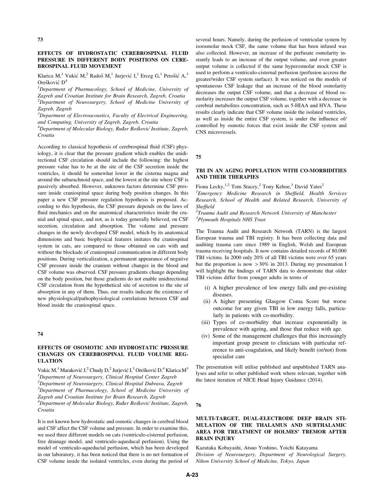# EFFECTS OF HYDROSTATIC CEREBROSPINAL FLUID PRESSURE IN DIFFERENT BODY POSITIONS ON CERE-BROSPINAL FLUID MOVEMENT

Klarica M,<sup>1</sup> Vukić M,<sup>2</sup> Radoš M,<sup>1</sup> Jurjević I,<sup>1</sup> Erceg G,<sup>1</sup> Petošić A,<sup>3</sup>  $Orešković  $D^4$$ 

<sup>1</sup>Department of Pharmacology, School of Medicine, University of Zagreb and Croatian Institute for Brain Research, Zagreb, Croatia

<sup>2</sup>Department of Neurosurgery, School of Medicine University of Zagreb, Zagreb

 $3$ Department of Electroacoustics, Faculty of Electrical Engineering, and Computing, University of Zagreb, Zagreb, Croatia

<sup>4</sup>Department of Molecular Biology, Ruđer Bošković Institute, Zagreb, Croatia

According to classical hypothesis of cerebrospinal fluid (CSF) physiology, it is clear that the pressure gradient which enables the unidirectional CSF circulation should include the following: the highest pressure value has to be at the site of the CSF secretion inside the ventricles, it should be somewhat lower in the cisterna magna and around the subarachnoid space, and the lowest at the site where CSF is passively absorbed. However, unknown factors determine CSF pressure inside craniospinal space during body position changes. In this paper a new CSF pressure regulation hypothesis is proposed. According to this hypothesis, the CSF pressure depends on the laws of fluid mechanics and on the anatomical characteristics inside the cranial and spinal space, and not, as is today generally believed, on CSF secretion, circulation and absorption. The volume and pressure changes in the newly developed CSF model, which by its anatomical dimensions and basic biophysical features imitates the craniospinal system in cats, are compared to those obtained on cats with and without the blockade of craniospinal communication in different body positions. During verticalization, a permanent appearance of negative CSF pressure inside the cranium without changes in the blood and CSF volume was observed. CSF pressure gradients change depending on the body position, but those gradients do not enable unidirectional CSF circulation from the hypothetical site of secretion to the site of absorption in any of them. Thus, our results indicate the existence of new physiological/pathophysiological correlations between CSF and blood inside the craniospinal space.

#### 74

## EFFECTS OF OSOMOTIC AND HYDROSTATIC PRESSURE CHANGES ON CEREBROSPINAL FLUID VOLUME REG-ULATION

Vukic M,<sup>1</sup> Maraković J,<sup>2</sup> Chudy D,<sup>2</sup> Jurjević I,<sup>3</sup> Orešković D,<sup>4</sup> Klarica M<sup>3</sup> <sup>1</sup>Department of Neurosurgery, Clinical Hospital Center Zagreb  $^{2}$ Department of Neurosurgery, Clinical Hospital Dubrava, Zagreb <sup>3</sup>Department of Pharmacology, School of Medicine University of Zagreb and Croatian Institute for Brain Research, Zagreb <sup>4</sup>Department of Molecular Biology, Ruđer Bošković Institute, Zagreb, Croatia

It is not known how hydrostatic and osmotic changes in cerebral blood and CSF affect the CSF volume and pressure. In order to examine this, we used three different models on cats (ventriculo-cisternal perfusion, free drainage model, and ventriculo-aqueducal perfusion). Using the model of ventriculo-aqueductal perfusion, which has been developed in our laboratory, it has been noticed that there is no net formation of CSF volume inside the isolated ventricles, even during the period of several hours. Namely, during the perfusion of ventricular system by isoosmolar mock CSF, the same volume that has been infused was also collected. However, an increase of the perfusate osmolarity instantly leads to an increase of the output volume, and even greater output volume is collected if the same hyperosmolar mock CSF is used to perform a ventriculo-cisternal perfusion (perfusion accross the greater/wider CSF system surface). It was noticed on the models of spontaneous CSF leakage that an increase of the blood osmolarity decreases the output CSF volume, and that a decrease of blood osmolarity increases the output CSF volume, together with a decrease in cerebral metabolites concentration, such as 5-HIAA and HVA. These results clearly indicate that CSF volume inside the isolated ventricles, as well as inside the entire CSF system, is under the influence of/ controlled by osmotic forces that exist inside the CSF system and CNS microvessels.

75

# TBI IN AN AGING POPULATION WITH CO-MORBIDITIES AND THEIR THERAPIES

Fiona Lecky,<sup>1,2</sup> Tom Stacey,<sup>2</sup> Tony Kehoe,<sup>3</sup> David Yates<sup>2</sup>

<sup>1</sup> Emergency Medicine Research in Sheffield, Health Services Research, School of Health and Related Research, University of Sheffield

 $2$ Trauma Audit and Research Network University of Manchester <sup>3</sup>Plymouth Hospitals NHS Trust

The Trauma Audit and Research Network (TARN) is the largest European trauma and TBI registry. It has been collecting data and auditing trauma care since 1989 in English, Welsh and European trauma receiving hospitals. It now contains detailed records of 80,000 TBI victims. In 2000 only 20% of all TBI victims were over 65 years but the proportion is now  $>30\%$  in 2013. During my presentation I will highlight the findings of TARN data to demonstrate that older TBI victims differ from younger adults in terms of

- (i) A higher prevalence of low energy falls and pre-existing diseases.
- (ii) A higher presenting Glasgow Coma Score but worse outcome for any given TBI in low energy falls, particularly in patients with co-morbidity.
- (iii) Types of co-morbidity that increase exponentially in prevalence with ageing, and those that reduce with age.
- (iv) Some of the management challenges that this increasingly important group present to clinicians with particular reference to anti-coagulation, and likely benefit (or/not) from specialist care

The presentation will utilise published and unpublished TARN analyses and refer to other published work where relevant, together with the latest iteration of NICE Head Injury Guidance (2014).

76

# MULTI-TARGET, DUAL-ELECTRODE DEEP BRAIN STI-MULATION OF THE THALAMUS AND SUBTHALAMIC AREA FOR TREATMENT OF HOLMES' TREMOR AFTER BRAIN INJURY

Kazutaka Kobayashi, Atsuo Yoshino, Yoichi Katayama Division of Neurosurgery, Department of Neurological Surgery, Nihon University School of Medicine, Tokyo, Japan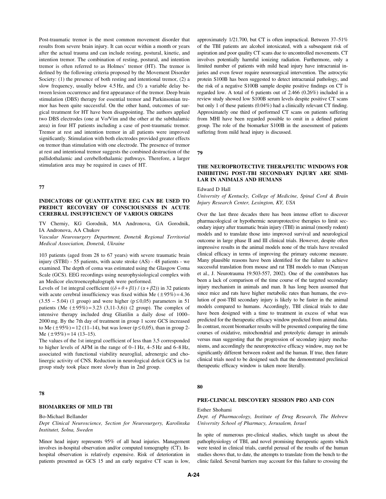Post-traumatic tremor is the most common movement disorder that results from severe brain injury. It can occur within a month or years after the actual trauma and can include resting, postural, kinetic, and intention tremor. The combination of resting, postural, and intention tremor is often referred to as Holmes' tremor (HT). The tremor is defined by the following criteria proposed by the Movement Disorder Society: (1) the presence of both resting and intentional tremor, (2) a slow frequency, usually below 4.5 Hz, and (3) a variable delay between lesion occurrence and first appearance of the tremor. Deep brain stimulation (DBS) therapy for essential tremor and Parkinsonian tremor has been quite successful. On the other hand, outcomes of surgical treatment for HT have been disappointing. The authors applied two DBS electrodes (one at Vo/Vim and the other at the subthalamic area) in four HT patients including a case of post-traumatic tremor. Tremor at rest and intention tremor in all patients were improved significantly. Stimulation with both electrodes provided greater effects on tremor than stimulation with one electrode. The presence of tremor at rest and intentional tremor suggests the combined destruction of the pallidothalamic and cerebellothalamic pathways. Therefore, a larger stimulation area may be required in cases of HT.

## 77

## INDICATORS OF QUANTITATIVE EEG CAN BE USED TO PREDICT RECOVERY OF CONSCIOUSNESS IN ACUTE CEREBRAL INSUFFICIENCY OF VARIOUS ORIGINS

TV Cherniy, KG Gorodnik, MA Andronova, GA Gorodnik, IA Andronova, AA Chukov

Vascular Neurosurgery Department, Donetsk Regional Territorial Medical Association, Donetsk, Ukraine

103 patients (aged from 28 to 67 years) with severe traumatic brain injury (STBI) - 55 patients, with acute stroke (AS) - 48 patients - we examined. The depth of coma was estimated using the Glasgow Coma Scale (GCS). EEG recordings using neurophysiological complex with an Medicor electroencephalograph were performed.

Levels of 1st integral coefficient  $((\delta + \theta + \beta 1) / (\alpha + \beta 2))$  in 32 patients with acute cerebral insufficiency was fixed within Me  $(\pm 95\%) = 4.36$  $(3.55 - 5.04)$  (1 group) and were higher ( $p \le 0.05$ ) parameters in 51 patients (Me  $(\pm 95\%) = 3.23$  (3,11-3,6)) (2 group). The complex of intensive therapy included drug Gliatilin a daily dose of 1000– 2000 mg. By the 7th day of treatment in group 1 score GCS increased to Me  $(\pm 95\%) = 12 (11-14)$ , but was lower ( $p \le 0.05$ ), than in group 2-Me  $(\pm 95\%) = 14 (13-15)$ .

The values of the 1st integral coefficient of less than 3,5 corresponded to higher levels of AFM in the range of 0–1 Hz, 4–5 Hz and 6–8 Hz, associated with functional viability neuroglial, adrenergic and cholinergic activity of CNS. Reduction in neurological deficit GCS in 1st group study took place more slowly than in 2nd group.

## 78

## BIOMARKERS OF MILD TBI

Bo-Michael Bellander

Dept Clinical Neuroscience, Section for Neurosurgery, Karolinska Institutet, Solna, Sweden

Minor head injury represents 95% of all head injuries. Management involves in-hospital observation and/or computed tomography (CT). Inhospital observation is relatively expensive. Risk of deterioration in patients presented as GCS 15 and an early negative CT scan is low, approximately 1/21.700, but CT is often impractical. Between 37–51% of the TBI patients are alcohol intoxicated, with a subsequent risk of aspiration and poor quality CT scans due to uncontrolled movements. CT involves potentially harmful ionizing radiation. Furthermore, only a limited number of patients with mild head injury have intracranial injuries and even fewer require neurosurgical intervention. The astrocytic protein S100B has been suggested to detect intracranial pathology, and the risk of a negative S100B sample despite positive findings on CT is regarded low. A total of 6 patients out of 2.466 (0.26%) included in a review study showed low S100B serum levels despite positive CT scans but only 1 of these patients (0.04%) had a clinically relevant CT finding. Approximately one third of performed CT scans on patients suffering from MHI have been regarded possible to omit in a defined patient group. The role of the biomarker S100B in the assessment of patients suffering from mild head injury is discussed.

79

# THE NEUROPROTECTIVE THERAPEUTIC WINDOWS FOR INHIBITING POST-TBI SECONDARY INJURY ARE SIMI-LAR IN ANIMALS AND HUMANS

## Edward D Hall

University of Kentucky, College of Medicine, Spinal Cord & Brain Injury Research Center, Lexington, KY, USA

Over the last three decades there has been intense effort to discover pharmacological or hypothermic neuroprotective therapies to limit secondary injury after traumatic brain injury (TBI) in animal (mostly rodent) models and to translate those into improved survival and neurological outcome in large phase II and III clinical trials. However, despite often impressive results in the animal models none of the trials have revealed clinical efficacy in terms of improving the primary outcome measure. Many plausible reasons have been identified for the failure to achieve successful translation from mouse and rat TBI models to man (Narayan et al., J. Neurotrauma 19:503-557, 2002). One of the contributors has been a lack of comparison of the time course of the targeted secondary injury mechanism in animals and man. It has long been assumed that since mice and rats have higher metabolic rates than humans, the evolution of post-TBI secondary injury is likely to be faster in the animal models compared to humans. Accordingly, TBI clinical trials to date have been designed with a time to treatment in excess of what was predicted for the therapeutic efficacy window predicted from animal data. In contrast, recent biomarker results will be presented comparing the time courses of oxidative, mitochondrial and proteolytic damage in animals versus man suggesting that the progression of secondary injury mechanisms, and accordingly the neuroprotective efficacy window, may not be significantly different between rodent and the human. If true, then future clinical trials need to be designed such that the demonstrated preclinical therapeutic efficacy window is taken more literally.

#### 80

## PRE-CLINICAL DISCOVERY SESSION PRO AND CON

#### Esther Shohami

Dept. of Pharmacology, Institute of Drug Research, The Hebrew University School of Pharmacy, Jerusalem, Israel

In spite of numerous pre-clinical studies, which taught us about the pathophysiology of TBI, and novel promising therapeutic agents which were tested in clinical trials, careful perusal of the results of the human studies shows that, to date, the attempts to translate from the bench to the clinic failed. Several barriers may account for this failure to crossing the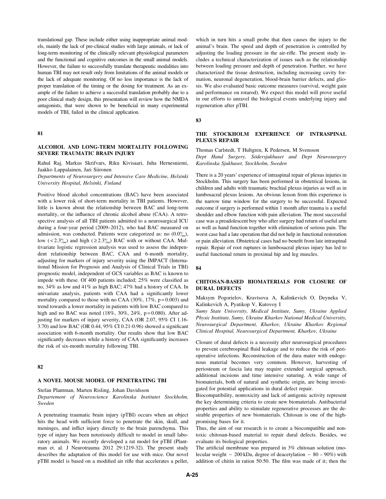translational gap. These include either using inappropriate animal models, mainly the lack of pre-clinical studies with large animals, or lack of long-term monitoring of the clinically relevant physiological parameters and the functional and cognitive outcomes in the small animal models. However, the failure to successfully translate therapeutic modalities into human TBI may not result only from limitations of the animal models or the lack of adequate monitoring. Of no less importance is the lack of proper translation of the timing or the dosing for treatment. As an example of the failure to achieve a successful translation probably due to a poor clinical study design, this presentation will review how the NMDA antagonists, that were shown to be beneficial in many experimental models of TBI, failed in the clinical application.

#### 81

## ALCOHOL AND LONG-TERM MORTALITY FOLLOWING SEVERE TRAUMATIC BRAIN INJURY

Rahul Raj, Markus Skrifvars, Riku Kivisaari, Juha Hernesniemi, Jaakko Lappalainen, Jari Siironen

Departments of Neurosurgery and Intensive Care Medicine, Helsinki University Hospital, Helsinki, Finland

Positive blood alcohol concentrations (BAC) have been associated with a lower risk of short-term mortality in TBI patients. However, little is known about the relationship between BAC and long-term mortality, or the influence of chronic alcohol abuse (CAA). A retrospective analysis of all TBI patients admitted to a neurosurgical ICU during a four-year period (2009–2012), who had BAC measured on admission, was conducted. Patients were categorized as: no  $(0.0\%_{0.0})$ , low ( $\langle 2.3\% \rangle$  and high ( $\geq 2.3\%$ ) BAC with or without CAA. Multivariate logistic regression analysis was used to assess the independent relationship between BAC, CAA and 6-month mortality, adjusting for markers of injury severity using the IMPACT (International Mission for Prognosis and Analysis of Clinical Trials in TBI) prognostic model, independent of GCS variables as BAC is known to impede with these. Of 400 patients included; 25% were classified as no, 34% as low and 41% as high BAC; 47% had a history of CAA. In univariate analysis, patients with CAA had a significantly lower mortality compared to those with no CAA  $(30\%, 17\%, p=0.003)$  and trend towards a lower mortality in patients with low BAC compared to high and no BAC was noted  $(18\%, 30\%, 24\%, p=0.080)$ . After adjusting for markers of injury severity, CAA (OR 2.07, 95% CI 1.16- 3.70) and low BAC (OR 0.44, 95% CI 0.21-0.96) showed a significant association with 6-month mortality. Our results show that low BAC significantly decreases while a history of CAA significantly increases the risk of six-month mortality following TBI.

### 82

## A NOVEL MOUSE MODEL OF PENETRATING TBI

Stefan Plantman, Marten Risling, Johan Davidsson

Departement of Neuroscience Karolinska Institutet Stockholm, Sweden

A penetrating traumatic brain injury (pTBI) occurs when an object hits the head with sufficient force to penetrate the skin, skull, and meninges, and inflict injury directly to the brain parenchyma. This type of injury has been notoriously difficult to model in small laboratory animals. We recently developed a rat model for pTBI (Plantman et. al. J Neurotrauma 2012 29:1219-32). The present study describes the adaptation of this model for use with mice. Our novel pTBI model is based on a modified air rifle that accelerates a pellet,

which in turn hits a small probe that then causes the injury to the animal's brain. The speed and depth of penetration is controlled by adjusting the loading pressure in the air-rifle. The present study includes a technical characterization of issues such as the relationship between loading pressure and depth of penetration. Further, we have characterized the tissue destruction, including increasing cavity formation, neuronal degeneration, blood-brain barrier defects, and gliosis. We also evaluated basic outcome measures (survival, weight gain and performance on rotarod). We expect this model will prove useful in our efforts to unravel the biological events underlying injury and regeneration after pTBI.

83

## THE STOCKHOLM EXPERIENCE OF INTRASPINAL PLEXUS REPAIR

Thomas Carlstedt, T Hultgren, K Pedersen, M Svensson Dept Hand Surgery, Södersjukhuset and Dept Neurosurgery Karolinska Sjukhuset, Stockholm, Sweden

There is a 20 years' experience of intraspinal repair of plexus injuries in Stockholm. This surgery has been performed in obstetrical lesions, in children and adults with traumatic brachial plexus injuries as well as in lumbosacral plexus lesions. An obvious lesson from this experience is the narrow time window for the surgery to be successful. Expected outcome if surgery is performed within 1 month after trauma is a useful shoulder and elbow function with pain alleviation. The most successful case was a preadolescent boy who after surgery had return of useful arm as well as hand function together with elimination of serious pain. The worst case had a late operation that did not help in functional restoration or pain alleviation. Obstetrical cases had no benefit from late intraspinal repair. Repair of root ruptures in lumbosacral plexus injury has led to useful functional return in proximal hip and leg muscles.

#### 84

## CHITOSAN-BASED BIOMATERIALS FOR CLOSURE OF DURAL DEFECTS

Maksym Pogorielov, Kravtsova A, Kalinkevich O, Deyneka V, Kalinkevich A, Pyatikop V, Kutovoy I

Sumy State University, Medical Institute, Sumy, Ukraine Applied Physic Institute, Sumy, Ukraine Kharkov National Medical University, Neurosurgical Department, Kharkov, Ukraine Kharkov Regional Clinical Hospital, Neurosurgical Department, Kharkov, Ukraine

Closure of dural defects is a necessity after neurosurgical procedures to prevent cerebrospinal fluid leakage and to reduce the risk of perioperative infections. Reconstruction of the dura mater with endogenous material becomes very common. However, harvesting of periosteum or fascia lata may require extended surgical approach, additional incisions and time intensive suturing. A wide range of biomaterials, both of natural and synthetic origin, are being investigated for potential applications in dural defect repair.

Biocompatibility, nontoxicity and lack of antigenic activity represent the key determining criteria to create new biomaterials. Antibacterial properties and ability to stimulate regenerative processes are the desirable properties of new biomaterials. Chitosan is one of the highpromising bases for it.

Thus, the aim of our research is to create a biocompatible and nontoxic chitosan-based material to repair dural defects. Besides, we evaluate its biological properties.

The artificial membrane was prepared in 3% chitosan solution (molecular weight  $-200$  kDa, degree of deacetylation  $-80 - 90\%$ ) with addition of chitin in ration 50:50. The film was made of it; then the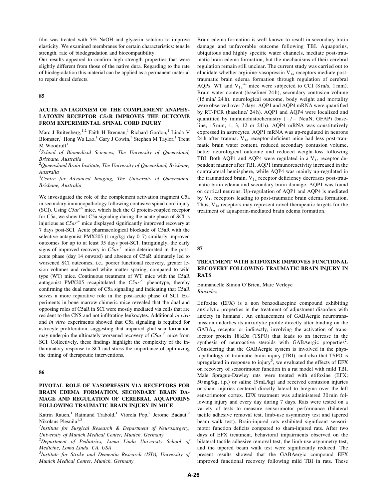film was treated with 5% NaOH and glycerin solution to improve elasticity. We examined membranes for certain characteristics: tensile strength, rate of biodegradation and biocompatibility.

Our results appeared to confirm high strength properties that were slightly different from those of the native dura. Regarding to the rate of biodegradation this material can be applied as a permanent material to repair dural defects.

85

## ACUTE ANTAGONISM OF THE COMPLEMENT ANAPHY-LATOXIN RECEPTOR C5aR IMPROVES THE OUTCOME FROM EXPERIMENTAL SPINAL CORD INJURY

Marc J Ruitenberg,<sup>1,2</sup> Faith H Brennan,<sup>1</sup> Richard Gordon,<sup>1</sup> Linda V Blomster,<sup>1</sup> Hong Wa Lao,<sup>1</sup> Gary J Cowin,<sup>3</sup> Stephen M Taylor,<sup>1</sup> Trent  $M$  Woodruff<sup>1</sup>

<sup>1</sup>School of Biomedical Sciences, The University of Queensland, Brisbane, Australia

 $^{2}$ Queensland Brain Institute, The University of Queensland, Brisbane, Australia

<sup>3</sup>Centre for Advanced Imaging, The University of Queensland, Brisbane, Australia

We investigated the role of the complement activation fragment C5a in secondary immunopathology following contusive spinal cord injury (SCI). Using  $C5ar^{-1}$  mice, which lack the G protein-coupled receptor for C5a, we show that C5a signaling during the acute phase of SCI is injurious as  $C5ar^{-1}$  mice displayed significantly improved recovery at 7 days post-SCI. Acute pharmacological blockade of C5aR with the selective antagonist PMX205 (1 mg/kg; day 0–7) similarly improved outcomes for up to at least 35 days post-SCI. Intriguingly, the early signs of improved recovery in  $C5ar^{-1}$  mice deteriorated in the postacute phase (day 14 onward) and absence of C5aR ultimately led to worsened SCI outcomes, i.e., poorer functional recovery, greater lesion volumes and reduced white matter sparing, compared to wild type (WT) mice. Continuous treatment of WT mice with the C5aR antagonist PMX205 recapitulated the  $C5ar^{-1}$  phenotype, thereby confirming the dual nature of C5a signaling and indicating that C5aR serves a more reparative role in the post-acute phase of SCI. Experiments in bone marrow chimeric mice revealed that the dual and opposing roles of C5aR in SCI were mostly mediated via cells that are resident to the CNS and not infiltrating leukocytes. Additional in vivo and in vitro experiments showed that C5a signaling is required for astrocyte proliferation, suggesting that impaired glial scar formation may underpin the ultimately worsened recovery of  $C5ar^{-1}$  mice from SCI. Collectively, these findings highlight the complexity of the inflammatory response to SCI and stress the importance of optimizing the timing of therapeutic interventions.

#### 86

## PIVOTAL ROLE OF VASOPRESSIN V1A RECEPTORS FOR BRAIN EDEMA FORMATION, SECONDARY BRAIN DA-MAGE AND REGULATION OF CEREBRAL AQUAPORINS FOLLOWING TRAUMATIC BRAIN INJURY IN MICE

Katrin Rauen,<sup>1</sup> Raimund Trabold,<sup>1</sup> Viorela Pop,<sup>2</sup> Jerome Badaut,<sup>2</sup> Nikolaus Plesnila<sup>1,3</sup>

<sup>1</sup>Institute for Surgical Research & Department of Neurosurgery, University of Munich Medical Center, Munich, Germany

<sup>2</sup>Department of Pediatrics, Loma Linda University School of Medicine, Loma Linda, CA, USA

<sup>3</sup>Institute for Stroke and Dementia Research (ISD), University of Munich Medical Center, Munich, Germany

Brain edema formation is well known to result in secondary brain damage and unfavorable outcome following TBI. Aquaporins, ubiquitous and highly specific water channels, mediate post-traumatic brain edema formation, but the mechanisms of their cerebral regulation remain still unclear. The current study was carried out to elucidate whether arginine-vasopressin  $V_{1a}$  receptors mediate posttraumatic brain edema formation through regulation of cerebral AQPs. WT and  $V_{1a}$ <sup>-/-</sup> mice were subjected to CCI (8 m/s, 1 mm). Brain water content (baseline/ 24 h), secondary contusion volume (15 min/ 24 h), neurological outcome, body weight and mortality were observed over 7 days. AQP1 and AQP4 mRNA were quantified by RT-PCR (baseline/ 24 h). AQP1 and AQP4 were localized and quantified by immunohistochemistry  $(+/-$  NeuN, GFAP) (baseline, 15 min, 1, 3, 12 or 24 h). AQP4 mRNA was constitutively expressed in astrocytes. AQP1 mRNA was up-regulated in neurons 24 h after trauma.  $V_{1a}$  receptor-deficient mice had less post-traumatic brain water content, reduced secondary contusion volume, better neurological outcome and reduced weight-loss following TBI. Both AQP1 and AQP4 were regulated in a  $V_{1a}$  receptor dependent manner after TBI. AQP1 immunoreactivity increased in the contralateral hemisphere, while AQP4 was mainly up-regulated in the traumatized brain.  $V_{1a}$  receptor deficiency decreases post-traumatic brain edema and secondary brain damage. AQP1 was found on cortical neurons. Up-regulation of AQP1 and AQP4 is mediated by  $V_{1a}$  receptors leading to post-traumatic brain edema formation. Thus,  $V_{1a}$  receptors may represent novel therapeutic targets for the treatment of aquaporin-mediated brain edema formation.

87

## TREATMENT WITH ETIFOXINE IMPROVES FUNCTIONAL RECOVERY FOLLOWING TRAUMATIC BRAIN INJURY IN RATS

Emmanuelle Simon O'Brien, Marc Verleye **Biocodex** 

Etifoxine (EFX) is a non benzodiazepine compound exhibiting anxiolytic properties in the treatment of adjustment disorders with anxiety in humans<sup>1</sup>. An enhancement of GABAergic neurotransmission underlies its anxiolytic profile directly after binding on the GABAA receptor or indirectly, involving the activation of translocator protein 18 kDa (TSPO) that leads to an increase in the synthesis of neuroactive steroids with GABAergic properties<sup>2</sup>. Considering that the GABAergic system is involved in the physiopathology of traumatic brain injury (TBI), and also that TSPO is upregulated in response to injury<sup>3</sup>, we evaluated the effects of EFX on recovery of sensorimotor function in a rat model with mild TBI. Male Sprague-Dawley rats were treated with etifoxine (EFX; 50 mg/kg, i.p.) or saline (5 mL/kg) and received contusion injuries or sham injuries centered directly lateral to bregma over the left sensorimotor cortex. EFX treatment was administered 30 min following injury and every day during 7 days. Rats were tested on a variety of tests to measure sensorimotor performance (bilateral tactile adhesive removal test, limb-use asymmetry test and tapered beam walk test). Brain-injured rats exhibited significant sensorimotor function deficits compared to sham-injured rats. After two days of EFX treatment, behavioral impairments observed on the bilateral tactile adhesive removal test, the limb-use asymmetry test, and the tapered beam walk test were significantly reduced. The present results showed that the GABAergic compound EFX improved functional recovery following mild TBI in rats. These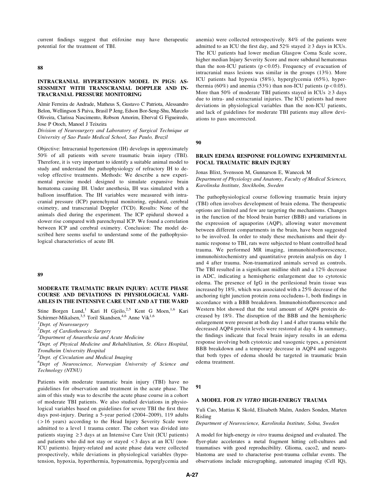current findings suggest that etifoxine may have therapeutic potential for the treatment of TBI.

#### 88

## INTRACRANIAL HYPERTENSION MODEL IN PIGS: AS-SESSMENT WITH TRANSCRANIAL DOPPLER AND IN-TRACRANIAL PRESSURE MONITORING

Almir Ferreira de Andrade, Matheus S, Gustavo C Patriota, Alessandro Belon, Wellingson S Paiva, Brasil P Jeng, Edson Bor-Seng-Shu, Marcelo Oliveira, Clarissa Nascimento, Robson Amorim, Eberval G Figueiredo, Jose P Otoch, Manoel J Teixeira

Division of Neurosurgery and Laboratory of Surgical Technique at University of Sao Paulo Medical School, Sao Paulo, Brazil

Objective: Intracranial hypertension (IH) develops in approximately 50% of all patients with severe traumatic brain injury (TBI). Therefore, it is very important to identify a suitable animal model to study and understand the pathophysiology of refractory IH to develop effective treatments. Methods: We describe a new experimental porcine model designed to simulate expansive brain hematoma causing IH. Under anesthesia, IH was simulated with a balloon insufflation. The IH variables were measured with intracranial pressure (ICP) parenchymal monitoring, epidural, cerebral oximetry, and transcranial Doppler (TCD). Results: None of the animals died during the experiment. The ICP epidural showed a slower rise compared with parenchymal ICP. We found a correlation between ICP and cerebral oximetry. Conclusion: The model described here seems useful to understand some of the pathophysiological characteristics of acute IH.

#### 89

# MODERATE TRAUMATIC BRAIN INJURY: ACUTE PHASE COURSE AND DEVIATIONS IN PHYSIOLOGICAL VARI-ABLES IN THE INTENSIVE CARE UNIT AND AT THE WARD

Stine Borgen Lund,<sup>1</sup> Kari H Gjeilo,<sup>2,5</sup> Kent G Moen,<sup>1,6</sup> Kari Schirmer-Mikalsen,<sup>3,5</sup> Toril Skandsen,<sup>4,6</sup> Anne Vik<sup>1,6</sup>

<sup>1</sup>Dept. of Neurosurgery

<sup>2</sup>Dept. of Cardiothoracic Surgery

<sup>3</sup>Department of Anaesthesia and Acute Medicine

<sup>4</sup>Dept. of Physical Medicine and Rehabilitation, St. Olavs Hospital, Trondheim University Hospital

 ${}^{5}$ Dept. of Circulation and Medical Imaging

<sup>6</sup>Dept of Neuroscience, Norwegian University of Science and Technology (NTNU)

Patients with moderate traumatic brain injury (TBI) have no guidelines for observation and treatment in the acute phase. The aim of this study was to describe the acute phase course in a cohort of moderate TBI patients. We also studied deviations in physiological variables based on guidelines for severe TBI the first three days post-injury. During a 5-year period (2004–2009), 119 adults ( > 16 years) according to the Head Injury Severity Scale were admitted to a level 1 trauma center. The cohort was divided into patients staying  $\geq$  3 days at an Intensive Care Unit (ICU patients) and patients who did not stay or stayed < 3 days at an ICU (non-ICU patients). Injury-related and acute phase data were collected prospectively, while deviations in physiological variables (hypotension, hypoxia, hyperthermia, hyponatremia, hyperglycemia and anemia) were collected retrospectively. 84% of the patients were admitted to an ICU the first day, and  $52\%$  stayed  $\geq 3$  days in ICUs. The ICU patients had lower median Glasgow Coma Scale score, higher median Injury Severity Score and more subdural hematomas than the non-ICU patients ( $p < 0.05$ ). Frequency of evacuation of intracranial mass lesions was similar in the groups (13%). More ICU patients had hypoxia (58%), hyperglycemia (65%), hyperthermia (60%) and anemia (53%) than non-ICU patients ( $p < 0.05$ ). More than 50% of moderate TBI patients stayed in ICUs  $\geq$  3 days due to intra- and extracranial injuries. The ICU patients had more deviations in physiological variables than the non-ICU patients, and lack of guidelines for moderate TBI patients may allow deviations to pass uncorrected.

90

## BRAIN EDEMA RESPONSE FOLLOWING EXPERIMENTAL FOCAL TRAUMATIC BRAIN INJURY

Jonas Blixt, Svensson M, Gunnarson E, Wanecek M Department of Physiology and Anatomy, Faculty of Medical Sciences, Karolinska Institute, Stockholm, Sweden

The pathophysiological course following traumatic brain injury (TBI) often involves development of brain edema. The therapeutic options are limited and few are targeting the mechanisms. Changes in the function of the blood brain barrier (BBB) and variations in the expression of aquaporins (AQP), allowing water movement between different compartments in the brain, have been suggested to be involved. In order to study these mechanisms and their dynamic response to TBI, rats were subjected to blunt controlled head trauma. We performed MR imaging, immunohistofluorescence, immunohistochemistry and quantitative protein analysis on day 1 and 4 after trauma. Non-traumatized animals served as controls. The TBI resulted in a significant midline shift and a 12% decrease in ADC, indicating a hemispheric enlargement due to cytotoxic edema. The presence of IgG in the perilesional brain tissue was increased by 18%, which was associated with a 25% decrease of the anchoring tight junction protein zona occludens-1, both findings in accordance with a BBB breakdown. Immunohistofluorescence and Western blot showed that the total amount of AQP4 protein decreased by 18%. The disruption of the BBB and the hemispheric enlargement were present at both day 1 and 4 after trauma while the decreased AQP4 protein levels were restored at day 4. In summary, the findings indicate that focal brain injury results in an edema response involving both cytotoxic and vasogenic types, a persistent BBB breakdown and a temporary decrease in AQP4 and suggests that both types of edema should be targeted in traumatic brain edema treatment.

## 91

## A MODEL FOR IN VITRO HIGH-ENERGY TRAUMA

Yuli Cao, Mattias K Skold, Elisabeth Malm, Anders Sonden, Marten Risling

Department of Neuroscience, Karolinska Institute, Solna, Sweden

A model for high-energy in vitro trauma designed and evaluated. The flyer-plate accelerates a metal fragment hitting cell-cultures and traumatises with good reproducibility. Glioma, caco2, and neuroblastoma are used to characterise post-trauma cellular events. The observations include micrographing, automated imaging (Cell IQ),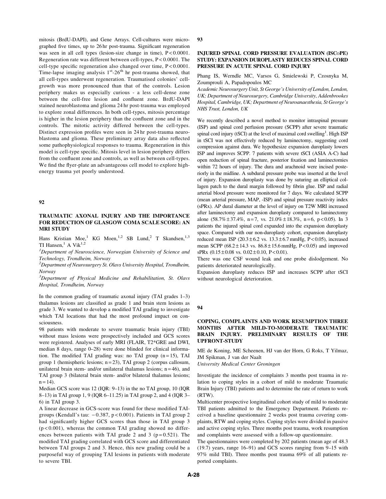mitosis (BrdU-DAPI), and Gene Arrays. Cell-cultures were micrographed five times, up to 26 hr post-trauma. Significant regeneration was seen in all cell types (lesion-size change in time),  $P < 0.0001$ . Regeneration rate was different between cell-types, P < 0.0001. The cell-type specific regeneration also changed over time, P < 0.0001. Time-lapse imaging analysis  $1<sup>st</sup> - 26<sup>th</sup>$  hr post-trauma showed, that all cell-types underwent regeneration. Traumatised colonies' cellgrowth was more pronounced than that of the controls. Lesion periphery makes us especially curious - a less cell-dense zone between the cell-free lesion and confluent zone. BrdU-DAPI stained neuroblastoma and glioma 24 hr post-trauma was employed to explore zonal differences. In both cell-types, mitosis percentage is higher in the lesion periphery than the confluent zone and in the controls. The mitotic activity differed between the cell-types. Distinct expression profiles were seen in 24 hr post-trauma neuroblastoma and glioma. These preliminary array data also reflected some pathophysiological responses to trauma. Regeneration in this model is cell-type specific. Mitosis level in lesion periphery differs from the confluent zone and controls, as well as between cell-types. We find the flyer-plate an advantageous cell model to explore highenergy trauma yet poorly understood.

#### 92

## TRAUMATIC AXONAL INJURY AND THE IMPORTANCE FOR REDUCTION OF GLASGOW COMA SCALE SCORE: AN MRI STUDY

Hans Kristian Moe,<sup>1</sup> KG Moen,<sup>1,2</sup> SB Lund,<sup>2</sup> T Skandsen,<sup>1,3</sup> TI Hansen,<sup>1</sup> A Vik<sup>1,2</sup>

<sup>1</sup>Department of Neuroscience, Norwegian University of Science and Technology, Trondheim, Norway

 $^{2}$ Department of Neurosurgery St. Olavs University Hospital, Trondheim, Norway

<sup>3</sup>Department of Physical Medicine and Rehabilitation, St. Olavs Hospital, Trondheim, Norway

In the common grading of traumatic axonal injury (TAI grades 1–3) thalamus lesions are classified as grade 1 and brain stem lesions as grade 3. We wanted to develop a modified TAI grading to investigate which TAI locations that had the most profound impact on consciousness.

98 patients with moderate to severe traumatic brain injury (TBI) without mass lesions were prospectively included and GCS scores were registered. Analyses of early MRI (FLAIR, T2\*GRE and DWI, median 8 days, range 0–28) were done blinded for clinical information. The modified TAI grading was: no TAI group  $(n = 15)$ , TAI group 1 (hemispheric lesions;  $n = 23$ ), TAI group 2 (corpus callosum, unilateral brain stem- and/or unilateral thalamus lesions;  $n = 46$ ), and TAI group 3 (bilateral brain stem- and/or bilateral thalamus lesions;  $n = 14$ ).

Median GCS score was 12 (IQR: 9–13) in the no TAI group, 10 (IQR 8–13) in TAI group 1, 9 (IQR 6–11.25) in TAI group 2, and 4 (IQR 3– 6) in TAI group 3.

A linear decrease in GCS-score was found for these modified TAIgroups (Kendall's tau:  $-0.387$ ,  $p < 0.001$ ). Patients in TAI group 2 had significantly higher GCS scores than those in TAI group 3  $(p < 0.001)$ , whereas the common TAI grading showed no differences between patients with TAI grade 2 and 3 ( $p = 0.521$ ). The modified TAI grading correlated with GCS score and differentiated between TAI groups 2 and 3. Hence, this new grading could be a purposeful way of grouping TAI lesions in patients with moderate to severe TBI.

#### 93

## INJURED SPINAL CORD PRESSURE EVALUATION (ISCoPE) STUDY: EXPANSION DUROPLASTY REDUCES SPINAL CORD PRESSURE IN ACUTE SPINAL CORD INJURY

Phang IS, Werndle MC, Varsos G, Smielewski P, Czosnyka M, Zoumprouli A, Papadopoulos MC

Academic Neurosurgery Unit, St George's University of London, London, UK; Department of Neurosurgery, Cambridge University, Addenbrookes Hospital, Cambridge, UK; Department of Neuroanaesthesia, St George's NHS Trust, London, UK

We recently described a novel method to monitor intraspinal pressure (ISP) and spinal cord perfusion pressure (SCPP) after severe traumatic spinal cord injury (tSCI) at the level of maximal cord swelling<sup>1</sup>. High ISP in tSCI was not effectively reduced by laminectomy, suggesting cord compression against dura. We hypothesize expansion duroplasty lowers ISP and improves SCPP. 7 patients with severe tSCI (ASIA A-C) had open reduction of spinal fracture, posterior fixation and laminectomies within 72 hours of injury. The dura and arachnoid were incised posteriorly in the midline. A subdural pressure probe was inserted at the level of injury. Expansion duroplasty was done by suturing an elliptical collagen patch to the dural margin followed by fibrin glue. ISP and radial arterial blood pressure were monitored for 7 days. We calculated SCPP (mean arterial pressure, MAP, -ISP) and spinal pressure reactivity index (sPRx). AP dural diameter at the level of injury on T2W MRI increased after laminectomy and expansion duroplasty compared to laminectomy alone  $(58.7\% \pm 37.4\%, n=7, vs. 21.0\% \pm 18.3\%, n=6, p<0.05)$ . In 3 patients the injured spinal cord expanded into the expansion duroplasty space. Compared with our non-duroplasty cohort, expansion duroplasty reduced mean ISP  $(20.3 \pm 6.2 \text{ vs. } 13.3 \pm 6.7 \text{ mmHg}, P < 0.05)$ , increased mean SCPP ( $68.2 \pm 14.3$  vs.  $86.8 \pm 15.6$  mmHg, P < 0.05) and improved  $sPRx$  (0.15  $\pm$  0.08 vs. 0.02  $\pm$  0.10, P < 0.01).

There was one CSF wound leak and one probe dislodgement. No patients deteriorated neurologically.

Expansion duroplasty reduces ISP and increases SCPP after tSCI without neurological deterioration.

#### 94

## COPING, COMPLAINTS AND WORK RESUMPTION THREE MONTHS AFTER MILD-TO-MODERATE TRAUMATIC BRAIN INJURY. PRELIMINARY RESULTS OF THE UPFRONT-STUDY

ME de Koning, ME Scheenen, HJ van der Horn, G Roks, T Yilmaz, JM Spikman, J van der Naalt

University Medical Center Groningen

Investigate the incidence of complaints 3 months post trauma in relation to coping styles in a cohort of mild to moderate Traumatic Brain Injury (TBI) patients and to determine the rate of return to work (RTW).

Multicenter prospective longitudinal cohort study of mild to moderate TBI patients admitted to the Emergency Department. Patients received a baseline questionnaire 2 weeks post trauma covering complaints, RTW and coping styles. Coping styles were divided in passive and active coping styles. Three months post trauma, work resumption and complaints were assessed with a follow-up questionnaire.

The questionnaires were completed by 202 patients (mean age of 48.3 (19.7) years, range 16–91) and GCS scores ranging from 9–15 with 97% mild TBI). Three months post trauma 69% of all patients reported complaints.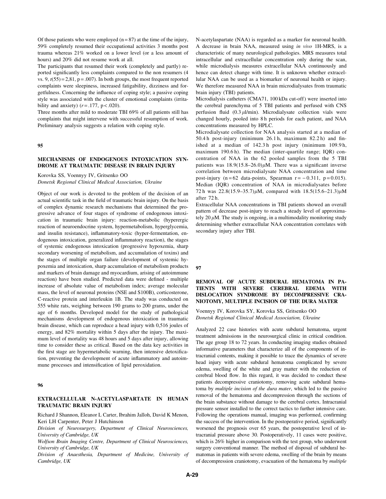Of those patients who were employed  $(n = 87)$  at the time of the injury, 59% completely resumed their occupational activities 3 months post trauma whereas 21% worked on a lower level (or a less amount of hours) and 20% did not resume work at all.

The participants that resumed their work (completely and partly) reported significantly less complaints compared to the non resumers (4 vs.  $9, t(55) = 2,81, p = .007$ . In both groups, the most frequent reported complaints were sleepiness, increased fatigability, dizziness and forgetfulness. Concerning the influence of coping style; a passive coping style was associated with the cluster of emotional complaints (irritability and anxiety)  $(r=.177, p < .020)$ .

Three months after mild to moderate TBI 69% of all patients still has complaints that might intervene with successful resumption of work. Preliminary analysis suggests a relation with coping style.

### 95

## MECHANISMS OF ENDOGENOUS INTOXICATION SYN-DROME AT TRAUMATIC DISEASE IN BRAIN INJURY

Korovka SS, Voennyy IV, Gritsenko OO

Donetsk Regional Clinical Medical Association, Ukraine

Object of our work is devoted to the problem of the decision of an actual scientific task in the field of traumatic brain injury. On the basis of complex dynamic research mechanisms that determined the progressive advance of four stages of syndrome of endogenous intoxication in traumatic brain injury: reaction-metabolic (hyperergic reaction of neuroendocrine system, hypermetabolism, hyperglycemia, and insulin resistance), inflammatory-toxic (hyper-fermentation, endogenous intoxication, generalized inflammatory reaction), the stages of systemic endogenous intoxication (progressive hypoxemia, sharp secondary worsening of metabolism, and accumulation of toxins) and the stages of multiple organ failure (development of systemic hypoxemia and intoxication, sharp accumulation of metabolism products and markers of brain damage and myocardium, arising of autoimmune reaction) have been studied. Predicted data were defined - multiple increase of absolute value of metabolism index; average molecular mass, the level of neuronal proteins (NSE and S100B), corticosterone, C-reactive protein and interleukin 1B. The study was conducted on 555 white rats, weighing between 190 grams to 200 grams, under the age of 6 months. Developed model for the study of pathological mechanisms development of endogenous intoxication in traumatic brain disease, which can reproduce a head injury with 0,516 joules of energy, and 82% mortality within 5 days after the injury. The maximum level of mortality was 48 hours and 5 days after injury, allowing time to consider these as critical. Based on the data key activities in the first stage are hypermetabolic warning, then intensive detoxification, preventing the development of acute inflammatory and autoimmune processes and intensification of lipid peroxidation.

#### 96

## EXTRACELLULAR N-ACETYLASPARTATE IN HUMAN TRAUMATIC BRAIN INJURY

Richard J Shannon, Eleanor L Carter, Ibrahim Jalloh, David K Menon, Keri LH Carpenter, Peter J Hutchinson

Division of Neurosurgery, Department of Clinical Neurosciences, University of Cambridge, UK

Wolfson Brain Imaging Centre, Department of Clinical Neurosciences, University of Cambridge, UK

Division of Anaesthesia, Department of Medicine, University of Cambridge, UK

N-acetylaspartate (NAA) is regarded as a marker for neuronal health. A decrease in brain NAA, measured using in vivo 1H-MRS, is a characteristic of many neurological pathologies. MRS measures total intracellular and extracellular concentration only during the scan, while microdialysis measures extracellular NAA continuously and hence can detect change with time. It is unknown whether extracellular NAA can be used as a biomarker of neuronal health or injury. We therefore measured NAA in brain microdialysates from traumatic brain injury (TBI) patients.

Microdialysis catheters (CMA71, 100 kDa cut-off) were inserted into the cerebral parenchyma of 5 TBI patients and perfused with CNS perfusion fluid  $(0.3 \mu l/min)$ . Microdialysate collection vials were changed hourly, pooled into 8 h periods for each patient, and NAA concentrations measured by HPLC.

Microdialysate collection for NAA analysis started at a median of 50.4 h post-injury (minimum 26.1 h, maximum 82.2 h) and finished at a median of 142.3 h post injury (minimum 109.9 h, maximum 190.6 h). The median (inter-quartile range; IQR) concentration of NAA in the 62 pooled samples from the 5 TBI patients was  $18.9(15.8-26.0)\mu M$ . There was a significant inverse correlation between microdialysate NAA concentration and time post-injury (n = 62 data-points, Spearman  $r = -0.311$ , p = 0.015). Median (IQR) concentration of NAA in microdialysates before 72 h was  $22.8(15.9-35.7)\mu M$ , compared with  $18.5(15.6-21.3)\mu M$ after 72 h.

Extracellular NAA concentrations in TBI patients showed an overall pattern of decrease post-injury to reach a steady level of approximately 20  $\mu$ M. The study is ongoing, in a multimodality monitoring study determining whether extracellular NAA concentration correlates with secondary injury after TBI.

#### 97

# REMOVAL OF ACUTE SUBDURAL HEMATOMA IN PA-TIENTS WITH SEVERE CEREBRAL EDEMA WITH DISLOCATION SYNDROME BY DECOMPRESSIVE CRA-NIOTOMY, MULTIPLE INCISION OF THE DURA MATER

Voennyy IV, Korovka SY, Korovka SS, Gritsenko OO Donetsk Regional Clinical Medical Association, Ukraine

Analyzed 22 case histories with acute subdural hematoma, urgent treatment admissions in the neurosurgical clinic in critical condition. The age group 18 to 72 years. In conducting imaging studies obtained informative parameters that characterize all of the components of intracranial contents, making it possible to trace the dynamics of severe head injury with acute subdural hematoma complicated by severe edema, swelling of the white and gray matter with the reduction of cerebral blood flow. In this regard, it was decided to conduct these patients decompressive craniotomy, removing acute subdural hematoma by multiple incision of the dura mater, which led to the passive removal of the hematoma and decompression through the sections of the brain substance without damage to the cerebral cortex. Intracranial pressure sensor installed to the correct tactics to further intensive care. Following the operations manual, imaging was performed, confirming the success of the intervention. In the postoperative period, significantly worsened the prognosis over 65 years, the postoperative level of intracranial pressure above 30. Postoperatively, 11 cases were positive, which is 26% higher in comparison with the test group, who underwent surgery conventional manner. The method of disposal of subdural hematomas in patients with severe edema, swelling of the brain by means of decompression craniotomy, evacuation of the hematoma by multiple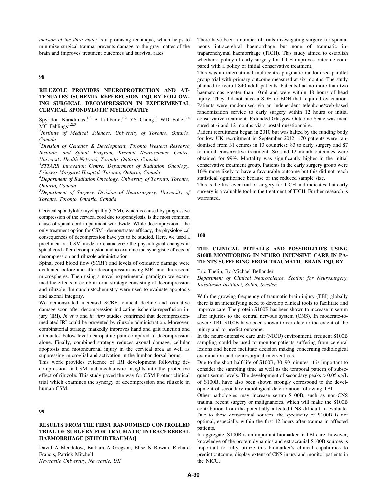incision of the dura mater is a promising technique, which helps to minimize surgical trauma, prevents damage to the gray matter of the brain and improves treatment outcomes and survival rates.

#### 98

## RILUZOLE PROVIDES NEUROPROTECTION AND AT-TENUATES ISCHEMIA REPERFUSION INJURY FOLLOW-ING SURGICAL DECOMPRESSION IN EXPERIMENTAL CERVICAL SPONDYLOTIC MYELOPATHY

Spyridon Karadimas,<sup>1,2</sup> A Laliberte,<sup>1,2</sup> YS Chung,<sup>2</sup> WD Foltz,<sup>3,4</sup>  $MG$  Fehlings<sup>1,2,5</sup>

<sup>1</sup>Institute of Medical Sciences, University of Toronto, Ontario, Canada

 $^{2}$ Division of Genetics & Development, Toronto Western Research Institute, and Spinal Program, Krembil Neuroscience Centre, University Health Network, Toronto, Ontario, Canada

<sup>3</sup>STTARR Innovation Centre, Department of Radiation Oncology, Princess Margaret Hospital, Toronto, Ontario, Canada

 ${}^{4}$ Department of Radiation Oncology, University of Toronto, Toronto, Ontario, Canada

5 Department of Surgery, Division of Neurosurgery, University of Toronto, Toronto, Ontario, Canada

Cervical spondylotic myelopathy (CSM), which is caused by progressive compression of the cervical cord due to spondylosis, is the most common cause of spinal cord impairment worldwide. While decompression - the only treatment option for CSM - demonstrates efficacy, the physiological consequences of decompression have yet to be studied. Here, we used a preclinical rat CSM model to characterize the physiological changes in spinal cord after decompression and to examine the synergistic effects of decompression and riluzole administration.

Spinal cord blood flow (SCBF) and levels of oxidative damage were evaluated before and after decompression using MRI and fluorescent microspheres. Then using a novel experimental paradigm we examined the effects of combinatorial strategy consisting of decompression and riluzole. Immunohistochemistry were used to evaluate apoptosis and axonal integrity.

We demonstrated increased SCBF, clinical decline and oxidative damage soon after decompression indicating ischemia-reperfusion injury (IRI). In vivo and in vitro studies confirmed that decompressionmediated IRI could be prevented by riluzole administration. Moreover, combinatorial strategy markedly improves hand and gait function and attenuates below-level neuropathic pain compared to decompression alone. Finally, combined strategy reduces axonal damage, cellular apoptosis and motoneuronal injury in the cervical area as well as suppressing microglial and activation in the lumbar dorsal horns.

This work provides evidence of IRI development following decompression in CSM and mechanistic insights into the protective effect of riluzole. This study paved the way for CSM Protect clinical trial which examines the synergy of decompression and riluzole in human CSM.

## 99

# RESULTS FROM THE FIRST RANDOMISED CONTROLLED TRIAL OF SURGERY FOR TRAUMATIC INTRACEREBRAL HAEMORRHAGE [STITCH(TRAUMA)]

David A Mendelow, Barbara A Gregson, Elise N Rowan, Richard Francis, Patrick Mitchell Newcastle University, Newcastle, UK

There have been a number of trials investigating surgery for spontaneous intracerebral haemorrhage but none of traumatic intraparenchymal haemorrhage (TICH). This study aimed to establish whether a policy of early surgery for TICH improves outcome compared with a policy of initial conservative treatment.

This was an international multicentre pragmatic randomised parallel group trial with primary outcome measured at six months. The study planned to recruit 840 adult patients. Patients had no more than two haematomas greater than 10 ml and were within 48 hours of head injury. They did not have a SDH or EDH that required evacuation. Patients were randomised via an independent telephone/web-based randomisation service to early surgery within 12 hours or initial conservative treatment. Extended Glasgow Outcome Scale was measured at 6 and 12 months via a postal questionnaire.

Patient recruitment began in 2010 but was halted by the funding body for low UK recruitment in September 2012. 170 patients were randomised from 31 centres in 13 countries:; 83 to early surgery and 87 to initial conservative treatment. Six and 12 month outcomes were obtained for 99%. Mortality was significantly higher in the initial conservative treatment group. Patients in the early surgery group were 10% more likely to have a favourable outcome but this did not reach statistical significance because of the reduced sample size.

This is the first ever trial of surgery for TICH and indicates that early surgery is a valuable tool in the treatment of TICH. Further research is warranted.

#### 100

## THE CLINICAL PITFALLS AND POSSIBILITIES USING S100B MONITORING IN NEURO INTENSIVE CARE IN PA-TIENTS SUFFERING FROM TRAUMATIC BRAIN INJURY

Eric Thelin, Bo-Michael Bellander

Department of Clinical Neuroscience, Section for Neurosurgery, Karolinska Institutet, Solna, Sweden

With the growing frequency of traumatic brain injury (TBI) globally there is an intensifying need to develop clinical tools to facilitate and improve care. The protein S100B has been shown to increase in serum after injuries to the central nervous system (CNS). In moderate-tosevere TBI, S100B have been shown to correlate to the extent of the injury and to predict outcome.

In the neuro-intensive care unit (NICU) environment, frequent S100B sampling could be used to monitor patients suffering from cerebral lesions and hence facilitate decision making concerning radiological examination and neurosurgical interventions.

Due to the short half-life of S100B, 30–90 minutes, it is important to consider the sampling time as well as the temporal pattern of subsequent serum levels. The development of secondary peaks  $> 0.05 \mu g/L$ of S100B, have also been shown strongly correspond to the development of secondary radiological deterioration following TBI.

Other pathologies may increase serum S100B, such as non-CNS trauma, recent surgery or malignancies, which will make the S100B contribution from the potentially affected CNS difficult to evaluate. Due to these extracranial sources, the specificity of S100B is not optimal, especially within the first 12 hours after trauma in affected patients.

In aggregate, S100B is an important biomarker in TBI care; however, knowledge of the protein dynamics and extracranial S100B sources is important to fully utilize this biomarker's clinical capabilities to predict outcome, display extent of CNS injury and monitor patients in the NICU.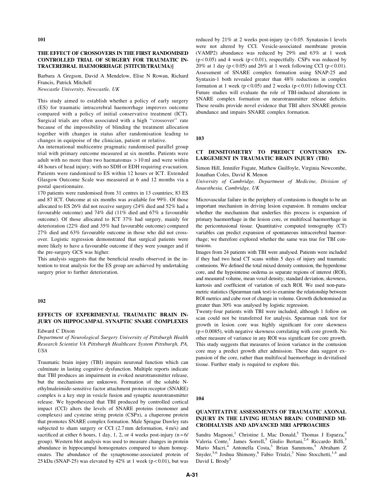## THE EFFECT OF CROSSOVERS IN THE FIRST RANDOMISED CONTROLLED TRIAL OF SURGERY FOR TRAUMATIC IN-TRACEREBRAL HAEMORRHAGE [STITCH(TRAUMA)]

Barbara A Gregson, David A Mendelow, Elise N Rowan, Richard Francis, Patrick Mitchell

Newcastle University, Newcastle, UK

This study aimed to establish whether a policy of early surgery (ES) for traumatic intracerebral haemorrhage improves outcome compared with a policy of initial conservative treatment (ICT). Surgical trials are often associated with a high ''crossover'' rate because of the impossibility of blinding the treatment allocation together with changes in status after randomisation leading to changes in equipoise of the clinician, patient or relative.

An international multicentre pragmatic randomised parallel group trial with primary outcome measured at six months. Patients were adult with no more than two haematomas > 10 ml and were within 48 hours of head injury; with no SDH or EDH requiring evacuation. Patients were randomised to ES within 12 hours or ICT. Extended Glasgow Outcome Scale was measured at 6 and 12 months via a postal questionnaire.

170 patients were randomised from 31 centres in 13 countries; 83 ES and 87 ICT. Outcome at six months was available for 99%. Of those allocated to ES 26% did not receive surgery (24% died and 52% had a favourable outcome) and 74% did (11% died and 67% a favourable outcome). Of those allocated to ICT 37% had surgery, mainly for deterioration (22% died and 35% had favourable outcome) compared 27% died and 63% favourable outcome in those who did not crossover. Logistic regression demonstrated that surgical patients were more likely to have a favourable outcome if they were younger and if the pre-surgery GCS was higher.

This analysis suggests that the beneficial results observed in the intention to treat analysis for the ES group are achieved by undertaking surgery prior to further deterioration.

#### 102

# EFFECTS OF EXPERIMENTAL TRAUMATIC BRAIN IN-JURY ON HIPPOCAMPAL SYNAPTIC SNARE COMPLEXES

Edward C Dixon

Department of Neurological Surgery University of Pittsburgh Health Research Scientist VA Pittsburgh Healthcare System Pittsburgh, PA, USA

Traumatic brain injury (TBI) impairs neuronal function which can culminate in lasting cognitive dysfunction. Multiple reports indicate that TBI produces an impairment in evoked neurotransmitter release, but the mechanisms are unknown. Formation of the soluble Nethylmaleimide-sensitive factor attachment protein receptor (SNARE) complex is a key step in vesicle fusion and synaptic neurotransmitter release. We hypothesized that TBI produced by controlled cortical impact (CCI) alters the levels of SNARE proteins (monomer and complexes) and cysteine string protein  $(CSP\alpha)$ , a chaperone protein that promotes SNARE complex formation. Male Sprague Dawley rats subjected to sham surgery or CCI (2.7 mm deformation, 4 m/s) and sacrificed at either 6 hours, 1 day, 1, 2, or 4 weeks post-injury  $(n=6)$ group). Western blot analysis was used to measure changes in protein abundance in hippocampal homogenates compared to sham homogenates. The abundance of the synaptosome-associated protein of 25 kDa (SNAP-25) was elevated by  $42\%$  at 1 week (p < 0.01), but was

reduced by  $21\%$  at 2 weeks post-injury ( $p < 0.05$ . Synataxin-1 levels were not altered by CCI. Vesicle-associated membrane protein (VAMP2) abundance was reduced by 29% and 63% at 1 week ( $p$ <0.05) and 4 week ( $p$ <0.01), respectfully. CSP $\alpha$  was reduced by 20% at 1 day ( $p < 0.05$ ) and 26% at 1 week following CCI ( $p < 0.01$ ). Assessment of SNARE complex formation using SNAP-25 and Syntaxin-1 both revealed greater than 48% reductions in complex formation at 1 week  $(p < 0.05)$  and 2 weeks  $(p < 0.01)$  following CCI. Future studies will evaluate the role of TBI-induced alterations in SNARE complex formation on neurotransmitter release deficits. These results provide novel evidence that TBI alters SNARE protein abundance and impairs SNARE complex formation.

#### 103

## CT DENSITOMETRY TO PREDICT CONTUSION EN-LARGEMENT IN TRAUMATIC BRAIN INJURY (TBI)

Simon Hill, Jennifer Fugate, Mathew Guilfoyle, Virginia Newcombe, Jonathan Coles, David K Menon

University of Cambridge, Department of Medicine, Division of Anaesthesia, Cambridge, UK

Microvascular failure in the periphery of contusions is thought to be an important mechanism in driving lesion expansion. It remains unclear whether the mechanism that underlies this process is expansion of primary haemorrhage in the lesion core, or multifocal haemorrhage in the pericontusional tissue. Quantitative computed tomography (CT) variables can predict expansion of spontaneous intracerebral haemorrhage; we therefore explored whether the same was true for TBI contusions.

Images from 24 patients with TBI were analysed. Patients were included if they had two head CT scans within 5 days of injury and traumatic contusions. We defined the total mixed density contusion, the hyperdense core, and the hypointense oedema as separate regions of interest (ROI), and measured volume, mean voxel density, standard deviation, skewness, kurtosis and coefficient of variation of each ROI. We used non-parametric statistics (Spearman rank test) to examine the relationship between ROI metrics and cube root of change in volume. Growth dichotomised as greater than 30% was analysed by logistic regression.

Twenty-four patients with TBI were included, although 1 follow on scan could not be transferred for analysis. Spearman rank test for growth in lesion core was highly significant for core skewness  $(p=0.0085)$ , with negative skewness correlating with core growth. No other measure of variance in any ROI was significant for core growth. This study suggests that measures of lesion variance in the contusion core may a predict growth after admission. These data suggest expansion of the core, rather than multifocal haemorrhage in devitalised tissue. Further study is required to explore this.

## 104

## QUANTITATIVE ASSESSMENTS OF TRAUMATIC AXONAL INJURY IN THE LIVING HUMAN BRAIN: COMBINED MI-CRODIALYSIS AND ADVANCED MRI APPROACHES

Sandra Magnoni,<sup>1</sup> Christine L Mac Donald,<sup>5</sup> Thomas J Esparza,<sup>5</sup> Valeria Conte,<sup>1</sup> James Sorrell,<sup>5</sup> Giulio Bertani,<sup>2,4</sup> Riccardo Biffi,<sup>3</sup> Mario Macri,<sup>4</sup> Antonella Costa,<sup>3</sup> Brian Sammons,<sup>5</sup> Abraham Z Snyder,<sup>5,6</sup> Joshua Shimony,<sup>6</sup> Fabio Triulzi,<sup>3</sup> Nino Stocchetti,<sup>1,4</sup> and David L Brody<sup>5</sup>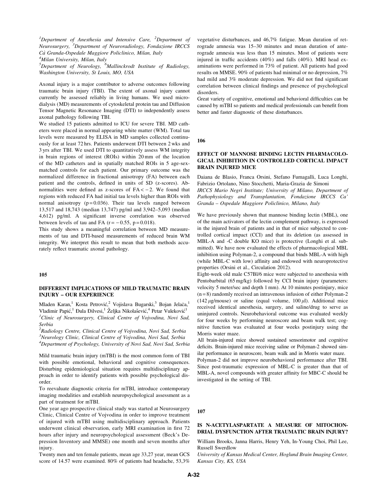<sup>1</sup>Department of Anesthesia and Intensive Care, <sup>2</sup>Department of Neurosurgery, <sup>3</sup>Department of Neuroradiology, Fondazione IRCCS Cà Granda-Ospedale Maggiore Policlinico, Milan, Italy

<sup>4</sup>Milan University, Milan, Italy

<sup>5</sup>Department of Neurology, <sup>6</sup>Mallinckrodt Institute of Radiology, Washington University, St Louis, MO, USA

Axonal injury is a major contributor to adverse outcomes following traumatic brain injury (TBI). The extent of axonal injury cannot currently be assessed reliably in living humans. We used microdialysis (MD) measurements of cytoskeletal protein tau and Diffusion Tensor Magnetic Resonance Imaging (DTI) to independently assess axonal pathology following TBI.

We studied 15 patients admitted to ICU for severe TBI. MD catheters were placed in normal appearing white matter (WM). Total tau levels were measured by ELISA in MD samples collected continuously for at least 72 hrs. Patients underwent DTI between 2 wks and 3 yrs after TBI. We used DTI to quantitatively assess WM integrity in brain regions of interest (ROIs) within 20 mm of the location of the MD catheters and in spatially matched ROIs in 5 age-sexmatched controls for each patient. Our primary outcome was the normalized difference in fractional anisotropy (FA) between each patient and the controls, defined in units of SD (z-scores). Abnormalities were defined as z-scores of  $FA < -2$ . We found that regions with reduced FA had initial tau levels higher than ROIs with normal anisotropy ( $p = 0.036$ ). Their tau levels ranged between 13,517 and 18,743 (median 13,747) pg/ml and 3,942–5,093 (median 4,612) pg/ml. A significant inverse correlation was observed between levels of tau and FA  $(r = -0.55, p = 0.018)$ .

This study shows a meaningful correlation between MD measurements of tau and DTI-based measurements of reduced brain WM integrity. We interpret this result to mean that both methods accurately reflect traumatic axonal pathology.

#### 105

## DIFFERENT IMPLICATIONS OF MILD TRAUMATIC BRAIN INJURY – OUR EXPERIENCE

Mladen Karan,<sup>1</sup> Kosta Petrović,<sup>2</sup> Vojislava Bugarski,<sup>3</sup> Bojan Jelača,<sup>1</sup> Vladimir Papić,<sup>1</sup> Đula Đilvesi,<sup>1</sup> Željka Nikolašević,<sup>4</sup> Petar Vuleković<sup>1</sup> <sup>1</sup>Clinic of Neurosurgery, Clinical Centre of Vojvodina, Novi Sad, Serbia

<sup>2</sup>Radiology Centre, Clinical Centre of Vojvodina, Novi Sad, Serbia <sup>3</sup>Neurology Clinic, Clinical Centre of Vojvodina, Novi Sad, Serbia <sup>4</sup>Department of Psychology, University of Novi Sad, Novi Sad, Serbia

Mild traumatic brain injury (mTBI) is the most common form of TBI with possible emotional, behavioral and cognitive consequences. Disturbing epidemiological situation requires multidisciplinary approach in order to identify patients with possible psychological disorder.

To reevaluate diagnostic criteria for mTBI, introduce contemporary imaging modalities and establish neuropsychological assessment as a part of treatment for mTBI.

One year ago prospective clinical study was started at Neurosurgery Clinic, Clinical Centre of Vojvodina in order to improve treatment of injured with mTBI using multidisciplinary approach. Patients underwent clinical observation, early MRI examination in first 72 hours after injury and neuropsychological assessment (Beck's Depression Inventory and MMSE) one month and seven months after injury.

Twenty men and ten female patients, mean age 33,27 year, mean GCS score of 14.57 were examined. 80% of patients had headache, 53,3%

vegetative disturbances, and 46,7% fatigue. Mean duration of retrograde amnesia was 15–30 minutes and mean duration of anterograde amnesia was less than 15 minutes. Most of patients were injured in traffic accidents (40%) and falls (40%). MRI head examinations were performed in 73% of patient. All patients had good results on MMSE. 90% of patients had minimal or no depression, 7% had mild and 3% moderate depression. We did not find significant correlation between clinical findings and presence of psychological disorders.

Great variety of cognitive, emotional and behavioral difficulties can be caused by mTBI so patients and medical professionals can benefit from better and faster diagnostic of these disturbances.

106

## EFFECT OF MANNOSE BINDING LECTIN PHARMACOLO-GICAL INHIBITION IN CONTROLLED CORTICAL IMPACT BRAIN INJURED MICE

Daiana de Blasio, Franca Orsini, Stefano Fumagalli, Luca Longhi, Fabrizio Ortolano, Nino Stocchetti, Maria-Grazia de Simoni IRCCS Mario Negri Institute; University of Milano, Department of Pathophysiology and Transplantation, Fondazione IRCCS Ca' Granda – Ospedale Maggiore Policlinico, Milano, Italy

We have previously shown that mannose binding lectin (MBL), one of the main activators of the lectin complement pathway, is expressed in the injured brain of patients and in that of mice subjected to controlled cortical impact (CCI) and that its deletion (as assessed in MBL-A and -C double KO mice) is protective (Longhi et al. submitted). We have now evaluated the effects of pharmacological MBL inhibition using Polyman-2, a compound that binds MBL-A with high (while MBL-C with low) affinity and endowed with neuroprotective properties (Orsini et al., Circulation 2012).

Eight-week old male C57Bl/6 mice were subjected to anesthesia with Pentobarbital (65 mg/kg) followed by CCI brain injury (parameters: velocity 5 meter/sec and depth 1 mm). At 10 minutes postinjury, mice  $(n=8)$  randomly received an intravenous infusion of either Polyman-2 (142  $\mu$ g/mouse) or saline (equal volume, 100  $\mu$ l). Additional mice received identical anesthesia, surgery, and saline/drug to serve as uninjured controls. Neurobehavioral outcome was evaluated weekly for four weeks by performing neuroscore and beam walk test; cognitive function was evaluated at four weeks postinjury using the Morris water maze.

All brain-injured mice showed sustained sensorimotor and cognitive deficits. Brain-injured mice receiving saline or Polyman-2 showed similar performance in neuroscore, beam walk and in Morris water maze.

Polyman-2 did not improve neurobehavioral performance after TBI. Since post-traumatic expression of MBL-C is greater than that of MBL-A, novel compounds with greater affinity for MBC-C should be investigated in the setting of TBI.

107

## IS N-ACETYLASPARTATE A MEASURE OF MITOCHON-DRIAL DYSFUNCTION AFTER TRAUMATIC BRAIN INJURY?

William Brooks, Janna Harris, Henry Yeh, In-Young Choi, Phil Lee, Russell Swerdlow

University of Kansas Medical Center, Hoglund Brain Imaging Center, Kansas City, KS, USA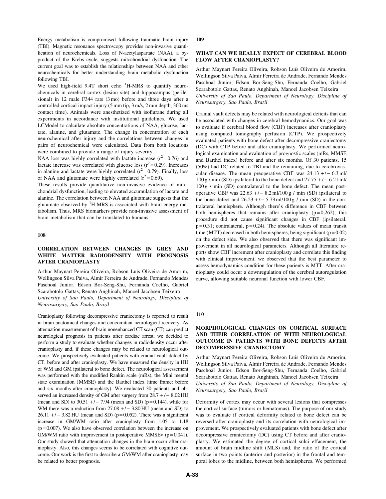Energy metabolism is compromised following traumatic brain injury (TBI). Magnetic resonance spectroscopy provides non-invasive quantification of neurochemicals. Loss of N-acetylaspartate (NAA), a byproduct of the Krebs cycle, suggests mitochondrial dysfunction. The current goal was to establish the relationships between NAA and other neurochemicals for better understanding brain metabolic dysfunction following TBI.

We used high-field  $9.4T$  short echo  ${}^{1}H$ -MRS to quantify neurochemicals in cerebral cortex (lesion site) and hippocampus (perilesional) in 12 male F344 rats (3 mo) before and three days after a controlled cortical impact injury (5 mm tip, 3 m/s, 2 mm depth, 300 ms contact time). Animals were anesthetized with isoflurane during all experiments in accordance with institutional guidelines. We used LCModel to calculate absolute concentrations of NAA, glucose, lactate, alanine, and glutamate. The change in concentration of each neurochemical after injury and the correlations between changes in pairs of neurochemical were calculated. Data from both locations were combined to provide a range of injury severity.

NAA loss was highly correlated with lactate increase  $(r^2 = 0.76)$  and lactate increase was correlated with glucose loss  $(r^2 = 0.29)$ . Increases in alanine and lactate were highly correlated  $(r^2 = 0.79)$ . Finally, loss of NAA and glutamate were highly correlated  $(r^2 = 0.69)$ .

These results provide quantitative non-invasive evidence of mitochondrial dysfunction, leading to elevated accumulation of lactate and alanine. The correlation between NAA and glutamate suggests that the glutamate observed by <sup>1</sup>H-MRS is associated with brain energy metabolism. Thus, MRS biomarkers provide non-invasive assessment of brain metabolism that can be translated to humans.

### 108

# CORRELATION BETWEEN CHANGES IN GREY AND WHITE MATTER RADIODENSITY WITH PROGNOSIS AFTER CRANIOPLASTY

Arthur Maynart Pereira Oliveira, Robson Luís Oliveira de Amorim, Wellingson Silva Paiva, Almir Ferreira de Andrade, Fernando Mendes Paschoal Junior, Edson Bor-Seng-Shu, Fernanda Coelho, Gabriel Scarabotolo Gattas, Renato Anghinah, Manoel Jacobsen Teixeira University of Sao Paulo, Department of Neurology, Discipline of

Neurosurgery, Sao Paulo, Brazil

Cranioplasty following decompressive craniectomy is reported to result in brain anatomical changes and concomitant neurological recovery. As attenuation measurement of brain nonenhanced CT scan (CT) can predict neurological prognosis in patients after cardiac arrest, we decided to perform a study to evaluate whether changes in radiodensity occur after cranioplasty and, if these changes may be related to neurological outcome. We prospectively evaluated patients with cranial vault defect by CT, before and after cranioplasty. We have measured the density in HU of WM and GM ipsilateral to bone defect. The neurological assessement was performed with the modified Rankin scale (mRs), the Mini mental state examination (MMSE) and the Barthel index (time frame: before and six months after cranioplasty). We evaluated 30 patients and observed an increased density of GM after surgery from  $28.7 + / -8.02$  HU (mean and SD) to  $30.51 + / - 7.94$  (mean and SD) (p=0.144), while for WM there was a reduction from  $27.08 + / -3.80$  HU (mean and SD) to  $26.11 + / - 3.82$  HU (mean and SD) (p=0.052). There was a significant increase in GM/WM ratio after cranioplasty from 1.05 to 1.18  $(p=0.007)$ . We also have observed correlation between the increase on GM/WM ratio with improvement in postoperative MMSEv  $(p=0.041)$ . Our study showed that attenuation changes in the brain occur after cranioplasty. Also, this changes seems to be correlated with cognitive outcome. Our work is the first to describe a GM/WM after cranioplasty may be related to better prognosis.

109

#### WHAT CAN WE REALLY EXPECT OF CEREBRAL BLOOD FLOW AFTER CRANIOPLASTY?

Arthur Maynart Pereira Oliveira, Robson Luís Oliveira de Amorim, Wellingson Silva Paiva, Almir Ferreira de Andrade, Fernando Mendes Paschoal Junior, Edson Bor-Seng-Shu, Fernanda Coelho, Gabriel Scarabotolo Gattas, Renato Anghinah, Manoel Jacobsen Teixeira University of Sao Paulo, Department of Neurology, Discipline of Neurosurgery, Sao Paulo, Brazil

Cranial vault defects may be related with neurological deficits that can be associated with changes in cerebral hemodynamics. Our goal was to evaluate if cerebral blood flow (CBF) increases after cranioplasty using computed tomography perfusion (CTP). We prospectively evaluated patients with bone defect after decompressive craniectomy (DC) with CTP before and after cranioplasty. We performed neurological examination and evaluation of prognostic scales (mRs, MMSE and Barthel index) before and after six months. Of 30 patients, 15 (50%) had DC related to TBI and the remaining, due to cerebrovascular disease. The mean preoperative CBF was  $24.13 + / -6.3$  ml/  $100 \text{ g}$  / min (SD) ipsilateral to the bone defect and  $27.75 + (-6.21 \text{ ml})$  $100 g / min$  (SD) contralateral to the bone defect. The mean postoperative CBF was  $22.63 +/- 8.2$  ml/100 g / min (SD) ipsilateral to the bone defect and  $26.23 + (-5.73 \text{ ml}/100 \text{ g} / \text{ min (SD)})$  in the contralateral hemisphere. Although there's difference in CBF between both hemispheres that remains after cranioplasty  $(p=0,262)$ , this procedure did not cause significant changes in CBF (ipsilateral,  $p = 0.31$ ; contralateral,  $p = 0.24$ ). The absolute values of mean transit time (MTT) decreased in both hemispheres, being significant ( $p = 0.02$ ) on the defect side. We also observed that there was significant improvement in all neurological parameters. Although all literature reports show CBF increment after cranioplasty and correlate this finding with clinical improvement, we observed that the best parameter to assess hemodynamics condition for these parients is MTT. After cranioplasty could occur a downregulation of the cerebral autoregulation curve, allowing suitable neuronal function with lower CBF.

# 110

## MORPHOLOGICAL CHANGES ON CORTICAL SURFACE AND THEIR CORRELATION OF WITH NEUROLOGICAL OUTCOME IN PATIENTS WITH BONE DEFECTS AFTER DECOMPRESSIVE CRANIECTOMY

Arthur Maynart Pereira Oliveira, Robson Luís Oliveira de Amorim, Wellingson Silva Paiva, Almir Ferreira de Andrade, Fernando Mendes Paschoal Junior, Edson Bor-Seng-Shu, Fernanda Coelho, Gabriel Scarabotolo Gattas, Renato Anghinah, Manoel Jacobsen Teixeira University of Sao Paulo, Department of Neurology, Discipline of Neurosurgery, Sao Paulo, Brazil

Deformity of cortex may occur with several lesions that compresses the cortical surface (tumors or hematomas). The purpose of our study was to evaluate if cortical deformity related to bone defect can be reversed after cranioplasty and its correlation with neurological improvement. We prospectively evaluated patients with bone defect after decompressive craniectomy (DC) using CT before and after cranioplasty. We estimated the degree of cortical sulci effacement, the amount of brain midline shift (MLS) and, the ratio of the cortical surface in two points (anterior and posterior) in the frontal and temporal lobes to the midline, between both hemispheres. We performed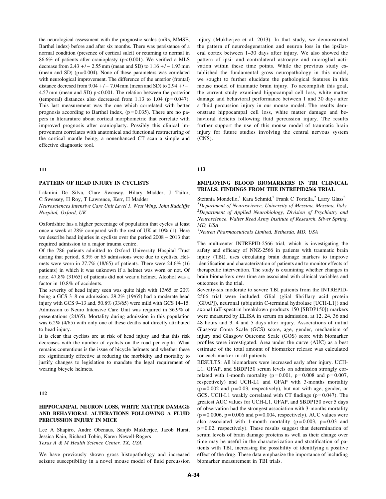the neurological assessment with the prognostic scales (mRs, MMSE, Barthel index) before and after six months. There was persistence of a normal condition (presence of cortical sulci) or returning to normal in 86.6% of patients after cranioplasty (p < 0.001). We verified a MLS decrease from  $2.43 + / - 2.55$  mm (mean and SD) to  $1.16 + / - 1.93$  mm (mean and SD) ( $p = 0.004$ ). None of these parameters was correlated with neurological improvement. The difference of the anterior (frontal) distance decresed from  $9.04 + / - 7.04$  mm (mean and SD) to  $2.94 + / -$ 4.57 mm (mean and SD) p < 0.001. The relation between the posterior (temporal) distances also decreased from 1.13 to 1.04 ( $p = 0.047$ ). This last measurement was the one which correlated with better prognosis according to Barthel index,  $(p=0.035)$ . There are no papers in literarature about cortical morphometric that correlate with improved prognosis after cranioplasty. Possibly this clinical improvement correlates with anatomical and functional restructuring of the cortical mantle being, a nonenhanced CT scan a simple and effective diagnostic tool.

## 111

## PATTERN OF HEAD INJURY IN CYCLISTS

Lakmini De Silva, Clare Sweasey, Hilary Madder, J Tailor, C Sweasey, H Roy, T Lawrence, Kerr, H Madder

Neurosciences Intensive Care Unit Level 1, West Wing, John Radcliffe Hospital, Oxford, UK

Oxfordshire has a higher percentage of population that cycles at least once a week at 28% compared with the rest of UK at 10% (1). Here we describe head injuries in cyclists over the period 2008 – 2013 that required admission to a major trauma centre.

Of the 786 patients admitted to Oxford University Hospital Trust during that period, 8.3% or 65 admissions were due to cyclists. Helmets were worn in 27.7% (18/65) of patients. There were 24.6% (16 patients) in which it was unknown if a helmet was worn or not. Of note, 47.8% (31/65) of patients did not wear a helmet. Alcohol was a factor in 10.8% of accidents.

The severity of head injury seen was quite high with 13/65 or 20% being a GCS 3–8 on admission. 29.2% (19/65) had a moderate head injury with GCS 9–13 and, 50.8% (33/65) were mild with GCS 14–15. Admission to Neuro Intensive Care Unit was required in 36.9% of presentations (24/65). Mortality during admission in this population was 6.2% (4/65) with only one of these deaths not directly attributed to head injury.

It is clear that cyclists are at risk of head injury and that this risk decreases with the number of cyclists on the road per capita. What remains contentious is the issue of bicycle helmets and whether these are significantly effective at reducing the morbidity and mortality to justify changes to legislation to mandate the legal requirement of wearing bicycle helmets.

#### 112

## HIPPOCAMPAL NEURON LOSS, WHITE MATTER DAMAGE AND BEHAVIORAL ALTERATIONS FOLLOWING A FLUID PERCUSSION INJURY IN MICE

Lee A Shapiro, Andre Obenaus, Sanjib Mukherjee, Jacob Hurst, Jessica Kain, Richard Tobin, Karen Newell-Rogers Texas A & M Health Science Center, TX, USA

We have previously shown gross histopathology and increased seizure susceptibility in a novel mouse model of fluid percussion injury (Mukherjee et al. 2013). In that study, we demonstrated the pattern of neurodegeneration and neuron loss in the ipsilateral cortex between 1–30 days after injury. We also showed the pattern of ipsi- and contralateral astrocyte and microglial activation within these time points. While the previous study established the fundamental gross neuropathology in this model, we sought to further elucidate the pathological features in this mouse model of traumatic brain injury. To accomplish this goal, the current study examined hippocampal cell loss, white matter damage and behavioral performance between 1 and 30 days after a fluid percussion injury in our mouse model. The results demonstrate hippocampal cell loss, white matter damage and behavioral deficits following fluid percussion injury. The results further support the use of this mouse model of traumatic brain injury for future studies involving the central nervous system (CNS).

## 113

# EMPLOYING BLOOD BIOMARKERS IN TBI CLINICAL TRIALS: FINDINGS FROM THE INTREPID2566 TRIAL

Stefania Mondello,<sup>1</sup> Kara Schmid,<sup>2</sup> Frank C Tortella,<sup>2</sup> Larry Glass<sup>3</sup> <sup>1</sup>Department of Neuroscience, University of Messina, Messina, Italy  $2$ Department of Applied Neurobiology, Division of Psychiatry and Neuroscience, Walter Reed Army Institute of Research, Silver Spring, MD, USA

<sup>3</sup>Neuren Pharmaceuticals Limited, Bethesda, MD, USA

The multicenter INTREPID-2566 trial, which is investigating the safety and efficacy of NNZ-2566 in patients with traumatic brain injury (TBI), uses circulating brain damage markers to improve identification and characterization of patients and to monitor effects of therapeutic intervention. The study is examining whether changes in brain biomarkers over time are associated with clinical variables and outcomes in the trial.

Seventy-six moderate to severe TBI patients from the INTREPID-2566 trial were included. Glial (glial fibrillary acid protein [GFAP]), neuronal (ubiquitin C-terminal hydrolase [UCH-L1]) and axonal (aII-spectrin breakdown products 150 [SBDP150]) markers were measured by ELISA in serum on admission, at 12, 24, 36 and 48 hours and 3, 4 and 5 days after injury. Associations of initial Glasgow Coma Scale (GCS) score, age, gender, mechanism of injury and Glasgow Outcome Scale (GOS) score with biomarker profiles were investigated. Area under the curve (AUC) as a best estimate of the total amount of biomarker release was calculated for each marker in all patients.

RESULTS: All biomarkers were increased early after injury. UCH-L1, GFAP, and SBDP150 serum levels on admission strongly correlated with 1-month mortality ( $p = 0.001$ ,  $p = 0.008$  and  $p = 0.007$ , respectively) and UCH-L1 and GFAP with 3-months mortality  $(p=0.002$  and  $p=0.03$ , respectively), but not with age, gender, or GCS. UCH-L1 weakly correlated with CT findings ( $p = 0.047$ ). The greatest AUC values for UCH-L1, GFAP, and SBDP150 over 5 days of observation had the strongest association with 3-months mortality  $(p=0.0006, p=0.006$  and  $p=0.004$ , respectively), AUC values were also associated with 1-month mortality ( $p = 0.003$ ,  $p = 0.03$  and  $p = 0.02$ , respectively). These results suggest that determination of serum levels of brain damage proteins as well as their change over time may be useful in the characterization and stratification of patients with TBI, increasing the possibility of identifying a positive effect of the drug. These data emphasize the importance of including biomarker measurement in TBI trials.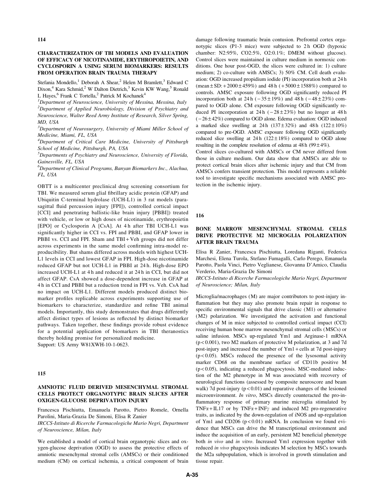114

## CHARACTERIZATION OF TBI MODELS AND EVALUATION OF EFFICACY OF NICOTINAMIDE, ERYTHROPOIETIN, AND CYCLOSPORIN A USING SERUM BIOMARKERS: RESULTS FROM OPERATION BRAIN TRAUMA THERAPY

Stefania Mondello,<sup>1</sup> Deborah A Shear,<sup>2</sup> Helen M Bramlett,<sup>3</sup> Edward C Dixon,<sup>4</sup> Kara Schmid,<sup>2</sup> W Dalton Dietrich,<sup>3</sup> Kevin KW Wang,<sup>5</sup> Ronald L Hayes, <sup>6</sup> Frank C Tortella,<sup>2</sup> Patrick M Kochanek<sup>4</sup>

 ${}^{1}$ Department of Neuroscience, University of Messina, Messina, Italy  $2$ Department of Applied Neurobiology, Division of Psychiatry and Neuroscience, Walter Reed Army Institute of Research, Silver Spring, MD, USA

 $3$ Department of Neurosurgery, University of Miami Miller School of Medicine, Miami, FL, USA

<sup>4</sup>Department of Critical Care Medicine, University of Pittsburgh School of Medicine, Pittsburgh, PA, USA

 ${}^{5}$ Departments of Psychiatry and Neuroscience, University of Florida, Gainesville, FL, USA

 $^6$ Department of Clinical Programs, Banyan Biomarkers Inc., Alachua, FL, USA

OBTT is a multicenter preclinical drug screening consortium for TBI. We measured serum glial fibrillary acidic protein (GFAP) and Ubiquitin C-terminal hydrolase (UCH-L1) in 3 rat models (parasagittal fluid percussion injury [FPI]), controlled cortical impact [CCI] and penetrating ballistic-like brain injury [PBBI]) treated with vehicle, or low or high doses of nicotinamide, erythropoietin [EPO] or Cyclosporin A [CsA]. At 4h after TBI UCH-L1 was significantly higher in CCI vs. FPI and PBBI, and GFAP lower in PBBI vs. CCI and FPI. Sham and TBI+Veh groups did not differ across experiments in the same model confirming intra-model reproducibility. But shams differed across models with highest UCH-L1 levels in CCI and lowest GFAP in FPI. High-dose nicotinamide reduced GFAP but not UCH-L1 in PBBI at 24 h. High-dose EPO increased UCH-L1 at 4 h and reduced it at 24 h in CCI, but did not affect GFAP. CsA showed a dose-dependent increase in GFAP at 4 h in CCI and PBBI but a reduction trend in FPI vs. Veh. CsA had no impact on UCH-L1. Different models produced distinct biomarker profiles replicable across experiments supporting use of biomarkers to characterize, standardize and refine TBI animal models. Importantly, this study demonstrates that drugs differently affect distinct types of lesions as reflected by distinct biomarker pathways. Taken together, these findings provide robust evidence for a potential application of biomarkers in TBI theranostics thereby holding promise for personalized medicine. Support: US Army W81XWH-10-1-0623.

#### 115

## AMNIOTIC FLUID DERIVED MESENCHYMAL STROMAL CELLS PROTECT ORGANOTYPIC BRAIN SLICES AFTER OXIGEN-GLUCOSE DEPRIVATION INJURY

Francesca Pischiutta, Emanuela Parotto, Pietro Romele, Ornella Parolini, Maria-Grazia De Simoni, Elisa R Zanier

IRCCS-Istituto di Ricerche Farmacologiche Mario Negri, Department of Neuroscience, Milan, Italy

We established a model of cortical brain organotypic slices and oxygen-glucose deprivation (OGD) to assess the protective effects of amniotic mesenchymal stromal cells (AMSCs) or their conditioned medium (CM) on cortical ischemia, a critical component of brain damage following traumatic brain contusion. Prefrontal cortex organotypic slices (P1-3 mice) were subjected to 2h OGD (hypoxic chamber: N2:95%, CO2:5%, O2:0.1%; DMEM without glucose). Control slices were maintained in culture medium in normoxic conditions. One hour post-OGD, the slices were cultured in: 1) culture medium; 2) co-culture with AMSCs; 3) 50% CM. Cell death evaluation: OGD increased propidium iodide (PI) incorporation both at 24 h (mean  $\pm$  SD: +2000 $\pm$ 459%) and 48 h (+5000 $\pm$ 1588%) compared to controls. AMSC exposure following OGD significantly reduced PI incorporation both at  $24 h (-35 \pm 19\%)$  and  $48 h (-48 \pm 23\%)$  compared to OGD alone. CM exposure following OGD significantly reduced PI incorporation at  $24 h (-28 \pm 23\%)$  but no longer at  $48 h$  $(-26 \pm 42\%)$  compared to OGD alone. Edema evaluation: OGD induced a marked slice swelling at  $24 h$  (137 $\pm$ 32%) and  $48 h$  (122 $\pm$ 10%) compared to pre-OGD. AMSC exposure following OGD significantly reduced slice swelling at  $24 h$  ( $122 \pm 18\%$ ) compared to OGD alone resulting in the complete resolution of edema at  $48h(99 \pm 4\%)$ .

Control slices co-cultured with AMSCs or CM never differed from those in culture medium. Our data show that AMSCs are able to protect cortical brain slices after ischemic injury and that CM from AMSCs confers transient protection. This model represents a reliable tool to investigate specific mechanisms associated with AMSC protection in the ischemic injury.

116

# BONE MARROW MESENCHYMAL STROMAL CELLS DRIVE PROTECTIVE M2 MICROGLIA POLARIZATION AFTER BRAIN TRAUMA

Elisa R Zanier, Francesca Pischiutta, Loredana Riganti, Federica Marchesi, Elena Turola, Stefano Fumagalli, Carlo Perego, Emanuela Parotto, Paola Vinci, Pietro Veglianese, Giovanna D'Amico, Claudia Verderio, Maria-Grazia De Simoni

IRCCS-Istituto di Ricerche Farmacologiche Mario Negri, Department of Neuroscience; Milan, Italy

Microglia/macrophages (M) are major contributors to post-injury inflammation but they may also promote brain repair in response to specific environmental signals that drive classic (M1) or alternative (M2) polarization. We investigated the activation and functional changes of M in mice subjected to controlled cortical impact (CCI) receiving human bone marrow mesenchymal stromal cells (MSCs) or saline infusion. MSCs up-regulated Ym1 and Arginase-1 mRNA (p < 0.001), two M2 markers of protective M polarization, at 3 and 7d post-injury and increased the number of Ym1 + cells at 7d post-injury  $(p<0.05)$ . MSCs reduced the presence of the lysosomal activity marker CD68 on the membrane surface of CD11b positive M  $(p<0.05)$ , indicating a reduced phagocytosis. MSC-mediated induction of the M2 phenotype in M was associated with recovery of neurological functions (assessed by composite neuroscore and beam walk) 7d post-injury  $(p < 0.01)$  and reparative changes of the lesioned microenvironment. In vitro, MSCs directly counteracted the pro-inflammatory response of primary murine microglia stimulated by TNF $\alpha$ +IL17 or by TNF $\alpha$ +INF $\gamma$  and induced M2 pro-regenerative traits, as indicated by the down-regulation of iNOS and up-regulation of Ym1 and CD206 ( $p < 0.01$ ) mRNA. In conclusion we found evidence that MSCs can drive the M transcriptional environment and induce the acquisition of an early, persistent M2 beneficial phenotype both in vivo and in vitro. Increased Ym1 expression together with reduced in vivo phagocytosis indicates M selection by MSCs towards the M2a subpopulation, which is involved in growth stimulation and tissue repair.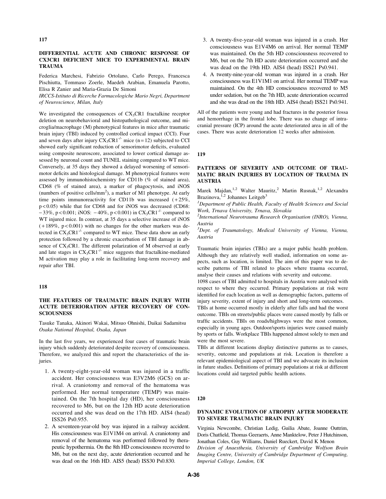## DIFFERENTIAL ACUTE AND CHRONIC RESPONSE OF CX3CR1 DEFICIENT MICE TO EXPERIMENTAL BRAIN TRAUMA

Federica Marchesi, Fabrizio Ortolano, Carlo Perego, Francesca Pischiutta, Tommaso Zoerle, Maedeh Arabian, Emanuela Parotto, Elisa R Zanier and Maria-Grazia De Simoni

IRCCS-Istituto di Ricerche Farmacologiche Mario Negri, Department of Neuroscience, Milan, Italy

We investigated the consequences of  $CX<sub>3</sub>CR1$  fractalkine receptor deletion on neurobehavioral and histopathological outcome, and microglia/macrophage (M) phenotypical features in mice after traumatic brain injury (TBI) induced by controlled cortical impact (CCI). Four and seven days after injury  $CX_3CR1^{-/-}$  mice (n = 12) subjected to CCI showed early significant reduction of sensorimotor deficits, evaluated using composite neuroscore, associated to lower cortical damage assessed by neuronal count and TUNEL staining compared to WT mice. Conversely, at 35 days they showed a delayed worsening of sensorimotor deficits and histological damage. M phenotypical features were assessed by immunohistochemistry for CD11b (% of stained area), CD68 (% of stained area), a marker of phagocytosis, and iNOS (numbers of positive cells/ $mm<sup>2</sup>$ ), a marker of M1 phenotype. At early time points immunoreactivity for CD11b was increased  $(+25\%),$ p < 0.05) while that for CD68 and for iNOS was decreased (CD68:  $-33\%$ , p < 0.001; iNOS:  $-40\%$ , p < 0.001) in CX<sub>3</sub>CR1<sup>-/-</sup> compared to WT injured mice. In contrast, at 35 days a selective increase of iNOS  $(+189\%, p<0.001)$  with no changes for the other markers was detected in  $CX_3CR1^{-/-}$  compared to WT mice. These data show an early protection followed by a chronic exacerbation of TBI damage in absence of CX<sub>3</sub>CR1. The different polarization of M observed at early and late stages in  $CX_3CR1^{-/-}$  mice suggests that fractalkine-mediated M activation may play a role in facilitating long-term recovery and repair after TBI.

## 118

## THE FEATURES OF TRAUMATIC BRAIN INJURY WITH ACUTE DETERIORATION AFTER RECOVERY OF CON-**SCIOUSNESS**

Tasuke Tanaka, Akinori Wakai, Mitsuo Ohnishi, Daikai Sadamitsu Osaka National Hospital, Osaka, Japan

In the last five years, we experienced four cases of traumatic brain injury which suddenly deteriorated despite recovery of consciousness. Therefore, we analyzed this and report the characteristics of the injuries.

- 1. A twenty-eight-year-old woman was injured in a traffic accident. Her consciousness was E3V2M6 (GCS) on arrival. A craniotomy and removal of the hematoma was performed. Her normal temperature (TEMP) was maintained. On the 7th hospital day (HD), her consciousness recovered to M6, but on the 12th HD acute deterioration occurred and she was dead on the 17th HD. AIS4 (head) ISS26 Ps0.955.
- 2. A seventeen-year-old boy was injured in a railway accident. His consciousness was E1V1M4 on arrival. A craniotomy and removal of the hematoma was performed followed by therapeutic hypothermia. On the 8th HD consciousness recovered to M6, but on the next day, acute deterioration occurred and he was dead on the 16th HD. AIS5 (head) ISS30 Ps0.830.
- 3. A twenty-five-year-old woman was injured in a crash. Her consciousness was E1V4M6 on arrival. Her normal TEMP was maintained. On the 5th HD consciousness recovered to M6, but on the 7th HD acute deterioration occurred and she was dead on the 19th HD. AIS4 (head) ISS21 Ps0.941.
- 4. A twenty-nine-year-old woman was injured in a crash. Her consciousness was E1V1M1 on arrival. Her normal TEMP was maintained. On the 4th HD consciousness recovered to M5 under sedation, but on the 7th HD, acute deterioration occurred and she was dead on the 18th HD. AIS4 (head) ISS21 Ps0.941.

All of the patients were young and had fractures in the posterior fossa and hemorrhage in the frontal lobe. There was no change of intracranial pressure (ICP) around the acute deteriorated area in all of the cases. There was acute deterioration 12 weeks after admission.

#### 119

## PATTERNS OF SEVERITY AND OUTCOME OF TRAU-MATIC BRAIN INJURIES BY LOCATION OF TRAUMA IN AUSTRIA

Marek Majdan,<sup>1,2</sup> Walter Mauritz,<sup>2</sup> Martin Rusnak,<sup>1,2</sup> Alexandra Brazinova,  $i^2$  Johannes Leitgeb<sup>3</sup>

<sup>1</sup>Department of Public Health, Faculty of Health Sciences and Social Work, Trnava University, Trnava, Slovakia

 $2$ International Neurotrauma Research Organisation (INRO), Vienna, Austria

<sup>3</sup>Dept. of Traumatology, Medical University of Vienna, Vienna, Austria

Traumatic brain injuries (TBIs) are a major public health problem. Although they are relatively well studied, information on some aspects, such as location, is limited. The aim of this paper was to describe patterns of TBI related to places where trauma occurred, analyse their causes and relations with severity and outcome.

1098 cases of TBI admitted to hospitals in Austria were analysed with respect to where they occurred. Primary populations at risk were identified for each location as well as demographic factors, patterns of injury severity, extent of injury and short and long-term outcomes.

TBIs at home occurred mostly in elderly after falls and had the worst outcome. TBIs on streets/public places were caused mostly by falls or traffic accidents. TBIs on roads/highways were the most common, especially in young ages. Outdoor/sports injuries were caused mainly by sports or falls. Workplace TBIs happened almost solely to men and were the most severe.

TBIs at different locations display distinctive patterns as to causes, severity, outcome and populations at risk. Location is therefore a relevant epidemiological aspect of TBI and we advocate its inclusion in future studies. Definitions of primary populations at risk at different locations could aid targeted public health actions.

### 120

## DYNAMIC EVOLUTION OF ATROPHY AFTER MODERATE TO SEVERE TRAUMATIC BRAIN INJURY

Virginia Newcombe, Christian Ledig, Guilia Abate, Joanne Outtrim, Doris Chatfield, Thomas Geeraerts, Anne Manktelow, Peter J Hutchinson, Jonathan Coles, Guy Williams, Daniel Rueckert, David K Menon Division of Anaesthesia, University of Cambridge Wolfson Brain Imaging Centre, University of Cambridge Department of Computing, Imperial College, London, UK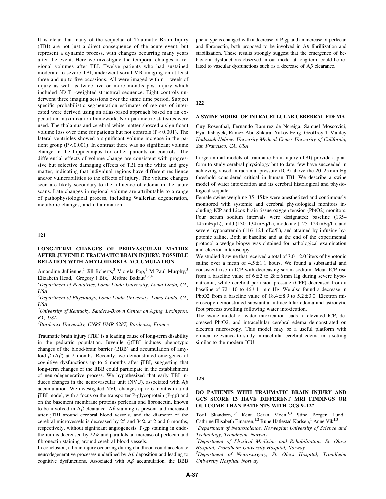It is clear that many of the sequelae of Traumatic Brain Injury (TBI) are not just a direct consequence of the acute event, but represent a dynamic process, with changes occurring many years after the event. Here we investigate the temporal changes in regional volumes after TBI. Twelve patients who had sustained moderate to severe TBI, underwent serial MR imaging on at least three and up to five occasions. All were imaged within 1 week of injury as well as twice five or more months post injury which included 3D T1-weighted structural sequence. Eight controls underwent three imaging sessions over the same time period. Subject specific probabilistic segmentation estimates of regions of interested were derived using an atlas-based approach based on an expectation-maximization framework. Non-parametric statistics were used. The thalamus and cerebral white matter showed a significant volume loss over time for patients but not controls (P < 0.001). The lateral ventricles showed a significant volume increase in the patient group  $(P < 0.001)$ . In contrast there was no significant volume change in the hippocampus for either patients or controls. The differential effects of volume change are consistent with progressive but selective damaging effects of TBI on the white and grey matter, indicating that individual regions have different resilience and/or vulnerabilities to the effects of injury. The volume changes seen are likely secondary to the influence of edema in the acute scans. Late changes in regional volume are attributable to a range of pathophysiological process, including Wallerian degeneration, metabolic changes, and inflammation.

### 121

# LONG-TERM CHANGES OF PERIVASCULAR MATRIX AFTER JUVENILE TRAUMATIC BRAIN INJURY: POSSIBLE RELATION WITH AMYLOID-BETA ACCUMULATION

Amandine Jullienne,<sup>1</sup> Jill Roberts,<sup>3</sup> Viorela Pop,<sup>1</sup> M Paul Murphy,<sup>3</sup> Elizabeth Head,<sup>3</sup> Gregory J Bix,<sup>3</sup> Jérôme Badaut<sup>1,2,4</sup>

<sup>1</sup>Department of Pediatrics, Loma Linda University, Loma Linda, CA, USA

 $^{2}$ Department of Physiology, Loma Linda University, Loma Linda, CA, USA

 $3$ University of Kentucky, Sanders-Brown Center on Aging, Lexington, KY, USA

4 Bordeaux University, CNRS UMR 5287, Bordeaux, France

Traumatic brain injury (TBI) is a leading cause of long-term disability in the pediatric population. Juvenile (j)TBI induces phenotypic changes of the blood-brain barrier (BBB) and accumulation of amyloid- $\beta$  (A $\beta$ ) at 2 months. Recently, we demonstrated emergence of cognitive dysfunctions up to 6 months after jTBI, suggesting that long-term changes of the BBB could participate in the establishment of neurodegenerative process. We hypothesized that early TBI induces changes in the neurovascular unit (NVU), associated with  $A\beta$ accumulation. We investigated NVU changes up to 6 months in a rat jTBI model, with a focus on the transporter P-glycoprotein (P-gp) and on the basement membrane proteins perlecan and fibronectin, known to be involved in  $A\beta$  clearance.  $A\beta$  staining is present and increased after jTBI around cerebral blood vessels, and the diameter of the cerebral microvessels is decreased by 25 and 34% at 2 and 6 months, respectively, without significant angiogenesis. P-gp staining in endothelium is decreased by 22% and parallels an increase of perlecan and fibronectin staining around cerebral blood vessels.

In conclusion, a brain injury occurring during childhood could accelerate neurodegenerative processes underlined by  $A\beta$  deposition and leading to cognitive dysfunctions. Associated with  $A\beta$  accumulation, the BBB

phenotype is changed with a decrease of P-gp and an increase of perlecan and fibronectin, both proposed to be involved in  $A\beta$  fibrillization and stabilization. These results strongly suggest that the emergence of behavioral dysfunctions observed in our model at long-term could be related to vascular dysfunctions such as a decrease of  $A\beta$  clearance.

## 122

#### A SWINE MODEL OF INTRACELLULAR CEREBRAL EDEMA

Guy Rosenthal, Fernando Ramirez de Noreiga, Samuel Moscovici, Eyal Itshayek, Ramez Abu Shkara, Yakov Felig, Geoffrey T Manley Hadassah-Hebrew University Medical Center University of California, San Francisco, CA, USA

Large animal models of traumatic brain injury (TBI) provide a platform to study cerebral physiology but to date, few have succeeded in achieving raised intracranial pressure (ICP) above the 20–25 mm Hg threshold considered critical in human TBI. We describe a swine model of water intoxication and its cerebral histological and physiological sequale.

Female swine weighing 35–45 kg were anesthetized and continuously monitored with systemic and cerebral physiological monitors including ICP and Licox brain tissue oxygen tension (PbtO2) monitors. Four serum sodium intervals were designated: baseline (135– 145 mEq/L), mild (130–134 mEq/L), moderate (125–129 mEq/L), and severe hyponatremia (116–124 mEq/L), and attained by infusing hypotonic saline. Both at baseline and at the end of the experimental protocol a wedge biopsy was obtained for pathological examination and electron microscopy.

We studied 8 swine that received a total of  $7.0 \pm 2.0$  liters of hypotonic saline over a mean of  $4.5 \pm 1.1$  hours. We found a substantial and consistent rise in ICP with decreasing serum sodium. Mean ICP rise from a baseline value of  $6\pm 2$  to  $28\pm 6$  mm Hg during severe hyponatremia, while cerebral perfusion pressure (CPP) decreased from a baseline of  $72 \pm 10$  to  $46 \pm 11$  mm Hg. We also found a decrease in PbtO2 from a baseline value of  $18.4 \pm 8.9$  to  $5.2 \pm 3.0$ . Electron microscopy demonstrated substantial intracellular edema and astrocytic foot process swelling following water intoxication.

The swine model of water intoxication leads to elevated ICP, decreased PbtO2, and intracellular cerebral edema demonstrated on electron microscopy. This model may be a useful platform with clinical relevance to study intracellular cerebral edema in a setting similar to the modern ICU.

123

# DO PATIENTS WITH TRAUMATIC BRAIN INJURY AND GCS SCORE 13 HAVE DIFFERENT MRI FINDINGS OR OUTCOME THAN PATIENTS WITH GCS 9–12?

Toril Skandsen,<sup>1,2</sup> Kent Geran Moen,<sup>1,3</sup> Stine Borgen Lund,<sup>3</sup> Cathrine Elisabeth Einarsen,<sup>1,2</sup> Rune Hatlestad Karlsen,<sup>1</sup> Anne Vik<sup>1,3</sup>

<sup>1</sup>Department of Neuroscience, Norwegian University of Science and Technology, Trondheim, Norway

 $2$ Department of Physical Medicine and Rehabilitation, St. Olavs Hospital, Trondheim University Hospital, Norway

<sup>3</sup>Department of Neurosurgery, St. Olavs Hospital, Trondheim University Hospital, Norway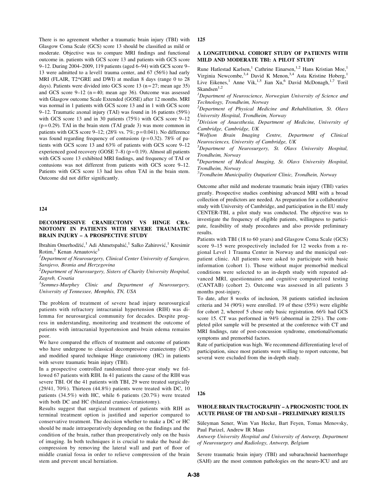There is no agreement whether a traumatic brain injury (TBI) with Glasgow Coma Scale (GCS) score 13 should be classified as mild or moderate. Objective was to compare MRI findings and functional outcome in. patients with GCS score 13 and patients with GCS score 9–12. During 2004–2009, 119 patients (aged 6–94) with GCS score 9– 13 were admitted to a level1 trauma center, and 67 (56%) had early MRI (FLAIR, T2\*GRE and DWI) at median 8 days (range 0 to 28 days). Patients were divided into GCS score 13 ( $n = 27$ ; mean age 35) and GCS score  $9-12$  (n = 40; mean age 36). Outcome was assessed with Glasgow outcome Scale Extended (GOSE) after 12 months. MRI was normal in 1 patients with GCS score 13 and in 1 with GCS score 9–12. Traumatic axonal injury (TAI) was found in 16 patients (59%) with GCS score 13 and in 30 patients (75%) with GCS score 9–12  $(p=0.29)$ . TAI in the brain stem (TAI grade 3) was more common in patients with GCS score 9–12; (28% vs. 7%;  $p = 0.041$ ). No difference was found regarding frequency of contusions ( $p = 0.32$ ). 78% of patients with GCS score 13 and 63% of patients with GCS score 9–12 experienced good recovery (GOSE 7-8) ( $p = 0.19$ ). Almost all patients with GCS score 13 exhibited MRI findings, and frequency of TAI or contusions was not different from patients with GCS score 9–12. Patients with GCS score 13 had less often TAI in the brain stem. Outcome did not differ significantly.

124

## DECOMPRESSIVE CRANIECTOMY VS HINGE CRA-NIOTOMY IN PATIENTS WITH SEVERE TRAUMATIC BRAIN INJURY – A PROSPECTIVE STUDY

Ibrahim Omerhodžić,<sup>1</sup> Adi Ahmetspahić,<sup>1</sup> Salko Zahirović,<sup>1</sup> Kresimir Rotim, $2$  Kenan Arnautovic<sup>3</sup>

 ${}^{1}$ Department of Neurosurgery, Clinical Center University of Sarajevo, Sarajevo, Bosnia and Herzegovina

 $2$ Department of Neurosurgery, Sisters of Charity University Hospital, Zagreb, Croatia

 $3$ Semmes-Murphey Clinic and Department of Neurosurgery, University of Tennessee, Memphis, TN, USA

The problem of treatment of severe head injury neurosurgical patients with refractory intracranial hypertension (RIH) was dilemma for neurosurgical community for decades. Despite progress in understanding, monitoring and treatment the outcome of patients with intracranial hypertension and brain edema remains poor.

We have compared the effects of treatment and outcome of patients who have undergone to classical decompressive craniectomy (DC) and modified spared technique Hinge craniotomy (HC) in patients with severe traumatic brain injury (TBI).

In a prospective controlled randomized three-year study we followed 67 patients with RIH. In 41 patients the cause of the RIH was severe TBI. Of the 41 patients with TBI, 29 were treated surgically (29/41, 70%). Thirteen (44.8%) patients were treated with DC, 10 patients (34.5%) with HC, while 6 patients (20.7%) were treated with both DC and HC (bilateral craniec-/craniotomy).

Results suggest that surgical treatment of patients with RIH as terminal treatment option is justified and superior compared to conservative treatment. The decision whether to make a DC or HC should be made intraoperatively depending on the findings and the condition of the brain, rather than preoperatively only on the basis of imaging. In both techniques it is crucial to make the basal decompression by removing the lateral wall and part of floor of middle cranial fossa in order to relieve compression of the brain stem and prevent uncal herniation.

125

#### A LONGITUDINAL COHORT STUDY OF PATIENTS WITH MILD AND MODERATE TBI: A PILOT STUDY

Rune Hatlestad Karlsen,<sup>1</sup> Cathrine Einarsen,<sup>1,2</sup> Hans Kristian Moe,<sup>1</sup> Virginia Newcombe,<sup>3,4</sup> David K Menon,<sup>3,4</sup> Asta Kristine Hoberg,<sup>1</sup> Live Eikenes,<sup>1</sup> Anne Vik,<sup>1,5</sup> Jian Xu,<sup>6</sup> David McDonagh,<sup>1,7</sup> Toril  $Skandsen<sup>1,2</sup>$ 

<sup>1</sup>Department of Neuroscience, Norwegian University of Science and Technology, Trondheim, Norway

 $2$ Department of Physical Medicine and Rehabilitation, St. Olavs University Hospital, Trondheim, Norway

<sup>3</sup>Division of Anaesthesia, Department of Medicine, University of Cambridge, Cambridge, UK

4 Wolfson Brain Imaging Centre, Department of Clinical Neurosciences, University of Cambridge, UK

5 Department of Neurosurgery, St. Olavs University Hospital, Trondheim, Norway

<sup>6</sup>Department of Medical Imaging, St. Olavs University Hospital, Trondheim, Norway

<sup>7</sup>Trondheim Municipality Outpatient Clinic, Trondhein, Norway

Outcome after mild and moderate traumatic brain injury (TBI) varies greatly. Prospective studies combining advanced MRI with a broad collection of predictors are needed. As preparation for a collaborative study with University of Cambridge, and participation in the EU study CENTER-TBI, a pilot study was conducted. The objective was to investigate the frequency of eligible patients, willingness to participate, feasibility of study procedures and also provide preliminary results.

Patients with TBI (18 to 60 years) and Glasgow Coma Scale (GCS) score 9–15 were prospectively included for 12 weeks from a regional Level 1 Trauma Center in Norway and the municipal outpatient clinic. All patients were asked to participate with basic information (cohort 1). Those without major premorbid medical conditions were selected to an in-depth study with repeated advanced MRI, questionnaires and cognitive computerized testing (CANTAB) (cohort 2). Outcome was assessed in all patients 3 months post-injury.

To date, after 8 weeks of inclusion, 38 patients satisfied inclusion criteria and 34 (90%) were enrolled. 19 of these (55%) were eligible for cohort 2, whereof 5 chose only basic registration. 66% had GCS score 15. CT was performed in 94% (abnormal in 22%). The completed pilot sample will be presented at the conference with CT and MRI findings, rate of post-concussion syndrome, emotional/somatic symptoms and premorbid factors.

Rate of participation was high. We recommend differentiating level of participation, since most patients were willing to report outcome, but several were excluded from the in-depth study.

126

#### WHOLE BRAIN TRACTOGRAPHY – A PROGNOSTIC TOOL IN ACUTE PHASE OF TBI AND SAH – PRELIMINARY RESULTS

Süleyman Sener, Wim Van Hecke, Bart Feyen, Tomas Menovsky, Paul Parizel, Andrew IR Maas

Antwerp University Hospital and University of Antwerp, Department of Neurosurgery and Radiology, Antwerp, Belgium

Severe traumatic brain injury (TBI) and subarachnoid haemorrhage (SAH) are the most common pathologies on the neuro-ICU and are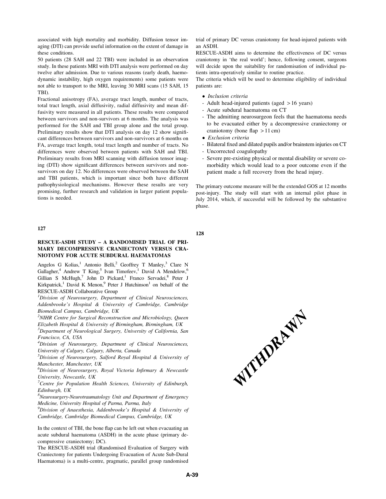associated with high mortality and morbidity. Diffusion tensor imaging (DTI) can provide useful information on the extent of damage in these conditions.

50 patients (28 SAH and 22 TBI) were included in an observation study. In these patients MRI with DTI analysis were performed on day twelve after admission. Due to various reasons (early death, haemodynamic instability, high oxygen requirements) some patients were not able to transport to the MRI, leaving 30 MRI scans (15 SAH, 15 TBI).

Fractional anisotropy (FA), average tract length, number of tracts, total tract length, axial diffusivity, radial diffusivity and mean diffusivity were measured in all patients. These results were compared between survivors and non-survivors at 6 months. The analysis was performed for the SAH and TBI group alone and the total group. Preliminary results show that DTI analysis on day 12 show significant differences between survivors and non-survivors at 6 months on FA, average tract length, total tract length and number of tracts. No differences were observed between patients with SAH and TBI. Preliminary results from MRI scanning with diffusion tensor imaging (DTI) show significant differences between survivors and nonsurvivors on day 12. No differences were observed between the SAH and TBI patients, which is important since both have different pathophysiological mechanisms. However these results are very promising, further research and validation in larger patient populations is needed.

## 127

# RESCUE-ASDH STUDY – A RANDOMISED TRIAL OF PRI-MARY DECOMPRESSIVE CRANIECTOMY VERSUS CRA-NIOTOMY FOR ACUTE SUBDURAL HAEMATOMAS

Angelos G Kolias,<sup>1</sup> Antonio Belli,<sup>2</sup> Geoffrey T Manley,<sup>3</sup> Clare N Gallagher,<sup>4</sup> Andrew T King,<sup>5</sup> Ivan Timofeev,<sup>1</sup> David A Mendelow,<sup>6</sup> Gillian S McHugh,<sup>7</sup> John D Pickard,<sup>1</sup> Franco Servadei,<sup>8</sup> Peter J Kirkpatrick,<sup>1</sup> David K Menon,<sup>9</sup> Peter J Hutchinson<sup>1</sup> on behalf of the RESCUE-ASDH Collaborative Group

<sup>1</sup>Division of Neurosurgery, Department of Clinical Neurosciences, Addenbrooke's Hospital & University of Cambridge, Cambridge Biomedical Campus, Cambridge, UK

 $2$ NIHR Centre for Surgical Reconstruction and Microbiology, Queen Elizabeth Hospital & University of Birmingham, Birmingham, UK

<sup>3</sup>Department of Neurological Surgery, University of California, San Francisco, CA, USA

 ${}^{4}$ Division of Neurosurgery, Department of Clinical Neurosciences, University of Calgary, Calgary, Alberta, Canada

<sup>5</sup>Division of Neurosurgery, Salford Royal Hospital & University of Manchester, Manchester, UK

6 Division of Neurosurgery, Royal Victoria Infirmary & Newcastle University, Newcastle, UK

 $7$ Centre for Population Health Sciences, University of Edinburgh, Edinburgh, UK

8 Neurosurgery-Neurotraumatology Unit and Department of Emergency Medicine, University Hospital of Parma, Parma, Italy

<sup>9</sup>Division of Anaesthesia, Addenbrooke's Hospital & University of Cambridge, Cambridge Biomedical Campus, Cambridge, UK

In the context of TBI, the bone flap can be left out when evacuating an acute subdural haematoma (ASDH) in the acute phase (primary decompressive craniectomy; DC).

The RESCUE-ASDH trial (Randomised Evaluation of Surgery with Craniectomy for patients Undergoing Evacuation of Acute Sub-Dural Haematoma) is a multi-centre, pragmatic, parallel group randomised

trial of primary DC versus craniotomy for head-injured patients with an ASDH.

RESCUE-ASDH aims to determine the effectiveness of DC versus craniotomy in 'the real world'; hence, following consent, surgeons will decide upon the suitability for randomisation of individual patients intra-operatively similar to routine practice.

The criteria which will be used to determine eligibility of individual patients are:

- Inclusion criteria
- Adult head-injured patients (aged > 16 years)
- Acute subdural haematoma on CT
- The admitting neurosurgeon feels that the haematoma needs to be evacuated either by a decompressive craniectomy or craniotomy (bone flap  $> 11$  cm)
- Exclusion criteria
- Bilateral fixed and dilated pupils and/or brainstem injuries on CT - Uncorrected coagulopathy
- Severe pre-existing physical or mental disability or severe comorbidity which would lead to a poor outcome even if the patient made a full recovery from the head injury.

The primary outcome measure will be the extended GOS at 12 months post-injury. The study will start with an internal pilot phase in July 2014, which, if successful will be followed by the substantive phase.

128

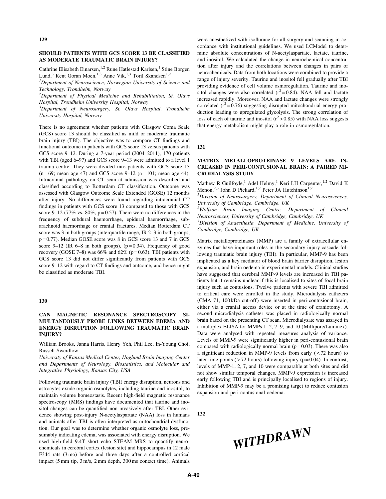## SHOULD PATIENTS WITH GCS SCORE 13 BE CLASSIFIED AS MODERATE TRAUMATIC BRAIN INJURY?

Cathrine Elisabeth Einarsen,<sup>1,2</sup> Rune Hatlestad Karlsen,<sup>1</sup> Stine Borgen Lund,<sup>3</sup> Kent Goran Moen,<sup>1,3</sup> Anne Vik,<sup>1,3</sup> Toril Skandsen<sup>1,2</sup>

<sup>1</sup>Department of Neuroscience, Norwegian University of Science and Technology, Trondheim, Norway

 $2$ Department of Physical Medicine and Rehabilitation, St. Olavs Hospital, Trondheim University Hospital, Norway

<sup>3</sup>Department of Neurosurgery, St. Olavs Hospital, Trondheim University Hospital, Norway

There is no agreement whether patients with Glasgow Coma Scale (GCS) score 13 should be classified as mild or moderate traumatic brain injury (TBI). The objective was to compare CT findings and functional outcome in patients with GCS score 13 versus patients with GCS score 9–12. During a 7-year period (2004–2011), 170 patients with TBI (aged 6–97) and GCS score 9–13 were admitted to a level 1 trauma centre. They were divided into patients with GCS score 13  $(n=69; \text{ mean age } 47)$  and GCS score  $9-12$   $(n=101; \text{ mean age } 44)$ . Intracranial pathology on CT scan at admission was described and classified according to Rotterdam CT classification. Outcome was assessed with Glasgow Outcome Scale Extended (GOSE) 12 months after injury. No differences were found regarding intracranial CT findings in patients with GCS score 13 compared to those with GCS score 9–12 (77% vs. 80%,  $p=0.57$ ). There were no differences in the frequency of subdural haemorrhage, epidural haemorrhage, subarachnoid haemorrhage or cranial fractures. Median Rotterdam CT score was 3 in both groups (interquartile range, IR 2–3 in both groups, p = 0.77). Median GOSE score was 8 in GCS score 13 and 7 in GCS score 9–12 (IR  $6-8$  in both groups), (p=0.34). Frequency of good recovery (GOSE 7–8) was  $66\%$  and  $62\%$  (p=0.63). TBI patients with GCS score 13 did not differ significantly from patients with GCS score 9–12 with regard to CT findings and outcome, and hence might be classified as moderate TBI.

### 130

# CAN MAGNETIC RESONANCE SPECTROSCOPY SI-MULTANEOUSLY PROBE LINKS BETWEEN EDEMA AND ENERGY DISRUPTION FOLLOWING TRAUMATIC BRAIN INJURY?

William Brooks, Janna Harris, Henry Yeh, Phil Lee, In-Young Choi, Russell Swerdlow

University of Kansas Medical Center, Hoglund Brain Imaging Center and Departments of Neurology, Biostatistics, and Molecular and Integrative Physiology, Kansas City, USA

Following traumatic brain injury (TBI) energy disruption, neurons and astrocytes exude organic osmolytes, including taurine and inositol, to maintain volume homeostasis. Recent high-field magnetic resonance spectroscopy (MRS) findings have documented that taurine and inositol changes can be quantified non-invasively after TBI. Other evidence showing post-injury N-acetylaspartate (NAA) loss in humans and animals after TBI is often interpreted as mitochondrial dysfunction. Our goal was to determine whether organic osmolyte loss, presumably indicating edema, was associated with energy disruption. We used high-field 9.4T short echo STEAM MRS to quantify neurochemicals in cerebral cortex (lesion site) and hippocampus in 12 male F344 rats (3 mo) before and three days after a controlled cortical impact (5 mm tip, 3 m/s, 2 mm depth, 300 ms contact time). Animals

were anesthetized with isoflurane for all surgery and scanning in accordance with institutional guidelines. We used LCModel to determine absolute concentrations of N-acetylaspartate, lactate, taurine, and inositol. We calculated the change in neurochemical concentration after injury and the correlations between changes in pairs of neurochemicals. Data from both locations were combined to provide a range of injury severity. Taurine and inositol fell gradually after TBI providing evidence of cell volume osmoregulation. Taurine and inositol changes were also correlated  $(r^2 = 0.84)$ . NAA fell and lactate increased rapidly. Moreover, NAA and lactate changes were strongly correlated  $(r^2 = 0.76)$  suggesting disrupted mitochondrial energy production leading to upregulated glycolysis. The strong correlation of loss of each of taurine and inositol  $(r^2 > 0.85)$  with NAA loss suggests that energy metabolism might play a role in osmoregulation.

131

### MATRIX METALLOPROTEINASE 9 LEVELS ARE IN-CREASED IN PERI-CONTUSIONAL BRAIN: A PAIRED MI-CRODIALYSIS STUDY

Mathew R Guilfoyle,<sup>1</sup> Adel Helmy,<sup>1</sup> Keri LH Carpenter,<sup>1,2</sup> David K Menon,<sup>2,3</sup> John D Pickard,<sup>1,2</sup> Peter JA Hutchinson<sup>1,2</sup>

<sup>1</sup>Division of Neurosurgery, Department of Clinical Neurosciences, University of Cambridge, Cambridge, UK

<sup>2</sup>Wolfson Brain Imaging Centre, Department of Clinical Neurosciences, University of Cambridge, Cambridge, UK

<sup>3</sup>Division of Anaesthesia, Department of Medicine, University of Cambridge, Cambridge, UK

Matrix metalloproteinases (MMP) are a family of extracellular enzymes that have important roles in the secondary injury cascade following traumatic brain injury (TBI). In particular, MMP-9 has been implicated as a key mediator of blood brain barrier disruption, lesion expansion, and brain oedema in experimental models. Clinical studies have suggested that cerebral MMP-9 levels are increased in TBI patients but it remains unclear if this is localised to sites of focal brain injury such as contusions. Twelve patients with severe TBI admitted to critical care were enrolled in the study. Microdialysis catheters (CMA 71, 100 kDa cut-off) were inserted in peri-contusional brain, either via a cranial access device or at the time of craniotomy. A second microdialysis catheter was placed in radiologically normal brain based on the presenting CT scan. Microdialysate was assayed in a multiplex ELISA for MMPs 1, 2, 7, 9, and 10 (Millipore/Luminex). Data were analysed with repeated measures analysis of variance. Levels of MMP-9 were significantly higher in peri-contusional brain compared with radiologically normal brain  $(p=0.03)$ . There was also a significant reduction in MMP-9 levels from early  $(< 72$  hours) to later time points ( $> 72$  hours) following injury ( $p = 0.04$ ). In contrast, levels of MMP-1, 2, 7, and 10 were comparable at both sites and did not show similar temporal changes. MMP-9 expression is increased early following TBI and is principally localised to regions of injury. Inhibition of MMP-9 may be a promising target to reduce contusion expansion and peri-contusional oedema.

132

WITHDRAWN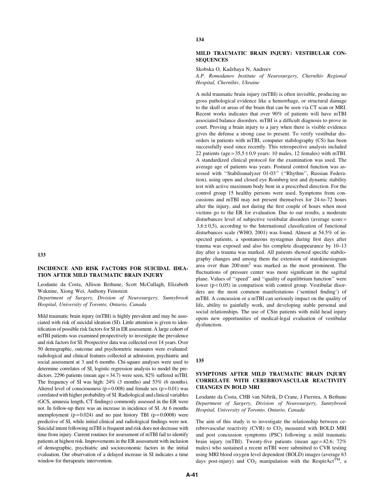# INCIDENCE AND RISK FACTORS FOR SUICIDAL IDEA-TION AFTER MILD TRAUMATIC BRAIN INJURY

Leodante da Costa, Allison Bethune, Scott McCullagh, Elizabeth Waknine, Xiong Wei, Anthony Feinstein

Department of Surgery, Division of Neurosurgery, Sunnybrook Hospital, University of Toronto, Ontario, Canada

Mild traumatic brain injury (mTBI) is highly prevalent and may be associated with risk of suicidal ideation (SI). Little attention is given to identification of possible risk factors for SI in ER assessment. A large cohort of mTBI patients was examined prospectively to investigate the prevalence and risk factors for SI. Prospective data was collected over 14 years. Over 50 demographic, outcome and psychometric measures were evaluated: radiological and clinical features collected at admission, psychiatric and social assessment at 3 and 6 months. Chi-square analyses were used to determine correlates of SI, logistic regression analysis to model the predictors. 2296 patients (mean age = 34.7) were seen, 82% suffered mTBI. The frequency of SI was high: 24% (3 months) and 53% (6 months). Altered level of consciousness ( $p = 0.008$ ) and female sex ( $p = 0.01$ ) was correlated with higher probability of SI. Radiological and clinical variables (GCS, amnesia length, CT findings) commonly assessed in the ER were not. In follow-up there was an increase in incidence of SI. At 6 months unemployment ( $p = 0.024$ ) and no past history TBI ( $p = 0.0008$ ) were predictive of SI, while initial clinical and radiological findings were not. Suicidal intent following mTBI is frequent and risk does not decrease with time from injury. Current routines for assessment of mTBI fail to identify patients at highest risk. Improvements in the ER assessment with inclusion of demographic, psychiatric and socioeconomic factors in the initial evaluation. Our observation of a delayed increase in SI indicates a time window for therapeutic intervention.

### 134

### MILD TRAUMATIC BRAIN INJURY: VESTIBULAR CON-**SEQUENCES**

Skobska O, Kadzhaya N, Andreev

A.P. Romodanov Institute of Neurosurgery, Chernihiv Regional Hospital, Chernihiv, Ukraine

A mild traumatic brain injury (mTBI) is often invisible, producing no gross pathological evidence like a hemorrhage, or structural damage to the skull or areas of the brain that can be seen via CT scan or MRI. Recent works indicates that over 90% of patients will have mTBI associated balance disorders. mTBI is a difficult diagnosis to prove in court. Proving a brain injury to a jury when there is visible evidence gives the defense a strong case to present. To verify vestibular disorders in patients with mTBI, computer stabilography (CS) has been successfully used since recently. This retrospective analysis included 22 patients (age =  $35,5 \pm 0,9$  years: 10 males, 12 females) with mTBI. A standardized clinical protocol for the examination was used. The average age of patients was years. Postural control function was assessed with ''Stabiloanalyzer 01-03'' (''Rhythm'', Russian Federation), using open and closed eye Romberg test and dynamic stability test with active maximum body bent in a prescribed direction. For the control group 15 healthy persons were used. Symptoms from concussions and mTBI may not present themselves for 24-to-72 hours after the injury, and not during the first couple of hours when most victims go to the ER for evaluation. Due to our results, a moderate disturbances level of subjective vestibular disorders (average score =  $3,6 \pm 0,5$ ), according to the International classification of functional disturbances scale (WHO, 2001) was found. Almost at 54.5% of inspected patients, a spontaneous nystagmus during first days after trauma was exposed and also his complete disappearance by 10–13 day after a trauma was marked. All patients showed specific stabilography changes and among them the extension of statokinesiogram area over than  $200 \text{ mm}^2$  was marked as the most prominent. The fluctuations of pressure center was more significant in the sagittal plane. Values of ''speed'' and ''quality of equilibrium function'' were lower  $(p < 0.05)$  in comparison with control group. Vestibular disorders are the most common manifestations ('sentinel finding') of mTBI. A concussion or a mTBI can seriously impact on the quality of life, ability to gainfully work, and developing stable personal and social relationships. The use of CSin patients with mild head injury opens new opportunities of medical-legal evaluation of vestibular dysfunction.

#### 135

# SYMPTOMS AFTER MILD TRAUMATIC BRAIN INJURY CORRELATE WITH CEREBROVASCULAR REACTIVITY CHANGES IN BOLD MRI

Leodante da Costa, CHB van Niftrik, D Crane, J Fierstra, A Bethune Department of Surgery, Division of Neurosurgery, Sunnybrook Hospital, University of Toronto, Ontario, Canada

The aim of this study is to investigate the relationship between cerebrovascular reactivity (CVR) to  $CO<sub>2</sub>$  measured with BOLD MRI and post concussion symptoms (PSC) following a mild traumatic brain injury (mTBI). Twenty-five patients (mean age = 42.6; 72% males) who sustained a recent mTBI were submitted to CVR testing using MRI blood oxygen level dependent (BOLD) images (average 63 days post-injury) and  $CO_2$  manipulation with the RespirAct<sup>TM</sup>, a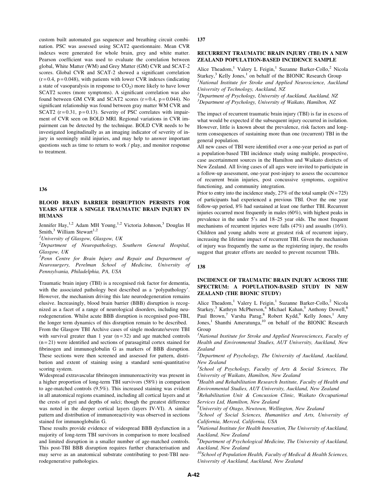custom built automated gas sequencer and breathing circuit combination. PSC was assessed using SCAT2 questionnaire. Mean CVR indexes were generated for whole brain, grey and white matter. Pearson coefficient was used to evaluate the correlation between global, White Matter (WM) and Grey Matter (GM) CVR and SCAT-2 scores. Global CVR and SCAT-2 showed a significant correlation  $(r=0.4, p=0.048)$ , with patients with lower CVR indexes (indicating a state of vasoparalysis in response to  $CO<sub>2</sub>$ ) more likely to have lower SCAT2 scores (more symptoms). A significant correlation was also found between GM CVR and SCAT2 scores  $(r=0.4, p=0.044)$ . No significant relationship was found between gray matter WM CVR and SCAT2 ( $r = 0.31$ ,  $p = 0.13$ ). Severity of PSC correlates with impairment of CVR seen on BOLD MRI. Regional variations in CVR impairment can be detected by the technique. BOLD CVR needs to be investigated longitudinally as an imaging indicator of severity of injury in seemingly mild injuries, and may help to answer important questions such as time to return to work / play, and monitor response to treatment.

#### 136

## BLOOD BRAIN BARRIER DISRUPTION PERSISTS FOR YEARS AFTER A SINGLE TRAUMATIC BRAIN INJURY IN HUMANS

Jennifer Hay,<sup>1,2</sup> Adam MH Young,<sup>1,2</sup> Victoria Johnson,<sup>3</sup> Douglas H Smith, $3$  William Stewart<sup>1,2</sup>

 $<sup>1</sup>$ University of Glasgow, Glasgow, UK</sup>

<sup>2</sup>Department of Neuropathology, Southern General Hospital, Glasgow, UK

<sup>3</sup>Penn Centre for Brain Injury and Repair and Department of Neurosurgery, Perelman School of Medicine, University of Pennsylvania, Philadelphia, PA, USA

Traumatic brain injury (TBI) is a recognised risk factor for dementia, with the associated pathology best described as a 'polypathology'. However, the mechanism driving this late neurodegeneration remains elusive. Increasingly, blood brain barrier (BBB) disruption is recognized as a facet of a range of neurological disorders, including neurodegeneration. Whilst acute BBB disruption is recognised post-TBI, the longer term dynamics of this disruption remain to be described. From the Glasgow TBI Archive cases of single moderate/severe TBI with survival greater than 1 year  $(n=32)$  and age matched controls  $(n=21)$  were identified and sections of parasagittal cortex stained for fibrinogen and immunoglobulin G as markers of BBB disruption. These sections were then screened and assessed for pattern, distribution and extent of staining using a standard semi-quantitative scoring system.

Widespread extravascular fibrinogen immunoreactivity was present in a higher proportion of long-term TBI survivors (58%) in comparison to age-matched controls (9.5%). This increased staining was evident in all anatomical regions examined, including all cortical layers and at the crests of gyri and depths of sulci; though the greatest difference was noted in the deeper cortical layers (layers IV-VI). A similar pattern and distribution of immunoreactivity was observed in sections stained for immunoglobulin G.

These results provide evidence of widespread BBB dysfunction in a majority of long-term TBI survivors in comparison to more localised and limited disruption in a smaller number of age-matched controls. This post-TBI BBB disruption requires further characterisation and may serve as an anatomical substrate contributing to post-TBI neurodegenerative pathologies.

137

### RECURRENT TRAUMATIC BRAIN INJURY (TBI) IN A NEW ZEALAND POPULATION-BASED INCIDENCE SAMPLE

Alice Theadom,<sup>1</sup> Valery L Feigin,<sup>1</sup> Suzanne Barker-Collo,<sup>2</sup> Nicola Starkey,<sup>3</sup> Kelly Jones,<sup>1</sup> on behalf of the BIONIC Research Group <sup>1</sup>National Institute for Stroke and Applied Neuroscience, Auckland University of Technology, Auckland, NZ

<sup>2</sup>Department of Psychology, University of Auckland, Auckland, NZ <sup>3</sup>Department of Psychology, University of Waikato, Hamilton, NZ

The impact of recurrent traumatic brain injury (TBI) is far in excess of what would be expected if the subsequent injury occurred in isolation. However, little is known about the prevalence, risk factors and longterm consequences of sustaining more than one (recurrent) TBI in the general population.

All new cases of TBI were identified over a one-year period as part of a population-based TBI incidence study using multiple, prospective, case ascertainment sources in the Hamilton and Waikato districts of New Zealand. All living cases of all ages were invited to participate in a follow-up assessment, one-year post-injury to assess the occurrence of recurrent brain injuries, post concussive symptoms, cognitive functioning, and community integration.

Prior to entry into the incidence study,  $27\%$  of the total sample (N=725) of participants had experienced a previous TBI. Over the one year follow-up period, 8% had sustained at least one further TBI. Recurrent injuries occurred most frequently in males (60%), with highest peaks in prevalence in the under 5's and 18–25 year olds. The most frequent mechanisms of recurrent injuries were falls (47%) and assaults (16%). Children and young adults were at greatest risk of recurrent injury, increasing the lifetime impact of recurrent TBI. Given the mechanism of injury was frequently the same as the registering injury, the results suggest that greater efforts are needed to prevent recurrent TBIs.

#### 138

# INCIDENCE OF TRAUMATIC BRAIN INJURY ACROSS THE SPECTRUM: A POPULATION-BASED STUDY IN NEW ZEALAND (THE BIONIC STUDY)

Alice Theadom,<sup>1</sup> Valery L Feigin,<sup>1</sup> Suzanne Barker-Collo,<sup>2</sup> Nicola Starkey,<sup>3</sup> Kathryn McPherson,<sup>4</sup> Michael Kahan,<sup>5</sup> Anthony Dowell,<sup>6</sup> Paul Brown,<sup>7</sup> Varsha Parag,<sup>8</sup> Robert Kydd,<sup>9</sup> Kelly Jones,<sup>1</sup> Amy Jones,<sup>1</sup> Shanthi Ameratunga,<sup>10</sup> on behalf of the BIONIC Research Group

<sup>1</sup>National Institute for Stroke and Applied Neurosciences, Faculty of Health and Environmental Studies, AUT University, Auckland, New Zealand

 $2$ Department of Psychology, The University of Auckland, Auckland, New Zealand

<sup>3</sup>School of Psychology, Faculty of Arts & Social Sciences, The University of Waikato, Hamilton, New Zealand

 $4$ Health and Rehabilitation Research Institute, Faculty of Health and Environmental Studies, AUT University, Auckland, New Zealand

<sup>5</sup>Rehabilitation Unit & Concussion Clinic, Waikato Occupational Services Ltd, Hamilton, New Zealand

 ${}^{6}$ University of Otago, Newtown, Wellington, New Zealand

<sup>7</sup>School of Social Sciences, Humanities and Arts, University of California, Merced, California, USA

 ${}^{8}$ National Institute for Health Innovation, The University of Auckland, Auckland, New Zealand

 $^{9}$ Department of Psychological Medicine, The University of Auckland, Auckland, New Zealand

 $10$ School of Population Health, Faculty of Medical & Health Sciences, University of Auckland, Auckland, New Zealand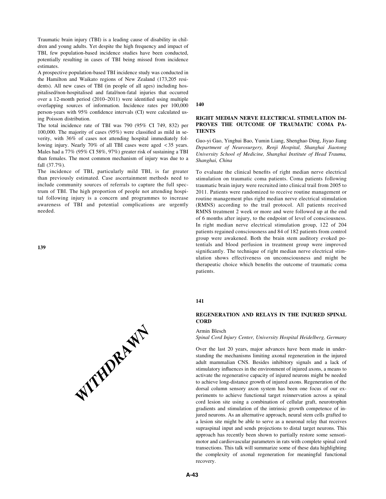Traumatic brain injury (TBI) is a leading cause of disability in children and young adults. Yet despite the high frequency and impact of TBI, few population-based incidence studies have been conducted, potentially resulting in cases of TBI being missed from incidence estimates.

A prospective population-based TBI incidence study was conducted in the Hamilton and Waikato regions of New Zealand (173,205 residents). All new cases of TBI (in people of all ages) including hospitalised/non-hospitalised and fatal/non-fatal injuries that occurred over a 12-month period (2010–2011) were identified using multiple overlapping sources of information. Incidence rates per 100,000 person-years with 95% confidence intervals (CI) were calculated using Poisson distribution.

The total incidence rate of TBI was 790 (95% CI 749, 832) per 100,000. The majority of cases (95%) were classified as mild in severity, with 36% of cases not attending hospital immediately following injury. Nearly 70% of all TBI cases were aged < 35 years. Males had a 77% (95% CI 58%, 97%) greater risk of sustaining a TBI than females. The most common mechanism of injury was due to a fall (37.7%).

The incidence of TBI, particularly mild TBI, is far greater than previously estimated. Case ascertainment methods need to include community sources of referrals to capture the full spectrum of TBI. The high proportion of people not attending hospital following injury is a concern and programmes to increase awareness of TBI and potential complications are urgently needed.

139



140

### RIGHT MEDIAN NERVE ELECTRICAL STIMULATION IM-PROVES THE OUTCOME OF TRAUMATIC COMA PA-**TIENTS**

Guo-yi Gao, Yinghui Bao, Yumin Liang, Shenghao Ding, Jiyao Jiang Department of Neurosurgery, Renji Hospital, Shanghai Jiaotong University School of Medicine, Shanghai Institute of Head Trauma, Shanghai, China

To evaluate the clinical benefits of right median nerve electrical stimulation on traumatic coma patients. Coma patients following traumatic brain injury were recruited into clinical trail from 2005 to 2011. Patients were randomized to receive routine management or routine management plus right median nerve electrical stimulation (RMNS) according to the trail protocol. All patients received RMNS treatment 2 week or more and were followed up at the end of 6 months after injury, to the endpoint of level of consciousness. In right median nerve electrical stimulation group, 122 of 204 patients regained consciousness and 84 of 182 patients from control group were awakened. Both the brain stem auditory evoked potentials and blood perfusion in treatment group were improved significantly. The technique of right median nerve electrical stimulation shows effectiveness on unconsciousness and might be therapeutic choice which benefits the outcome of traumatic coma patients.

## 141

## REGENERATION AND RELAYS IN THE INJURED SPINAL **CORD**

#### Armin Blesch

Spinal Cord Injury Center, University Hospital Heidelberg, Germany

Over the last 20 years, major advances have been made in understanding the mechanisms limiting axonal regeneration in the injured adult mammalian CNS. Besides inhibitory signals and a lack of stimulatory influences in the environment of injured axons, a means to activate the regenerative capacity of injured neurons might be needed to achieve long-distance growth of injured axons. Regeneration of the dorsal column sensory axon system has been one focus of our experiments to achieve functional target reinnervation across a spinal cord lesion site using a combination of cellular graft, neurotrophin gradients and stimulation of the intrinsic growth competence of injured neurons. As an alternative approach, neural stem cells grafted to a lesion site might be able to serve as a neuronal relay that receives supraspinal input and sends projections to distal target neurons. This approach has recently been shown to partially restore some sensorimotor and cardiovascular parameters in rats with complete spinal cord transections. This talk will summarize some of these data highlighting the complexity of axonal regeneration for meaningful functional recovery.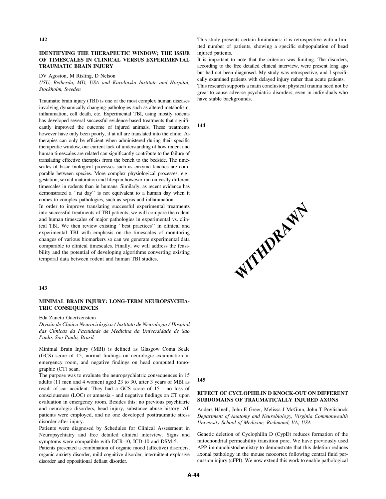### IDENTIFYING THE THERAPEUTIC WINDOW; THE ISSUE OF TIMESCALES IN CLINICAL VERSUS EXPERIMENTAL TRAUMATIC BRAIN INJURY

DV Agoston, M Risling, D Nelson

USU, Bethesda, MD, USA and Karolinska Institute and Hospital, Stockholm, Sweden

Traumatic brain injury (TBI) is one of the most complex human diseases involving dynamically changing pathologies such as altered metabolism, inflammation, cell death, etc. Experimental TBI, using mostly rodents has developed several successful evidence-based treatments that significantly improved the outcome of injured animals. These treatments however have only been poorly, if at all are translated into the clinic. As therapies can only be efficient when administered during their specific therapeutic window, our current lack of understanding of how rodent and human timescales are related can significantly contribute to the failure of translating effective therapies from the bench to the bedside. The timescales of basic biological processes such as enzyme kinetics are comparable between species. More complex physiological processes, e.g., gestation, sexual maturation and lifespan however run on vastly different timescales in rodents than in humans. Similarly, as recent evidence has demonstrated a ''rat day'' is not equivalent to a human day when it comes to complex pathologies, such as sepsis and inflammation.

In order to improve translating successful experimental treatments into successful treatments of TBI patients, we will compare the rodent and human timescales of major pathologies in experimental vs. clinical TBI. We then review existing ''best practices'' in clinical and experimental TBI with emphasis on the timescales of monitoring changes of various biomarkers so can we generate experimental data comparable to clinical timescales. Finally, we will address the feasibility and the potential of developing algorithms converting existing temporal data between rodent and human TBI studies.

### 143

## MINIMAL BRAIN INJURY: LONG-TERM NEUROPSYCHIA-TRIC CONSEQUENCES

Eda Zanetti Guertzenstein

Divisio de Clínica Neurocirúrgica / Instituto de Neurologia / Hospital das Clínicas da Faculdade de Medicina da Universidade de Sao Paulo, Sao Paulo, Brasil

Minimal Brain Injury (MBI) is defined as Glasgow Coma Scale (GCS) score of 15, normal findings on neurologic examination in emergency room, and negative findings on head computed tomographic (CT) scan.

The purpose was to evaluate the neuropsychiatric consequences in 15 adults (11 men and 4 women) aged 23 to 30, after 3 years of MBI as result of car accident. They had a GCS score of 15 - no loss of consciousness (LOC) or amnesia - and negative findings on CT upon evaluation in emergency room. Besides this: no previous psychiatric and neurologic disorders, head injury, substance abuse history. All patients were employed, and no one developed posttraumatic stress disorder after injury.

Patients were diagnosed by Schedules for Clinical Assessment in Neuropsychiatry and free detailed clinical interview. Signs and symptoms were compatible with DCR-10, ICD-10 and DSM-5.

Patients presented a combination of organic mood (affective) disorders, organic anxiety disorder, mild cognitive disorder, intermittent explosive disorder and oppositional defiant disorder.

This study presents certain limitations: it is retrospective with a limited number of patients, showing a specific subpopulation of head injured patients.

It is important to note that the criterion was limiting. The disorders, according to the free detailed clinical interview, were present long ago but had not been diagnosed. My study was retrospective, and I specifically examined patients with delayed injury rather than acute patients.

This research supports a main conclusion: physical trauma need not be great to cause adverse psychiatric disorders, even in individuals who have stable backgrounds.

144



145

# EFFECT OF CYCLOPHILIN D KNOCK-OUT ON DIFFERENT SUBDOMAINS OF TRAUMATICALLY INJURED AXONS

Anders Hånell, John E Greer, Melissa J McGinn, John T Povlishock Department of Anatomy and Neurobiology, Virginia Commonwealth University School of Medicine, Richmond, VA, USA

Genetic deletion of Cyclophilin D (CypD) reduces formation of the mitochondrial permeability transition pore. We have previously used APP immunohistochemistry to demonstrate that this deletion reduces axonal pathology in the mouse neocortex following central fluid percussion injury (cFPI). We now extend this work to enable pathological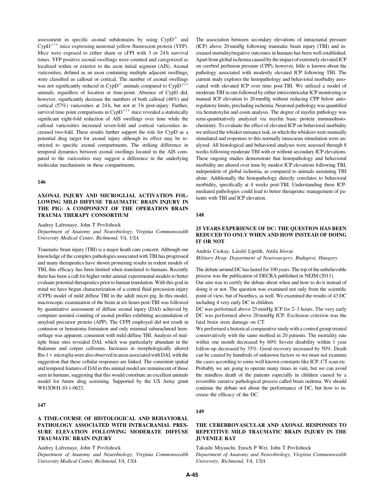assessment in specific axonal subdomains by using  $CypD^{-1}$  and  $CypD^{+/+}$  mice expressing neuronal yellow fluorescent protein (YFP). Mice were exposed to either sham or cFPI with 3 or 24 h survival times. YFP positive axonal swellings were counted and categorized as localized within or exterior to the axon initial segment (AIS). Axonal varicosities, defined as an axon containing multiple adjacent swellings, were classified as callosal or cortical. The number of axonal swellings was not significantly reduced in  $CypD^{-/-}$  animals compared to  $CypD^{+-}$ animals, regardless of location or time-point. Absence of CypD did, however, significantly decrease the numbers of both callosal (48%) and cortical (57%) varicosities at 24 h, but not at 3 h post-injury. Further, survival time point comparisons in  $CypD^{+/+}$  mice revealed a statistically significant eight-fold reduction of AIS swellings over time while the callosal varicosities increased seven-fold and cortical varicosities increased two-fold. These results further support the role for CypD as a potential drug target for axonal injury although its effect may be restricted to specific axonal compartments. The striking difference in temporal dynamics between axonal swellings located in the AIS compared to the varicosities may suggest a difference in the underlying molecular mechanisms in these compartments.

#### 146

# AXONAL INJURY AND MICROGLIAL ACTIVATION FOL-LOWING MILD DIFFUSE TRAUMATIC BRAIN INJURY IN THE PIG: A COMPONENT OF THE OPERATION BRAIN TRAUMA THERAPY CONSORTIUM

Audrey Lafrenaye, John T Povlishock

Department of Anatomy and Neurobiology, Virginia Commonwealth University Medical Center, Richmond, VA, USA

Traumatic brain injury (TBI) is a major heath care concern. Although our knowledge of the complex pathologies associated with TBI has progressed and many therapeutics have shown promising results in rodent models of TBI, this efficacy has been limited when translated to humans. Recently there has been a call for higher order animal experimental models to better evaluate potential therapeutics prior to human translation. With this goal in mind we have begun characterization of a central fluid percussion injury (CFPI) model of mild diffuse TBI in the adult micro pig. In this model, macroscopic examination of the brain at six hours post-TBI was followed by quantitative assessment of diffuse axonal injury (DAI) achieved by computer assisted counting of axonal profiles exhibiting accumulation of amyloid precursor protein (APP). The CFPI employed did not result in contusion or hematoma formation and only minimal subarachnoid hemorrhage was apparent, consistent with mild diffuse TBI. Analysis of multiple brain sites revealed DAI, which was particularly abundant in the thalamus and corpus callosum. Increases in morphologically altered Iba-1 + microglia were also observed in areas associated with DAI, with the suggestion that these cellular responses are linked. The consistent spatial and temporal features of DAI in this animal model are reminiscent of those seen in humans, suggesting that this would constitute an excellent animals model for future drug screening. Supported by the US Army grant W81XWH-10-1-0623.

# 147

# A TIME-COURSE OF HISTOLOGICAL AND BEHAVIORAL PATHOLOGY ASSOCIATED WITH INTRACRANIAL PRES-SURE ELEVATION FOLLOWING MODERATE DIFFUSE TRAUMATIC BRAIN INJURY

Audrey Lafrenaye, John T Povlishock

Department of Anatomy and Neurobiology, Virginia Commonwealth University Medical Center, Richmond, VA, USA

The association between secondary elevations of intracranial pressure (ICP) above 20 mmHg following traumatic brain injury (TBI) and increased mortality/negative outcomes in humans has been well established. Apart from global ischemia caused by the impact of extremely elevated ICP on cerebral perfusion pressure (CPP), however, little is known about the pathology associated with modestly elevated ICP following TBI. The current study explores the histopathology and behavioral morbidity associated with elevated ICP over time post-TBI. We utilized a model of moderate TBI in rats followed by either intraventricular ICP monitoring or manual ICP elevation to 20 mmHg without reducing CPP below autoregulatory limits, precluding ischemia. Neuronal pathology was quantified via hematoxylin and eosin analysis. The degree of myelin pathology was semi-quantitatively analyzed via myelin basic protein immunohistochemistry. To evaluate the effect of elevated ICP on behavioral morbidity we utilized the whisker nuisance task, in which the whiskers were manually stimulated and responses to this normally innocuous stimulation were analyzed. All histological and behavioral analyses were assessed through 8 weeks following moderate TBI with or without secondary ICP elevations. These ongoing studies demonstrate that histopathology and behavioral morbidity are altered over time by modest ICP elevations following TBI, independent of global ischemia, as compared to animals sustaining TBI alone. Additionally the histopathology directly correlates to behavioral morbidity, specifically at 4 weeks post-TBI. Understanding these ICPmediated pathologies could lead to better therapeutic management of patients with TBI and ICP elevation.

#### 148

# 25 YEARS EXPERIENCE OF DC: THE QUESTION HAS BEEN REDUCED TO ONLY WHEN AND HOW INSTEAD OF DOING IT OR NOT

András Csokay, László Lipóth, Attila Jósvai Military Hosp. Department of Neurosurgery, Budapest, Hungary

The debate around DC has lasted for 100 years. The top of the unbelievable process was the publication of DECRA published in NEJM (2011).

Our aim was to certify the debate about when and how to do it instead of doing it or not. The question was examined not only from the scientific point of view, but of bioethics, as well. We examined the results of 43 DC including 4 very early DC in children.

DC was performed above 25 mmHg ICP for 2–3 hours. The very early DC was performed above 20 mmHg ICP. Exclusion criterion was the fatal brain stem damage on CT.

We performed a historical comparative study with a control group treated conservatively with the same method in 20 patients. The mortality rate within one month decreased by 60% Severe disability within 1 year follow-up decreased by 35%. Good recovery increased by 50%. Death can be caused by hundreds of unknown factors so we must not examine the cases according to some well known constants like ICP, CT scan etc. Probably we are going to operate many times in vain, but we can avoid the mindless death of the patients especially in children caused by a reversible curative pathological process called brain oedema. We should continue the debate not about the performance of DC, but how to increase the efficacy of the DC.

### 149

## THE CEREBROVASCULAR AND AXONAL RESPONSES TO REPETITIVE MILD TRAUMATIC BRAIN INJURY IN THE JUVENILE RAT

Takashi Miyauchi, Enoch P Wei, John T Povlishock Department of Anatomy and Neurobiology, Virginia Commonwealth University, Richmond, VA, USA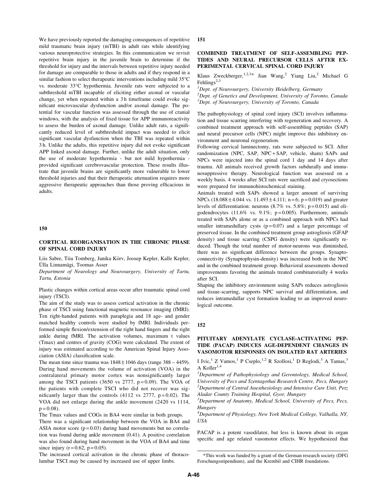We have previously reported the damaging consequences of repetitive mild traumatic brain injury (mTBI) in adult rats while identifying various neuroprotective strategies. In this communication we revisit repetitive brain injury in the juvenile brain to determine if the threshold for injury and the intervals between repetitive injury needed for damage are comparable to those in adults and if they respond in a similar fashion to select therapeutic interventions including mild 35°C vs. moderate 33°C hypothermia. Juvenile rats were subjected to a subthreshold mTBI incapable of eliciting either axonal or vascular change, yet when repeated within a 3h timeframe could evoke significant microvascular dysfunction and/or axonal damage. The potential for vascular function was assessed through the use of cranial windows, with the analysis of fixed tissue for APP immunoreactivity to assess the burden of axonal damage. Unlike adult rats, a significantly reduced level of subthreshold impact was needed to elicit significant vascular dysfunction when the TBI was repeated within 3 h. Unlike the adults, this repetitive injury did not evoke significant APP linked axonal damage. Further, unlike the adult situation, only the use of moderate hypothermia - but not mild hypothermia provided significant cerebrovascular protection. These results illustrate that juvenile brains are significantly more vulnerable to lower threshold injuries and that their therapeutic attenuation requires more aggressive therapeutic approaches than those proving efficacious in adults.

#### 150

# CORTICAL REORGANISATION IN THE CHRONIC PHASE OF SPINAL CORD INJURY

Liis Sabre, Tiiu Tomberg, Janika Kōrv, Joosep Kepler, Kalle Kepler, Ülla Linnamägi, Toomas Asser

Department of Neurology and Neurosurgery, University of Tartu, Tartu, Estonia

Plastic changes within cortical areas occur after traumatic spinal cord injury (TSCI).

The aim of the study was to assess cortical activation in the chronic phase of TSCI using functional magnetic resonance imaging (fMRI). Ten right-handed patients with paraplegia and 18 age- and gender matched healthy controls were studied by fMRI. Individuals performed simple flexion/extension of the right hand fingers and the right ankle during fMRI. The activation volumes, maximum t values (Tmax) and centres of gravity (COG) were calculated. The extent of injury was estimated according to the American Spinal Injury Association (ASIA) classification scale.

The mean time since trauma was  $1848 \pm 1046$  days (range 388 – 4459). During hand movements the volume of activation (VOA) in the contralateral primary motor cortex was nonsignificantly larger among the TSCI patients (3650 vs 2777,  $p = 0.09$ ). The VOA of the patients with complete TSCI who did not recover was significantly larger than the controls  $(4112 \text{ vs } 2777, \text{ p} = 0.02)$ . The VOA did not enlarge during the ankle movement (2420 vs 1114,  $p = 0.08$ ).

The Tmax values and COGs in BA4 were similar in both groups. There was a significant relationship between the VOA in BA4 and ASIA motor score  $(p=0.03)$  during hand movements but no correlation was found during ankle movement (0.41). A positive correlation was also found during hand movement in the VOA of BA4 and time since injury ( $r = 0.62$ ,  $p = 0.05$ ).

The increased cortical activation in the chronic phase of thoracolumbar TSCI may be caused by increased use of upper limbs.

#### 151

# COMBINED TREATMENT OF SELF-ASSEMBLING PEP-TIDES AND NEURAL PRECURSOR CELLS AFTER EX-PERIMENTAL CERVICAL SPINAL CORD INJURY

Klaus Zweckberger,<sup>1,2,3\*</sup> Jian Wang,<sup>2</sup> Yiang Liu,<sup>2</sup> Michael G Fehlings<sup>2,3</sup>

<sup>1</sup>Dept. of Neurosurgery, University Heidelberg, Germany  $2$ Dept. of Genetics and Development, University of Toronto, Canada <sup>3</sup>Dept. of Neurosurgery, University of Toronto, Canada

The pathophysiology of spinal cord injury (SCI) involves inflammation and tissue scarring interfering with regeneration and recovery. A combined treatment approach with self-assembling peptides (SAP) and neural precursor cells (NPC) might improve this inhibitory environment and neuronal regeneration.

Following cervical laminectomy, rats were subjected to SCI. After randomization (NPC, SAP, NPC+ SAP, vehicle, sham) SAPs and NPCs were injected into the spinal cord 1 day and 14 days after trauma. All animals received growth factors subdurally and immunosuppressive therapy. Neurological function was assessed on a weekly basis. 4 weeks after SCI rats were sacrificed and cryosections were prepared for immunohistochemical staining.

Animals treated with SAPs showed a larger amount of surviving NPCs  $(18.088 \pm 4.044 \text{ vs. } 11.493 \pm 4.111; \text{ n} = 6; \text{ p} = 0.019)$  and greater levels of differentiation: neurons  $(8.7\% \text{ vs. } 5.8\%; \text{ p} = 0.015)$  and oligodendrocytes (11.6% vs. 9.1%;  $p=0.005$ ). Furthermore, animals treated with SAPs alone or as a combined approach with NPCs had smaller intramedullary cysts  $(p=0.07)$  and a larger percentage of preserved tissue. In the combined treatment group astrogliosis (GFAP density) and tissue scarring (CSPG density) were significantly reduced. Though the total number of motor-neurons was diminished, there was no significant difference between the groups. Synaptoconnectivity (Synaptophysin-density) was increased both in the NPC and in the combined treatment group. Behavioral assessments showed improvements favoring the animals treated combinatorially 4 weeks after SCI.

Shaping the inhibitory environment using SAPs reduces astrogliosis and tissue-scarring, supports NPC survival and differentiation, and reduces intramedullar cyst formation leading to an improved neurological outcome.

#### 152

### PITUITARY ADENYLATE CYCLASE-ACTIVATING PEP-TIDE (PACAP) INDUCES AGE-DEPENDENT CHANGES IN VASOMOTOR RESPONSES ON ISOLATED RAT ARTERIES

I Ivic,<sup>1</sup> Z Vamos,<sup>1</sup> P Cseplo,<sup>1,2</sup> R Szollosi,<sup>1</sup> D Reglodi,<sup>3</sup> A Tamas,<sup>3</sup> A Koller<sup>1,4</sup>

<sup>1</sup>Department of Pathophysiology and Gerontology, Medical School, University of Pecs and Szentagothai Research Centre, Pecs, Hungary  $2$ Department of Central Anesthesiology and Intensive Care Unit, Petz Aladar County Training Hospital, Gyor, Hungary

<sup>3</sup>Department of Anatomy, Medical School, University of Pecs, Pecs, Hungary

<sup>4</sup>Department of Physiology, New York Medical College, Valhalla, NY, USA

PACAP is a potent vasodilator, but less is known about its organ specific and age related vasomotor effects. We hypothesized that

<sup>\*</sup>This work was funded by a grant of the German research society (DFG Forschungsstipendium), and the Krembil and CIHR foundations.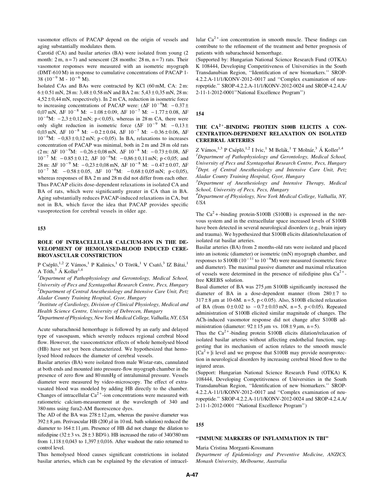vasomotor effects of PACAP depend on the origin of vessels and aging substantially modulates them.

Carotid (CA) and basilar arteries (BA) were isolated from young (2 month:  $2 \text{ m}$ ,  $\text{n} = 7$ ) and senescent (28 months:  $28 \text{ m}$ ,  $\text{n} = 7$ ) rats. Their vasomotor responses were measured with an isometric myograph (DMT-610 M) in response to cumulative concentrations of PACAP 1- 38 ( $10^{-9}$  M -  $10^{-6}$  M).

Isolated CAs and BAs were contracted by KCl (60 mM, CA: 2 m:  $6 \pm 0.51$  mN,  $28$  m:  $3,48 \pm 0.58$  mN and BA  $2$  m:  $5,43 \pm 0,35$  mN,  $28$  m:  $4,52 \pm 0,44$  mN, respectively). In 2 m CA, reduction in isometric force to increasing concentrations of PACAP were:  $(\Delta F 10^{-9}M: -0.37 \pm \Delta)$ 0,07 mN,  $\Delta F$  10<sup>-8</sup> M: -1.08 ± 0.09,  $\Delta F$  10<sup>-7</sup> M: -1.77 ± 0.08,  $\Delta F$  $10^{-6}$ M:  $-2,3 \pm 0,12$  mN; p < 0,05), whereas in 28 m CA, there were only slight reduction in isometric force  $(\Delta F 10^{-9} M: -0.13 \pm 1.0)$ 0,03 mN,  $\Delta F$  10<sup>-8</sup> M:  $-0.2 \pm 0.04$ ,  $\Delta F$  10<sup>-7</sup> M:  $-0.36 \pm 0.06$ ,  $\Delta F$  $10^{-6}$ M:  $-0.83 \pm 0.12$  mN; p < 0.05). In BA, relaxations to increases concentration of PACAP was minimal, both in 2 m and 28 m old rats  $(2 \text{ m}: \Delta \text{F} \ 10^{-9} \text{M}: \ -0.26 \pm 0.08 \text{ mN}, \ \Delta \text{F} \ 10^{-8} \text{M}: \ -0.73 \pm 0.08, \ \Delta \text{F} \ 10^{-9} \text{M}: \ -0.73 \pm 0.08, \ \Delta \text{F} \ 10^{-9} \text{M}: \ -0.73 \pm 0.08, \ \Delta \text{F} \ 10^{-9} \text{M}: \ -0.73 \pm 0.08, \ \Delta \text{F} \ 10^{-9} \text{M}: \ -0.73 \pm 0.08, \ \Delta \text$  $10^{-7}$  M:  $-0.85 \pm 0.12$ ,  $\Delta F$   $10^{-6}$ M:  $-0.86 \pm 0.11$  mN; p < 0.05; and 28 m:  $\Delta F$  10<sup>-9</sup> M:  $-0.23 \pm 0.08$  mN,  $\Delta F$  10<sup>-8</sup> M:  $-0.47 \pm 0.07$ ,  $\Delta F$  $10^{-7}$  M:  $-0.58 \pm 0.05$ ,  $\Delta F$   $10^{-6}$ M:  $-0.68 \pm 0.05$  mN; p < 0.05), whereas responses of BA 2 m and 28 m did not differ from each other. Thus PACAP elicits dose-dependent relaxations in isolated CA and BA of rats, which were significantly greater in CA than in BA. Aging substantially reduces PACAP-induced relaxations in CA, but not in BA, which favor the idea that PACAP provides specific vasoprotection for cerebral vessels in older age.

# 153

## ROLE OF INTRACELLULAR CALCIUM-ION IN THE DE-VELOPMENT OF HEMOLYSED-BLOOD INDUCED CERE-BROVASCULAR CONSTRICTION

P Cséplö,<sup>1,2</sup> Z Vámos,<sup>1</sup> P Kalinics,<sup>1</sup> O Török,<sup>1</sup> V Csató,<sup>3</sup> IZ Bátai,<sup>1</sup> A Tóth, $3$  Á Koller<sup>1,4</sup>

<sup>1</sup>Department of Pathophysiology and Gerontology, Medical School, University of Pecs and Szentagothai Research Centre, Pecs, Hungary  $2$ Department of Central Anesthesiology and Intensive Care Unit, Petz Aladar County Training Hospital, Gyor, Hungary

<sup>3</sup> Institute of Cardiology, Division of Clinical Physiology, Medical and Health Science Centre, University of Debrecen, Hungary

<sup>4</sup>Department of Physiology, New York Medical College, Valhalla, NY, USA

Acute subarachnoid hemorrhage is followed by an early and delayed type of vasospasm, which severely reduces regional cerebral blood flow. However, the vasoconstrictor effects of whole hemolysed blood (HB) have not yet been characterized. We hypothesized that hemolysed blood reduces the diameter of cerebral vessels.

Basilar arteries (BA) were isolated from male Wistar-rats, cannulated at both ends and mounted into pressure-flow myograph chamber in the presence of zero flow and 80 mmHg of intraluminal pressure. Vessels diameter were measured by video-microscopy. The effect of extravasated blood was modeled by adding HB directly to the chamber. Changes of intracellular  $Ca^{2+}$ -ion concentrations were measured with ratiometric calcium-measurement at the wavelength of 340 and 380 nms using fura2-AM fluorescence dyes.

The AD of the BA was  $278 \pm 12 \,\mu m$ , whereas the passive diameter was  $392 \pm 8 \mu$ m. Perivascular HB (200  $\mu$ l in 10 mL bath solution) reduced the diameter to  $164 \pm 11 \mu$ m. Presence of HB did not change the dilation to nifedipine (32 $\pm$ 3 vs. 28 $\pm$ 3 BD%). HB increased the ratio of 340/380 nm from  $1,118 \pm 0,043$  to  $1,397 \pm 0,016$ . After washout the ratio returned to control level.

Thus hemolysed blood causes significant constrictions in isolated basilar arteries, which can be explained by the elevation of intracellular  $Ca^{2+}$ -ion concentration in smooth muscle. These findings can contribute to the refinement of the treatment and better prognosis of patients with subarachnoid hemorrhage.

(Supported by: Hungarian National Science Research Fund (OTKA) K 108444, Developing Competitiveness of Universities in the South Transdanubian Region, ''Identification of new biomarkers.'' SROP-4.2.2.A-11/1/KONV-2012–0017 and ''Complex examination of neuropeptide.'' SROP-4.2.2.A-11/1/KONV-2012-0024 and SROP-4.2.4.A/ 2-11-1-2012-0001''National Excellence Program'')

#### 154

# THE  $CA^{2+}$ -BINDING PROTEIN S100B ELICITS A CON-CENTRATION-DEPENDENT RELAXATION ON ISOLATED CEREBRAL ARTERIES

Z Vámos,  $^{1,3}$  P Cséplö,  $^{1,2}$  I Ivic,  $^{1}$  M Belák,  $^{1}$  T Molnár,  $^{3}$  Á Koller $^{1,4}$ <sup>1</sup>Department of Pathophysiology and Gerontology, Medical School, University of Pecs and Szentagothai Research Centre, Pecs, Hungary  $2$ Dept. of Central Anesthesiology and Intensive Care Unit, Petz Aladar County Training Hospital, Gyor, Hungary

<sup>3</sup>Department of Anesthesiology and Intensive Therapy, Medical School, University of Pecs, Pecs, Hungary

<sup>4</sup>Department of Physiology, New York Medical College, Valhalla, NY, USA

The  $Ca<sup>2</sup>$  + -binding protein-S100B (S100B) is expressed in the nervous system and in the extracellular space increased levels of S100B have been detected in several neurological disorders (e.g., brain injury and trauma). We hypothesized that S100B elicits dilation/relaxation of isolated rat basilar arteries.

Basilar arteries (BA) from 2 months-old rats were isolated and placed into an isotonic (diameter) or isometric (mN) myograph chamber, and responses to S100B ( $10^{-11}$  to  $10^{-6}$ M) were measured (isometric force and diameter). The maximal passive diameter and maximal relaxation of vessels were determined in the presence of nifedipine plus  $Ca^{2+}$ free KREBS solution.

Basal diameter of BA was  $275 \mu m$  S100B significantly increased the diameter of BA in a dose-dependent manner (from  $280 \pm 7$  to  $317 \pm 8 \,\mu m$  at 10-6M. n = 5, p < 0.05). Also, S100B elicited relaxation of BA (from  $0 \pm 0.02$  to  $-0.7 \pm 0.03$  mN, n = 5, p < 0.05). Repeated administration of S100B elicited similar magnitude of changes. The ACh-induced vasomotor response did not change after S100B administration (diameter:  $92 \pm 15 \mu m$  vs.  $108 \pm 9 \mu m$ , n = 5).

Thus the  $Ca^{2+}$ -binding protein S100B elicits dilation/relaxation of isolated basilar arteries without affecting endothelial function, suggesting that its mechanism of action relates to the smooth muscle  $[Ca<sup>2</sup> +$  ]i level and we propose that S100B may provide neuroprotection in neurological disorders by increasing cerebral blood flow to the injured areas.

(Support: Hungarian National Science Research Fund (OTKA) K 108444, Developing Competitiveness of Universities in the South Transdanubian Region, ''Identification of new biomarkers.'' SROP-4.2.2.A-11/1/KONV-2012–0017 and ''Complex examination of neuropeptide.'' SROP-4.2.2.A-11/1/KONV-2012-0024 and SROP-4.2.4.A/ 2-11-1-2012-0001 ''National Excellence Program'')

#### 155

#### ''IMMUNE MARKERS OF INFLAMMATION IN TBI''

Maria Cristina Morganti-Kossmann

Department of Epidemiology and Preventive Medicine, ANZICS, Monash University, Melbourne, Australia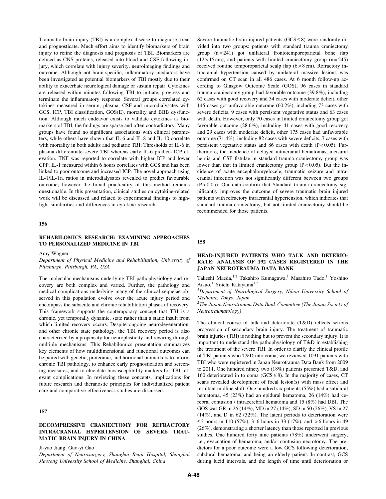Traumatic brain injury (TBI) is a complex disease to diagnose, treat and prognosticate. Much effort aims to identify biomarkers of brain injury to refine the diagnosis and prognosis of TBI. Biomarkers are defined as CNS proteins, released into blood and CSF following injury, which correlate with injury severity, neuroimaging findings and outcome. Although not brain-specific, inflammatory mediators have been investigated as potential biomarkers of TBI mostly due to their ability to exacerbate neurological damage or sustain repair. Cytokines are released within minutes following TBI to initiate, progress and terminate the inflammatory response. Several groups correlated cytokines measured in serum, plasma, CSF and microdialysates with GCS, ICP, TBI classification, GOS(E), mortality and BBB dysfunction. Although much endeavor exists to validate cytokines as biomarkers of TBI, the findings are sparse and often contradictory. Many groups have found no significant associations with clinical parameters, while others have shown that IL-6 and IL-8 and IL-10 correlate with mortality in both adults and pediatric TBI; Thresholds of IL-6 in plasma differentiate severe TBI whereas early IL-6 predicts ICP elevation. TNF was reported to correlate with higher ICP and lower CPP. IL-1 measured within 6 hours correlates with GCS and has been linked to poor outcome and increased ICP. The novel approach using IL-1/IL-1ra ratios in microdialysates revealed to predict favourable outcome; however the broad practicality of this method remains questionable. In this presentation, clinical studies on cytokine-related work will be discussed and related to experimental findings to highlight similarities and differences in cytokine research.

#### 156

### REHABILOMICS RESEARCH: EXAMINING APPROACHES TO PERSONALIZED MEDICINE IN TBI

Amy Wagner

## Department of Physical Medicine and Rehabilitation, University of Pittsburgh, Pittsburgh, PA, USA

The molecular mechanisms underlying TBI pathophysiology and recovery are both complex and varied. Further, the pathology and medical complications underlying many of the clinical sequelae observed in this population evolve over the acute injury period and encompass the subacute and chronic rehabilitation phases of recovery. This framework supports the contemporary concept that TBI is a chronic, yet temporally dynamic, state rather than a static insult from which limited recovery occurs. Despite ongoing neurodegeneration, and other chronic state pathology, the TBI recovery period is also characterized by a propensity for neuroplasticity and rewiring through multiple mechanisms. This Rehabilomics presentation summarizes key elements of how multidimensional and functional outcomes can be paired with genetic, proteomic, and hormonal biomarkers to inform chronic TBI pathology, to enhance early prognostication and screening measures, and to elucidate biosusceptibility markers for TBI relevant complications. In reviewing these concepts, implications for future research and theranostic principles for individualized patient care and comparative effectiveness studies are discussed.

## 157

## DECOMPRESSIVE CRANIECTOMY FOR REFRACTORY INTRACRANIAL HYPERTENSION OF SEVERE TRAU-MATIC BRAIN INJURY IN CHINA

Ji-yao Jiang, Guo-yi Gao

Department of Neurosurgery, Shanghai Renji Hospital, Shanghai Jiaotong University School of Medicine, Shanghai, China

Severe traumatic brain injured patients  $(GCS \leq 8)$  were randomly divided into two groups: patients with standard trauma craniectomy group  $(n=241)$  got unilateral frontotemporoparietal bone flap  $(12 \times 15 \text{ cm})$ , and patients with limited craniectomy group  $(n=245)$ received routine temporoparietal scalp flap  $(6 \times 8 \text{ cm})$ . Refractory intracranial hypertension caused by unilateral massive lesions was confirmed on CT scan in all 486 cases. At 6 month follow-up according to Glasgow Outcome Scale (GOS), 96 cases in standard trauma craniectomy group had favorable outcome (39.8%), including 62 cases with good recovery and 34 cases with moderate deficit, other 145 cases got unfavorable outcome (60.2%), including 73 cases with severe deficits, 9 cases with persistent vegetative status and 63 cases with death. However, only 70 cases in limited craniectomy group got favorable outcome (28.6%), including 41 cases with good recovery and 29 cases with moderate deficit, other 175 cases had unfavorable outcome (71.4%), including 82 cases with severe deficits, 7 cases with persistent vegetative status and 86 cases with death  $(P< 0.05)$ . Furthermore, the incidence of delayed intracranial hematomas, incisural hernia and CSF fistulae in standard trauma craniectomy group was lower than that in limited craniectomy group  $(P<0.05)$ . But the incidence of acute encephalomyelocele, traumatic seizure and intracranial infection was not significantly different between two groups  $(P > 0.05)$ . Our data confirm that Standard trauma craniectomy significantly improves the outcome of severe traumatic brain injured patients with refractory intracranial hypertension, which indicates that standard trauma craniectomy, but not limited craniectomy should be recommended for those patients.

158

# HEAD-INJURED PATIENTS WHO TALK AND DETERIO-RATE: ANALYSIS OF 192 CASES REGISTERED IN THE JAPAN NEUROTRAUMA DATA BANK

Takeshi Maeda,<sup>1,2</sup> Takahiro Kumagawa,<sup>1</sup> Masahiro Tado,<sup>1</sup> Yoshino Atsuo,<sup>1</sup> Yoichi Katayama<sup>1,2</sup>

<sup>1</sup>Department of Neurological Surgery, Nihon University School of Medicine, Tokyo, Japan

 $2$ The Japan Neurotrauma Data Bank Committee (The Japan Society of Neurotraumatology)

The clinical course of talk and deteriorate (T&D) reflects serious progression of secondary brain injury. The treatment of traumatic brain injuries (TBI) is nothing but to prevent the secondary injury. It is important to understand the pathophysiology of T&D in establishing the treatment of the severe TBI. In order to clarify the clinical profile of TBI patients who T&D into coma, we reviewed 1091 patients with TBI who were registered in Japan Neurotrauma Data Bank from 2009 to 2011. One hundred ninety two (18%) patients presented T&D, and 160 deteriorated in to coma ( $GCS \leq 8$ ). In the majority of cases, CT scans revealed development of focal lesion(s) with mass effect and resultant midline shift. One hundred six patients (55%) had a subdural hematoma, 45 (23%) had an epidural hematoma, 26 (14%) had cerebral contusion / intracerebral hematoma and 15 (8%) had DBI. The GOS was GR in 26 (14%), MD in 27 (14%), SD in 50 (26%), VS in 27 (14%), and D in 62 (32%). The latent periods to deterioration were  $\leq$  3 hours in 110 (57%), 3–6 hours in 33 (17%), and > 6 hours in 49 (26%), demonstrating a shorter latency than those reported in previous studies. One hundred forty nine patients (78%) underwent surgery, i.e., evacuation of hematoma, and/or contusion necrotomy. The predictors for a poor outcome were a low GCS following deterioration, subdural hematoma, and being an elderly patient. In contrast, GCS during lucid intervals, and the length of time until deterioration or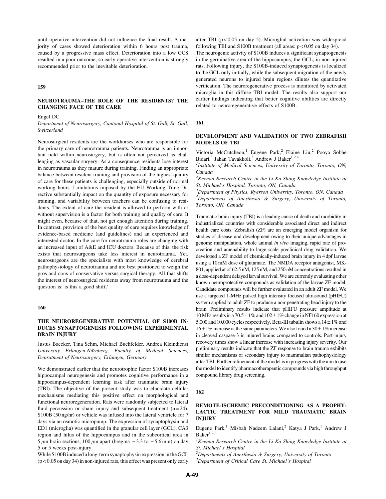until operative intervention did not influence the final result. A majority of cases showed deterioration within 6 hours post trauma, caused by a progressive mass effect. Deterioration into a low GCS resulted in a poor outcome, so early operative intervention is strongly recommended prior to the inevitable deterioration.

### 159

# NEUROTRAUMA–THE ROLE OF THE RESIDENTS? THE CHANGING FACE OF TBI CARE

#### Engel DC

Department of Neurosurgery, Cantonal Hospital of St. Gall, St. Gall, Switzerland

Neurosurgical residents are the workhorses who are responsible for the primary care of neurotrauma patients. Neurotrauma is an important field within neurosurgery, but is often not perceived as challenging as vascular surgery. As a consequence residents lose interest in neurotrauma as they mature during training. Finding an appropriate balance between resident training and provision of the highest quality of care for these patients is challenging, especially outside of normal working hours. Limitations imposed by the EU Working Time Directive substantially impact on the quantity of exposure necessary for training, and variability between teachers can be confusing to residents. The extent of care the resident is allowed to perform with or without supervision is a factor for both training and quality of care. It might even, because of that, not get enough attention during training. In contrast, provision of the best quality of care requires knowledge of evidence-based medicine (and guidelines) and an experienced and interested doctor. In the care for neurotrauma roles are changing with an increased input of A&E and ICU doctors. Because of this, the risk exists that neurosurgeons take less interest in neurotrauma. Yet, neurosurgeons are the specialists with most knowledge of cerebral pathophysiology of neurotrauma and are best positioned to weigh the pros and cons of conservative versus surgical therapy. All that shifts the interest of neurosurgical residents away from neurotrauma and the question is: is this a good shift?

### 160

# THE NEUROREGENERATIVE POTENTIAL OF S100B IN-DUCES SYNAPTOGENESIS FOLLOWING EXPERIMENTAL BRAIN INJURY

Justus Baecker, Tina Sehm, Michael Buchfelder, Andrea Kleindienst University Erlangen-Nürnberg, Faculty of Medical Sciences, Depratment of Neurosurgery, Erlangen, Germany

We demonstrated earlier that the neurotrophic factor S100B increases hippocampal neurogenesis and promotes cognitive performance in a hippocampus-dependent learning task after traumatic brain injury (TBI). The objective of the present study was to elucidate cellular mechanisms mediating this positive effect on morphological and functional neuroregeneration. Rats were randomly subjected to lateral fluid percussion or sham injury and subsequent treatment  $(n=24)$ . S100B (50 ng/hr) or vehicle was infused into the lateral ventricle for 7 days via an osmotic micropump. The expression of synaptophysin and ED1 (microglia) was quantified in the granular cell layer (GCL), CA3 region and hilus of the hippocampus and in the subcortical area in 5  $\mu$ m brain sections, 100  $\mu$ m apart (bregma - 3.3 to - 5.6 mm) on day 5 or 5 weeks post-injury.

While S100B induced a long-term synaptophysin expression in the GCL (p < 0.05 on day 34) in non-injured rats, this effect was present only early after TBI ( $p < 0.05$  on day 5). Microglial activation was widespread following TBI and S100B treatment (all areas: p < 0.05 on day 34).

The neurogenic activity of S100B induces a significant synaptogenesis in the germinative area of the hippocampus, the GCL, in non-injured rats. Following injury, the S100B-induced synaptogenesis is localized to the GCL only initially, while the subsequent migration of the newly generated neurons to injured brain regions dilutes the quantitative verification. The neuroregenerative process is monitored by activated microglia in this diffuse TBI model. The results also support our earlier findings indicating that better cognitive abilities are directly related to neuroregenerative effects of S100B.

#### 161

### DEVELOPMENT AND VALIDATION OF TWO ZEBRAFISH MODELS OF TBI

Victoria McCutcheon,<sup>1</sup> Eugene Park,<sup>2</sup> Elaine Liu,<sup>2</sup> Pooya Sobhe Bidari,<sup>3</sup> Jahan Tavakkoli,<sup>3</sup> Andrew J Baker<sup>1,2,4</sup>

<sup>1</sup>Institute of Medical Sciences, University of Toronto, Toronto, ON, Canada

 $2$ Keenan Research Centre in the Li Ka Shing Knowledge Institute at St. Michael's Hospital, Toronto, ON, Canada

<sup>3</sup>Department of Physics, Ryerson University, Toronto, ON, Canada <sup>4</sup>Departments of Anesthesia & Surgery, University of Toronto, Toronto, ON, Canada

Traumatic brain injury (TBI) is a leading cause of death and morbidity in industrialized countries with considerable associated direct and indirect health care costs. Zebrafish (ZF) are an emerging model organism for studies of disease and development owing to their unique advantages in genome manipulation, whole animal in vivo imaging, rapid rate of procreation and amenability to large scale preclinical drug validation. We developed a ZF model of chemically-induced brain injury in 4 dpf larvae using a 10 mM dose of glutamate. The NMDA receptor antagonist, MK-801, applied at of 62.5 nM, 125 nM, and 250 nM concentrations resulted in a dose-dependent delayed larval survival. We are currently evaluating other known neuroprotective compounds as validation of the larvae ZF model. Candidate compounds will be further evaluated in an adult ZF model. We use a targeted 1-MHz pulsed high intensity focused ultrasound (pHIFU) system applied to adult ZF to produce a non-penetrating head injury to the brain. Preliminary results indicate that pHIFU pressure amplitude at 10 MPa results in a 70.5  $\pm$  1% and 102  $\pm$  1% change in NF160 expression at 5,000 and 10,000 cycles respectively. Beta-III tubulin shows a  $14 \pm 1\%$  and  $16 \pm 1\%$  increase at the same parameters. We also found a  $30 \pm 1\%$  increase in cleaved caspase-3 in injured brains compared to controls. Post-injury recovery times show a linear increase with increasing injury severity. Our preliminary results indicate that the ZF response to brain trauma exhibits similar mechanisms of secondary injury to mammalian pathophysiology after TBI. Further refinement of the model is in progress with the aim to use the model to identify pharmacotherapeutic compounds via high throughput compound library drug screening.

#### 162

# REMOTE-ISCHEMIC PRECONDITIONING AS A PROPHY-LACTIC TREATMENT FOR MILD TRAUMATIC BRAIN INJURY

Eugene Park,<sup>1</sup> Misbah Nadeem Lalani,<sup>2</sup> Katya J Park,<sup>1</sup> Andrew J  $Baker<sup>1,2,3</sup>$ 

<sup>1</sup> Keenan Research Centre in the Li Ka Shing Knowledge Institute at St. Michael's Hospital

 $2$ Departments of Anesthesia & Surgery, University of Toronto

<sup>3</sup>Department of Critical Care St. Michael's Hospital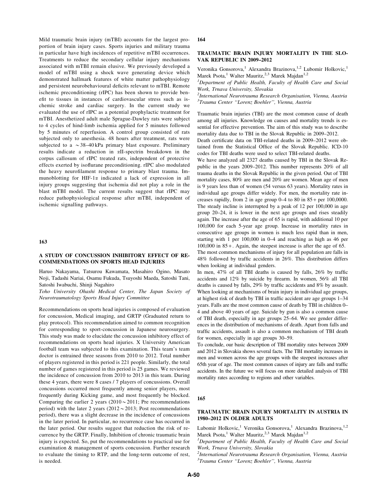Mild traumatic brain injury (mTBI) accounts for the largest proportion of brain injury cases. Sports injuries and military trauma in particular have high incidences of repetitive mTBI occurrences. Treatments to reduce the secondary cellular injury mechanisms associated with mTBI remain elusive. We previously developed a model of mTBI using a shock wave generating device which demonstrated hallmark features of white matter pathophysiology and persistent neurobehavioural deficits relevant to mTBI. Remote ischemic preconditioning (rIPC) has been shown to provide benefit to tissues in instances of cardiovascular stress such as ischemic stroke and cardiac surgery. In the current study we evaluated the use of rIPC as a potential prophylactic treatment for mTBI. Anesthetized adult male Sprague-Dawley rats were subject to 4 cycles of hind-limb ischemia applied for 5 minutes followed by 5 minutes of reperfusion. A control group consisted of rats subjected only to anesthesia. 48 hours after treatment, rats were subjected to a  $\sim$  38–40 kPa primary blast exposure. Preliminary results indicate a reduction in aII-spectrin breakdown in the corpus callosum of rIPC treated rats, independent of protective effects exerted by isoflurane preconditioning. rIPC also modulated the heavy neurofilament response to primary blast trauma. Immunoblotting for HIF-1 $\alpha$  indicated a lack of expression in all injury groups suggesting that ischemia did not play a role in the blast mTBI model. The current results suggest that rIPC may reduce pathophysiological response after mTBI, independent of ischemic signalling pathways.

## 163

## A STUDY OF CONCUSSION INHIBITORY EFFECT OF RE-COMMENDATIONS ON SPORTS HEAD INJURIES

Haruo Nakayama, Tatsurou Kawamata, Masahiro Ogino, Masato Noji, Tadashi Nariai, Osamu Fukuda, Tsuyoshi Maeda, Satoshi Tani, Satoshi Iwabuchi, Shinji Nagahiro

Toho University Ohashi Medical Center, The Japan Society of Neurotraumatology Sports Head Injury Committee

Recommendations on sports head injuries is composed of evaluation for concussion, Medical imaging, and GRTP (Graduated return to play protocol). This recommendation aimed to common recognition for corresponding to sport-concussion in Japanese neurosurgery. This study was made to elucidate the concussion inhibitory effect of recommendations on sports head injuries. X University American football team was subjected to this examination. This team's team doctor is entrained three seasons from 2010 to 2012. Total number of players registered in this period is 221 people. Similarly, the total number of games registered in this period is 25 games. We reviewed the incidence of concussion from 2010 to 2013 in this team. During these 4 years, there were 8 cases / 7 players of concussions. Overall concussions occurred most frequently among senior players, most frequently during Kicking game, and most frequently be blocked. Comparing the earlier 2 years  $(2010 \sim 2011)$ ; Pre recommendations period) with the later 2 years ( $2012 \sim 2013$ ; Post recommendations period), there was a slight decrease in the incidence of concussions in the later period. In particular, no recurrence case has occurred in the later period. Our results suggest that reduction the risk of recurrence by the GRTP. Finally, Inhibition of chronic traumatic brain injury is expected. So, put the recommendations to practical use for examination & management of sports concussion. Further research to evaluate the timing to RTP, and the long-term outcome of rest, is needed.

#### 164

#### TRAUMATIC BRAIN INJURY MORTALITY IN THE SLO-VAK REPUBLIC IN 2009–2012

Veronika Gonsorova,<sup>1</sup> Alexandra Brazinova,<sup>1,2</sup> Lubomir Holkovic,<sup>1</sup> Marek Psota,<sup>1</sup> Walter Mauritz,<sup>2,3</sup> Marek Majdan<sup>1,2</sup>

<sup>1</sup>Department of Public Health, Faculty of Health Care and Social Work, Trnava University, Slovakia

 $2$ International Neurotrauma Research Organisation, Vienna, Austria <sup>3</sup>Trauma Center "Lorenz Boehler", Vienna, Austria

Traumatic brain injuries (TBI) are the most common cause of death among all injuries. Knowledge on causes and mortality trends is essential for effective prevention. The aim of this study was to describe mortality data due to TBI in the Slovak Republic in 2009–2012.

Death certificate data on TBI-related deaths in 2009–2012 were obtained from the Statistical Office of the Slovak Republic. ICD-10 codes for TBI deaths were used to select TBI-related deaths.

We have analyzed all 2327 deaths caused by TBI in the Slovak Republic in the years 2009–2012. This number represents 20% of all trauma deaths in the Slovak Republic in the given period. Out of TBI mortality cases, 80% are men and 20% are women. Mean age of men is 9 years less than of women (54 versus 63 years). Mortality rates in individual age groups differ widely. For men, the mortality rate increases rapidly, from 2 in age group  $0-4$  to 80 in  $85 +$  per 100,0000. The steady incline is interrupted by a peak of 12 per 100,000 in age group 20–24, it is lower in the next age groups and rises steadily again. The increase after the age of 65 is rapid, with additional 10 per 100,000 for each 5-year age group. Increase in mortality rates in consecutive age groups in women is much less rapid than in men, starting with 1 per 100,000 in 0–4 and reaching as high as 46 per 100,000 in 85 + . Again, the steepest increase is after the age of 65. The most common mechanisms of injury for all population are falls in 48% followed by traffic accidents in 26%. This distribution differs

when looking at individual genders. In men, 47% of all TBI deaths is caused by falls, 26% by traffic accidents and 12% by suicide by firearm. In women, 56% all TBI deaths is caused by falls, 29% by traffic accidents and 8% by assault. When looking at mechanisms of brain injury in individual age groups, at highest risk of death by TBI in traffic accident are age groups 1–34 years. Falls are the most common cause of death by TBI in children 0– 4 and above 40 years of age. Suicide by gun is also a common cause of TBI death, especially in age groups 25–64. We see gender differences in the distribution of mechanisms of death. Apart from falls and traffic accidents, assault is also a common mechanism of TBI death for women, especially in age groups 30–59.

To conclude, our basic description of TBI mortality rates between 2009 and 2012 in Slovakia shows several facts. The TBI mortality increases in men and women across the age groups with the steepest increases after 65th year of age. The most common causes of injury are falls and traffic accidents. In the future we will focus on more detailed analysis of TBI mortality rates according to regions and other variables.

#### 165

## TRAUMATIC BRAIN INJURY MORTALITY IN AUSTRIA IN 1980–2012 IN OLDER ADULTS

Lubomir Holkovic,<sup>1</sup> Veronika Gonsorova,<sup>1</sup> Alexandra Brazinova,<sup>1,2</sup> Marek Psota,<sup>1</sup> Walter Mauritz,<sup>2,3</sup> Marek Majdan<sup>1,2</sup>

<sup>1</sup>Department of Public Health, Faculty of Health Care and Social Work, Trnava University, Slovakia

 $^{2}$ International Neurotrauma Research Organisation, Vienna, Austria <sup>3</sup>Trauma Center "Lorenz Boehler", Vienna, Austria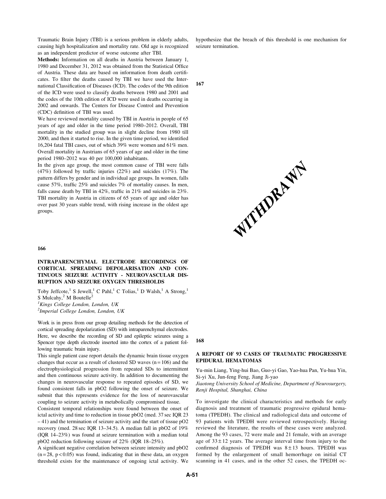Traumatic Brain Injury (TBI) is a serious problem in elderly adults, causing high hospitalization and mortality rate. Old age is recognized as an independent predictor of worse outcome after TBI.

Methods: Information on all deaths in Austria between January 1, 1980 and December 31, 2012 was obtained from the Statistical Office of Austria. These data are based on information from death certificates. To filter the deaths caused by TBI we have used the International Classification of Diseases (ICD). The codes of the 9th edition of the ICD were used to classify deaths between 1980 and 2001 and the codes of the 10th edition of ICD were used in deaths occurring in 2002 and onwards. The Centers for Disease Control and Prevention (CDC) definition of TBI was used.

We have reviewed mortality caused by TBI in Austria in people of 65 years of age and older in the time period 1980–2012. Overall, TBI mortality in the studied group was in slight decline from 1980 till 2000, and then it started to rise. In the given time period, we identified 16,204 fatal TBI cases, out of which 39% were women and 61% men. Overall mortality in Austrians of 65 years of age and older in the time period 1980–2012 was 40 per 100,000 inhabitants.

In the given age group, the most common cause of TBI were falls (47%) followed by traffic injuries (22%) and suicides (17%). The pattern differs by gender and in individual age groups. In women, falls cause 57%, traffic 25% and suicides 7% of mortality causes. In men, falls cause death by TBI in 42%, traffic in 21% and suicides in 23%. TBI mortality in Austria in citizens of 65 years of age and older has over past 30 years stable trend, with rising increase in the oldest age groups.

#### 166

## INTRAPARENCHYMAL ELECTRODE RECORDINGS OF CORTICAL SPREADING DEPOLARISATION AND CON-TINUOUS SEIZURE ACTIVITY - NEUROVASCULAR DIS-RUPTION AND SEIZURE OXYGEN THRESHOLDS

Toby Jeffcote,<sup>1</sup> S Jewell,<sup>1</sup> C Pahl,<sup>1</sup> C Tolias,<sup>1</sup> D Walsh,<sup>1</sup> A Strong,<sup>1</sup> S Mulcahy, $2^2$  M Boutelle<sup>2</sup>

<sup>1</sup>Kings College London, London, UK

<sup>2</sup>Imperial College London, London, UK

Work is in press from our group detailing methods for the detection of cortical spreading depolarization (SD) with intraparenchymal electrodes. Here, we describe the recording of SD and epileptic seizures using a Spencer type depth electrode inserted into the cortex of a patient fol-

lowing traumatic brain injury. This single patient case report details the dynamic brain tissue oxygen changes that occur as a result of clustered SD waves  $(n = 106)$  and the electrophysiological progression from repeated SDs to intermittent and then continuous seizure activity. In addition to documenting the changes in neurovascular response to repeated episodes of SD, we found consistent falls in pbO2 following the onset of seizure. We submit that this represents evidence for the loss of neurovascular coupling to seizure activity in metabolically compromised tissue.

Consistent temporal relationships were found between the onset of ictal activity and time to reduction in tissue pbO2 (med. 37 sec IQR 23 – 41) and the termination of seizure activity and the start of tissue pO2 recovery (med. 28 sec IQR 13–34.5). A median fall in pbO2 of 19% (IQR 14–23%) was found at seizure termination with a median total pbO2 reduction following seizure of 22% (IQR 18–25%).

A significant negative correlation between seizure intensity and pbO2  $(n = 28, p < 0.05)$  was found, indicating that in these data, an oxygen threshold exists for the maintenance of ongoing ictal activity. We hypothesize that the breach of this threshold is one mechanism for seizure termination.

167



168

## A REPORT OF 93 CASES OF TRAUMATIC PROGRESSIVE EPIDURAL HEMATOMAS

Yu-min Liang, Ying-hui Bao, Guo-yi Gao, Yao-hua Pan, Yu-hua Yin, Si-yi Xu, Jun-feng Feng, Jiang Ji-yao

Jiaotong University School of Medicine, Department of Neurosurgery, Renji Hospital, Shanghai, China

To investigate the clinical characteristics and methods for early diagnosis and treatment of traumatic progressive epidural hematoma (TPEDH). The clinical and radiological data and outcome of 93 patients with TPEDH were reviewed retrospectively. Having reviewed the literature, the results of these cases were analyzed. Among the 93 cases, 72 were male and 21 female, with an average age of  $33 \pm 12$  years. The average interval time from injury to the confirmed diagnosis of TPEDH was  $8 \pm 13$  hours. TPEDH was formed by the enlargement of small hemorrhage on initial CT scanning in 41 cases, and in the other 52 cases, the TPEDH oc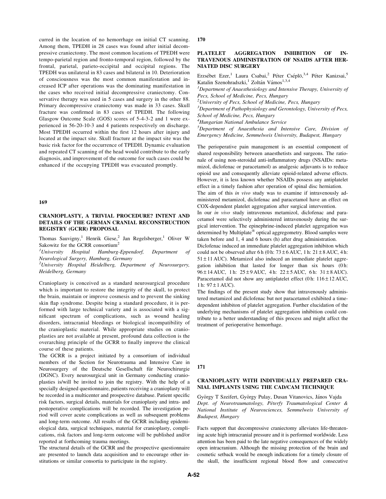curred in the location of no hemorrhage on initial CT scanning. Among them, TPEDH in 28 cases was found after initial decompressive craniectomy. The most common locations of TPEDH were tempo-parietal region and fronto-temporal region, followed by the frontal, parietal, parieto-occipital and occipital regions. The TPEDH was unilateral in 83 cases and bilateral in 10. Deterioration of consciousness was the most common manifestation and increased ICP after operations was the dominating manifestation in the cases who received initial decompressive craniectomy. Conservative therapy was used in 5 cases and surgery in the other 88. Primary decompressive craniectomy was made in 33 cases. Skull fracture was confirmed in 83 cases of TPEDH. The following Glasgow Outcome Scale (GOS) scores of 5-4-3-2 and 1 were experienced in 56-20-10-3 and 4 patients respectively on discharge. Most TPEDH occurred within the first 12 hours after injury and located at the impact site. Skull fracture at the impact site was the basic risk factor for the occurrence of TPEDH. Dynamic evaluation and repeated CT scanning of the head would contribute to the early diagnosis, and improvement of the outcome for such cases could be enhanced if the occupying TPEDH was evacuated promptly.

#### 169

## CRANIOPLASTY, A TRIVIAL PROCEDURE? INTENT AND DETAILS OF THE GERMAN CRANIAL RECONSTRUCTION REGISTRY (GCRR) PROPOSAL

Thomas Sauvigny,<sup>1</sup> Henrik Giese,<sup>2</sup> Jan Regelsberger,<sup>1</sup> Oliver W Sakowitz for the GCRR consortium<sup>2</sup>

 $<sup>1</sup> University$ </sup> Hospital Hamburg-Eppendorf, Department of Neurological Surgery, Hamburg, Germany

 $^{2}$ University Hospital Heidelberg, Department of Neurosurgery, Heidelberg, Germany

Cranioplasty is conceived as a standard neurosurgical procedure which is important to restore the integrity of the skull, to protect the brain, maintain or improve cosmesis and to prevent the sinking skin flap syndrome. Despite being a standard procedure, it is performed with large technical variety and is associated with a significant spectrum of complications, such as wound healing disorders, intracranial bleedings or biological incompatibility of the cranioplastic material. While appropriate studies on cranioplasties are not available at present, profound data collection is the overarching principle of the GCRR to finally improve the clinical course of these patients.

The GCRR is a project initiated by a consortium of individual members of the Section for Neurotrauma and Intensive Care in Neurosurgery of the Deutsche Gesellschaft für Neurochirurgie (DGNC). Every neurosurgical unit in Germany conducting cranioplasties is/will be invited to join the registry. With the help of a specially designed questionnaire, patients receiving a cranioplasty will be recorded in a multicenter and prospective database. Patient specific risk factors, surgical details, materials for cranioplasty and intra- and postoperative complications will be recorded. The investigation period will cover acute complications as well as subsequent problems and long-term outcome. All results of the GCRR including epidemiological data, surgical techniques, material for cranioplasty, complications, risk factors and long-term outcome will be published and/or reported at forthcoming trauma meetings.

The structural details of the GCRR and the prospective questionnaire are presented to launch data acquisition and to encourage other institutions or similar consortia to participate in the registry.

#### 170

## PLATELET AGGREGATION INHIBITION OF IN-TRAVENOUS ADMINISTRATION OF NSAIDS AFTER HER-NIATED DISC SURGERY

Erzsébet Ezer,<sup>1</sup> Laura Csabai,<sup>2</sup> Péter Cséplö,<sup>3,4</sup> Péter Kanizsai,<sup>5</sup> Katalin Szenohradszki,<sup>1</sup> Zoltán Vámos<sup>1,3,4</sup>

 ${}^{1}$ Department of Anaesthesiology and Intensive Therapy, University of Pecs, School of Medicine, Pecs, Hungary

 $2$ University of Pecs, School of Medicine, Pecs, Hungary

 $3$ Department of Pathophysiology and Gerontology, University of Pecs, School of Medicine, Pecs, Hungary

4 Hungarian National Ambulance Service

5 Department of Anaesthesia and Intensive Care, Division of Emergency Medicine, Semmelweis University, Budapest, Hungary

The perioperative pain management is an essential component of shared responsibility between anaesthetists and surgeons. The rationale of using non-steroidal anti-inflammatory drugs (NSAIDs: metamizol, diclofenac or paracetamol) as analgesic adjuvants is to reduce opioid use and consequently alleviate opioid-related adverse effects. However, it is less known whether NSAIDs possess any antiplatelet effect in a timely fashion after operation of spinal disc herniation. The aim of this in vivo study was to examine if intravenously ad-

ministered metamizol, diclofenac and paracetamol have an effect on COX-dependent platelet aggregation after surgical intervention.

In our in vivo study intravenous metamizol, diclofenac and paracetamol were selectively administered intravenously during the surgical intervention. The epinephrine-induced platelet aggregation was determined by Multiplate<sup>®</sup> optical aggregometry. Blood samples were taken before and 1, 4 and 6 hours (h) after drug administration.

Diclofenac induced an immediate platelet aggregation inhibiton which could not be observed after 6 h (0 h:  $73 \pm 6$  AUC, 1 h:  $21 \pm 8$  AUC, 4 h:  $51 \pm 11$  AUC). Metamizol also induced an immediate platelet aggregation inhibition that lasted for longer than six hours (0h: 96 ± 14 AUC, 1 h: 25 ± 9 AUC, 4 h: 22 ± 5 AUC, 6 h: 31 ± 8 AUC). Paracetamol did not show any antiplatelet effect (0 h:  $116 \pm 12$  AUC, 1 h:  $97 \pm 1$  AUC).

The findings of the present study show that intravenously administered metamizol and diclofenac but not paracetamol exhibited a timedependent inhibiton of platelet aggregation. Further elucidation of the underlying mechanisms of platelet aggregation inhibition could contribute to a better understanding of this process and might affect the treatment of perioperative hemorrhage.

171

## CRANIOPLASTY WITH INDIVIDUALLY PREPARED CRA-NIAL IMPLANTS USING THE CAD/CAM TECHNIQUE

György T Szeifert, György Pulay, Dusan Vitanovics, János Vajda Dept. of Neurotraumatology, Péterfy Traumatological Center & National Institute of Neurosciences, Semmelweis University of Budapest, Hungary

Facts support that decompressive craniectomy alleviates life-threatening acute high intracranial pressure and it is performed worldwide. Less attention has been paid to the late negative consequences of the widely open intracranium. Although the missing protection of the brain and cosmetic setback would be enough indications for a timely closure of the skull, the insufficient regional blood flow and consecutive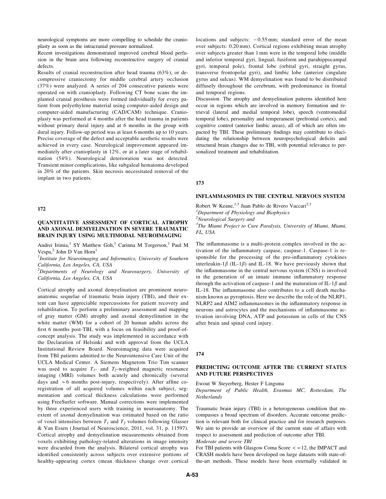neurological symptoms are more compelling to schedule the cranioplasty as soon as the intracranial pressure normalized.

Recent investigations demonstrated improved cerebral blood perfusion in the brain area following reconstructive surgery of cranial defects.

Results of cranial reconstruction after head trauma (63%), or decompressive craniectomy for middle cerebral artery occlusion (37%) were analyzed. A series of 204 consecutive patients were operated on with cranioplasty. Following CT bone scans the implanted cranial prosthesis were formed individually for every patient from polyethylene material using computer-aided design and computer-aided manufacturing (CAD/CAM) technique. Cranioplasty was performed at 4 months after the head trauma in patients without primary dural injury and at 6 months in the group with dural injury. Follow-up period was at least 6 months up to 10 years. Precise coverage of the defect and acceptable aesthetic results were achieved in every case. Neurological improvement appeared immediately after cranioplasty in 12%, or at a later stage of rehabilitation (54%). Neurological deterioration was not detected. Transient minor complications, like subgaleal hematoma developed in 20% of the patients. Skin necrosis necessitated removal of the implant in two patients.

## 172

## QUANTITATIVE ASSESSMENT OF CORTICAL ATROPHY AND AXONAL DEMYELINATION IN SEVERE TRAUMATIC BRAIN INJURY USING MULTIMODAL NEUROIMAGING

Andrei Irimia,<sup>1</sup> SY Matthew Goh,<sup>1</sup> Carinna M Torgerson,<sup>1</sup> Paul M Vespa, $<sup>2</sup>$  John D Van Horn<sup>1</sup></sup>

 $<sup>1</sup>$ Institute for Neuroimaging and Informatics, University of Southern</sup> California, Los Angeles, CA, USA

<sup>2</sup>Departments of Neurology and Neurosurgery, University of California, Los Angeles, CA, USA

Cortical atrophy and axonal demyelination are prominent neuroanatomic sequelae of traumatic brain injury (TBI), and their extent can have appreciable repercussions for patient recovery and rehabilitation. To perform a preliminary assessment and mapping of gray matter (GM) atrophy and axonal demyelination in the white matter (WM) for a cohort of 20 human adults across the first 6 months post-TBI, with a focus on feasibility and proof-ofconcept analysis. The study was implemented in accordance with the Declaration of Helsinki and with approval from the UCLA Institutional Review Board. Neuroimaging data were acquired from TBI patients admitted to the Neurointensive Care Unit of the UCLA Medical Center. A Siemens Magnetom Trio Tim scanner was used to acquire  $T_1$ - and  $T_2$ -weighted magnetic resonance imaging (MRI) volumes both acutely and chronically (several days and  $\sim$  6 months post-injury, respectively). After affine coregistration of all acquired volumes within each subject, segmentation and cortical thickness calculations were performed using FreeSurfer software. Manual corrections were implemented by three experienced users with training in neuroanatomy. The extent of axonal demyelination was estimated based on the ratio of voxel intensities between  $T_1$  and  $T_2$  volumes following Glasser & Van Essen ( Journal of Neuroscience, 2011, vol. 31, p. 11597). Cortical atrophy and demyelination measurements obtained from voxels exhibiting pathology-related alterations in image intensity were discarded from the analysis. Bilateral cortical atrophy was identified consistently across subjects over extensive portions of healthy-appearing cortex (mean thickness change over cortical

locations and subjects:  $-0.55$  mm; standard error of the mean over subjects: 0.20 mm). Cortical regions exhibiting mean atrophy over subjects greater than 1 mm were in the temporal lobe (middle and inferior temporal gyri, lingual, fusiform and parahippocampal gyri, temporal pole), frontal lobe (orbital gyri, straight gyrus, transverse frontopolar gyri), and limbic lobe (anterior cingulate gyrus and sulcus). WM demyelination was found to be distributed diffusely throughout the cerebrum, with predominance in frontal and temporal regions.

Discussion. The atrophy and demyelination patterns identified here occur in regions which are involved in memory formation and retrieval (lateral and medial temporal lobe), speech (ventromedial temporal lobe), personality and temperament (prefrontal cortex), and cognitive control (anterior limbic areas), all of which are often impacted by TBI. These preliminary findings may contribute to elucidating the relationship between neuropsychological deficits and structural brain changes due to TBI, with potential relevance to personalized treatment and rehabilitation.

## 173

#### INFLAMMASOMES IN THE CENTRAL NERVOUS SYSTEM

Robert W Keane,  $1,3$  Juan Pablo de Rivero Vaccari $2,3$ <sup>1</sup>Department of Physiology and Biophysics

<sup>2</sup>Neurological Surgery and

<sup>3</sup>The Miami Project to Cure Paralysis, University of Miami, Miami, FL, USA

The inflammasome is a multi-protein complex involved in the activation of the inflammatory caspase, caspase-1. Caspase-1 is responsible for the processing of the pro-inflammatory cytokines interleukin-1 $\beta$  (IL-1 $\beta$ ) and IL-18. We have previously shown that the inflammasome in the central nervous system (CNS) is involved in the generation of an innate immune inflammatory response through the activation of caspase-1 and the maturation of IL-1 $\beta$  and IL-18. The inflammasome also contributes to a cell death mechanism known as pyroptosis. Here we describe the role of the NLRP1, NLRP2 and AIM2 inflammasomes in the inflammatory response in neurons and astrocytes and the mechanisms of inflammasome activation involving DNA, ATP and potassium in cells of the CNS after brain and spinal cord injury.

#### 174

## PREDICTING OUTCOME AFTER TBI: CURRENT STATUS AND FUTURE PERSPECTIVES

Ewout W Steyerberg, Hester F Lingsma

Department of Public Health, Erasmus MC, Rotterdam, The Netherlands

Traumatic brain injury (TBI) is a heterogeneous condition that encompasses a broad spectrum of disorders. Accurate outcome prediction is relevant both for clinical practice and for research purposes. We aim to provide an overview of the current state of affairs with respect to assessment and prediction of outcome after TBI. Moderate and severe TBI

For TBI patients with Glasgow Coma Score  $\lt$  = 12, the IMPACT and

CRASH models have been developed on large datasets with state-ofthe-art methods. These models have been externally validated in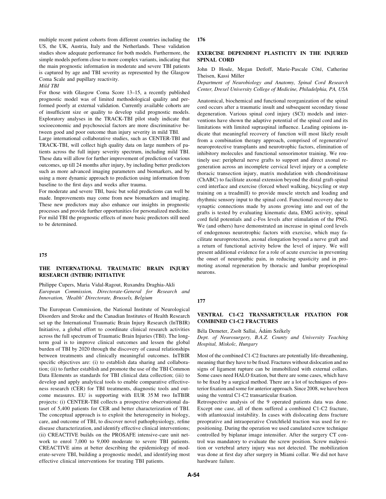multiple recent patient cohorts from different countries including the US, the UK, Austria, Italy and the Netherlands. These validation studies show adequate performance for both models. Furthermore, the simple models perform close to more complex variants, indicating that the main prognostic information in moderate and severe TBI patients is captured by age and TBI severity as represented by the Glasgow Coma Scale and pupillary reactivity.

Mild TBI

For those with Glasgow Coma Score 13–15, a recently published prognostic model was of limited methodological quality and performed poorly at external validation. Currently available cohorts are of insufficient size or quality to develop valid prognostic models. Exploratory analyses in the TRACK-TBI pilot study indicate that socioeconomic and psychosocial factors are more discriminative between good and poor outcome than injury severity in mild TBI.

Large international collaborative studies, such as CENTER-TBI and TRACK-TBI, will collect high quality data on large numbers of patients across the full injury severity spectrum, including mild TBI. These data will allow for further improvement of prediction of various outcomes, up till 24 months after injury, by including better predictors such as more advanced imaging parameters and biomarkers, and by using a more dynamic approach to prediction using information from baseline to the first days and weeks after trauma.

For moderate and severe TBI, basic but solid predictions can well be made. Improvements may come from new biomarkers and imaging. These new predictors may also enhance our insights in prognostic processes and provide further opportunities for personalized medicine. For mild TBI the prognostic effects of more basic predictors still need to be determined.

#### 175

# THE INTERNATIONAL TRAUMATIC BRAIN INJURY RESEARCH (INTBIR) INITIATIVE

Philippe Cupers, Maria Vidal-Ragout, Ruxandra Draghia-Akli European Commission, Directorate-General for Research and Innovation, 'Health' Directorate, Brussels, Belgium

The European Commission, the National Institute of Neurological Disorders and Stroke and the Canadian Institutes of Health Research set up the International Traumatic Brain Injury Research (InTBIR) Initiative, a global effort to coordinate clinical research activities across the full spectrum of Traumatic Brain Injuries (TBI). The longterm goal is to improve clinical outcomes and lessen the global burden of TBI by 2020 through the discovery of causal relationships between treatments and clinically meaningful outcomes. InTBIR specific objectives are: (i) to establish data sharing and collaboration; (ii) to further establish and promote the use of the TBI Common Data Elements as standards for TBI clinical data collection; (iii) to develop and apply analytical tools to enable comparative effectiveness research (CER) for TBI treatments, diagnostic tools and outcome measures. EU is supporting with EUR 35 M two InTBIR projects: (i) CENTER-TBI collects a prospective observational dataset of 5,400 patients for CER and better characterization of TBI. The conceptual approach is to exploit the heterogeneity in biology, care, and outcome of TBI, to discover novel pathophysiology, refine disease characterization, and identify effective clinical interventions; (ii) CREACTIVE builds on the PROSAFE intensive-care unit network to enrol 7,000 to 9,000 moderate to severe TBI patients. CREACTIVE aims at better describing the epidemiology of moderate-severe TBI, building a prognostic model, and identifying most effective clinical interventions for treating TBI patients.

#### 176

### EXERCISE DEPENDENT PLASTICITY IN THE INJURED SPINAL CORD

John D Houle, Megan Detloff, Marie-Pascale Côté, Catherine Theisen, Kassi Miller

Department of Neurobiology and Anatomy, Spinal Cord Research Center, Drexel University College of Medicine, Philadelphia, PA, USA

Anatomical, biochemical and functional reorganization of the spinal cord occurs after a traumatic insult and subsequent secondary tissue degeneration. Various spinal cord injury (SCI) models and interventions have shown the adaptive potential of the spinal cord and its limitations with limited supraspinal influence. Leading opinions indicate that meaningful recovery of function will most likely result from a combination therapy approach, comprised of regenerative/ neuroprotective transplants and neurotrophic factors, elimination of inhibitory molecules and functional sensorimotor training. We routinely use: peripheral nerve grafts to support and direct axonal regeneration across an incomplete cervical level injury or a complete thoracic transection injury, matrix modulation with chondroitinase (ChABC) to facilitate axonal extension beyond the distal graft-spinal cord interface and exercise (forced wheel walking, bicycling or step training on a treadmill) to provide muscle stretch and loading and rhythmic sensory input to the spinal cord. Functional recovery due to synaptic connections made by axons growing into and out of the grafts is tested by evaluating kinematic data, EMG activity, spinal cord field potentials and c-Fos levels after stimulation of the PNG. We (and others) have demonstrated an increase in spinal cord levels of endogenous neurotrophic factors with exercise, which may facilitate neuroprotection, axonal elongation beyond a nerve graft and a return of functional activity below the level of injury. We will present additional evidence for a role of acute exercise in preventing the onset of neuropathic pain, in reducing spasticity and in promoting axonal regeneration by thoracic and lumbar propriospinal neurons.

#### 177

# VENTRAL C1-C2 TRANSARTICULAR FIXATION FOR COMBINED C1-C2 FRACTURES

Béla Demeter, Zsolt Sallai, Ádám Székely

Dept. of Neurosurgery, B.A.Z. County and University Teaching Hospital, Miskolc, Hungary

Most of the combined C1-C2 fractures are potentially life-threathening, meaning that they have to be fixed. Fractures without dislocation and no signs of ligament rupture can be immobilized with external collars. Some cases need HALO fixation, but there are some cases, which have to be fixed by a surgical method. There are a lot of techniques of posterior fixation and some for anterior approach. Since 2008, we have been using the ventral C1-C2 transarticular fixation.

Retrospective analysis of the 9 operated patients data was done. Except one case, all of them suffered a combined C1-C2 fracture, with atlantoaxial instability. In cases with dislocating dens fracture preoprative and intraoperative Crutchfield traction was used for repositioning. During the operation we used canulated screw technique controlled by biplanar image intensifier. After the surgery CT control was mandatory to evaluate the screw position. Screw malposition or vertebral artery injury was not detected. The mobilization was done at first day after surgery in Miami collar. We did not have hardware failure.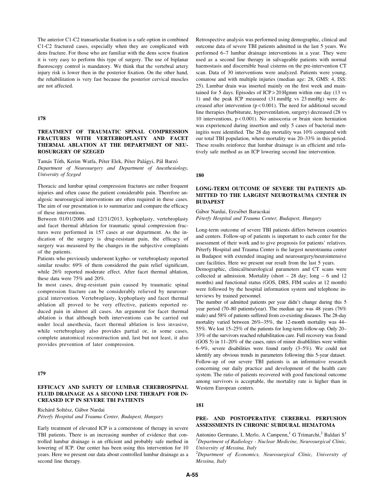The anterior C1-C2 transarticular fixation is a safe option in combined C1-C2 fractured cases, especially when they are complicated with dens fracture. For those who are familiar with the dens screw fixation it is very easy to perform this type of surgery. The use of biplanar fluoroscopy control is mandatory. We think that the vertebral artery injury risk is lower then in the posterior fixation. On the other hand, the rehabilitation is very fast because the posterior cervical muscles are not affected.

#### 178

# TREATMENT OF TRAUMATIC SPINAL COMPRESSION FRACTURES WITH VERTEBROPLASTY AND FACET THERMAL ABLATION AT THE DEPARTMENT OF NEU-ROSURGERY OF SZEGED

Tamás Tóth, Kerim Watfa, Péter Elek, Péter Palágyi, Pál Barzó Department of Neurosurgery and Department of Anesthesiology, University of Szeged

Thoracic and lumbar spinal compression fractures are rather frequent injuries and often cause the patient considerable pain. Therefore analgesic neurosurgical interventions are often required in these cases. The aim of our presentation is to summarize and compare the efficacy of these interventions.

Between 01/01/2006 and 12/31/2013, kyphoplasty, vertebroplasty and facet thermal ablation for traumatic spinal compression fractures were performed in 157 cases at our department. As the indication of the surgery is drug-resistant pain, the efficacy of surgery was measured by the changes in the subjective complaints of the patients.

Patients who previously underwent kypho- or vertebroplasty reported similar results: 69% of them considered the pain relief significant, while 26% reported moderate effect. After facet thermal ablation, these data were 75% and 20%.

In most cases, drug-resistant pain caused by traumatic spinal compression fracture can be considerably relieved by neurosurgical intervention. Vertebroplasty, kyphoplasty and facet thermal ablation all proved to be very effective, patients reported reduced pain in almost all cases. An argument for facet thermal ablation is that although both interventions can be carried out under local anesthesia, facet thermal ablation is less invasive, while vertebroplasty also provides partial or, in some cases, complete anatomical reconstruction and, last but not least, it also provides prevention of later compression.

### 179

## EFFICACY AND SAFETY OF LUMBAR CEREBROSPINAL FLUID DRAINAGE AS A SECOND LINE THERAPY FOR IN-CREASED ICP IN SEVERE TBI PATIENTS

Richárd Soltész, Gábor Nardai

Péterfy Hospital and Trauma Center, Budapest, Hungary

Early treatment of elevated ICP is a cornerstone of therapy in severe TBI patients. There is an increasing number of evidence that controlled lumbar drainage is an efficient and probably safe method in lowering of ICP. Our center has been using this intervention for 10 years. Here we present our data about controlled lumbar drainage as a second line therapy.

Retrospective analysis was performed using demographic, clinical and outcome data of severe TBI patients admitted in the last 5 years. We performed 6–7 lumbar drainage interventions in a year. They were used as a second line therapy in salvageable patients with normal haemostasis and discernible basal cisterns on the pre-intervention CT scan. Data of 30 interventions were analyzed. Patients were young, comatose and with multiple injuries (median age: 28, GMS: 4, ISS: 25). Lumbar drain was inserted mainly on the first week and maintained for 5 days. Episodes of ICP > 20 Hgmm within one day (13 vs 1) and the peak ICP measured (31 mmHg vs 23 mmHg) were decreased after intervention  $(p < 0.001)$ . The need for additional second line therapies (barbiturate, hyperventilation, surgery) decreased (28 vs 10 interventions, p < 0.001). No anisocoria or brain stem herniation was experienced during insertion and only 5 cases of bacterial meningitis were identified. The 28 day mortality was 10% compared with our total TBI population, where mortality was 20–33% in this period. These results reinforce that lumbar drainage is an efficient and relatively safe method as an ICP lowering second line intervention.

180

# LONG-TERM OUTCOME OF SEVERE TBI PATIENTS AD-MITTED TO THE LARGEST NEUROTRAUMA CENTER IN BUDAPEST

Gábor Nardai, Erzsébet Baracskai

Péterfy Hospital and Trauma Center, Budapest, Hungary

Long-term outcome of severe TBI patients differs between countries and centers. Follow-up of patients is important to each center for the assessment of their work and to give prognosis for patients' relatives. Péterfy Hospital and Trauma Center is the largest neurotrauma center in Budapest with extended imaging and neurosurgery/neurointensive care facilities. Here we present our result from the last 5 years.

Demographic, clinical/neurological parameters and CT scans were collected at admission. Mortality (short  $-28$  day; long  $-6$  and 12 months) and functional status (GOS, DRS, FIM scales at 12 month) were followed by the hospital information system and telephone interviews by trained personnel.

The number of admitted patients per year didn't change during this 5 year period (70–80 patients/year). The median age was 48 years (76% male) and 58% of patients suffered from co-existing diseases. The 28-day mortality varied between 26%–35%, the 12-month mortality was 44– 55%. We lost 15–25% of the patients for long-term follow-up. Only 20– 33% of the survivors reached rehabilitation care. Full recovery was found (GOS 5) in 11–20% of the cases, rates of minor disablilities were within 6–9%, severe disabilities were found rarely (3–5%). We could not identify any obvious trends in parameters following this 5-year dataset. Follow-up of our severe TBI patients is an informative research concerning our daily practice and development of the health care system. The ratio of patients recovered with good functional outcome among survivors is acceptable, the mortality rate is higher than in Western European centers.

181

## PRE- AND POSTOPERATIVE CEREBRAL PERFUSION ASSESSMENTS IN CHRONIC SUBDURAL HEMATOMA

Antonino Germano, L Merlo, A Campenn,<sup>1</sup> G Trimarchi,<sup>2</sup> Baldari S<sup>1</sup> <sup>1</sup>Department of Radiology - Nuclear Medicine, Neurosurgical Clinic, University of Messina, Italy

<sup>2</sup>Department of Economics, Neurosurgical Clinic, University of Messina, Italy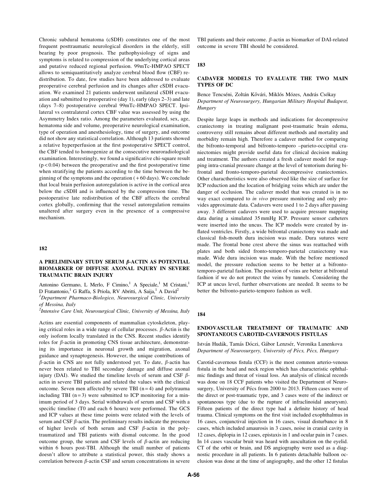Chronic subdural hematoma (cSDH) constitutes one of the most frequent posttraumatic neurological disorders in the elderly, still bearing by poor prognosis. The pathophysiology of signs and symptoms is related to compression of the underlying cortical areas and putative reduced regional perfusion. 99mTc-HMPAO SPECT allows to semiquantitatively analyze cerebral blood flow (CBF) redistribution. To date, few studies have been addressed to evaluate preoperative cerebral perfusion and its changes after cSDH evacuation. We examined 21 patients underwent unilateral cSDH evacuation and submitted to preoperative (day 1), early (days 2–3) and late (days 7–8) postoperative cerebral 99mTc-HMPAO SPECT. Ipsilateral vs contralateral cortex CBF value was assessed by using the Asymmetry Index ratio. Among the parameters evaluated, sex, age, hematoma side and volume, preoperative neurological examination, type of operation and anesthesiology, time of surgery, and outcome did not show any statistical correlation. Although 13 patients showed a relative hyperperfusion at the first postoperative SPECT control, the CBF tended to homogenize at the consecutive neuroradiological examination. Interestingly, we found a significative chi-square result  $(p<0.04)$  between the preoperative and the first postoperative time when stratifying the patients according to the time between the beginning of the symptoms and the operation  $(+60 \text{ days})$ . We conclude that local brain perfusion autoregulation is active in the cortical area below the cSDH and is influenced by the compression time. The postoperative late redistribution of the CBF affects the cerebral cortex globally, confirming that the vessel autoregulation remains unaltered after surgery even in the presence of a compressive mechanism.

### 182

### A PRELIMINARY STUDY SERUM  $\beta$ -ACTIN AS POTENTIAL BIOMARKER OF DIFFUSE AXONAL INJURY IN SEVERE TRAUMATIC BRAIN INJURY

Antonino Germano, L Merlo, F Cimino,<sup>1</sup> A Speciale,<sup>1</sup> M Cristani,<sup>1</sup> D Fratantonio,<sup>1</sup> G Raffa, S Priola, RV Abritti, A Saija,<sup>1</sup> A David<sup>2</sup>

<sup>1</sup>Department Pharmaco-Biologico, Neurosurgical Clinic, University of Messina, Italy

<sup>2</sup>Intensive Care Unit, Neurosurgical Clinic, University of Messina, Italy

Actins are essential components of mammalian cytoskeleton, playing critical roles in a wide range of cellular processes.  $\beta$ -Actin is the only isoform locally translated in the CNS. Recent studies identify roles for  $\beta$ -actin in promoting CNS tissue architecture, demonstrating its importance in neuronal growth and migration, axonal guidance and synaptogenesis. However, the unique contributions of  $\beta$ -actin in CNS are not fully understood yet. To date,  $\beta$ -actin has never been related to TBI secondary damage and diffuse axonal injury (DAI). We studied the timeline levels of serum and CSF  $\beta$ actin in severe TBI patients and related the values with the clinical outcome. Seven men affected by severe TBI  $(n=4)$  and polytrauma including TBI  $(n=3)$  were submitted to ICP monitoring for a minimum period of 3 days. Serial withdrawals of serum and CSF with a specific timeline (T0 and each 6 hours) were performed. The GCS and ICP values at these time points were related with the levels of serum and CSF  $\beta$ -actin. The preliminary results indicate the presence of higher levels of both serum and CSF  $\beta$ -actin in the polytraumatized and TBI patients with dismal outcome. In the good outcome group, the serum and CSF levels of  $\beta$ -actin are reducing within 6 hours post-TBI. Although the small number of patients doesn't allow to attribute a statistical power, this study shows a correlation between  $\beta$ -actin CSF and serum concentrations in severe TBI patients and their outcome.  $\beta$ -actin as biomarker of DAI-related outcome in severe TBI should be considered.

#### 183

### CADAVER MODELS TO EVALUATE THE TWO MAIN TYPES OF DC

### Bence Tencséni, Zoltán Kővári, Miklós Mózes, András Csókay Department of Neurosurgery, Hungarian Military Hospital Budapest, **Hungary**

Despite large leaps in methods and indications for decompressive craniectomy in treating malignant post-traumatic brain edema, controversy still remains about different methods and mortality and morbidity remain high. Therefore a cadaver method for comparing the bifronto-temporal and bifronto-temporo –parieto-occipital craniectomies might provide useful data for clinical decision making and treatment. The authors created a fresh cadaver model for mapping intra-cranial pressure change at the level of tentorium during bifrontal and fronto-temporo-parietal decompressive craniectomies. Other charactheristics were also observed like the size of surface for ICP reduction and the location of bridging veins which are under the danger of occlusion. The cadaver model that was created is in no way exact compared to in vivo pressure monitoring and only provides approximate data. Cadavers were used 1 to 2 days after passing away. 3 different cadavers were used to acquire pressure mapping data during a simulated 35 mmHg ICP. Pressure sensor catheters were inserted into the uncus. The ICP models were created by inflated ventricles. Firstly, a wide bifrontal craniectomy was made and classical fish-mouth dura incision was made. Dura sutures were made. The frontal bone crest above the sinus was reattached with plates and both sided fronto-temporo-parietal craniectomy was made. Wide dura incision was made. With the before mentioned model, the pressure reduction seems to be better at a bifrontotemporo-parietal fashion. The position of veins are better at bifrontal fashion if we do not protect the veins by tunnels. Considering the ICP at uncus level, further observations are needed. It seems to be better the bifronto-parieto-temporo fashion as well.

#### 184

## ENDOVASCULAR TREATMENT OF TRAUMATIC AND SPONTANEOUS CAROTID-CAVERNOUS FISTULAS

István Hudák, Tamás Dóczi, Gábor Lenzsér, Veronika Lunenkova Department of Neurosurgery, University of Pécs, Pécs, Hungary

Carotid-cavernous fistula (CCF) is the most common arterio-venous fistula in the head and neck region which has characteristic ophthalmic findings and threat of visual loss. An analysis of clinical records was done on 18 CCF patients who visited the Department of Neurosurgery, University of Pécs from 2000 to 2013. Fifteen cases were of the direct or post-traumatic type, and 3 cases were of the indirect or spontaneous type (due to the rupture of infraclinoidal aneurysm). Fifteen patients of the direct type had a definite history of head trauma. Clinical symptoms on the first visit included exophthalmus in 16 cases, conjunctival injection in 16 cases, visual disturbance in 8 cases, which included amaurosis in 3 cases, noise in cranial cavity in 12 cases, diplopia in 12 cases, epistaxis in 1 and ocular pain in 7 cases. In 14 cases vascular bruit was heard with auscultation on the eyelid. CT of the orbit or brain, and DS angiography were used as a diagnostic procedure in all patients. In 6 patients detachable balloon occlusion was done at the time of angiography, and the other 12 fistulas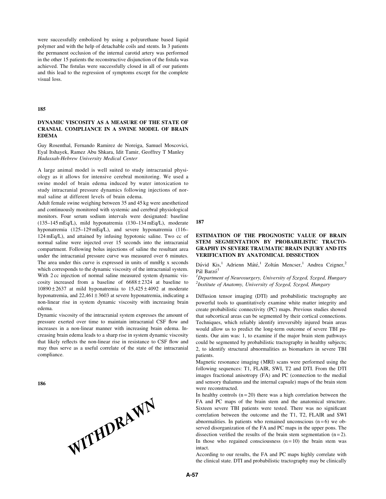were successfully embolized by using a polyurethane based liquid polymer and with the help of detachable coils and stents. In 3 patients the permanent occlusion of the internal carotid artery was performed in the other 15 patients the reconstructive disjunction of the fistula was achieved. The fistulas were successfully closed in all of our patients and this lead to the regression of symptoms except for the complete visual loss.

#### 185

## DYNAMIC VISCOSITY AS A MEASURE OF THE STATE OF CRANIAL COMPLIANCE IN A SWINE MODEL OF BRAIN EDEMA

Guy Rosenthal, Fernando Ramirez de Noreiga, Samuel Moscovici, Eyal Itshayek, Ramez Abu Shkara, Idit Tamir, Geoffrey T Manley Hadassah-Hebrew University Medical Center

A large animal model is well suited to study intracranial physiology as it allows for intensive cerebral monitoring. We used a swine model of brain edema induced by water intoxication to study intracranial pressure dynamics following injections of normal saline at different levels of brain edema.

Adult female swine weighing between 35 and 45 kg were anesthetized and continuously monitored with systemic and cerebral physiological monitors. Four serum sodium intervals were designated: baseline (135–145 mEq/L), mild hyponatremia (130–134 mEq/L), moderate hyponatremia (125–129 mEq/L), and severe hyponatremia (116– 124 mEq/L), and attained by infusing hypotonic saline. Two cc of normal saline were injected over 15 seconds into the intracranial compartment. Following bolus injections of saline the resultant area under the intracranial pressure curve was measured over 6 minutes. The area under this curve is expressed in units of mmHg x seconds which corresponds to the dynamic viscosity of the intracranial system. With 2 cc injection of normal saline measured system dynamic viscosity increased from a baseline of  $6688 \pm 2324$  at baseline to  $10890 \pm 2637$  at mild hyponatremia to  $15,425 \pm 4092$  at moderate hyponatremia, and  $22,461 \pm 3603$  at severe hyponatremia, indicating a non-linear rise in system dynamic viscosity with increasing brain edema.

Dynamic viscosity of the intracranial system expresses the amount of pressure exerted over time to maintain intracranial CSF flow and increases in a non-linear manner with increasing brain edema. Increasing brain edema leads to a sharp rise in system dynamic viscosity that likely reflects the non-linear rise in resistance to CSF flow and may thus serve as a useful correlate of the state of the intracranial compliance.

186



187

## ESTIMATION OF THE PROGNOSTIC VALUE OF BRAIN STEM SEGMENTATION BY PROBABILISTIC TRACTO-GRAPHY IN SEVERE TRAUMATIC BRAIN INJURY AND ITS VERIFICATION BY ANATOMICAL DISSECTION

Dávid Kis,<sup>1</sup> Adrienn Máté,<sup>1</sup> Zoltán Mencser,<sup>1</sup> Andrea Czigner,<sup>2</sup> Pál Barzó<sup>1</sup>

 ${}^{1}$ Department of Neurosurgery, University of Szeged, Szeged, Hungary <sup>2</sup> Institute of Anatomy, University of Szeged, Szeged, Hungary

Diffusion tensor imaging (DTI) and probabilistic tractography are powerful tools to quantitatively examine white matter integrity and create probabilistic connectivity (PC) maps. Previous studies showed that subcortical areas can be segmented by their cortical connections. Techniques, which reliably identify irreversibly injured brain areas would allow us to predict the long-term outcome of severe TBI patients. Our aim was: 1, to examine if the major brain stem pathways could be segmented by probabilistic tractography in healthy subjects; 2, to identify structural abnormalities as biomarkers in severe TBI patients.

Magnetic resonance imaging (MRI) scans were performed using the following sequences: T1, FLAIR, SWI, T2 and DTI. From the DTI images fractional anisotropy (FA) and PC (connection to the medial and sensory thalamus and the internal capsule) maps of the brain stem were reconstructed.

In healthy controls  $(n = 20)$  there was a high correlation between the FA and PC maps of the brain stem and the anatomical structure. Sixteen severe TBI patients were tested. There was no significant correlation between the outcome and the T1, T2, FLAIR and SWI abnormalities. In patients who remained unconscious  $(n=6)$  we observed disorganization of the FA and PC maps in the upper pons. The dissection verified the results of the brain stem segmentation  $(n=2)$ . In those who regained consciousness  $(n = 10)$  the brain stem was intact. According to our results, the FA and PC maps highly correlate with the T1, T2, FLAIR and SWI<br>According to our results. In patients who remained unconscious (n = 6) we observed disorganization of the FA and PC maps in the

the clinical state. DTI and probabilistic tractography may be clinically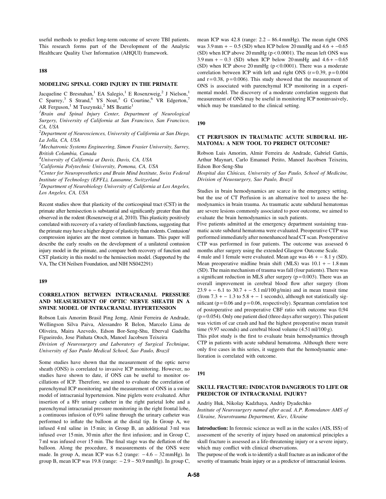useful methods to predict long-term outcome of severe TBI patients. This research forms part of the Development of the Analytic Healthcare Quality User Information (AHQUI) framework.

188

## MODELING SPINAL CORD INJURY IN THE PRIMATE

Jacqueline C Bresnahan,<sup>1</sup> EA Salegio,<sup>1</sup> E Rosenzweig,<sup>2</sup> J Nielson,<sup>1</sup> C Sparrey,<sup>3</sup> S Strand,<sup>4</sup> YS Nout,<sup>5</sup> G Courtine,<sup>6</sup> VR Edgerton,<sup>7</sup> AR Ferguson,<sup>1</sup> M Tuszynski,<sup>2</sup> MS Beattie<sup>1</sup>

<sup>1</sup>Brain and Spinal Injury Center, Department of Neurological Surgery, University of California at San Francisco, San Francisco, CA, USA

 $^{2}$ Department of Neurosciences, University of California at San Diego, La Jolla, CA, USA

<sup>3</sup>Mechatronic Systems Engineering, Simon Frasier University, Surrey, British Columbia, Canada

<sup>4</sup>University of California at Davis, Davis, CA, USA

5 California Polytechnic University, Pomona, CA, USA

 ${}^{6}$ Center for Neuroprosthetics and Brain Mind Institute, Swiss Federal Institute of Technology (EPFL), Lausanne, Switzerland

 $7$ Department of Neurobiology University of California at Los Angeles, Los Angeles, CA, USA

Recent studies show that plasticity of the corticospinal tract (CST) in the primate after hemisection is substantial and significantly greater than that observed in the rodent (Rosenzweig et al, 2010). This plasticity positively correlated with recovery of a variety of forelimb functions, suggesting that the primate may have a higher degree of plasticity than rodents. Contusion/ compression injuries are the most common in humans. This paper will describe the early results on the development of a unilateral contusion injury model in the primate, and compare both recovery of function and CST plasticity in this model to the hemisection model. (Supported by the VA, The CH Neilsen Foundation, and NIH NS042291)

189

# CORRELATION BETWEEN INTRACRANIAL PRESSURE AND MEASUREMENT OF OPTIC NERVE SHEATH IN A SWINE MODEL OF INTRACRANIAL HYPERTENSION

Robson Luis Amorim Brasil Ping Jemg, Almir Ferreira de Andrade, Wellingson Silva Paiva, Alessandro R Belon, Marcelo Lima de Oliveira, Maira Azevedo, Edson Bor-Seng-Shu, Eberval Gadelha Figueiredo, Jose Pinhata Otoch, Manoel Jacobsen Teixeira

Division of Neurosurgery and Laboratory of Surgical Technique, University of Sao Paulo Medical School, Sao Paulo, Brazil

Some studies have shown that the measurement of the optic nerve sheath (ONS) is correlated to invasive ICP monitoring. However, no studies have shown to date, if ONS can be useful to monitor oscillations of ICP. Therefore, we aimed to evaluate the correlation of parenchymal ICP monitoring and the measurement of ONS in a swine model of intracranial hypertension. Nine piglets were evaluated. After insertion of a 8Fr urinary catheter in the right parietal lobe and a parenchymal intracranial pressure monitoring in the right frontal lobe, a continuous infusion of 0,9% saline through the urinary catheter was performed to inflate the balloon at the distal tip. In Group A, we infused 4 ml saline in 15 min; in Group B, an additional 3 ml was infused over 15 min, 30 min after the first infusion; and in Group C, 7 ml was infused over 15 min. The final stage was the deflation of the balloon. Along the procedure, 8 measurements of the ONS were made. In group A, mean ICP was  $6.2$  (range:  $-4.6 - 32$  mmHg). In group B, mean ICP was 19.8 (range: - 2.9 – 50.9 mmHg). In group C, mean ICP was 42.8 (range: 2.2 – 86.4 mmHg). The mean right ONS was  $3.9 \text{ mm } + -0.5 \text{ (SD)}$  when ICP below 20 mmHg and  $4.6 + -0.65$ (SD) when ICP above  $20 \text{ mmHg}$  ( $p < 0.0001$ ). The mean left ONS was  $3.9 \text{ mm } + -0.3 \text{ (SD)}$  when ICP below 20 mmHg and  $4.6 + -0.65$ (SD) when ICP above  $20 \text{ mmHg}$  (p < 0.0001). There was a moderate correlation between ICP with left and right ONS  $(r=0.39, p=0.004)$ and  $r = 0.38$ ,  $p = 0.006$ ). This study showed that the measurement of ONS is associated with parenchymal ICP monitoring in a experimental model. The discovery of a moderate correlation suggests that measurement of ONS may be useful in monitoring ICP noninvasively, which may be translated to the clinical setting.

190

### CT PERFUSION IN TRAUMATIC ACUTE SUBDURAL HE-MATOMA: A NEW TOOL TO PREDICT OUTCOME?

Robson Luis Amorim, Almir Ferreira de Andrade, Gabriel Gattás, Arthur Maynart, Carlo Emanuel Petito, Manoel Jacobsen Teixeira, Edson Bor-Seng-Shu

Hospital das Clínicas, University of Sao Paulo, School of Medicine, Division of Neuosurgery, Sao Paulo, Brazil

Studies in brain hemodynamics are scarce in the emergency setting, but the use of CT Perfusion is an alternative tool to assess the hemodynamics in brain trauma. As traumatic acute subdural hematomas are severe lesions commonly associated to poor outcome, we aimed to evaluate the brain hemodynamics in such patients.

Five patients admitted at the emergency department sustaining traumatic acute subdural hematoma were evaluated. Preoperative CTP was performed immediately after nonenhanced head CT scan. Postoperative CTP was performed in four patients. The outcome was assessed 6 months after surgery using the extended Glasgow Outcome Scale.

4 male and 1 female were evaluated. Mean age was  $46 + -8.1$  y (SD). Mean preoperative midline brain shift (MLS) was  $10.1 + -1.8$  mm (SD). The main mechanism of trauma was fall (four patients). There was a significant reduction in MLS after surgery  $(p = 0.003)$ . There was an overall improvement in cerebral blood flow after surgery (from  $23.9 - 6.1$  to  $30.7 - 5.1$  ml/100 g/min) and in mean transit time (from  $7.3 + -1.3$  to  $5.8 + -1$  seconds), although not statistically significant ( $p = 0.06$  and  $p = 0.06$ , respectively). Spearman correlation test of postoperative and preoperative CBF ratio with outcome was 0,94  $(p = 0.054)$ . Only one patient died (three days after surgery). This patient was victim of car crash and had the highest preoperative mean transit time (9.97 seconds) and cerebral blood volume  $(4.51 \text{ ml}/100 \text{ g})$ .

This pilot study is the first to evaluate brain hemodynamics through CTP in patients with acute subdural hematoma. Although there were only five cases in this series, it suggests that the hemodynamic amelioration is correlated with outcome.

#### 191

## SKULL FRACTURE: INDICATOR DANGEROUS TO LIFE OR PREDICTOR OF INTRACRANIAL INJURY?

Andriy Huk, Nikolay Kadzhaya, Andriy Dyadechko Institute of Neurosurgery named after acad. A.P. Romodanov AMS of Ukraine, Neurotrauma Department, Kiev, Ukraine

Introduction: In forensic science as well as in the scales (AIS, ISS) of assessment of the severity of injury based on anatomical principles a skull fracture is assessed as a life-threatening injury or a severe injury, which may conflict with clinical observations.

The purpose of the work is to identify a skull fracture as an indicator of the severity of traumatic brain injury or as a predictor of intracranial lesions.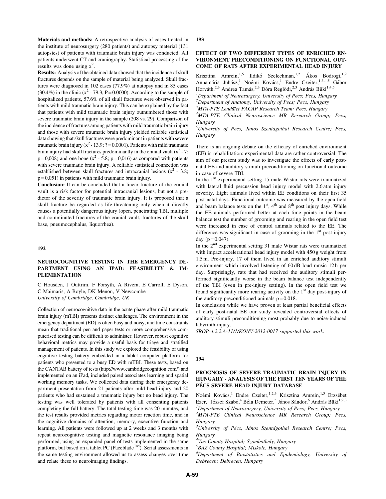Materials and methods: A retrospective analysis of cases treated in the institute of neurosurgery (280 patients) and autopsy material (131 autopsies) of patients with traumatic brain injury was conducted. All patients underwent CT and craniography. Statistical processing of the results was done using  $x^2$ .

Results: Analysis of the obtained data showed that the incidence of skull fractures depends on the sample of material being analyzed. Skull fractures were diagnosed in 102 cases (77.9%) at autopsy and in 85 cases (30.4%) in the clinic  $(x^2 - 79.3, P = 0.0000)$ . According to the sample of hospitalized patients, 57.6% of all skull fractures were observed in patients with mild traumatic brain injury. This can be explained by the fact that patients with mild traumatic brain injury outnumbered those with severe traumatic brain injury in the sample (208 vs. 29). Comparison of the incidence of fractures among patients with mild traumatic brain injury and those with severe traumatic brain injury yielded reliable statistical data showing that skull fractures were predominant in patients with severe traumatic brain injury ( $x^2 - 13.9$ ; ? = 0.0001). Patients with mild traumatic brain injury had skull fractures predominantly in the cranial vault  $(x^2 - 7)$ ;  $p=0,008$ ) and one bone ( $x^2$  - 5.8;  $p=0,016$ ) as compared with patients with severe traumatic brain injury. A reliable statistical connection was established between skull fractures and intracranial lesions  $(x^2 - 3.8)$ .  $p = 0.051$ ) in patients with mild traumatic brain injury.

Conclusion: It can be concluded that a linear fracture of the cranial vault is a risk factor for potential intracranial lesions, but not a predictor of the severity of traumatic brain injury. It is proposed that a skull fracture be regarded as life-threatening only when it directly causes a potentially dangerous injury (open, penetrating TBI, multiple and comminuted fractures of the cranial vault, fractures of the skull base, pneumocephalus, liquorrhea).

### 192

# NEUROCOGNITIVE TESTING IN THE EMERGENCY DE-PARTMENT USING AN IPAD: FEASIBILITY & IM-PLEMENTATION

C Housden, J Outtrim, F Forsyth, A Rivera, E Carroll, E Dyson, C Maimaris, A Boyle, DK Menon, V Newcombe University of Cambridge, Cambridge, UK

Collection of neurocognitive data in the acute phase after mild traumatic brain injury (mTBI) presents distinct challenges. The environment in the emergency department (ED) is often busy and noisy, and time constraints mean that traditional pen and paper tests or more comprehensive computerised testing can be difficult to administer. However, robust cognitive behavioral metrics may provide a useful basis for triage and stratified management of patients. In this study we explored the feasibility of using cognitive testing battery embedded in a tablet computer platform for patients who presented to a busy ED with mTBI. These tests, based on the CANTAB battery of tests (http://www.cambridgecognition.com/) and implemented on an iPad, included paired associates learning and spatial working memory tasks. We collected data during their emergency department presentation from 21 patients after mild head injury and 20 patients who had sustained a traumatic injury but no head injury. The testing was well tolerated by patients with all consenting patients completing the full battery. The total testing time was 20 minutes, and the test results provided metrics regarding motor reaction time, and in the cognitive domains of attention, memory, executive function and learning. All patients were followed up at 2 weeks and 3 months with repeat neurocognitive testing and magnetic resonance imaging being performed, using an expanded panel of tests implemented in the same platform, but based on a tablet PC (Paceblade<sup>TM</sup>). Serial assessments in the same testing environment allowed us to assess changes over time and relate these to neuroimaging findings.

193

### EFFECT OF TWO DIFFERENT TYPES OF ENRICHED EN-VIRONMENT PRECONDITIONING ON FUNCTIONAL OUT-COME OF RATS AFTER EXPERIMENTAL HEAD INJURY

Krisztina Amrein,<sup>1,5</sup> Ildikó Szelechman,<sup>1,2</sup> Ákos Bodrogi,<sup>1,2</sup> Annamária Juhász,<sup>1</sup> Noémi Kovács,<sup>1</sup> Endre Czeiter,<sup>1,3,4,5</sup> Gábor Horváth,<sup>2,3</sup> Andrea Tamás,<sup>2,3</sup> Dóra Reglődi,<sup>2,3</sup> András Büki<sup>1,4,5</sup>

<sup>1</sup>Department of Neurosurgery, University of Pecs; Pecs, Hungary

<sup>2</sup>Department of Anatomy, University of Pecs; Pecs, Hungary

<sup>3</sup>MTA-PTE Lendulet PACAP Research Team; Pecs, Hungary<br><sup>4</sup>MTA PTE, Clinical Neurosciance, MP, Research, Group

MTA-PTE Clinical Neuroscience MR Research Group; Pecs, **Hungary** 

<sup>5</sup>University of Pecs, Janos Szentagothai Research Centre; Pecs, Hungary

There is an ongoing debate on the efficacy of enriched environment (EE) in rehabilitation: experimental data are rather controversial. The aim of our present study was to investigate the effects of early postnatal EE and auditory stimuli preconditioning on functional outcome in case of severe TBI.

In the  $1<sup>st</sup>$  experimental setting 15 male Wistar rats were traumatized with lateral fluid percussion head injury model with 2.6 atm injury severity. Eight animals lived within EE conditions on their first 35 post-natal days. Functional outcome was measured by the open field and beam balance tests on the  $1<sup>st</sup>$ ,  $4<sup>th</sup>$  and  $8<sup>th</sup>$  post injury days. While the EE animals performed better at each time points in the beam balance test the number of grooming and rearing in the open field test were increased in case of control animals related to the EE. The difference was significant in case of grooming in the  $1<sup>st</sup>$  post-injury day ( $p = 0.047$ ).

In the 2nd experimental setting 31 male Wistar rats were traumatized with impact accelerational head injury model with 450 g weight from 1.5 m. Pre-injury, 17 of them lived in an enriched auditory stimuli environment which involved listening of 60 dB loud music 12 h per day. Surprisingly, rats that had received the auditory stimuli performed significantly worse in the beam balance test independently of the TBI (even in pre-injury setting). In the open field test we found significantly more rearing activity on the  $1<sup>st</sup>$  day post-injury of the auditory preconditioned animals  $p = 0.018$ .

In conclusion while we have proven at least partial beneficial effects of early post-natal EE our study revealed controversial effects of auditory stimuli preconditioning most probably due to noise-induced labyrinth-injury.

SROP-4.2.2.A-11/1/KONV-2012-0017 supported this work.

#### 194

### PROGNOSIS OF SEVERE TRAUMATIC BRAIN INJURY IN HUNGARY - ANALYSIS OF THE FIRST TEN YEARS OF THE PÉCS SEVERE HEAD INJURY DATABASE

Noémi Kovács,<sup>1</sup> Endre Czeiter,<sup>1,2,3</sup> Krisztina Amrein,<sup>1,3</sup> Erzsébet Ezer,<sup>1</sup> József Szabó,<sup>4</sup> Béla Demeter,<sup>5</sup> János Sándor,<sup>6</sup> András Büki<sup>1,2,3</sup>

<sup>1</sup>Department of Neurosurgery, University of Pecs; Pecs, Hungary

<sup>2</sup>MTA-PTE Clinical Neuroscience MR Research Group; Pecs, **Hungary** 

<sup>3</sup>University of Pécs, János Szentágothai Research Centre; Pecs, Hungary

4 Vas County Hospital; Szombathely, Hungary

5 BAZ County Hospital; Miskolc, Hungary

6 Department of Biostatistics and Epidemiology, University of Debrecen; Debrecen, Hungary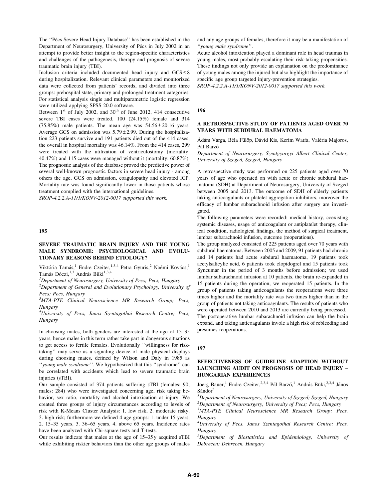The "Pécs Severe Head Injury Database" has been established in the Department of Neurosurgery, University of Pécs in July 2002 in an attempt to provide better insight to the region-specific characteristics and challenges of the pathogenesis, therapy and prognosis of severe traumatic brain injury (TBI).

Inclusion criteria included documented head injury and  $GCS \leq 8$ during hospitalization. Relevant clinical parameters and monitorized data were collected from patients' records, and divided into three groups: prehospital state, primary and prolonged treatment categories. For statistical analysis single and multiparametric logistic regression were utilized applying SPSS 20.0 software.

Between  $1<sup>st</sup>$  of July 2002, and 30<sup>th</sup> of June 2012, 414 consecutive severe TBI cases were treated, 100 (24.15%) female and 314 (75.85%) male patients. The mean age was  $54.56 \pm 20.16$  years. Average GCS on admission was  $5.79 \pm 2.99$ . During the hospitalization 223 patients survive and 191 patients died out of the 414 cases; the overall in hospital mortality was 46.14%. From the 414 cases, 299 were treated with the utilization of ventriculostomy (mortality: 40.47%) and 115 cases were managed without it (mortality: 60.87%). The prognostic analysis of the database proved the predictive power of several well-known prognostic factors in severe head injury - among others the age, GCS on admission, coagulopathy and elevated ICP. Mortality rate was found significantly lower in those patients whose treatment complied with the international guidelines.

SROP-4.2.2.A-11/1/KONV-2012-0017 supported this work.

#### 195

#### SEVERE TRAUMATIC BRAIN INJURY AND THE YOUNG MALE SYNDROME: PSYCHOLOGICAL AND EVOLU-TIONARY REASONS BEHIND ETIOLOGY?

Viktória Tamás,<sup>1</sup> Endre Czeiter,<sup>1,3,4</sup> Petra Gyuris,<sup>2</sup> Noémi Kovács,<sup>1</sup> Tamás Dóczi,<sup>1,3</sup> András Büki<sup>1,3,4</sup>

<sup>1</sup>Department of Neurosurgery, University of Pecs; Pecs, Hungary

 $2$ Department of General and Evolutionary Psychology, University of Pecs; Pecs, Hungary

<sup>3</sup>MTA-PTE Clinical Neuroscience MR Research Group; Pecs, Hungary

<sup>4</sup>University of Pecs, Janos Szentagothai Research Centre; Pecs, Hungary

In choosing mates, both genders are interested at the age of 15–35 years, hence males in this term rather take part in dangerous situations to get access to fertile females. Evolutionally ''willingness for risktaking'' may serve as a signaling device of male physical displays during choosing mates, defined by Wilson and Daly in 1985 as "young male syndrome". We hypothesized that this "syndrome" can be correlated with accidents which lead to severe traumatic brain injuries (sTBI).

Our sample consisted of 374 patients suffering sTBI (females: 90; males: 284) who were investigated concerning age, risk taking behavior, sex ratio, mortality and alcohol intoxication at injury. We created three groups of injury circumstances according to levels of risk with K-Means Cluster Analysis: 1. low risk, 2. moderate risky, 3. high risk; furthermore we defined 4 age groups: 1. under 15 years, 2. 15–35 years, 3. 36–65 years, 4. above 65 years. Incidence rates have been analyzed with Chi-square tests and T-tests.

Our results indicate that males at the age of 15–35 y acquired sTBI while exhibiting riskier behaviors than the other age groups of males and any age groups of females, therefore it may be a manifestation of ''young male syndrome''.

Acute alcohol intoxication played a dominant role in head traumas in young males, most probably escalating their risk-taking propensities. These findings not only provide an explanation on the predominance of young males among the injured but also highlight the importance of specific age group targeted injury-prevention strategies.

SROP-4.2.2.A-11/1/KONV-2012-0017 supported this work.

## 196

# A RETROSPECTIVE STUDY OF PATIENTS AGED OVER 70 YEARS WITH SUBDURAL HAEMATOMA

Ádám Varga, Béla Fülöp, Dávid Kis, Kerim Watfa, Valéria Majoros, Pál Barzó

Department of Neurosurgery, Szentgyorgyi Albert Clinical Center, University of Szeged, Szeged, Hungary

A retrospective study was performed on 225 patients aged over 70 years of age who operated on with acute or chronic subdural haematoma (SDH) at Department of Neurosurgery, University of Szeged between 2005 and 2013. The outcome of SDH of elderly patients taking anticoagulants or platelet aggregation inhibitors, moreover the efficacy of lumbar subarachnoid infusion after surgery are investigated.

The following parameters were recorded: medical history, coexisting systemic diseases, usage of anticoagulant or antiplatelet therapy, clinical condition, radiological findings, the method of surgical treatment, lumbar subarachnoid infusion, outcome (reoperations).

The group analyzed consisted of 225 patients aged over 70 years with subdural haematoma. Between 2005 and 2009, 91 patients had chronic and 14 patients had acute subdural haematoma, 19 patients took acetylsalicylic acid, 6 patients took clopidogrel and 15 patients took Syncumar in the period of 3 months before admission; we used lumbar subarachnoid infusion at 10 patients, the brain re-expanded in 15 patients during the operation; we reoperated 15 patients. In the group of patients taking anticoagulants the reoperations were three times higher and the mortality rate was two times higher than in the group of patients not taking anticoagulants. The results of patients who were operated between 2010 and 2013 are currently being processed. The postoperative lumbar subarachnoid infusion can help the brain expand, and taking anticoagulants invole a high risk of rebleeding and presumes reoperations.

# 197

# EFFECTIVENESS OF GUIDELINE ADAPTION WITHOUT LAUNCHING AUDIT ON PROGNOSIS OF HEAD INJURY – HUNGARIAN EXPERIENCES

Joerg Bauer,<sup>1</sup> Endre Czeiter,<sup>2,3,4</sup> Pál Barzó,<sup>1</sup> András Büki,<sup>2,3,4</sup> János  $S\acute{a}n\mathrm{dor}^5$ 

<sup>1</sup>Department of Neurosurgery, University of Szeged; Szeged, Hungary <sup>2</sup>Department of Neurosurgery, University of Pecs; Pecs, Hungary

<sup>3</sup>MTA-PTE Clinical Neuroscience MR Research Group; Pecs, Hungary

<sup>4</sup>University of Pecs, Janos Szentagothai Research Centre; Pecs, **Hungary** 

5 Department of Biostatistics and Epidemiology, University of Debrecen; Debrecen, Hungary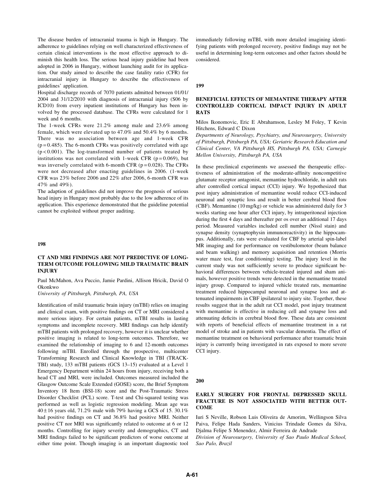The disease burden of intracranial trauma is high in Hungary. The adherence to guidelines relying on well characterized effectiveness of certain clinical interventions is the most effective approach to diminish this health loss. The serious head injury guideline had been adopted in 2006 in Hungary, without launching audit for its application. Our study aimed to describe the case fatality ratio (CFR) for intracranial injury in Hungary to describe the effectiveness of guidelines' application.

Hospital discharge records of 7070 patients admitted between 01/01/ 2004 and 31/12/2010 with diagnosis of intracranial injury (S06 by ICD10) from every inpatient institutions of Hungary has been involved by the processed database. The CFRs were calculated for 1 week and 6 months.

The 1-week CFRs were 21.2% among male and 23.6% among female, which were elevated up to 47.0% and 50.4% by 6 months. There was no association between age and 1-week CFR  $(p=0.485)$ . The 6-month CFRs was positively correlated with age (p < 0.001). The log-transformed number of patients treated by institutions was not correlated with 1-week CFR ( $p = 0.069$ ), but was inversely correlated with 6-month CFR ( $p = 0.028$ ). The CFRs were not decreased after enacting guidelines in 2006. (1-week CFR was 23% before 2006 and 22% after 2006, 6-month CFR was 47% and 49%).

The adaption of guidelines did not improve the prognosis of serious head injury in Hungary most probably due to the low adherence of its application. This experience demonstrated that the guideline potential cannot be exploited without proper auditing.

#### 198

### CT AND MRI FINDINGS ARE NOT PREDICTIVE OF LONG-TERM OUTCOME FOLLOWING MILD TRAUMATIC BRAIN INJURY

Paul McMahon, Ava Puccio, Jamie Pardini, Allison Hricik, David O Okonkwo

University of Pittsburgh, Pittsburgh, PA, USA

Identification of mild traumatic brain injury (mTBI) relies on imaging and clinical exam, with positive findings on CT or MRI considered a more serious injury. For certain patients, mTBI results in lasting symptoms and incomplete recovery. MRI findings can help identify mTBI patients with prolonged recovery, however it is unclear whether positive imaging is related to long-term outcomes. Therefore, we examined the relationship of imaging to 6 and 12-month outcomes following mTBI. Enrolled through the prospective, multicenter Transforming Research and Clinical Knowledge in TBI (TRACK-TBI) study, 133 mTBI patients (GCS 13–15) evaluated at a Level 1 Emergency Department within 24 hours from injury, receiving both a head CT and MRI, were included. Outcomes measured included the Glasgow Outcome Scale Extended (GOSE) score, the Brief Symptom Inventory 18 Item (BSI-18) score and the Post-Traumatic Stress Disorder Checklist (PCL) score. T-test and Chi-squared testing was performed as well as logistic regression modeling. Mean age was  $40 \pm 16$  years old, 71.2% male with 79% having a GCS of 15. 30.1% had positive findings on CT and 36.8% had positive MRI. Neither positive CT nor MRI was significantly related to outcome at 6 or 12 months. Controlling for injury severity and demographics, CT and MRI findings failed to be significant predictors of worse outcome at either time point. Though imaging is an important diagnostic tool

immediately following mTBI, with more detailed imagining identifying patients with prolonged recovery, positive findings may not be useful in determining long-term outcomes and other factors should be considered.

#### 199

## BENEFICIAL EFFECTS OF MEMANTINE THERAPY AFTER CONTROLLED CORTICAL IMPACT INJURY IN ADULT RATS

Milos Ikonomovic, Eric E Abrahamson, Lesley M Foley, T Kevin Hitchens, Edward C Dixon

Departments of Neurology, Psychiatry, and Neurosurgery, University of Pittsburgh, Pittsburgh PA, USA; Geriatric Research Education and Clinical Center, VA Pittsburgh HS, Pittsburgh PA, USA; Carnegie Mellon University, Pittsburgh PA, USA

In these preclinical experiments we assessed the therapeutic effectiveness of administration of the moderate-affinity noncompetitive glutamate receptor antagonist, memantine hydrochloride, in adult rats after controlled cortical impact (CCI) injury. We hypothesized that post injury administration of memantine would reduce CCI-induced neuronal and synaptic loss and result in better cerebral blood flow (CBF). Memantine (10 mg/kg) or vehicle was administered daily for 3 weeks starting one hour after CCI injury, by intraperitoneal injection during the first 4 days and thereafter per os over an additional 17 days period. Measured variables included cell number (Nissl stain) and synapse density (synaptophysin immunoreactivity) in the hippocampus. Additionally, rats were evaluated for CBF by arterial spin-label MR imaging and for performance on vestibulomotor (beam balance and beam walking) and memory acquisition and retention (Morris water maze test, fear conditioning) testing. The injury level in the current study was not sufficiently severe to produce significant behavioral differences between vehicle-treated injured and sham animals, however positive trends were detected in the memantine treated injury group. Compared to injured vehicle treated rats, memantine treatment reduced hippocampal neuronal and synapse loss and attenuated impairments in CBF ipsilateral to injury site. Together, these results suggest that in the adult rat CCI model, post injury treatment with memantine is effective in reducing cell and synapse loss and attenuating deficits in cerebral blood flow. These data are consistent with reports of beneficial effects of memantine treatment in a rat model of stroke and in patients with vascular dementia. The effect of memantine treatment on behavioral performance after traumatic brain injury is currently being investigated in rats exposed to more severe CCI injury.

#### 200

# EARLY SURGERY FOR FRONTAL DEPRESSED SKULL FRACTURE IS NOT ASSOCIATED WITH BETTER OUT-COME

Iuri S Neville, Robson Luis Oliveira de Amorim, Wellingson Silva Paiva, Felipe Hada Sanders, Vinicius Trindade Gomes da Silva, Djalma Felipe S Menendez, Almir Ferreira de Andrade

Division of Neurosurgery, University of Sao Paulo Medical School, Sao Palo, Brazil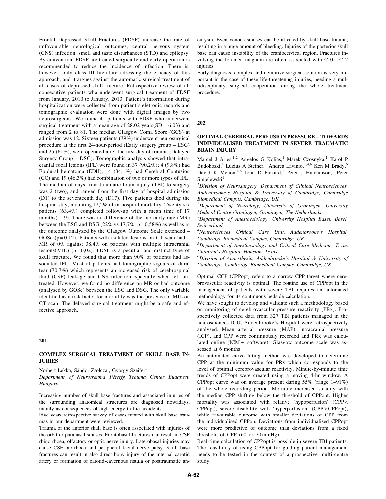Frontal Depressed Skull Fractures (FDSF) increase the rate of unfavourable neurological outcomes, central nervous system (CNS) infection, smell and taste disturbances (STD) and epilepsy. By convention, FDSF are treated surgically and early operation is recommended to reduce the incidence of infection. There is, however, only class III literature adressing the efficacy of this approach, and it argues against the automatic surgical treatment of all cases of depressed skull fracture. Retrospective review of all consecutive patients who underwent surgical treatment of FDSF from January, 2010 to January, 2013. Patient's information during hospitalization were collected from patient's eletronic records and tomographic evaluation were done with digital images by two neurosurgeons. We found 41 patients with FDSF who underwent surgical treatment with a mean age of 28.02 years(SD: 16.03) and ranged from 2 to 81. The median Glasgow Coma Score (GCS) at admission was 12. Sixteen patients (39%) underwent neurosurgical procedure at the first 24-hour-period (Early surgery group – ESG) and 25 (61%), were operated after the first day of trauma (Delayed Surgery Group – DSG). Tomographic analysis showed that intracranial focal lesions (IFL) were found in 37 (90,2%); 4 (9,8%) had Epidural hematoma (EDH), 14 (34,1%) had Cerebral Contusion (CC) and 19 (46,3%) had combination of two or more types of IFL. The median of days from traumatic brain injury (TBI) to surgery was 2 (two), and ranged from the first day of hospital admission (D1) to the seventeenth day (D17). Five patients died during the hospital stay, mounting 12,2% of in-hospital mortality. Twenty-six patients (63,4%) completed follow-up with a mean time of 17 months $(+ -9)$ . There was no difference of the mortality rate (MR) between the ESG and DSG (22% vs  $17,7\%$ ,  $p = 0,58\%$ ) as well as in the outcome analyzed by the Glasgow Outcome Scale extended – GOSe  $(p=0,12)$ . Patients with isolated lesions on CT scan had a MR of 0% against 38,4% on patients with multiple intracranial lesions(MIL) ( $p = 0.02$ ): FDSF is a peculiar and distinct type of skull fracture. We found that more than 90% of patients had associated IFL. Most of patients had tomographic signals of dural tear (70,7%) which represents an increased risk of cerebrospinal fluid (CSF) leakage and CNS infection, specially when left untreated. However, we found no difference on MR or bad outcome (analysed by GOSe) between the ESG and DSG. The only variable identified as a risk factor for mortality was the presence of MIL on CT scan. The delayed surgical treatment might be a safe and effective approach.

#### 201

### COMPLEX SURGICAL TREATMENT OF SKULL BASE IN-**JURIES**

Norbert Lekka, Sándor Zsolczai, György Szeifert

Department of Neurotrauma Péterfy Trauma Center Budapest, Hungary

Increasing number of skull base fractures and associated injuries of the surrounding anatomical structures are diagnosed nowadays, mainly as consequences of high energy traffic accidents.

Five years retrospective survey of cases treated with skull base traumas in our department were reviewed.

Trauma of the anterior skull base is often associated with injuries of the orbit or paranasal sinuses. Frontobasal fractures can result in CSF rhinorrhoea, olfactory or optic nerve injury. Laterobasal injuries may cause CSF otorrhoea and peripheral facial nerve palsy. Skull base fractures can result in also direct bony injury of the internal carotid artery or formation of carotid-cavernous fistula or posttraumatic aneurysm. Even venous sinuses can be affected by skull base trauma, resulting in a huge amount of bleeding. Injuries of the posterior skull base can cause instability of the craniocervical region. Fractures involving the foramen magnum are often associated with C 0 - C 2 injuries.

Early diagnosis, complex and definitive surgical solution is very important in the case of these life-threatening injuries, needing a multidisciplinary surgical cooperation during the whole treatment procedure.

#### 202

## OPTIMAL CEREBRAL PERFUSION PRESSURE – TOWARDS INDIVIDUALISED TREATMENT IN SEVERE TRAUMATIC BRAIN INJURY

Marcel J Aries,<sup>1,2</sup> Angelos G Kolias,<sup>1</sup> Marek Czosnyka,<sup>1</sup> Karol P Budohoski,<sup>1</sup> Luzius A Steiner,<sup>3</sup> Andrea Lavinio,<sup>1,4,6</sup> Ken M Brady,<sup>5</sup> David K Menon,<sup>4,6</sup> John D Pickard,<sup>1</sup> Peter J Hutchinson,<sup>1</sup> Peter  $Smielewski<sup>1</sup>$ 

<sup>1</sup>Division of Neurosurgery, Department of Clinical Neurosciences, Addenbrooke's Hospital & University of Cambridge, Cambridge Biomedical Campus, Cambridge, UK

 $2$ Department of Neurology, University of Groningen, University Medical Centre Groningen, Groningen, The Netherlands

<sup>3</sup>Department of Anesthesiology, University Hospital Basel, Basel, Switzerland

4 Neurosciences Critical Care Unit, Addenbrooke's Hospital, Cambridge Biomedical Campus, Cambridge, UK

5 Department of Anesthesiology and Critical Care Medicine, Texas Children's Hospital, Houston, Texas

6 Division of Anaesthesia, Addenbrooke's Hospital & University of Cambridge, Cambridge Biomedical Campus, Cambridge, UK

Optimal CCP (CPPopt) refers to a narrow CPP target where cerebrovascular reactivity is optimal. The routine use of CPPopt in the management of patients with severe TBI requires an automated methodology for its continuous bedside calculation.

We have sought to develop and validate such a methodology based on monitoring of cerebrovascular pressure reactivity (PRx). Prospectively collected data from 327 TBI patients managed in the neurosciences ICU, Addenbrooke's Hospital were retrospectively analysed. Mean arterial pressure (MAP), intracranial pressure (ICP), and CPP were continuously recorded and PRx was calculated online (ICM + software). Glasgow outcome scale was assessed at 6 months.

An automated curve fitting method was developed to determine CPP at the minimum value for PRx which corresponds to the level of optimal cerebrovascular reactivity. Minute-by-minute time trends of CPPopt were created using a moving 4-hr window. A CPPopt curve was on average present during 55% (range 1–91%) of the whole recording period. Mortality increased steadily with the median CPP shifting below the threshold of CPPopt. Higher mortality was associated with relative 'hypoperfusion' (CPP < CPPopt), severe disability with 'hyperperfusion' (CPP > CPPopt), while favourable outcome with smaller deviations of CPP from the individualised CPPop. Deviations from individualised CPPopt were more predictive of outcome than deviations from a fixed threshold of CPP (60 or 70 mmHg).

Real-time calculation of CPPopt is possible in severe TBI patients. The feasibility of using CPPopt for guiding patient management needs to be tested in the context of a prospective multi-centre study.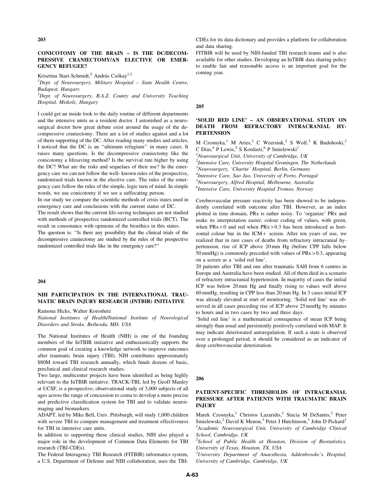#### 203

## CONICOTOMY OF THE BRAIN – IS THE DC/DECOM-PRESSIVE CRANIECTOMY/AN ELECTIVE OR EMER-GENCY REFUGEE?

Krisztina Stari-Schmidt,<sup>2</sup> András Csókay<sup>1,2</sup>

<sup>1</sup>Dept. of Neurosurgery, Military Hospital - State Health Centre, Budapest, Hungary

 $2$ Dept. of Neurosurgery, B.A.Z. County and University Teaching Hospital, Miskolc, Hungary

I could get an inside look to the daily routine of different departments and the intensive units as a resident doctor. I astonished as a neurosurgical doctor how great debate exist around the usage of the decompressive craniectomy. There are a lot of studies against and a lot of them supporting of the DC. After reading many studies and articles, I noticed that the DC is an ''ultimum refugium'' in many cases. It raises many questions. Is the decompressive craniectomy like the conicotomy a lifesaving method? Is the survival rate higher by using the DC? What are the risks and sequelaes of their use? In the emergency care we can not follow the well- known rules of the prospective, randomised trials known in the elective care. The rules of the emergency care follow the rules of the simple, logic turn of mind. In simple words, we use conicotomy if we see a suffocating person.

In our study we compare the scientific methods of crisis states used in emergency care and conclusions with the current status of DC.

The result shows that the current life-saving techniques are not studied with methods of prospective randomized controlled trials (RCT). The result in consonance with opinions of the bioethics in this states.

The question is: ''Is there any possibility that the clinical trials of the decompressive craniectomy are studied by the rules of the prospective randomized controlled trials like in the emergency care?''

#### 204

# NIH PARTICIPATION IN THE INTERNATIONAL TRAU-MATIC BRAIN INJURY RESEARCH (INTBIR) INITIATIVE

Ramona Hicks, Walter Koroshetz

National Institutes of Health/National Institute of Neurological Disorders and Stroke, Bethesda, MD, USA

The National Institutes of Health (NIH) is one of the founding members of the InTBIR initiative and enthusiastically supports the common goal of creating a knowledge network to improve outcomes after traumatic brain injury (TBI). NIH contributes approximately \$80M toward TBI research annually, which funds dozens of basic, preclinical and clinical research studies.

Two large, multicenter projects have been identified as being highly relevant to the InTBIR initiative. TRACK-TBI, led by Geoff Manley at UCSF, is a prospective, observational study of 3,000 subjects of all ages across the range of concussion to coma to develop a more precise and predictive classification system for TBI and to validate neuroimaging and biomarkers.

ADAPT, led by Mike Bell, Univ. Pittsburgh, will study 1,000 children with severe TBI to compare management and treatment effectiveness for TBI in intensive care units.

In addition to supporting these clinical studies, NIH also played a major role in the development of Common Data Elements for TBI research (TBI-CDEs).

The Federal Interagency TBI Research (FITBIR) informatics system, a U.S. Department of Defense and NIH collaboration, uses the TBI- CDEs for its data dictionary and provides a platform for collaboration and data sharing.

FITBIR will be used by NIH-funded TBI research teams and is also available for other studies. Developing an InTBIR data sharing policy to enable fair and reasonable access is an important goal for the coming year.

#### 205

## 'SOLID RED LINE' – AN OBSERVATIONAL STUDY ON DEATH FROM REFRACTORY INTRACRANIAL HY-**PERTENSION**

M Czosnyka,<sup>1</sup> M Aries,<sup>2</sup> C Weersink,<sup>2</sup> S Wolf,<sup>3</sup> K Budohoski,<sup>2</sup> C Dias,  $4$  P Lewis,  $5$  S Kordasti,  $6$  P Smielewski<sup>1</sup>  $<sup>1</sup>$ Neurosurgical Unit, University of Cambridge, UK</sup>

 $2$ Intensive Care, University Hospital Groningen, The Netherlands <sup>3</sup>Neurosurgery, 'Charite' Hospital, Berlin, Germany <sup>4</sup>Intensive Care, Sao Jao, University of Porto, Portugal

5 Neurosurgery, Alfred Hospital, Melbourne, Australia

<sup>6</sup>Intensive Care, University Hospital Tromso, Norway

Cerebrovascular pressure reactivity has been showed to be independently correlated with outcome after TBI. However, as an index plotted in time domain, PRx is rather noisy. To 'organize' PRx and make its interpretation easier, colour coding of values, with green, when  $PRx < 0$  and red when  $PRx > 0.3$  has been introduced as horizontal colour bar in the ICM + screen. After ten years of use, we realized that in rare cases of deaths from refractory intracranial hypertension, rise of ICP above 20 mm Hg (before CPP falls below 50 mmHg) is commonly preceded with values of PRx > 0.3, appearing on a screen as a 'solid red line'.

20 patients after TBI and one after traumatic SAH from 6 centres in Europe and Australia have been studied. All of them died in a scenario of refractory intracranial hypertension. In majority of cases the initial ICP was below 20 mm Hg and finally rising to values well above 60 mmHg, resulting in CPP less than 20 mm Hg. In 3 cases initial ICP was already elevated at start of monitoring. 'Solid red line' was observed in all cases preceding rise of ICP above 25 mmHg by minutes to hours and in two cases by two and three days.

'Solid red line' is a mathematical consequence of mean ICP being strongly than usual and persistently positively correlated with MAP. It may indicate deteriorated autoregulation. If such a state is observed over a prolonged period, it should be considered as an indicator of deep cerebrovascular deterioration.

#### 206

# PATIENT-SPECIFIC THRESHOLDS OF INTRACRANIAL PRESSURE AFTER PATIENTS WITH TRAUMATIC BRAIN INJURY

Marek Czosnyka,<sup>1</sup> Christos Lazaridis,<sup>1</sup> Stacia M DeSantis,<sup>2</sup> Peter Smielewski,<sup>2</sup> David K Menon,<sup>3</sup> Peter J Hutchinson,<sup>1</sup> John D Pickard<sup>1</sup> <sup>1</sup> Academic Neurosurgical Unit, University of Cambridge Clinical School, Cambridge, UK

 $2$ School of Public Health at Houston, Division of Biostatistics, University of Texas, Houston, TX, USA

<sup>3</sup>University Department of Anaesthesia, Addenbrooke's Hospital, University of Cambridge, Cambridge, UK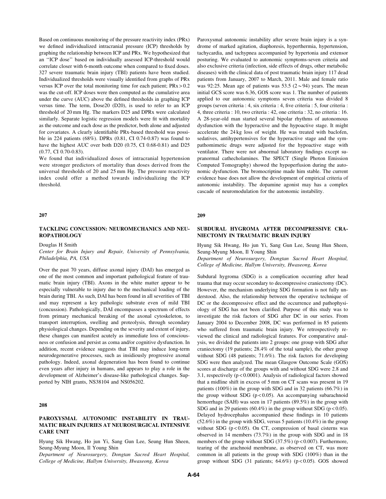Based on continuous monitoring of the pressure reactivity index (PRx) we defined individualized intracranial pressure (ICP) thresholds by graphing the relationship between ICP and PRx. We hypothesized that an ''ICP dose'' based on individually assessed ICP-threshold would correlate closer with 6-month outcome when compared to fixed doses. 327 severe traumatic brain injury (TBI) patients have been studied. Individualized thresholds were visually identified from graphs of PRx versus ICP over the total monitoring time for each patient;  $PRx > 0.2$ was the cut-off. ICP doses were then computed as the cumulative area under the curve (AUC) above the defined thresholds in graphing ICP versus time. The term, Dose20 (D20), is used to refer to an ICP threshold of 20 mm Hg. The markers D25 and DPRx were calculated similarly. Separate logistic regression models were fit with mortality as the outcome and each dose as the predictor, both alone and adjusted for covariates. A clearly identifiable PRx-based threshold was possible in 224 patients (68%). DPRx (0.81, CI 0.74-0.87) was found to have the highest AUC over both D20 (0.75, CI 0.68-0.81) and D25 (0.77, CI 0.70-0.83).

We found that individualized doses of intracranial hypertension were stronger predictors of mortality than doses derived from the universal thresholds of 20 and 25 mm Hg. The pressure reactivity index could offer a method towards individualizing the ICP threshold.

#### 207

# TACKLING CONCUSSION: NEUROMECHANICS AND NEU-ROPATHOLOGY

Douglas H Smith

Center for Brain Injury and Repair, University of Pennsylvania, Philadelphia, PA, USA

Over the past 70 years, diffuse axonal injury (DAI) has emerged as one of the most common and important pathological feature of traumatic brain injury (TBI). Axons in the white matter appear to be especially vulnerable to injury due to the mechanical loading of the brain during TBI. As such, DAI has been found in all severities of TBI and may represent a key pathologic substrate even of mild TBI (concussion). Pathologically, DAI encompasses a spectrum of effects from primary mechanical breaking of the axonal cytoskeleton, to transport interruption, swelling and proteolysis, through secondary physiological changes. Depending on the severity and extent of injury, these changes can manifest acutely as immediate loss of consciousness or confusion and persist as coma and/or cognitive dysfunction. In addition, recent evidence suggests that TBI may induce long-term neurodegenerative processes, such as insidiously progressive axonal pathology. Indeed, axonal degeneration has been found to continue even years after injury in humans, and appears to play a role in the development of Alzheimer's disease-like pathological changes. Supported by NIH grants, NS38104 and NS056202.

#### 208

## PAROXYSMAL AUTONOMIC INSTABILITY IN TRAU-MATIC BRAIN INJURIES AT NEUROSURGICAL INTENSIVE CARE UNIT

Hyung Sik Hwang, Ho jun Yi, Sang Gun Lee, Seung Hun Sheen, Seung-Myung Moon, Il Young Shin

Department of Neurosurgery, Dongtan Sacred Heart Hospital, College of Medicine, Hallym University, Hwaseong, Korea

Paroxysmal autonomic instability after severe brain injury is a syndrome of marked agitation, diaphoresis, hyperthermia, hypertension, tachycardia, and tachypnea accompanied by hypertonia and extensor posturing. We evaluated to autonomic symptoms-seven criteria and also exclusive criteria (infection, side effects of drugs, other metabolic diseases) with the clinical data of post traumatic brain injury 117 dead patients from January, 2007 to March, 2011. Male and female ratio was 92:25. Mean age of patients was 53.5 ( $2 \sim 94$ ) years. The mean initial GCS score was 6.36, GOS score was 1. The number of patients applied to our autonomic symptoms seven criteria was divided 8 groups (seven criteria : 4, six criteria : 4, five criteria : 5, four criteria : 4, three criteria : 10, two criteria : 42, one criteria : 32, no criteria : 16. A 28-year-old man started several bipolar rhythms of autonomous dysfunction with the hyperactive and the hypoactive stage. It might accelerate the 24 kg loss of weight. He was treated with baclofen, sedatives, antihypertensives for the hyperactive stage and the sympathomimetic drugs were adjusted for the hypoactive stage with ventilator. There were not abnormal laboratory findings except supranormal cathecholamines. The SPECT (Single Photon Emission Computed Tomography) showed the hypoperfusion during the autonomic dysfunction. The bromocriptine made him stable. The current evidence base does not allow the development of empirical criteria of autonomic instability. The dopamine agonist may has a complex cascade of neuromodulation for the autonomic instability.

#### 209

## SUBDURAL HYGROMA AFTER DECOMPRESSIVE CRA-NIECTOMY IN TRAUMATIC BRAIN INJURY

Hyung Sik Hwang, Ho jun Yi, Sang Gun Lee, Seung Hun Sheen, Seung-Myung Moon, Il Young Shin

Department of Neurosurgery, Dongtan Sacred Heart Hospital, College of Medicine, Hallym University, Hwaseong, Korea

Subdural hygroma (SDG) is a complication occurring after head trauma that may occur secondary to decompressive craniectomy (DC). However, the mechanism underlying SDG formation is not fully understood. Also, the relationship between the operative technique of DC or the decompressive effect and the occurrence and pathophysiology of SDG has not been clarified. Purpose of this study was to investigate the risk factors of SDG after DC in our series. From January 2004 to December 2008, DC was performed in 85 patients who suffered from traumatic brain injury. We retrospectively reviewed the clinical and radiological features. For comparative analysis, we divided the patients into 2 groups: one group with SDG after craniectomy (19 patients; 28.4% of the total sample), the other group without SDG (48 patients; 71.6%). The risk factors for developing SDG were then analyzed. The mean Glasgow Outcome Scale (GOS) scores at discharge of the groups with and without SDG were 2.8 and 3.1, respectively (p < 0.0001). Analysis of radiological factors showed that a midline shift in excess of 5 mm on CT scans was present in 19 patients (100%) in the group with SDG and in 32 patients (66.7%) in the group without SDG ( $p < 0.05$ ). An accompanying subarachnoid hemorrhage (SAH) was seen in 17 patients (89.5%) in the group with SDG and in 29 patients  $(60.4\%)$  in the group without SDG (p < 0.05). Delayed hydrocephalus accompanied these findings in 10 patients (52.6%) in the group with SDG, versus 5 patients (10.4%) in the group without SDG ( $p < 0.05$ ). On CT, compression of basal cisterns was observed in 14 members (73.7%) in the group with SDG and in 18 members of the group without SDG  $(37.5%)$  (p < 0.007). Furthermore, tearing of the arachnoid membrane, as observed on CT, was more common in all patients in the group with SDG (100%) than in the group without SDG (31 patients;  $64.6\%$ ) (p < 0.05). GOS showed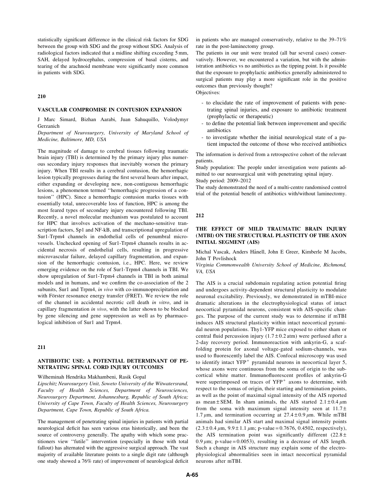statistically significant difference in the clinical risk factors for SDG between the group with SDG and the group without SDG. Analysis of radiological factors indicated that a midline shifting exceeding 5 mm, SAH, delayed hydrocephalus, compression of basal cisterns, and tearing of the arachnoid membrane were significantly more common in patients with SDG.

210

#### VASCULAR COMPROMISE IN CONTUSION EXPANSION

J Marc Simard, Bizhan Aarabi, Juan Sahuquillo, Volodymyr Gerzanich

Department of Neurosurgery, University of Maryland School of Medicine, Baltimore, MD, USA

The magnitude of damage to cerebral tissues following traumatic brain injury (TBI) is determined by the primary injury plus numerous secondary injury responses that inevitably worsen the primary injury. When TBI results in a cerebral contusion, the hemorrhagic lesion typically progresses during the first several hours after impact, either expanding or developing new, non-contiguous hemorrhagic lesions, a phenomenon termed ''hemorrhagic progression of a contusion'' (HPC). Since a hemorrhagic contusion marks tissues with essentially total, unrecoverable loss of function, HPC is among the most feared types of secondary injury encountered following TBI. Recently, a novel molecular mechanism was postulated to account for HPC that involves activation of the mechano-sensitive transcription factors, Sp1 and NF-kB, and transcriptional upregulation of Sur1-Trpm4 channels in endothelial cells of penumbral microvessels. Unchecked opening of Sur1-Trpm4 channels results in accidental necrosis of endothelial cells, resulting in progressive microvascular failure, delayed capillary fragmentation, and expansion of the hemorrhagic contusion, i.e., HPC. Here, we review emerging evidence on the role of Sur1-Trpm4 channels in TBI. We show upregulation of Sur1-Trpm4 channels in TBI in both animal models and in humans, and we confirm the co-association of the 2 subunits, Sur1 and Trpm4, in vivo with co-immunoprecipitation and with Förster resonance energy transfer (FRET). We review the role of the channel in accidental necrotic cell death in vitro, and in capillary fragmentation in vivo, with the latter shown to be blocked by gene silencing and gene suppression as well as by pharmacological inhibition of Sur1 and Trpm4.

#### 211

# ANTIBIOTIC USE: A POTENTIAL DETERMINANT OF PE-NETRATING SPINAL CORD INJURY OUTCOMES

### Wilheminah Hendrika Makhambeni, Rasik Gopal

Lipschitz Neurosurgery Unit, Soweto University of the Witwatersrand, Faculty of Health Sciences, Department of Neurosciences, Neurosurgery Department, Johannesburg, Republic of South Africa; University of Cape Town, Faculty of Health Sciences, Neurosurgery Department, Cape Town, Republic of South Africa.

The management of penetrating spinal injuries in patients with partial neurological deficit has seen various eras historically, and been the source of controversy generally. The apathy with which some practitioners view ''futile'' intervention (especially in those with total fallout) has alternated with the aggressive surgical approach. The vast majority of available literature points to a single digit rate (although one study showed a 76% rate) of improvement of neurological deficit in patients who are managed conservatively, relative to the 39–71% rate in the post-laminectomy group.

The patients in our unit were treated (all bar several cases) conservatively. However, we encountered a variation, but with the administration antibiotics vs no antibiotics as the tipping point. Is it possible that the exposure to prophylactic antibiotics generally administered to surgical patients may play a more significant role in the positive outcomes than previously thought?

Objectives:

- to elucidate the rate of improvement of patients with penetrating spinal injuries, and exposure to antibiotic treatment (prophylactic or therapeutic)
- to define the potential link between improvement and specific antibiotics
- to investigate whether the initial neurological state of a patient impacted the outcome of those who received antibiotics

The information is derived from a retrospective cohort of the relevant patients.

Study population: The people under investigation were patients admitted to our neurosurgical unit with penetrating spinal injury. Study period: 2009–2012

The study demonstrated the need of a multi-centre randomised control trial of the potential benefit of antibiotics with/without laminectomy.

#### 212

# THE EFFECT OF MILD TRAUMATIC BRAIN INJURY (MTBI) ON THE STRUCTURAL PLASTICITY OF THE AXON INITIAL SEGMENT (AIS)

Michal Vascak, Anders Hånell, John E Greer, Kimberle M Jacobs, John T Povlishock

Virginia Commonwealth University School of Medicine, Richmond, VA, USA

The AIS is a crucial subdomain regulating action potential firing and undergoes activity-dependent structural plasticity to modulate neuronal excitability. Previously, we demonstrated in mTBI-mice dramatic alterations in the electrophysiological status of intact neocortical pyramidal neurons, consistent with AIS-specific changes. The purpose of the current study was to determine if mTBI induces AIS structural plasticity within intact neocortical pyramidal neuron populations. Thy1-YFP mice exposed to either sham or central fluid percussion injury  $(1.7 \pm 0.2 \text{ atm})$  were perfused after a 2-day recovery period. Immunoreaction with ankyrin-G, a scaffolding protein for axonal voltage-gated sodium-channels, was used to fluorescently label the AIS. Confocal microscopy was used to identify intact  $YFP^+$  pyramidal neurons in neocortical layer 5, whose axons were continuous from the soma of origin to the subcortical white matter. Immunofluorescent profiles of ankyrin-G were superimposed on traces of  $YFP<sup>+</sup>$  axons to determine, with respect to the somas of origin, their starting and termination points, as well as the point of maximal signal intensity of the AIS reported as mean  $\pm$  SEM. In sham animals, the AIS started 2.1  $\pm$  0.4  $\mu$ m from the soma with maximum signal intensity seen at  $11.7 \pm$ 1.7  $\mu$ m, and termination occurring at 27.4 ± 0.9  $\mu$ m. While mTBI animals had similar AIS start and maximal signal intensity points  $(2.3 \pm 0.4 \,\mu \text{m}, 9.9 \pm 1.1 \,\mu \text{m}; \text{p-value} = 0.7676, 0.4502, \text{respectively}),$ the AIS termination point was significantly different  $(22.8 \pm$ 0.9  $\mu$ m; p-value = 0.0053), resulting in a decrease of AIS length. Such a change in AIS structure may explain some of the electrophysiological abnormalities seen in intact neocortical pyramidal neurons after mTBI.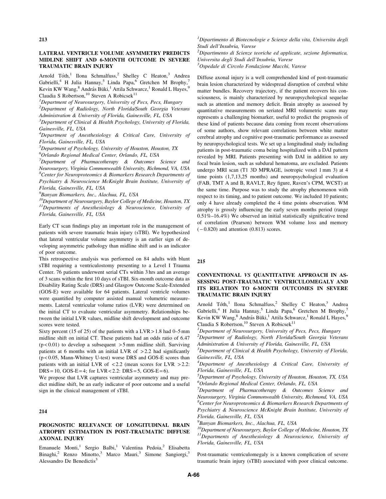## LATERAL VENTRICLE VOLUME ASYMMETRY PREDICTS MIDLINE SHIFT AND 6-MONTH OUTCOME IN SEVERE TRAUMATIC BRAIN INJURY

Arnold Tóth,<sup>1</sup> Ilona Schmalfuss,<sup>2</sup> Shelley C Heaton,<sup>3</sup> Andrea Gabrielli,<sup>4</sup> H Julia Hannay,<sup>5</sup> Linda Papa,<sup>6</sup> Gretchen M Brophy, Kevin KW Wang,<sup>8</sup> András Büki,<sup>1</sup> Attila Schwarcz,<sup>1</sup> Ronald L Hayes,<sup>9</sup> Claudia S Robertson,<sup>10</sup> Steven A Robicsek<sup>11</sup>

<sup>1</sup>Department of Neurosurgery, University of Pecs, Pecs, Hungary

<sup>2</sup>Department of Radiology, North Florida/South Georgia Veterans Administration & University of Florida, Gainesville, FL, USA

 $3$ Department of Clinical & Health Psychology, University of Florida, Gainesville, FL, USA

<sup>4</sup>Department of Anesthesiology & Critical Care, University of Florida, Gainesville, FL, USA

<sup>5</sup>Department of Psychology, University of Houston, Houston, TX

6 Orlando Regional Medical Center, Orlando, FL, USA

<sup>7</sup>Department of Pharmacotherapy & Outcomes Science and Neurosurgery, Virginia Commonwealth University, Richmond, VA, USA  ${}^{8}$ Center for Neuroproteomics & Biomarkers Research Departments of Psychiatry & Neuroscience McKnight Brain Institute, University of Florida, Gainesville, FL, USA

<sup>9</sup> Banyan Biomarkers, Inc., Alachua, FL, USA

 $10D$ epartment of Neurosurgery, Baylor College of Medicine, Houston, TX  $11$ Departments of Anesthesiology & Neuroscience, University of Florida, Gainesville, FL, USA

Early CT scan findings play an important role in the management of patients with severe traumatic brain injury (sTBI). We hypothesized that lateral ventricular volume asymmetry is an earlier sign of developing asymmetric pathology than midline shift and is an indicator of poor outcome.

This retrospective analysis was performed on 84 adults with blunt sTBI requiring a ventriculostomy presenting to a Level I Trauma Center. 76 patients underwent serial CTs within 3 hrs and an average of 3 scans within the first 10 days of sTBI. Six-month outcome data as Disability Rating Scale (DRS) and Glasgow Outcome Scale-Extended (GOS-E) were available for 64 patients. Lateral ventricle volumes were quantified by computer assisted manual volumetric measurements. Lateral ventricular volume ratios (LVR) were determined on the initial CT to evaluate ventricular asymmetry. Relationships between the initial LVR values, midline shift development and outcome scores were tested.

Sixty percent (15 of 25) of the patients with a  $LVR > 1.8$  had 0–5 mm midline shift on initial CT. These patients had an odds ratio of 6.47  $(p<0.01)$  to develop a subsequent  $>5$  mm midline shift. Surviving patients at 6 months with an initial LVR of > 2.2 had significantly (p < 0.05, Mann-Whitney U-test) worse DRS and GOS-E scores than patients with an initial LVR of  $\langle 2.2 \rangle$  (mean scores for LVR  $>2.2$ :  $DRS = 10$ ,  $GOS-E = 4$ ; for  $LVR < 2.2$ :  $DRS = 5$ ,  $GOS-E = 6$ ).

We propose that LVR captures ventricular asymmetry and may predict midline shift, be an early indicator of poor outcome and a useful sign in the clinical management of sTBI.

## 214

## PROGNOSTIC RELEVANCE OF LONGITUDINAL BRAIN ATROPHY ESTIMATION IN POST-TRAUMATIC DIFFUSE AXONAL INJURY

Emanuele Monti,<sup>1</sup> Sergio Balbi,<sup>1</sup> Valentina Pedoia,<sup>2</sup> Elisabetta Binaghi,<sup>2</sup> Renzo Minotto,<sup>3</sup> Marco Mauri,<sup>3</sup> Simone Sangiorgi,<sup>3</sup> Alessandro De Benedictis<sup>3</sup>

 ${}^{1}$ Dipartimento di Biotecnologie e Scienze della vita, Universita degli Studi dell'Insubria, Varese

 $^{2}$ Dipartimento di Scienze teoriche ed applicate, sezione Informatica, Universita degli Studi dell'Insubria, Varese

3 Ospedale di Circolo Fondazione Macchi, Varese

Diffuse axonal injury is a well comprehended kind of post-traumatic brain lesion characterized by widespread disruption of cerebral white matter bundles. Recovery trajectory, if the patient recovers his consciousness, is mainly characterized by neuropsychological sequelae such as attention and memory deficit. Brain atrophy as assessed by quantitative measurements on seriated MRI volumetric scans may represents a challenging biomarker, useful to predict the prognosis of these kind of patients because data coming from recent observations of some authors, show relevant correlations between white matter cerebral atrophy and cognitive post-traumatic performance as assessed by neuropsychological tests. We set up a longitudinal study including patients in post-traumatic coma being hospitalized with a DAI pattern revealed by MRI. Patients presenting with DAI in addition to any focal brain lesion, such as subdural hematoma, are excluded. Patients undergo MRI scan (T1 3D MPRAGE, isotropic voxel 1 mm 3) at 4 time points (1,7,13,25 months) and neuropsychological evaluation (FAB, TMT A and B, RAVLT, Rey figure, Raven's CPM, WCST) at the same time. Purpose was to study the atrophy phenomenon with respect to its timing, and to patient outcome. We included 10 patients; only 4 have already completed the 4 time points observation. WM atrophy is grossly influencing the early seven months period (range 0.51%–16.4%) We observed an initial statistically significative trend of correlation (Pearson) between WM volume loss and memory  $(-0.820)$  and attention  $(0.813)$  scores.

### 215

## CONVENTIONAL VS QUANTITATIVE APPROACH IN AS-SESSING POST-TRAUMATIC VENTRICULOMEGALY AND ITS RELATION TO 6-MONTH OUTCOMES IN SEVERE TRAUMATIC BRAIN INJURY

Arnold Tóth,<sup>1</sup> Ilona Schmalfuss,<sup>2</sup> Shelley C Heaton,<sup>3</sup> Andrea Gabrielli,<sup>4</sup> H Julia Hannay,<sup>5</sup> Linda Papa,<sup>6</sup> Gretchen M Brophy,<sup>7</sup> Kevin KW Wang,<sup>8</sup> András Büki,<sup>1</sup> Attila Schwarcz,<sup>1</sup> Ronald L Hayes,<sup>9</sup> Claudia S Robertson,<sup>10</sup> Steven A Robicsek<sup>11</sup>

<sup>1</sup>Department of Neurosurgery, University of Pecs, Pecs, Hungary

<sup>2</sup>Department of Radiology, North Florida/South Georgia Veterans Administration & University of Florida, Gainesville, FL, USA

 $3$ Department of Clinical & Health Psychology, University of Florida, Gainesville, FL, USA

<sup>4</sup>Department of Anesthesiology & Critical Care, University of Florida, Gainesville, FL, USA

<sup>5</sup>Department of Psychology, University of Houston, Houston, TX, USA 6 Orlando Regional Medical Center, Orlando, FL, USA

 $7$ Department of Pharmacotherapy & Outcomes Science and Neurosurgery, Virginia Commonwealth University, Richmond, VA, USA  ${}^{8}$ Center for Neuroproteomics & Biomarkers Research Departments of Psychiatry & Neuroscience McKnight Brain Institute, University of Florida, Gainesville, FL, USA

<sup>9</sup> Banyan Biomarkers, Inc., Alachua, FL, USA

 $^{10}$ Department of Neurosurgery, Baylor College of Medicine, Houston, TX  $11$ Departments of Anesthesiology & Neuroscience, University of Florida, Gainesville, FL, USA

Post-traumatic ventriculomegaly is a known complication of severe traumatic brain injury (sTBI) associated with poor clinical outcome.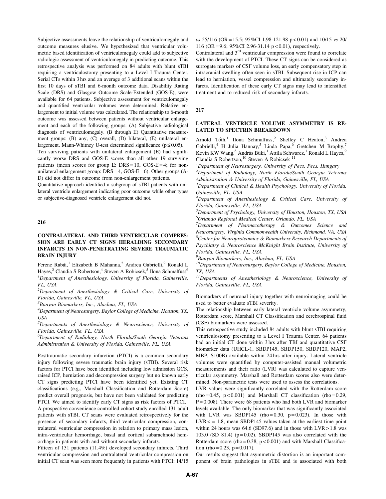Subjective assessments leave the relationship of ventriculomegaly and outcome measures elusive. We hypothesized that ventricular volumetric based identification of ventriculomegaly could add to subjective radiologic assessment of ventriculomegaly in predicting outcome. This retrospective analysis was performed on 84 adults with blunt sTBI requiring a ventriculostomy presenting to a Level I Trauma Center. Serial CTs within 3 hrs and an average of 3 additional scans within the first 10 days of sTBI and 6-month outcome data, Disability Rating Scale (DRS) and Glasgow Outcome Scale-Extended (GOS-E), were available for 64 patients. Subjective assessment for ventriculomegaly and quantified ventricular volumes were determined. Relative enlargement to initial volume was calculated. The relationship to 6-month outcome was assessed between patients without ventricular enlargement and each of the following groups: (A) Subjective radiological diagnosis of ventriculomegaly. (B through E) Quantitative measurement groups: (B) any, (C) overall, (D) bilateral, (E) unilateral enlargement. Mann-Whitney U-test determined significance ( $p \le 0.05$ ).

Ten surviving patients with unilateral enlargement (E) had significantly worse DRS and GOS-E scores than all other 19 surviving patients (mean scores for group E:  $DRS = 10$ ,  $GOS-E = 4$ ; for nonunilateral enlargement group:  $DRS = 4$ ,  $GOS-E = 6$ ). Other groups (A-D) did not differ in outcome from non-enlargement patients.

Quantitative approach identified a subgroup of sTBI patients with unilateral ventricle enlargement indicating poor outcome while other types or subjective-diagnosed ventricle enlargement did not.

## 216

# CONTRALATERAL AND THIRD VENTRICULAR COMPRES-SION ARE EARLY CT SIGNS HERALDING SECONDARY INFARCTS IN NON-PENETRATING SEVERE TRAUMATIC BRAIN INJURY

Ferenc Rabái,<sup>1</sup> Elizabeth B Mahanna,<sup>2</sup> Andrea Gabrielli,<sup>2</sup> Ronald L Hayes,<sup>3</sup> Claudia S Robertson,<sup>4</sup> Steven A Robicsek,<sup>5</sup> Ilona Schmalfuss<sup>6</sup> <sup>1</sup>Department of Anesthesiology, University of Florida, Gainesville, FL, USA

 $2$ Department of Anesthesiology & Critical Care, University of Florida, Gainesville, FL, USA

<sup>3</sup>Banyan Biomarkers, Inc., Alachua, FL, USA

<sup>4</sup>Department of Neurosurgery, Baylor College of Medicine, Houston, TX, USA

5 Departments of Anesthesiology & Neuroscience, University of Florida, Gainesville, FL, USA

6 Department of Radiology, North Florida/South Georgia Veterans Administration & University of Florida, Gainesville, FL, USA

Posttraumatic secondary infarction (PTCI) is a common secondary injury following severe traumatic brain injury (sTBI). Several risk factors for PTCI have been identified including low admission GCS, raised ICP, herniation and decompression surgery but no known early CT signs predicting PTCI have been identified yet. Existing CT classifications (e.g., Marshall Classification and Rotterdam Score) predict overall prognosis, but have not been validated for predicting PTCI. We aimed to identify early CT signs as risk factors of PTCI. A prospective convenience controlled cohort study enrolled 131 adult patients with sTBI. CT scans were evaluated retrospectively for the presence of secondary infarcts, third ventricular compression, contralateral ventricular compression in relation to primary mass lesion, intra-ventricular hemorrhage, basal and cortical subarachnoid hemorrhage in patients with and without secondary infarcts.

Fifteen of 131 patients (11.4%) developed secondary infarcts. Third ventricular compression and contralateral ventricular compression on initial CT scan was seen more frequently in patients with PTCI: 14/15  $vs$  55/116 (OR = 15.5; 95%CI 1.98-121.98 p < 0.01) and 10/15 vs 20/ 116 (OR= 9.6; 95%CI 2.96-31.14 p < 0.01), respectively.

Contralateral and 3<sup>rd</sup> ventricular compression were found to correlate with the development of PTCI. These CT signs can be considered as surrogate markers of CSF volume loss, an early compensatory step in intracranial swelling often seen in sTBI. Subsequent rise in ICP can lead to herniation, vessel compression and ultimately secondary infarcts. Identification of these early CT signs may lead to intensified treatment and to reduced risk of secondary infarcts.

#### 217

### LATERAL VENTRICLE VOLUME ASYMMETRY IS RE-LATED TO SPECTRIN BREAKDOWN

Arnold Tóth,<sup>1</sup> Ilona Schmalfuss,<sup>2</sup> Shelley C Heaton,<sup>3</sup> Andrea Gabrielli,<sup>4</sup> H Julia Hannay,<sup>5</sup> Linda Papa,<sup>6</sup> Gretchen M Brophy,<sup>7</sup> Kevin KW Wang,<sup>8</sup> András Büki,<sup>1</sup> Attila Schwarcz,<sup>1</sup> Ronald L Hayes,<sup>9</sup> Claudia S Robertson,<sup>10</sup> Steven A Robicsek<sup>11</sup>

<sup>1</sup>Department of Neurosurgery, University of Pecs, Pecs, Hungary

<sup>2</sup>Department of Radiology, North Florida/South Georgia Veterans Administration & University of Florida, Gainesville, FL, USA

 $3$ Department of Clinical & Health Psychology, University of Florida, Gainesville, FL, USA

<sup>4</sup>Department of Anesthesiology & Critical Care, University of Florida, Gainesville, FL, USA

<sup>5</sup>Department of Psychology, University of Houston, Houston, TX, USA 6 Orlando Regional Medical Center, Orlando, FL, USA

<sup>7</sup>Department of Pharmacotherapy & Outcomes Science and Neurosurgery, Virginia Commonwealth University, Richmond, VA, USA  ${}^{8}$ Center for Neuroproteomics & Biomarkers Research Departments of Psychiatry & Neuroscience McKnight Brain Institute, University of Florida, Gainesville, FL, USA

<sup>9</sup> Banyan Biomarkers, Inc., Alachua, FL, USA

 $10D$ epartment of Neurosurgery, Baylor College of Medicine, Houston, TX, USA

 $11$ Departments of Anesthesiology & Neuroscience, University of Florida, Gainesville, FL, USA

Biomarkers of neuronal injury together with neuroimaging could be used to better evaluate sTBI severity.

The relationship between early lateral ventricle volume asymmetry, Rotterdam score, Marshall CT Classification and cerebrospinal fluid (CSF) biomarkers were assessed.

This retrospective study included 84 adults with blunt sTBI requiring ventriculostomy presenting to a Level I Trauma Center. 64 patients had an initial CT done within 3 hrs after TBI and quantitative CSF biomarker data (UHCL-1, SBDP145, SBDP150, SBDP120, MAP2, MBP, S100B) available within 24 hrs after injury. Lateral ventricle volumes were quantified by computer-assisted manual volumetric measurements and their ratio (LVR) was calculated to capture ventricular asymmetry. Marshall and Rotterdam scores also were determined. Non-parametric tests were used to assess the correlations.

LVR values were significantly correlated with the Rotterdam score  $(rho = 0.45, p < 0.001)$  and Marshall CT classification  $(rho = 0.29,$  $P = 0.008$ ). There were 68 patients who had both LVR and biomarker levels available. The only biomarker that was significantly associated with LVR was SBDP145 (rho= $0.30$ , p= $0.023$ ). In those with  $LVR <$  = 1.8, mean SBDP145 values taken at the earliest time point within 24 hours was  $64.6$  (SD97.6) and in those with  $LVR > 1.8$  was 103.0 (SD 81.4) ( $p=0.02$ ). SBDP145 was also correlated with the Rotterdam score (rho =  $0.38$ , p <  $0.001$ ) and with Marshall Classification (rho =  $0.23$ , p =  $0.017$ ).

Our results suggest that asymmetric distortion is an important component of brain pathologies in sTBI and is associated with both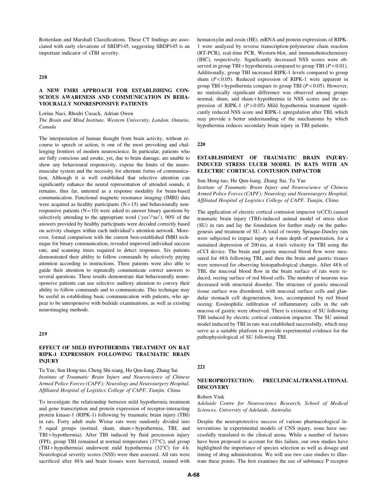Rotterdam and Marshall Classifications. These CT findings are associated with early elevations of SBDP145, suggesting SBDP145 is an important indicator of sTBI severity.

### 218

## A NEW FMRI APPROACH FOR ESTABLISHING CON-SCIOUS AWARENESS AND COMMUNICATION IN BEHA-VIOURALLY NONRESPONSIVE PATIENTS

Lorina Naci, Rhodri Cusack, Adrian Owen

The Brain and Mind Institute, Western University, London, Ontario, Canada

The interpretation of human thought from brain activity, without recourse to speech or action, is one of the most provoking and challenging frontiers of modern neuroscience. In particular, patients who are fully conscious and awake, yet, due to brain damage, are unable to show any behavioural responsivity, expose the limits of the neuromuscular system and the necessity for alternate forms of communication. Although it is well established that selective attention can significantly enhance the neural representation of attended sounds, it remains, thus far, untested as a response modality for brain-based communication. Functional magnetic resonance imaging (fMRI) data were acquired as healthy participants  $(N = 15)$  and behaviourally nonresponsive patients  $(N = 10)$  were asked to answer binary questions by selectively attending to the appropriate word ('yes'/'no'). 90% of the answers provided by healthy participants were decoded correctly based on activity changes within each individual's attention network. Moreover, formal comparison with the current best-established fMRI technique for binary communication, revealed improved individual success rate, and scanning times required to detect responses. Six patients demonstrated their ability to follow commands by selectively paying attention according to instructions. Three patients were also able to guide their attention to repeatedly communicate correct answers to several questions. These results demonstrate that behaviourally nonresponsive patients can use selective auditory attention to convey their ability to follow commands and to communicate. This technique may be useful in establishing basic communication with patients, who appear to be unresponsive with bedside examinations, as well as existing neuroimaging methods.

#### 219

### EFFECT OF MILD HYPOTHERMIA TREATMENT ON RAT RIPK-1 EXPRESSION FOLLOWING TRAUMATIC BRAIN INJURY

Tu Yue, Sun Hong-tao, Cheng Shi-xiang, Hu Qun-liang, Zhang Sai Institute of Traumatic Brain Injury and Neuroscience of Chinese Armed Police Forces (CAPF); Neurology and Neurosurgery Hospital, Affiliated Hospital of Logistics College of CAPF, Tianjin, China

To investigate the relationship between mild hypothermia treatment and gene transcription and protein expression of receptor-interacting protein kinase-1 (RIPK-1) following by traumatic brain injury (TBI) in rats. Forty adult male Wistar rats were randomly divided into 5 equal groups (normal, sham, sham + hypothermia, TBI, and TBI + hypothermia). After TBI induced by fluid percussion injury (FPI), group TBI remained at normal temperature (37°C), and group (TBI + hypothermia) underwent mild hypothermia (32-C) for 4 h. Neurological severity scores (NSS) were then assessed. All rats were sacrificed after 48 h and brain tissues were harvested, stained with hematoxylin and eosin (HE). mRNA and protein expressions of RIPK-1 were analyzed by reverse transcription-polymerase chain reaction (RT-PCR), real-time PCR, Western-blot, and immunohistochemistry (IHC), respectively. Significantly decreased NSS scores were observed in group TBI + hypothermia compared to group TBI  $(P < 0.01)$ . Additionally, group TBI increased RIPK-1 levels compared to group sham  $(P<0.05)$ . Reduced expression of RIPK-1 were apparent in group TBI + hypothermia compare to group TBI ( $P < 0.05$ ). However, no statistically significant difference was observed among groups normal, sham, and sham + hypothermia in NSS scores and the expression of RIPK-1 ( $P > 0.05$ ) Mild hypothermia treatment significantly reduced NSS score and RIPK-1 upregulation after TBI, which may provide a better understanding of the mechanisms by which hypothermia reduces secondary brain injury in TBI patients.

220

## ESTABLISHMENT OF TRAUMATIC BRAIN INJURY-INDUCED STRESS ULCER MODEL IN RATS WITH AN ELECTRIC CORTICAL CONTUSION IMPACTOR

Sun Hong-tao, Hu Qun-liang, Zhang Sai, Tu Yue

Institute of Traumatic Brain Injury and Neuroscience of Chinese Armed Police Forces (CAPF); Neurology and Neurosurgery Hospital, Affiliated Hospital of Logistics College of CAPF, Tianjin, China

The application of electric cortical contusion impactor (eCCI) caused traumatic brain injury (TBI)-induced animal model of stress ulcer (SU) in rats and lay the foundation for further study on the pathogenesis and treatment of SU. A total of twenty Spraque-Dawley rats were subjected to impact injury at 4 mm depth of penetration, for a sustained depression of 200 ms, at 4 m/s velocity for TBI using the eCCI device. The brain and gastric mucosal blood flow were measured for 48 h following TBI, and then the brain and gastric tissues were removed for observing histopathological changes. After 48 h of TBI, the mucosal blood flow in the brain surface of rats were reduced, oozing surface of red blood cells. The number of neurons was decreased with structural disorder. The structure of gastric mucosal tissue surface was disordered, with mucosal surface cells and glandular stomach cell degeneration, loss, accompanied by red blood oozing. Eosinophilic infiltration of inflammatory cells in the sub mucosa of gastric were observed. There is existence of SU following TBI induced by electric cortical contusion impactor. The SU animal model induced by TBI in rats was established successfully, which may serve as a suitable platform to provide experimental evidence for the pathophysiological of SU following TBI.

#### 221

# NEUROPROTECTION: PRECLINICAL/TRANSLATIONAL **DISCOVERY**

#### Robert Vink

Adelaide Centre for Neuroscience Research, School of Medical Sciences, University of Adelaide, Australia

Despite the neuroprotective success of various pharmacological interventions in experimental models of CNS injury, none have successfully translated to the clinical arena. While a number of factors have been proposed to account for this failure, our own studies have highlighted the importance of species selection as well as dosage and timing of drug administration. We will use two case studies to illustrate these points. The first examines the use of substance P receptor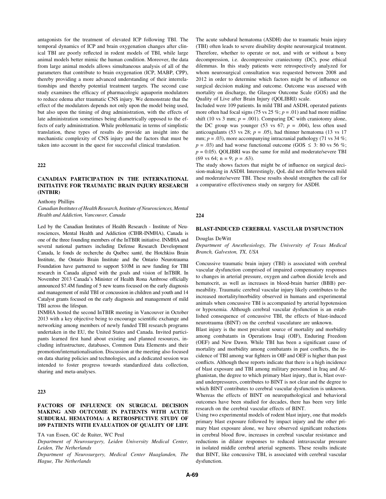antagonists for the treatment of elevated ICP following TBI. The temporal dynamics of ICP and brain oxygenation changes after clinical TBI are poorly reflected in rodent models of TBI, while large animal models better mimic the human condition. Moreover, the data from large animal models allows simultaneous analysis of all of the parameters that contribute to brain oxygenation (ICP, MABP, CPP), thereby providing a more advanced understanding of their interrelationships and thereby potential treatment targets. The second case study examines the efficacy of pharmacologic aquaporin modulators to reduce edema after traumatic CNS injury. We demonstrate that the effect of the modulators depends not only upon the model being used, but also upon the timing of drug administration, with the effects of late administration sometimes being diametrically opposed to the effects of early administration. While problematic in terms of simplistic translation, these types of results do provide an insight into the mechanistic complexity of CNS injury and the factors that must be taken into account in the quest for successful clinical translation.

222

# CANADIAN PARTICIPATION IN THE INTERNATIONAL INITIATIVE FOR TRAUMATIC BRAIN INJURY RESEARCH (INTBIR)

Anthony Phillips

Canadian Institutes of Health Research, Institute of Neurosciences, Mental Health and Addiction, Vancouver, Canada

Led by the Canadian Institutes of Health Research - Institute of Neurosciences, Mental Health and Addiction (CIHR-INMHA), Canada is one of the three founding members of the InTBIR initiative. INMHA and several national partners including Defense Research Development Canada, le fonds de recherche du Québec santé, the Hotchkiss Brain Institute, the Ontario Brain Institute and the Ontario Neurotrauma Foundation have partnered to support \$10M in new funding for TBI research in Canada aligned with the goals and vision of InTBIR. In November 2013 Canada's Minister of Health Rona Ambrose officially announced \$7.4M funding of 5 new teams focused on the early diagnosis and management of mild TBI or concussion in children and youth and 14 Catalyst grants focused on the early diagnosis and management of mild TBI across the lifespan.

INMHA hosted the second InTBIR meeting in Vancouver in October 2013 with a key objective being to encourage scientific exchange and networking among members of newly funded TBI research programs undertaken in the EU, the United States and Canada. Invited participants learned first hand about existing and planned resources, including infrastructure, databases, Common Data Elements and their promotion/internationalisation. Discussion at the meeting also focused on data sharing policies and technologies, and a dedicated session was intended to foster progress towards standardized data collection, sharing and meta-analyses.

# 223

# FACTORS OF INFLUENCE ON SURGICAL DECISION MAKING AND OUTCOME IN PATIENTS WITH ACUTE SUBDURAL HEMATOMA: A RETROSPECTIVE STUDY OF 109 PATIENTS WITH EVALUATION OF QUALITY OF LIFE

TA van Essen, GC de Ruiter, WC Peul

Department of Neurosurgery, Leiden University Medical Center, Leiden, The Netherlands

Department of Neurosurgery, Medical Center Haaglanden, The Hague, The Netherlands

The acute subdural hematoma (ASDH) due to traumatic brain injury (TBI) often leads to severe disability despite neurosurgical treatment. Therefore, whether to operate or not, and with or without a bony decompression, i.e. decompressive craniectomy (DC), pose ethical dilemmas. In this study patients were retrospectively analyzed for whom neurosurgical consultation was requested between 2008 and 2012 in order to determine which factors might be of influence on surgical decision making and outcome. Outcome was assessed with mortality on discharge, the Glasgow Outcome Scale (GOS) and the Quality of Live after Brain Injury (QOLIBRI) scale.

Included were 109 patients. In mild TBI and ASDH, operated patients more often had focal signs (75 vs 25 %;  $p = .01$ ) and had more midline shift (10 vs 3 mm;  $p = .001$ ). Comparing DC with craniotomy alone, the DC group was younger (53 vs 67;  $p = .004$ ), less often used anticoagulants (53 vs 28;  $p = .05$ ), had thinner hematoma (13 vs 17 mm;  $p = .03$ ), more accompanying intracranial pathology (71 vs 34 %;  $p = .03$ ) and had worse functional outcome (GOS  $\leq$  3: 80 vs 56 %;  $p = 0.05$ ). QOLIBRI was the same for mild and moderate/severe TBI (69 vs 64; n = 9;  $p = .63$ ).

The study shows factors that might be of influence on surgical decision-making in ASDH. Interestingly, QoL did not differ between mild and moderate/severe TBI. These results should strengthen the call for a comparative effectiveness study on surgery for ASDH.

#### 224

#### BLAST-INDUCED CEREBRAL VASCULAR DYSFUNCTION

#### Douglas DeWitt

Department of Anesthesiology, The University of Texas Medical Branch, Galveston, TX, USA

Concussive traumatic brain injury (TBI) is associated with cerebral vascular dysfunction comprised of impaired compensatory responses to changes in arterial pressure, oxygen and carbon dioxide levels and hematocrit, as well as increases in blood-brain barrier (BBB) permeability. Traumatic cerebral vascular injury likely contributes to the increased mortality/morbidity observed in humans and experimental animals when concussive TBI is accompanied by arterial hypotension or hypoxemia. Although cerebral vascular dysfunction is an established consequence of concussive TBI, the effects of blast-induced neurotrauma (BINT) on the cerebral vasculature are unknown.

Blast injury is the most prevalent source of mortality and morbidity among combatants in Operations Iraqi (OIF), Enduring Freedom (OEF) and New Dawn. While TBI has been a significant cause of mortality and morbidity among combatants in past conflicts, the incidence of TBI among war fighters in OIF and OEF is higher than past conflicts. Although these reports indicate that there is a high incidence of blast exposure and TBI among military personnel in Iraq and Afghanistan, the degree to which primary blast injury, that is, blast overand underpressures, contributes to BINT is not clear and the degree to which BINT contributes to cerebral vascular dysfunction is unknown. Whereas the effects of BINT on neuropathological and behavioral outcomes have been studied for decades, there has been very little research on the cerebral vascular effects of BINT.

Using two experimental models of rodent blast injury, one that models primary blast exposure followed by impact injury and the other primary blast exposure alone, we have observed significant reductions in cerebral blood flow, increases in cerebral vascular resistance and reductions in dilator responses to reduced intravascular pressure in isolated middle cerebral arterial segments. These results indicate that BINT, like concussive TBI, is associated with cerebral vascular dysfunction.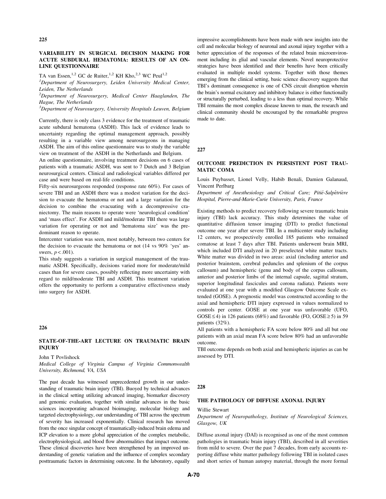## VARIABILITY IN SURGICAL DECISION MAKING FOR ACUTE SUBDURAL HEMATOMA: RESULTS OF AN ON-LINE QUESTIONNAIRE

TA van Essen,<sup>1,2</sup> GC de Ruiter,<sup>1,2</sup> KH Kho,<sup>2,3</sup> WC Peul<sup>1,2</sup>

<sup>1</sup>Department of Neurosurgery, Leiden University Medical Center, Leiden, The Netherlands

 $2$ Department of Neurosurgery, Medical Center Haaglanden, The Hague, The Netherlands

 $3D$ epartment of Neurosurgery, University Hospitals Leuven, Belgium

Currently, there is only class 3 evidence for the treatment of traumatic acute subdural hematoma (ASDH). This lack of evidence leads to uncertainty regarding the optimal management approach, possibly resulting in a variable view among neurosurgeons in managing ASDH. The aim of this online questionnaire was to study the variable view on treatment of the ASDH in the Netherlands and Belgium.

An online questionnaire, involving treatment decisions on 6 cases of patients with a traumatic ASDH, was sent to 7 Dutch and 3 Belgian neurosurgical centers. Clinical and radiological variables differed per case and were based on real-life conditions.

Fifty-six neurosurgeons responded (response rate 60%). For cases of severe TBI and an ASDH there was a modest variation for the decision to evacuate the hematoma or not and a large variation for the decision to combine the evacuating with a decompressive craniectomy. The main reasons to operate were 'neurological condition' and 'mass effect'. For ASDH and mild/moderate TBI there was large variation for operating or not and 'hematoma size' was the predominant reason to operate.

Intercenter variation was seen, most notably, between two centers for the decision to evacuate the hematoma or not (14 vs 90% 'yes' answers,  $p < .001$ ).

This study suggests a variation in surgical management of the traumatic ASDH. Specifically, decisions varied more for moderate/mild cases than for severe cases, possibly reflecting more uncertainty with regard to mild/moderate TBI and ASDH. This treatment variation offers the opportunity to perform a comparative effectiveness study into surgery for ASDH.

#### 226

### STATE-OF-THE-ART LECTURE ON TRAUMATIC BRAIN INJURY

John T Povlishock

Medical College of Virginia Campus of Virginia Commonwealth University, Richmond, VA, USA

The past decade has witnessed unprecedented growth in our understanding of traumatic brain injury (TBI). Buoyed by technical advances in the clinical setting utilizing advanced imaging, biomarker discovery and genomic evaluation, together with similar advances in the basic sciences incorporating advanced bioimaging, molecular biology and targeted electrophysiology, our understanding of TBI across the spectrum of severity has increased exponentially. Clinical research has moved from the once singular concept of traumatically-induced brain edema and ICP elevation to a more global appreciation of the complex metabolic, electrophysiological, and blood flow abnormalities that impact outcome. These clinical discoveries have been strengthened by an improved understanding of genetic variation and the influence of complex secondary posttraumatic factors in determining outcome. In the laboratory, equally impressive accomplishments have been made with new insights into the cell and molecular biology of neuronal and axonal injury together with a better appreciation of the responses of the related brain microenvironment including its glial and vascular elements. Novel neuroprotective strategies have been identified and their benefits have been critically evaluated in multiple model systems. Together with those themes emerging from the clinical setting, basic science discovery suggests that TBI's dominant consequence is one of CNS circuit disruption wherein the brain's normal excitatory and inhibitory balance is either functionally or structurally perturbed, leading to a less than optimal recovery. While TBI remains the most complex disease known to man, the research and clinical community should be encouraged by the remarkable progress made to date.

227

## OUTCOME PREDICTION IN PERSISTENT POST TRAU-MATIC COMA

Louis Puybasset, Lionel Velly, Habib Benali, Damien Galanaud, Vincent Perlbarg

Department of Anesthesiology and Critical Care; Pitié-Salpêtrière Hospital, Pierre-and-Marie-Curie University, Paris, France

Existing methods to predict recovery following severe traumatic brain injury (TBI) lack accuracy. This study determines the value of quantitative diffusion tensor imaging (DTI) to predict functional outcome one year after severe TBI. In a multicenter study including 12 centers, we prospectively enrolled 185 patients who remained comatose at least 7 days after TBI. Patients underwent brain MRI, which included DTI analyzed in 20 preselected white matter tracts. White matter was divided in two areas: axial (including anterior and posterior brainstem, cerebral peduncles and splenium of the corpus callosum) and hemispheric (genu and body of the corpus callosum, anterior and posterior limbs of the internal capsule, sagittal stratum, superior longitudinal fascicules and corona radiata). Patients were evaluated at one year with a modified Glasgow Outcome Scale extended (GOSE). A prognostic model was constructed according to the axial and hemispheric DTI injury expressed in values normalized to controls per center. GOSE at one year was unfavorable (UFO,  $GOSE \le 4$ ) in 126 patients (68%) and favorable (FO,  $GOSE \ge 5$ ) in 59 patients (32%).

All patients with a hemispheric FA score below 80% and all but one patients with an axial mean FA score below 80% had an unfavorable outcome.

TBI outcome depends on both axial and hemispheric injuries as can be assessed by DTI.

#### 228

## THE PATHOLOGY OF DIFFUSE AXONAL INJURY

#### Willie Stewart

### Department of Neuropathology, Institute of Neurological Sciences, Glasgow, UK

Diffuse axonal injury (DAI) is recognised as one of the most common pathologies in traumatic brain injury (TBI), described in all severities from mild to severe. Over the past 7 decades, from early accounts reporting diffuse white matter pathology following TBI in isolated cases and short series of human autopsy material, through the more formal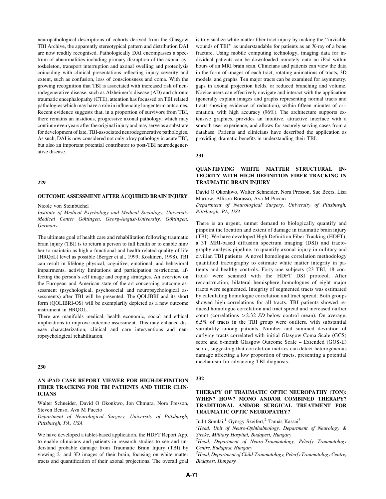neuropathological descriptions of cohorts derived from the Glasgow TBI Archive, the apparently stereotypical pattern and distribution DAI are now readily recognised. Pathologically DAI encompasses a spectrum of abnormalities including primary disruption of the axonal cytoskeleton, transport interruption and axonal swelling and proteolysis coinciding with clinical presentations reflecting injury severity and extent, such as confusion, loss of consciousness and coma. With the growing recognition that TBI is associated with increased risk of neurodegenerative disease, such as Alzheimer's disease (AD) and chronic traumatic encephalopathy (CTE), attention has focussed on TBI related pathologies which may have a role in influencing longer term outcomes. Recent evidence suggests that, in a proportion of survivors from TBI, there remains an insidious, progressive axonal pathology, which may continue even years after the original injury and may serve as a substrate for development of late, TBI-associated neurodegenerative pathologies. As such, DAI is now considered not only a key pathology in acute TBI, but also an important potential contributor to post-TBI neurodegenerative disease.

#### 229

#### OUTCOME ASSESSMENT AFTER ACQUIRED BRAIN INJURY

Nicole von Steinbüchel

Institute of Medical Psychology and Medical Sociology, University Medical Center Göttingen, Georg-August-University, Göttingen, Germany

The ultimate goal of health care and rehabilitation following traumatic brain injury (TBI) is to return a person to full health or to enable him/ her to maintain as high a functional and health-related quality of life (HRQoL) level as possible (Berger et al., 1999; Koskinen, 1998). TBI can result in lifelong physical, cognitive, emotional, and behavioral impairments, activity limitations and participation restrictions, affecting the person's self image and coping strategies. An overview on the European and American state of the art concerning outcome assessment (psychological, psychosocial and neuropsychological assessments) after TBI will be presented. The QOLIBRI and its short form (QOLIBRI-OS) will be exemplarily depicted as a new outcome instrument in HRQOL.

There are manifolds medical, health economic, social and ethical implications to improve outcome assessment. This may enhance disease characterization, clinical and care interventions and neuropsychological rehabilitation.

#### 230

### AN iPAD CASE REPORT VIEWER FOR HIGH-DEFINITION FIBER TRACKING FOR TBI PATIENTS AND THEIR CLIN-ICIANS

Walter Schneider, David O Okonkwo, Jon Chmura, Nora Presson, Steven Benso, Ava M Puccio

Department of Neurological Surgery, University of Pittsburgh, Pittsburgh, PA, USA

We have developed a tablet-based application, the HDFT Report App, to enable clinicians and patients in research studies to see and understand probable damage from Traumatic Brain Injury (TBI) by viewing 2- and 3D images of their brain, focusing on white matter tracts and quantification of their axonal projections. The overall goal is to visualize white matter fiber tract injury by making the ''invisible wounds of TBI'' as understandable for patients as an X-ray of a bone fracture. Using mobile computing technology, imaging data for individual patients can be downloaded remotely onto an iPad within hours of an MRI brain scan. Clinicians and patients can view the data in the form of images of each tract, rotating animations of tracts, 3D models, and graphs. Ten major tracts can be examined for asymmetry, gaps in axonal projection fields, or reduced branching and volume. Novice users can effectively navigate and interact with the application (generally explain images and graphs representing normal tracts and tracts showing evidence of reduction), within fifteen minutes of orientation, with high accuracy (96%). The architecture supports extensive graphics, provides an intuitive, attractive interface with a smooth user experience, and allows for securely serving cases from a database. Patients and clinicians have described the application as providing dramatic benefits in understanding their TBI.

231

# QUANTIFYING WHITE MATTER STRUCTURAL IN-TEGRITY WITH HIGH DEFINITION FIBER TRACKING IN TRAUMATIC BRAIN INJURY

David O Okonkwo, Walter Schneider, Nora Presson, Sue Beers, Lisa Marrow, Allison Borasso, Ava M Puccio

Department of Neurological Surgery, University of Pittsburgh, Pittsburgh, PA, USA

There is an urgent, unmet demand to biologically quantify and pinpoint the location and extent of damage in traumatic brain injury (TBI). We have developed High Definition Fiber Tracking (HDFT), a 3T MRI-based diffusion spectrum imaging (DSI) and tractography analysis pipeline, to quantify axonal injury in military and civilian TBI patients. A novel homologue correlation methodology quantified tractography to estimate white matter integrity in patients and healthy controls. Forty-one subjects (23 TBI, 18 controls) were scanned with the HDFT DSI protocol. After reconstruction, bilateral hemisphere homologues of eight major tracts were segmented. Integrity of segmented tracts was estimated by calculating homologue correlation and tract spread. Both groups showed high correlations for all tracts. TBI patients showed reduced homologue correlation and tract spread and increased outlier count (correlations > 2.32 SD below control mean). On average, 6.5% of tracts in the TBI group were outliers, with substantial variability among patients. Number and summed deviation of outlying tracts correlated with initial Glasgow Coma Scale (GCS) score and 6-month Glasgow Outcome Scale – Extended (GOS-E) score, suggesting that correlation metrics can detect heterogeneous damage affecting a low proportion of tracts, presenting a potential mechanism for advancing TBI diagnosis.

## 232

# THERAPY OF TRAUMATIC OPTIC NEUROPATHY (TON): WHEN? HOW? MONO AND/OR COMBINED THERAPY? TRADITIONAL AND/OR SURGICAL TREATMENT FOR TRAUMATIC OPTIC NEUROPATHY?

Judit Somlai,<sup>1</sup> György Szeifert,<sup>2</sup> Tamás Kassai<sup>3</sup>

<sup>1</sup>Head, Unit of Neuro-Ophthalmology, Department of Neurology & Stroke, Military Hospital, Budapest, Hungary

<sup>2</sup>Head, Department of Neuro-Traumatology, Péterfy Traumatology Centre, Budapest, Hungary

<sup>3</sup> Head, Department of Child-Traumatology, Péterfy Traumatology Centre, Budapest, Hungary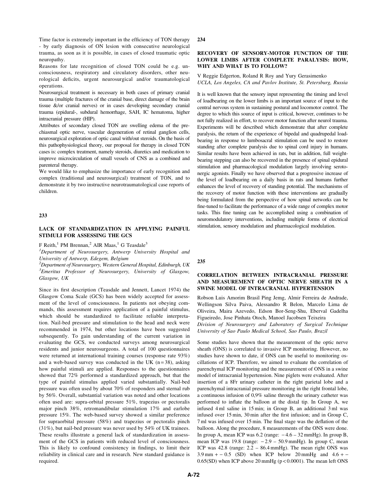Time factor is extremely important in the efficiency of TON therapy - by early diagnosis of ON lesion with consecutive neurological trauma, as soon as it is possible, in cases of closed traumatic optic neuropathy.

Reasons for late recognition of closed TON could be e.g. unconsciousness, respiratory and circulatory disorders, other neurological deficits, urgent neurosurgical and/or traumatological operations.

Neurosurgical treatment is necessary in both cases of primary cranial trauma (multiple fractures of the cranial base, direct damage of the brain tissue &/or cranial nerves) or in cases developing secondary cranial trauma (epidural-, subdural hemorrhage, SAH, IC hematoma, higher intracranial pressure (HIP).

Attributes of secondary closed TON are swelling edema of the prechiasmal optic nerve, vascular degeneration of retinal ganglion cells, neurosurgical exploration of optic canal with/out steroids. On the basis of this pathophysiological theory, our proposal for therapy in closed TON cases is: complex treatment, namely steroids, diuretics and medication to improve microcirculation of small vessels of CNS as a combined and parenteral therapy.

We would like to emphasize the importance of early recognition and complex (traditional and neurosurgical) treatment of TON, and to demonstrate it by two instructive neurotraumatological case reports of children.

## 233

# LACK OF STANDARDIZATION IN APPLYING PAINFUL STIMULI FOR ASSESSING THE GCS

F Reith,<sup>1</sup> PM Brennan,<sup>2</sup> AIR Maas,<sup>1</sup> G Teasdale<sup>3</sup>

<sup>1</sup>Department of Neurosurgery, Antwerp University Hospital and University of Antwerp, Edegem, Belgium

 $^2$ Department of Neurosurgery, Western General Hospital, Edinburgh, UK <sup>3</sup>Emeritus Professor of Neurosurgery, University of Glasgow, Glasgow, UK

Since its first description (Teasdale and Jennett, Lancet 1974) the Glasgow Coma Scale (GCS) has been widely accepted for assessment of the level of consciousness. In patients not obeying commands, this assessment requires application of a painful stimulus, which should be standardized to facilitate reliable interpretation. Nail-bed pressure and stimulation to the head and neck were recommended in 1974, but other locations have been suggested subsequently. To gain understanding of the current variation in evaluating the GCS, we conducted surveys among neurosurgical residents and junior neurosurgeons. A total of 100 questionnaires were returned at international training courses (response rate 93%) and a web-based survey was conducted in the UK  $(n=38)$ , asking how painful stimuli are applied. Responses to the questionnaires showed that 72% performed a standardized approach, but that the type of painful stimulus applied varied substantially. Nail-bed pressure was often used by about 70% of responders and sternal rub by 56%. Overall, substantial variation was noted and other locations often used are: supra-orbital pressure 51%, trapezius or pectoralis major pinch 38%, retromandibular stimulation 17% and earlobe pressure 15%. The web-based survey showed a similar preference for supraorbital pressure (58%) and trapezius or pectoralis pinch (31%), but nail-bed pressure was never used by 54% of UK trainees. These results illustrate a general lack of standardization in assessment of the GCS in patients with reduced level of consciousness. This is likely to confound consistency in findings, to limit their reliability in clinical care and in research. New standard guidance is required.

#### 234

## RECOVERY OF SENSORY-MOTOR FUNCTION OF THE LOWER LIMBS AFTER COMPLETE PARALYSIS: HOW, WHY AND WHAT IS TO FOLLOW?

#### V Reggie Edgerton, Roland R Roy and Yury Gerasimenko UCLA, Los Angeles, CA and Pavlov Institute, St. Petersburg, Russia

It is well known that the sensory input representing the timing and level of loadbearing on the lower limbs is an important source of input to the central nervous system in sustaining postural and locomotor control. The degree to which this source of input is critical, however, continues to be not fully realized in effort, to recover motor function after neurol trauma. Experiments will be described which demonstrate that after complete paralysis, the return of the experience of bipedal and quadrupedal loadbearing in response to lumbosacral stimulation can be used to restore standing after complete paralysis due to spinal cord injury in humans. Similar results have been achieved in rats, but in addition, full weightbearing stepping can also be recovered in the presence of spinal epidural stimulation and pharmacological modulation largely involving serotonergic agonists. Finally we have observed that a progressive increase of the level of loadbearing on a daily basis in rats and humans further enhances the level of recovery of standing potential. The mechanisms of the recovery of motor function with these interventions are gradually being formulated from the perspective of how spinal networks can be fine-tuned to facilitate the performance of a wide range of complex motor tasks. This fine tuning can be accomplished using a combination of neuromodulatory interventions, including multiple forms of electrical stimulation, sensory modulation and pharmacological modulation.

235

# CORRELATION BETWEEN INTRACRANIAL PRESSURE AND MEASUREMENT OF OPTIC NERVE SHEATH IN A SWINE MODEL OF INTRACRANIAL HYPERTENSION

Robson Luis Amorim Brasil Ping Jemg, Almir Ferreira de Andrade, Wellingson Silva Paiva, Alessandro R Belon, Marcelo Lima de Oliveira, Maira Azevedo, Edson Bor-Seng-Shu, Eberval Gadelha Figueiredo, Jose Pinhata Otoch, Manoel Jacobsen Teixeira Division of Neurosurgery and Laboratory of Surgical Technique University of Sao Paulo Medical School, Sao Paulo, Brazil

Some studies have shown that the measurement of the optic nerve sheath (ONS) is correlated to invasive ICP monitoring. However, no studies have shown to date, if ONS can be useful to monitoring oscillations of ICP. Therefore, we aimed to evaluate the correlation of parenchymal ICP monitoring and the measurement of ONS in a swine model of intracranial hypertension. Nine piglets were evaluated. After insertion of a 8Fr urinary catheter in the right parietal lobe and a parenchymal intracranial pressure monitoring in the right frontal lobe, a continuous infusion of 0,9% saline through the urinary catheter was performed to inflate the balloon at the distal tip. In Group A, we infused 4 ml saline in 15 min; in Group B, an additional 3 ml was infused over 15 min, 30 min after the first infusion; and in Group C, 7 ml was infused over 15 min. The final stage was the deflation of the balloon. Along the procedure, 8 measurements of the ONS were done. In group A, mean ICP was  $6.2$  (range:  $-4.6 - 32$  mmHg). In group B, mean ICP was 19.8 (range:  $-2.9 - 50.9$  mmHg). In group C, mean ICP was 42.8 (range: 2.2 – 86.4 mmHg). The mean right ONS was  $3.9 \text{ mm } + -0.5$  (SD) when ICP below 20 mmHg and  $4.6 + -$ 0.65(SD) when ICP above 20 mmHg (p < 0.0001). The mean left ONS